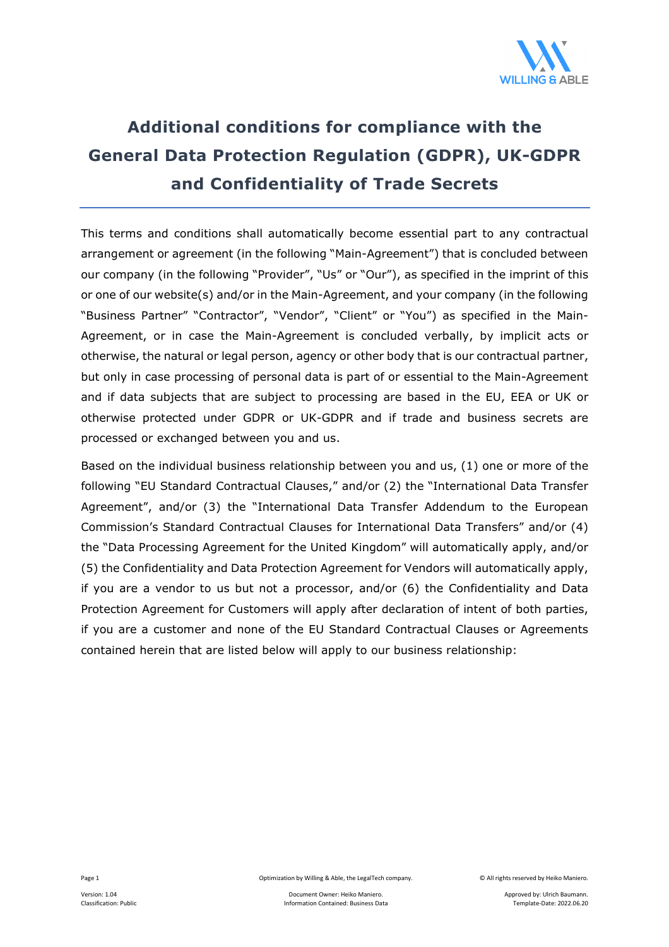

# **Additional conditions for compliance with the General Data Protection Regulation (GDPR), UK-GDPR and Confidentiality of Trade Secrets**

This terms and conditions shall automatically become essential part to any contractual arrangement or agreement (in the following "Main-Agreement") that is concluded between our company (in the following "Provider", "Us" or "Our"), as specified in the imprint of this or one of our website(s) and/or in the Main-Agreement, and your company (in the following "Business Partner" "Contractor", "Vendor", "Client" or "You") as specified in the Main-Agreement, or in case the Main-Agreement is concluded verbally, by implicit acts or otherwise, the natural or legal person, agency or other body that is our contractual partner, but only in case processing of personal data is part of or essential to the Main-Agreement and if data subjects that are subject to processing are based in the EU, EEA or UK or otherwise protected under GDPR or UK-GDPR and if trade and business secrets are processed or exchanged between you and us.

Based on the individual business relationship between you and us, (1) one or more of the following "EU Standard Contractual Clauses," and/or (2) the "International Data Transfer Agreement", and/or (3) the "International Data Transfer Addendum to the European Commission's Standard Contractual Clauses for International Data Transfers" and/or (4) the "Data Processing Agreement for the United Kingdom" will automatically apply, and/or (5) the Confidentiality and Data Protection Agreement for Vendors will automatically apply, if you are a vendor to us but not a processor, and/or (6) the Confidentiality and Data Protection Agreement for Customers will apply after declaration of intent of both parties, if you are a customer and none of the EU Standard Contractual Clauses or Agreements contained herein that are listed below will apply to our business relationship: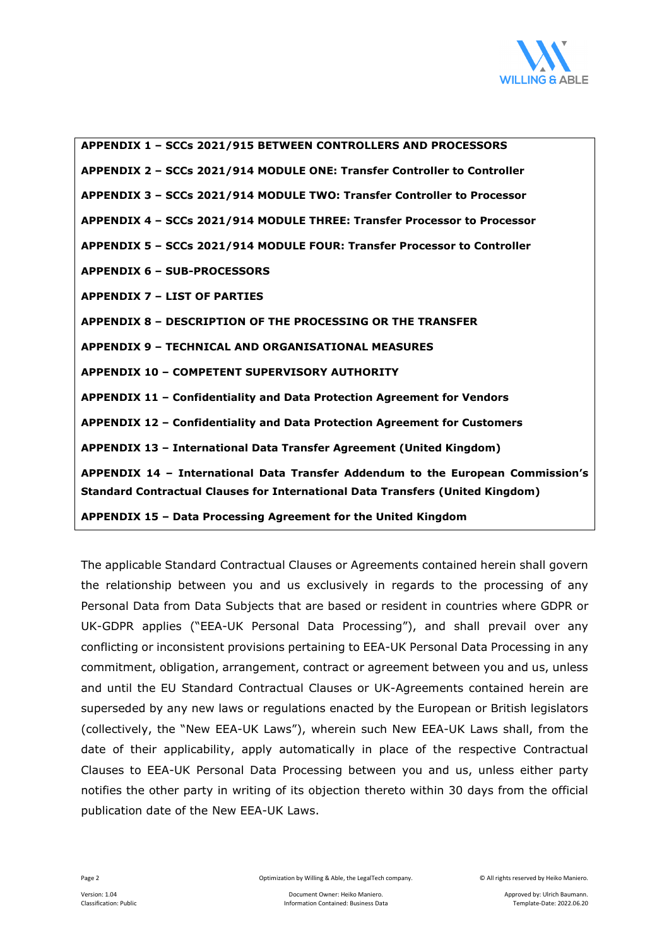

| APPENDIX 1 - SCCs 2021/915 BETWEEN CONTROLLERS AND PROCESSORS                         |
|---------------------------------------------------------------------------------------|
| APPENDIX 2 - SCCs 2021/914 MODULE ONE: Transfer Controller to Controller              |
| APPENDIX 3 - SCCs 2021/914 MODULE TWO: Transfer Controller to Processor               |
| APPENDIX 4 - SCCs 2021/914 MODULE THREE: Transfer Processor to Processor              |
| APPENDIX 5 - SCCs 2021/914 MODULE FOUR: Transfer Processor to Controller              |
| <b>APPENDIX 6 - SUB-PROCESSORS</b>                                                    |
| <b>APPENDIX 7 - LIST OF PARTIES</b>                                                   |
| <b>APPENDIX 8 - DESCRIPTION OF THE PROCESSING OR THE TRANSFER</b>                     |
| <b>APPENDIX 9 - TECHNICAL AND ORGANISATIONAL MEASURES</b>                             |
| <b>APPENDIX 10 - COMPETENT SUPERVISORY AUTHORITY</b>                                  |
| APPENDIX 11 - Confidentiality and Data Protection Agreement for Vendors               |
| APPENDIX 12 - Confidentiality and Data Protection Agreement for Customers             |
| APPENDIX 13 - International Data Transfer Agreement (United Kingdom)                  |
| APPENDIX 14 - International Data Transfer Addendum to the European Commission's       |
| <b>Standard Contractual Clauses for International Data Transfers (United Kingdom)</b> |
| APPENDIX 15 - Data Processing Agreement for the United Kingdom                        |

The applicable Standard Contractual Clauses or Agreements contained herein shall govern the relationship between you and us exclusively in regards to the processing of any Personal Data from Data Subjects that are based or resident in countries where GDPR or UK-GDPR applies ("EEA-UK Personal Data Processing"), and shall prevail over any conflicting or inconsistent provisions pertaining to EEA-UK Personal Data Processing in any commitment, obligation, arrangement, contract or agreement between you and us, unless and until the EU Standard Contractual Clauses or UK-Agreements contained herein are superseded by any new laws or regulations enacted by the European or British legislators (collectively, the "New EEA-UK Laws"), wherein such New EEA-UK Laws shall, from the date of their applicability, apply automatically in place of the respective Contractual Clauses to EEA-UK Personal Data Processing between you and us, unless either party notifies the other party in writing of its objection thereto within 30 days from the official publication date of the New EEA-UK Laws.

Page 2 Optimization by Willing & Able, the LegalTech company. © All rights reserved by Heiko Maniero.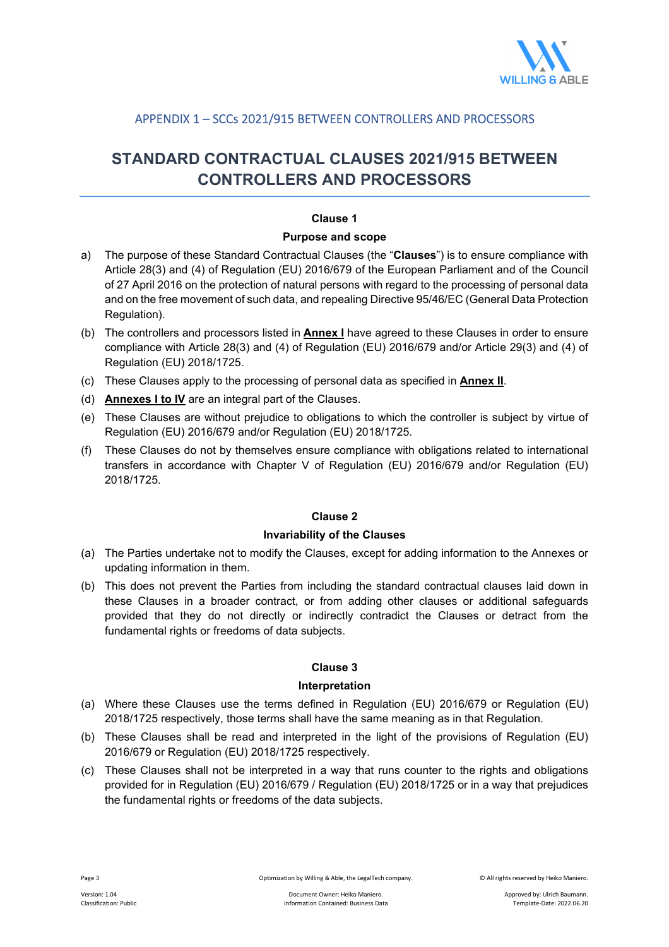

## APPENDIX 1 – SCCs 2021/915 BETWEEN CONTROLLERS AND PROCESSORS

## **STANDARD CONTRACTUAL CLAUSES 2021/915 BETWEEN CONTROLLERS AND PROCESSORS**

#### **Clause 1**

#### **Purpose and scope**

- a) The purpose of these Standard Contractual Clauses (the "**Clauses**") is to ensure compliance with Article 28(3) and (4) of Regulation (EU) 2016/679 of the European Parliament and of the Council of 27 April 2016 on the protection of natural persons with regard to the processing of personal data and on the free movement of such data, and repealing Directive 95/46/EC (General Data Protection Regulation).
- (b) The controllers and processors listed in **Annex I** have agreed to these Clauses in order to ensure compliance with Article 28(3) and (4) of Regulation (EU) 2016/679 and/or Article 29(3) and (4) of Regulation (EU) 2018/1725.
- (c) These Clauses apply to the processing of personal data as specified in **Annex II**.
- (d) **Annexes I to IV** are an integral part of the Clauses.
- (e) These Clauses are without prejudice to obligations to which the controller is subject by virtue of Regulation (EU) 2016/679 and/or Regulation (EU) 2018/1725.
- (f) These Clauses do not by themselves ensure compliance with obligations related to international transfers in accordance with Chapter V of Regulation (EU) 2016/679 and/or Regulation (EU) 2018/1725.

## **Clause 2**

#### **Invariability of the Clauses**

- (a) The Parties undertake not to modify the Clauses, except for adding information to the Annexes or updating information in them.
- (b) This does not prevent the Parties from including the standard contractual clauses laid down in these Clauses in a broader contract, or from adding other clauses or additional safeguards provided that they do not directly or indirectly contradict the Clauses or detract from the fundamental rights or freedoms of data subjects.

## **Clause 3**

#### **Interpretation**

- (a) Where these Clauses use the terms defined in Regulation (EU) 2016/679 or Regulation (EU) 2018/1725 respectively, those terms shall have the same meaning as in that Regulation.
- (b) These Clauses shall be read and interpreted in the light of the provisions of Regulation (EU) 2016/679 or Regulation (EU) 2018/1725 respectively.
- (c) These Clauses shall not be interpreted in a way that runs counter to the rights and obligations provided for in Regulation (EU) 2016/679 / Regulation (EU) 2018/1725 or in a way that prejudices the fundamental rights or freedoms of the data subjects.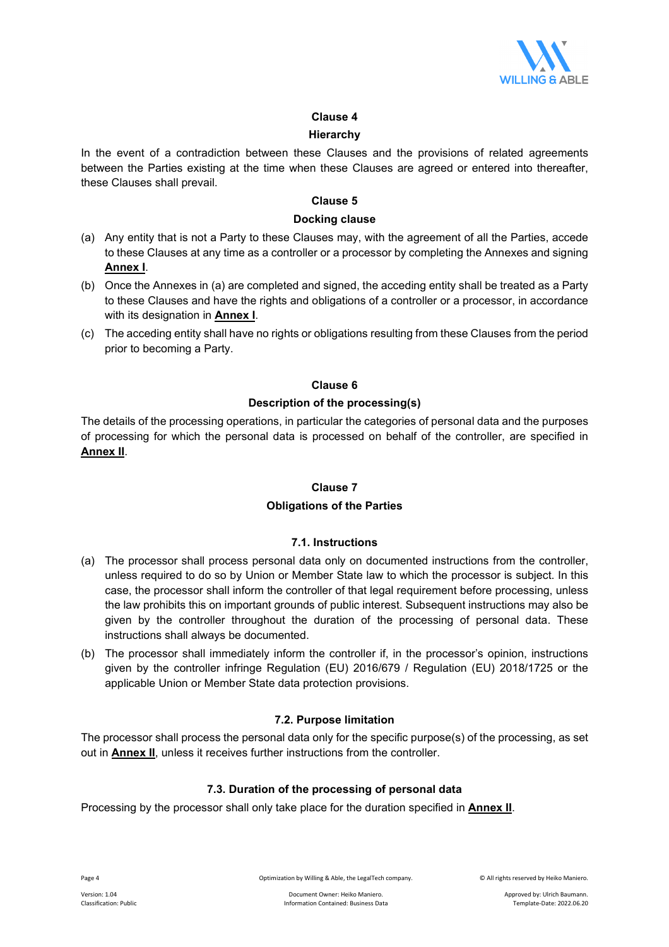

## **Clause 4**

## **Hierarchy**

In the event of a contradiction between these Clauses and the provisions of related agreements between the Parties existing at the time when these Clauses are agreed or entered into thereafter, these Clauses shall prevail.

## **Clause 5**

## **Docking clause**

- (a) Any entity that is not a Party to these Clauses may, with the agreement of all the Parties, accede to these Clauses at any time as a controller or a processor by completing the Annexes and signing **Annex I**.
- (b) Once the Annexes in (a) are completed and signed, the acceding entity shall be treated as a Party to these Clauses and have the rights and obligations of a controller or a processor, in accordance with its designation in **Annex I**.
- (c) The acceding entity shall have no rights or obligations resulting from these Clauses from the period prior to becoming a Party.

## **Clause 6**

## **Description of the processing(s)**

The details of the processing operations, in particular the categories of personal data and the purposes of processing for which the personal data is processed on behalf of the controller, are specified in **Annex II**.

## **Clause 7**

## **Obligations of the Parties**

## **7.1. Instructions**

- (a) The processor shall process personal data only on documented instructions from the controller, unless required to do so by Union or Member State law to which the processor is subject. In this case, the processor shall inform the controller of that legal requirement before processing, unless the law prohibits this on important grounds of public interest. Subsequent instructions may also be given by the controller throughout the duration of the processing of personal data. These instructions shall always be documented.
- (b) The processor shall immediately inform the controller if, in the processor's opinion, instructions given by the controller infringe Regulation (EU) 2016/679 / Regulation (EU) 2018/1725 or the applicable Union or Member State data protection provisions.

## **7.2. Purpose limitation**

The processor shall process the personal data only for the specific purpose(s) of the processing, as set out in **Annex II**, unless it receives further instructions from the controller.

## **7.3. Duration of the processing of personal data**

Processing by the processor shall only take place for the duration specified in **Annex II**.

Page 4 Optimization by Willing & Able, the LegalTech company. © All rights reserved by Heiko Maniero.

Version: 1.04 **Approved by: Ulrich Baumann.**<br>Classification: Public **Classification: Public** Classification: Public Classification: Public Classification: Public Information Contained: Business Data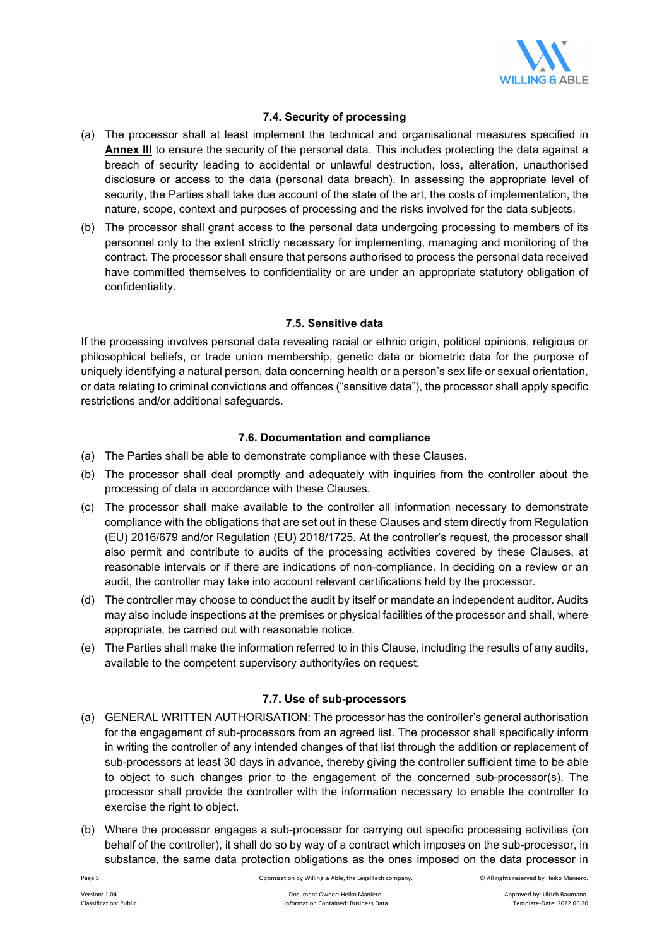

## **7.4. Security of processing**

- (a) The processor shall at least implement the technical and organisational measures specified in **Annex III** to ensure the security of the personal data. This includes protecting the data against a breach of security leading to accidental or unlawful destruction, loss, alteration, unauthorised disclosure or access to the data (personal data breach). In assessing the appropriate level of security, the Parties shall take due account of the state of the art, the costs of implementation, the nature, scope, context and purposes of processing and the risks involved for the data subjects.
- (b) The processor shall grant access to the personal data undergoing processing to members of its personnel only to the extent strictly necessary for implementing, managing and monitoring of the contract. The processor shall ensure that persons authorised to process the personal data received have committed themselves to confidentiality or are under an appropriate statutory obligation of confidentiality.

## **7.5. Sensitive data**

If the processing involves personal data revealing racial or ethnic origin, political opinions, religious or philosophical beliefs, or trade union membership, genetic data or biometric data for the purpose of uniquely identifying a natural person, data concerning health or a person's sex life or sexual orientation, or data relating to criminal convictions and offences ("sensitive data"), the processor shall apply specific restrictions and/or additional safeguards.

## **7.6. Documentation and compliance**

- (a) The Parties shall be able to demonstrate compliance with these Clauses.
- (b) The processor shall deal promptly and adequately with inquiries from the controller about the processing of data in accordance with these Clauses.
- (c) The processor shall make available to the controller all information necessary to demonstrate compliance with the obligations that are set out in these Clauses and stem directly from Regulation (EU) 2016/679 and/or Regulation (EU) 2018/1725. At the controller's request, the processor shall also permit and contribute to audits of the processing activities covered by these Clauses, at reasonable intervals or if there are indications of non-compliance. In deciding on a review or an audit, the controller may take into account relevant certifications held by the processor.
- (d) The controller may choose to conduct the audit by itself or mandate an independent auditor. Audits may also include inspections at the premises or physical facilities of the processor and shall, where appropriate, be carried out with reasonable notice.
- (e) The Parties shall make the information referred to in this Clause, including the results of any audits, available to the competent supervisory authority/ies on request.

## **7.7. Use of sub-processors**

- (a) GENERAL WRITTEN AUTHORISATION: The processor has the controller's general authorisation for the engagement of sub-processors from an agreed list. The processor shall specifically inform in writing the controller of any intended changes of that list through the addition or replacement of sub-processors at least 30 days in advance, thereby giving the controller sufficient time to be able to object to such changes prior to the engagement of the concerned sub-processor(s). The processor shall provide the controller with the information necessary to enable the controller to exercise the right to object.
- (b) Where the processor engages a sub-processor for carrying out specific processing activities (on behalf of the controller), it shall do so by way of a contract which imposes on the sub-processor, in substance, the same data protection obligations as the ones imposed on the data processor in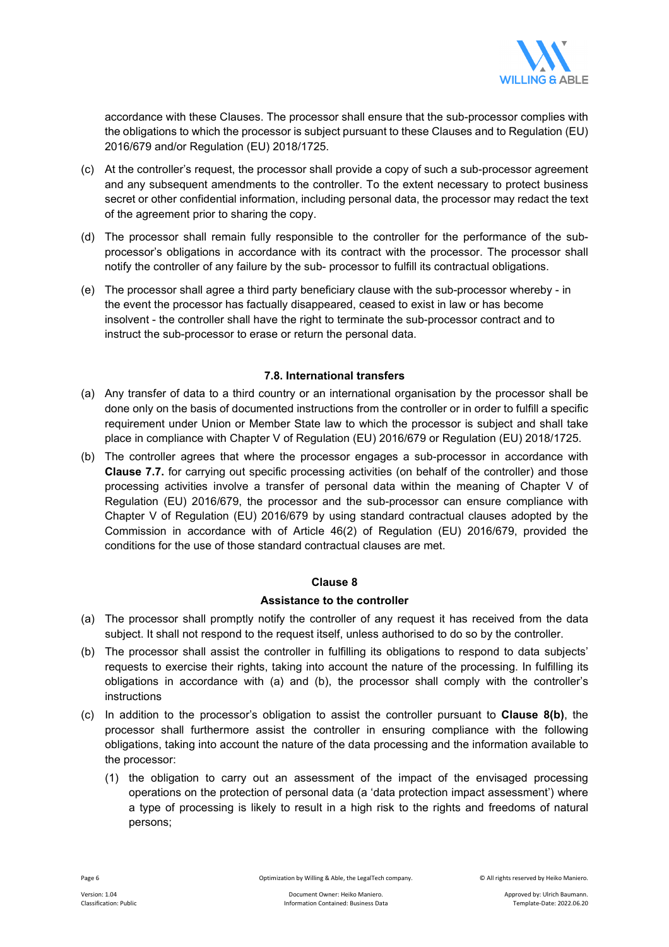

accordance with these Clauses. The processor shall ensure that the sub-processor complies with the obligations to which the processor is subject pursuant to these Clauses and to Regulation (EU) 2016/679 and/or Regulation (EU) 2018/1725.

- (c) At the controller's request, the processor shall provide a copy of such a sub-processor agreement and any subsequent amendments to the controller. To the extent necessary to protect business secret or other confidential information, including personal data, the processor may redact the text of the agreement prior to sharing the copy.
- (d) The processor shall remain fully responsible to the controller for the performance of the subprocessor's obligations in accordance with its contract with the processor. The processor shall notify the controller of any failure by the sub- processor to fulfill its contractual obligations.
- (e) The processor shall agree a third party beneficiary clause with the sub-processor whereby in the event the processor has factually disappeared, ceased to exist in law or has become insolvent - the controller shall have the right to terminate the sub-processor contract and to instruct the sub-processor to erase or return the personal data.

#### **7.8. International transfers**

- (a) Any transfer of data to a third country or an international organisation by the processor shall be done only on the basis of documented instructions from the controller or in order to fulfill a specific requirement under Union or Member State law to which the processor is subject and shall take place in compliance with Chapter V of Regulation (EU) 2016/679 or Regulation (EU) 2018/1725.
- (b) The controller agrees that where the processor engages a sub-processor in accordance with **Clause 7.7.** for carrying out specific processing activities (on behalf of the controller) and those processing activities involve a transfer of personal data within the meaning of Chapter V of Regulation (EU) 2016/679, the processor and the sub-processor can ensure compliance with Chapter V of Regulation (EU) 2016/679 by using standard contractual clauses adopted by the Commission in accordance with of Article 46(2) of Regulation (EU) 2016/679, provided the conditions for the use of those standard contractual clauses are met.

## **Clause 8**

#### **Assistance to the controller**

- (a) The processor shall promptly notify the controller of any request it has received from the data subject. It shall not respond to the request itself, unless authorised to do so by the controller.
- (b) The processor shall assist the controller in fulfilling its obligations to respond to data subjects' requests to exercise their rights, taking into account the nature of the processing. In fulfilling its obligations in accordance with (a) and (b), the processor shall comply with the controller's instructions
- (c) In addition to the processor's obligation to assist the controller pursuant to **Clause 8(b)**, the processor shall furthermore assist the controller in ensuring compliance with the following obligations, taking into account the nature of the data processing and the information available to the processor:
	- (1) the obligation to carry out an assessment of the impact of the envisaged processing operations on the protection of personal data (a 'data protection impact assessment') where a type of processing is likely to result in a high risk to the rights and freedoms of natural persons;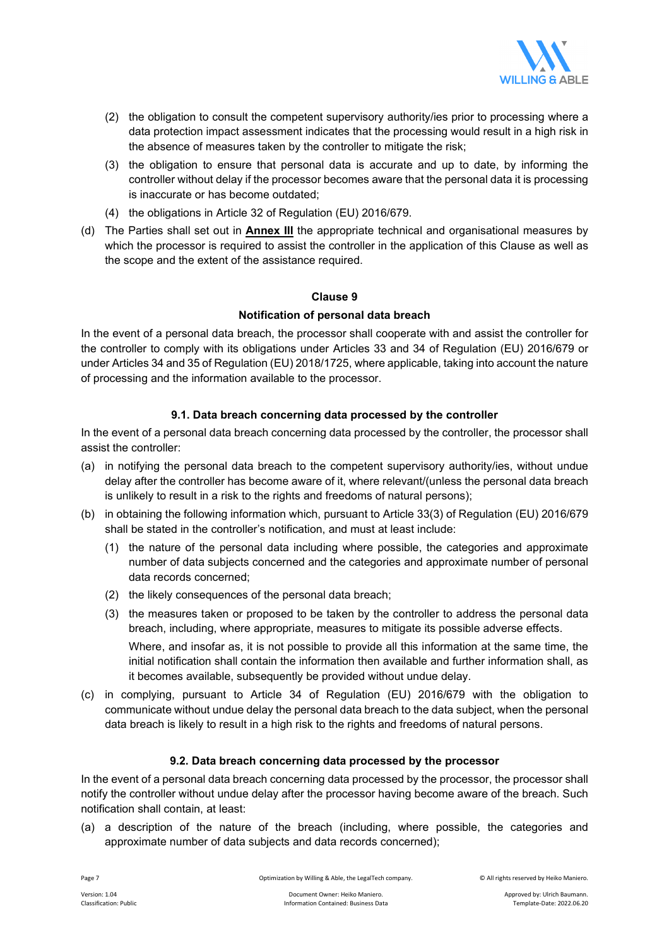

- (2) the obligation to consult the competent supervisory authority/ies prior to processing where a data protection impact assessment indicates that the processing would result in a high risk in the absence of measures taken by the controller to mitigate the risk;
- (3) the obligation to ensure that personal data is accurate and up to date, by informing the controller without delay if the processor becomes aware that the personal data it is processing is inaccurate or has become outdated;
- (4) the obligations in Article 32 of Regulation (EU) 2016/679.
- (d) The Parties shall set out in **Annex III** the appropriate technical and organisational measures by which the processor is required to assist the controller in the application of this Clause as well as the scope and the extent of the assistance required.

#### **Clause 9**

#### **Notification of personal data breach**

In the event of a personal data breach, the processor shall cooperate with and assist the controller for the controller to comply with its obligations under Articles 33 and 34 of Regulation (EU) 2016/679 or under Articles 34 and 35 of Regulation (EU) 2018/1725, where applicable, taking into account the nature of processing and the information available to the processor.

#### **9.1. Data breach concerning data processed by the controller**

In the event of a personal data breach concerning data processed by the controller, the processor shall assist the controller:

- (a) in notifying the personal data breach to the competent supervisory authority/ies, without undue delay after the controller has become aware of it, where relevant/(unless the personal data breach is unlikely to result in a risk to the rights and freedoms of natural persons);
- (b) in obtaining the following information which, pursuant to Article 33(3) of Regulation (EU) 2016/679 shall be stated in the controller's notification, and must at least include:
	- (1) the nature of the personal data including where possible, the categories and approximate number of data subjects concerned and the categories and approximate number of personal data records concerned;
	- (2) the likely consequences of the personal data breach;
	- (3) the measures taken or proposed to be taken by the controller to address the personal data breach, including, where appropriate, measures to mitigate its possible adverse effects. Where, and insofar as, it is not possible to provide all this information at the same time, the initial notification shall contain the information then available and further information shall, as it becomes available, subsequently be provided without undue delay.
- (c) in complying, pursuant to Article 34 of Regulation (EU) 2016/679 with the obligation to communicate without undue delay the personal data breach to the data subject, when the personal data breach is likely to result in a high risk to the rights and freedoms of natural persons.

## **9.2. Data breach concerning data processed by the processor**

In the event of a personal data breach concerning data processed by the processor, the processor shall notify the controller without undue delay after the processor having become aware of the breach. Such notification shall contain, at least:

(a) a description of the nature of the breach (including, where possible, the categories and approximate number of data subjects and data records concerned);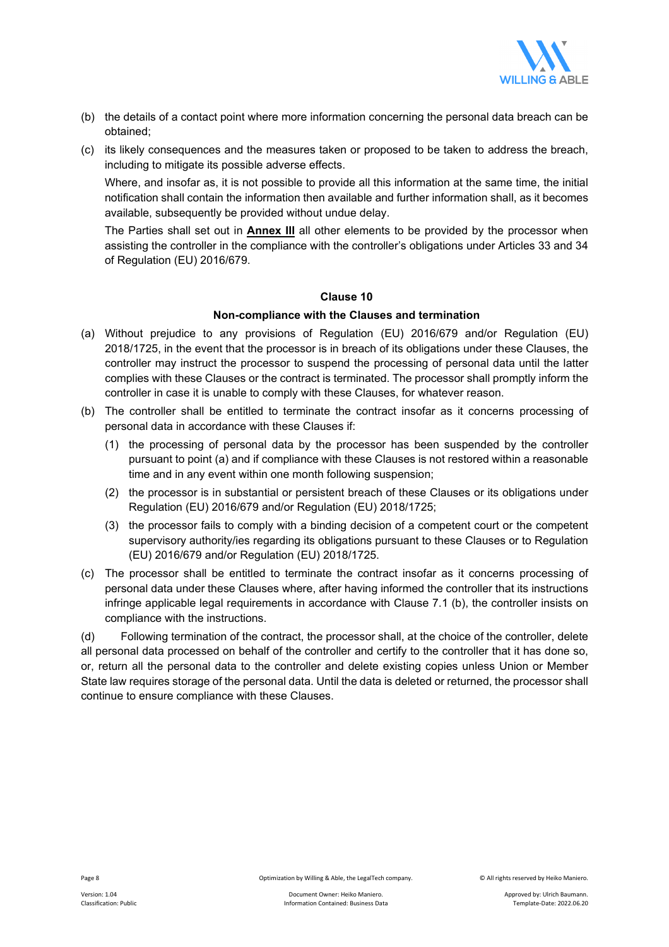

- (b) the details of a contact point where more information concerning the personal data breach can be obtained;
- (c) its likely consequences and the measures taken or proposed to be taken to address the breach, including to mitigate its possible adverse effects.

Where, and insofar as, it is not possible to provide all this information at the same time, the initial notification shall contain the information then available and further information shall, as it becomes available, subsequently be provided without undue delay.

The Parties shall set out in **Annex III** all other elements to be provided by the processor when assisting the controller in the compliance with the controller's obligations under Articles 33 and 34 of Regulation (EU) 2016/679.

## **Clause 10**

#### **Non-compliance with the Clauses and termination**

- (a) Without prejudice to any provisions of Regulation (EU) 2016/679 and/or Regulation (EU) 2018/1725, in the event that the processor is in breach of its obligations under these Clauses, the controller may instruct the processor to suspend the processing of personal data until the latter complies with these Clauses or the contract is terminated. The processor shall promptly inform the controller in case it is unable to comply with these Clauses, for whatever reason.
- (b) The controller shall be entitled to terminate the contract insofar as it concerns processing of personal data in accordance with these Clauses if:
	- (1) the processing of personal data by the processor has been suspended by the controller pursuant to point (a) and if compliance with these Clauses is not restored within a reasonable time and in any event within one month following suspension;
	- (2) the processor is in substantial or persistent breach of these Clauses or its obligations under Regulation (EU) 2016/679 and/or Regulation (EU) 2018/1725;
	- (3) the processor fails to comply with a binding decision of a competent court or the competent supervisory authority/ies regarding its obligations pursuant to these Clauses or to Regulation (EU) 2016/679 and/or Regulation (EU) 2018/1725.
- (c) The processor shall be entitled to terminate the contract insofar as it concerns processing of personal data under these Clauses where, after having informed the controller that its instructions infringe applicable legal requirements in accordance with Clause 7.1 (b), the controller insists on compliance with the instructions.

(d) Following termination of the contract, the processor shall, at the choice of the controller, delete all personal data processed on behalf of the controller and certify to the controller that it has done so, or, return all the personal data to the controller and delete existing copies unless Union or Member State law requires storage of the personal data. Until the data is deleted or returned, the processor shall continue to ensure compliance with these Clauses.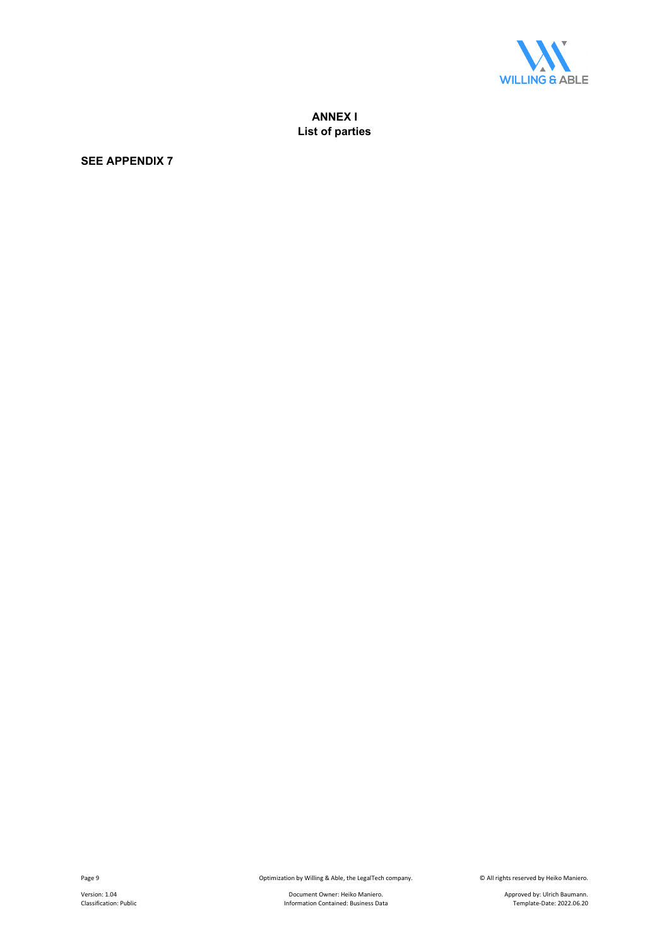

**ANNEX I List of parties** 

**SEE APPENDIX 7** 

Page 9 Optimization by Willing & Able, the LegalTech company. © All rights reserved by Heiko Maniero.

Version: 1.04 Document Owner: Heiko Maniero. Approved by: Ulrich Baumann. Document Owner: Helio Walliero:<br>Information Contained: Business Data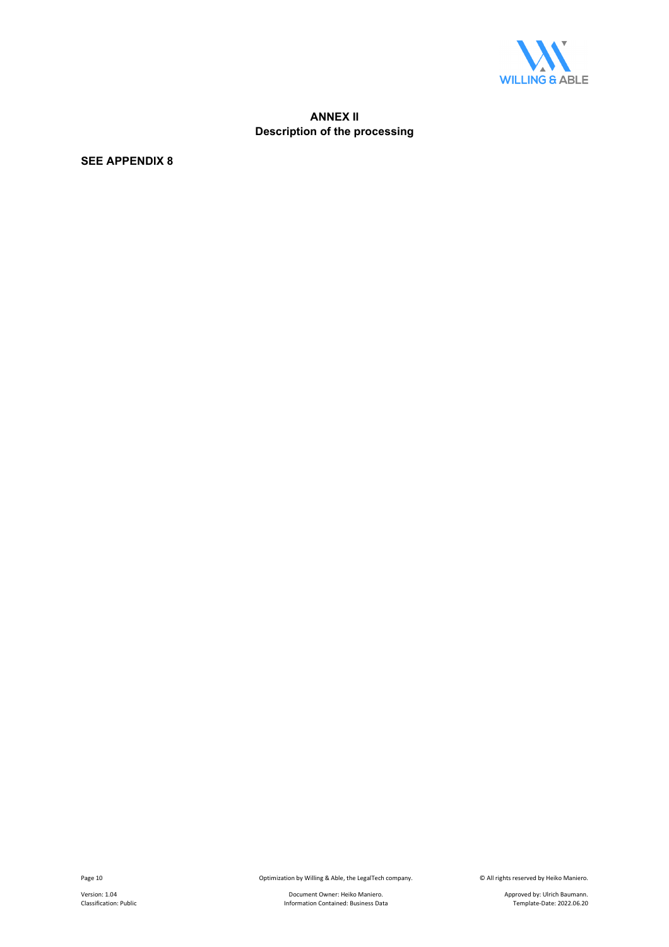

## **ANNEX II Description of the processing**

**SEE APPENDIX 8** 

Page 10 Optimization by Willing & Able, the LegalTech company. © All rights reserved by Heiko Maniero.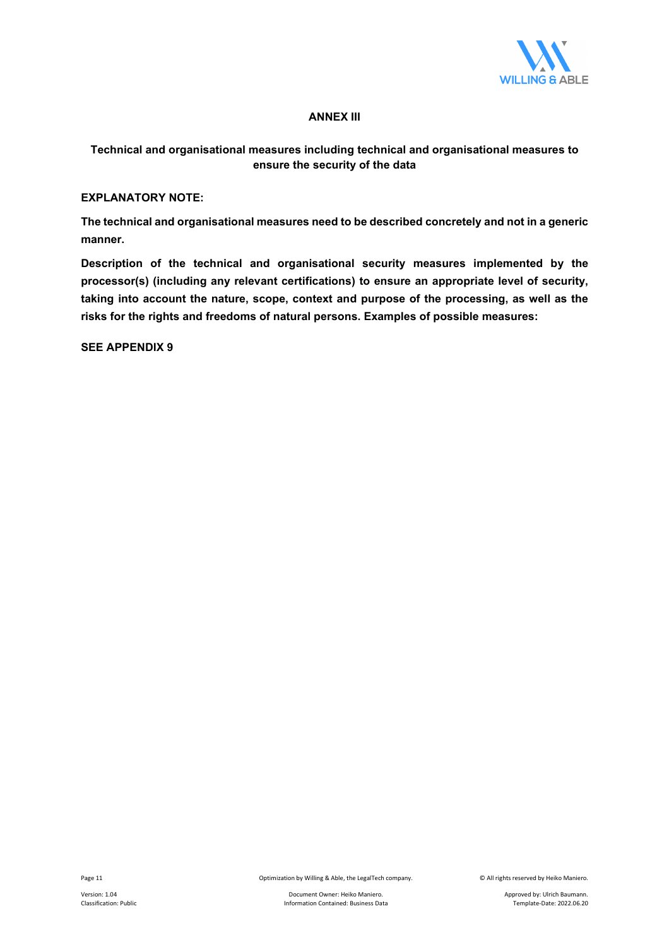

## **ANNEX III**

## **Technical and organisational measures including technical and organisational measures to ensure the security of the data**

## **EXPLANATORY NOTE:**

**The technical and organisational measures need to be described concretely and not in a generic manner.** 

**Description of the technical and organisational security measures implemented by the processor(s) (including any relevant certifications) to ensure an appropriate level of security, taking into account the nature, scope, context and purpose of the processing, as well as the risks for the rights and freedoms of natural persons. Examples of possible measures:**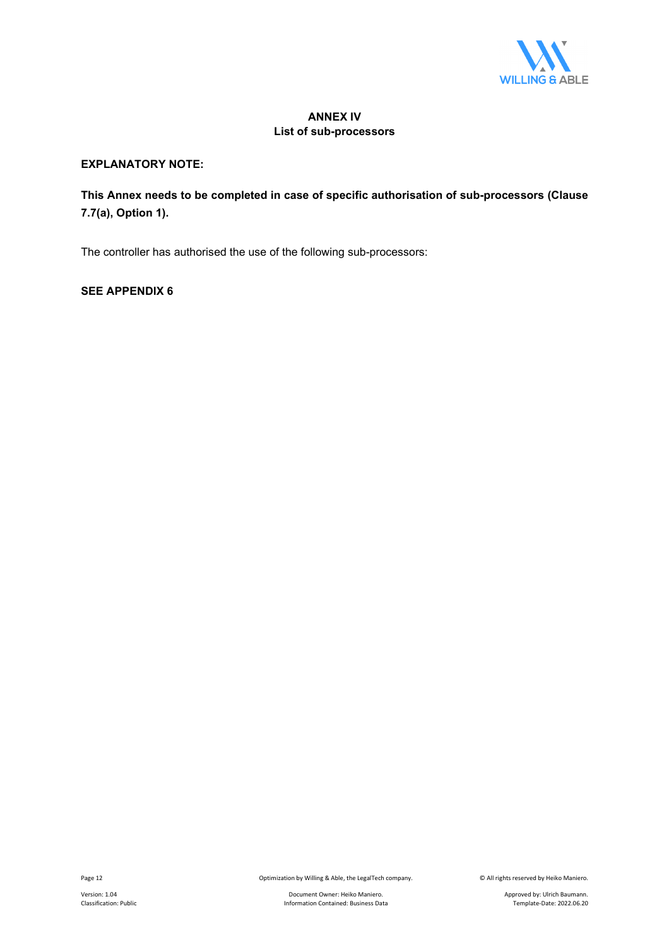

## **ANNEX IV List of sub-processors**

## **EXPLANATORY NOTE:**

## **This Annex needs to be completed in case of specific authorisation of sub-processors (Clause 7.7(a), Option 1).**

The controller has authorised the use of the following sub-processors: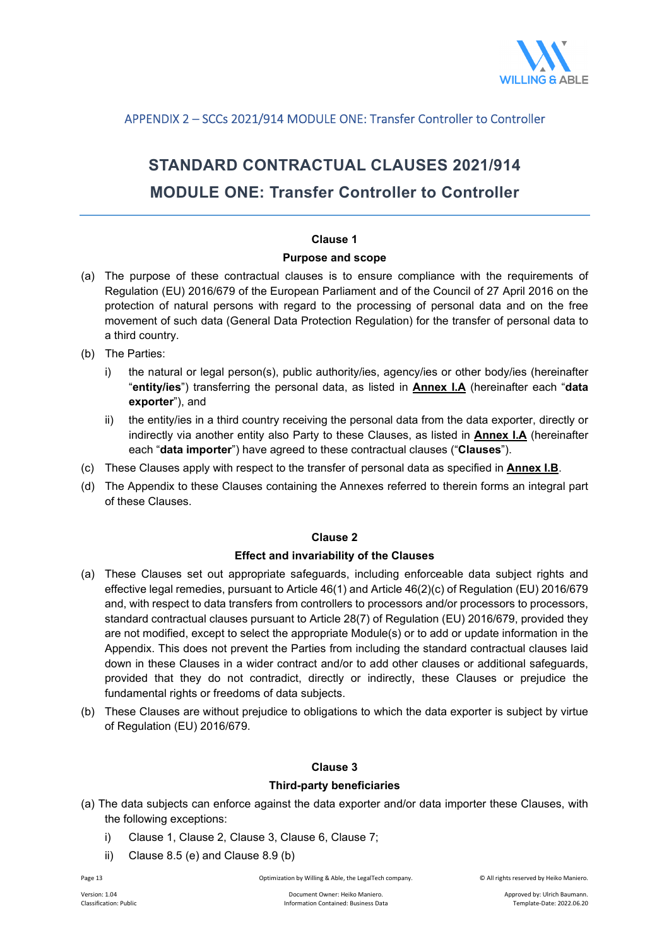

## APPENDIX 2 – SCCs 2021/914 MODULE ONE: Transfer Controller to Controller

# **STANDARD CONTRACTUAL CLAUSES 2021/914 MODULE ONE: Transfer Controller to Controller**

## **Clause 1**

#### **Purpose and scope**

- (a) The purpose of these contractual clauses is to ensure compliance with the requirements of Regulation (EU) 2016/679 of the European Parliament and of the Council of 27 April 2016 on the protection of natural persons with regard to the processing of personal data and on the free movement of such data (General Data Protection Regulation) for the transfer of personal data to a third country.
- (b) The Parties:
	- i) the natural or legal person(s), public authority/ies, agency/ies or other body/ies (hereinafter "**entity/ies**") transferring the personal data, as listed in **Annex I.A** (hereinafter each "**data exporter**"), and
	- ii) the entity/ies in a third country receiving the personal data from the data exporter, directly or indirectly via another entity also Party to these Clauses, as listed in **Annex I.A** (hereinafter each "**data importer**") have agreed to these contractual clauses ("**Clauses**").
- (c) These Clauses apply with respect to the transfer of personal data as specified in **Annex I.B**.
- (d) The Appendix to these Clauses containing the Annexes referred to therein forms an integral part of these Clauses.

#### **Clause 2**

#### **Effect and invariability of the Clauses**

- (a) These Clauses set out appropriate safeguards, including enforceable data subject rights and effective legal remedies, pursuant to Article 46(1) and Article 46(2)(c) of Regulation (EU) 2016/679 and, with respect to data transfers from controllers to processors and/or processors to processors, standard contractual clauses pursuant to Article 28(7) of Regulation (EU) 2016/679, provided they are not modified, except to select the appropriate Module(s) or to add or update information in the Appendix. This does not prevent the Parties from including the standard contractual clauses laid down in these Clauses in a wider contract and/or to add other clauses or additional safeguards, provided that they do not contradict, directly or indirectly, these Clauses or prejudice the fundamental rights or freedoms of data subjects.
- (b) These Clauses are without prejudice to obligations to which the data exporter is subject by virtue of Regulation (EU) 2016/679.

## **Clause 3**

## **Third-party beneficiaries**

- (a) The data subjects can enforce against the data exporter and/or data importer these Clauses, with the following exceptions:
	- i) Clause 1, Clause 2, Clause 3, Clause 6, Clause 7;
	- ii) Clause 8.5 (e) and Clause 8.9 (b)

Page 13 Optimization by Willing & Able, the LegalTech company. © All rights reserved by Heiko Maniero.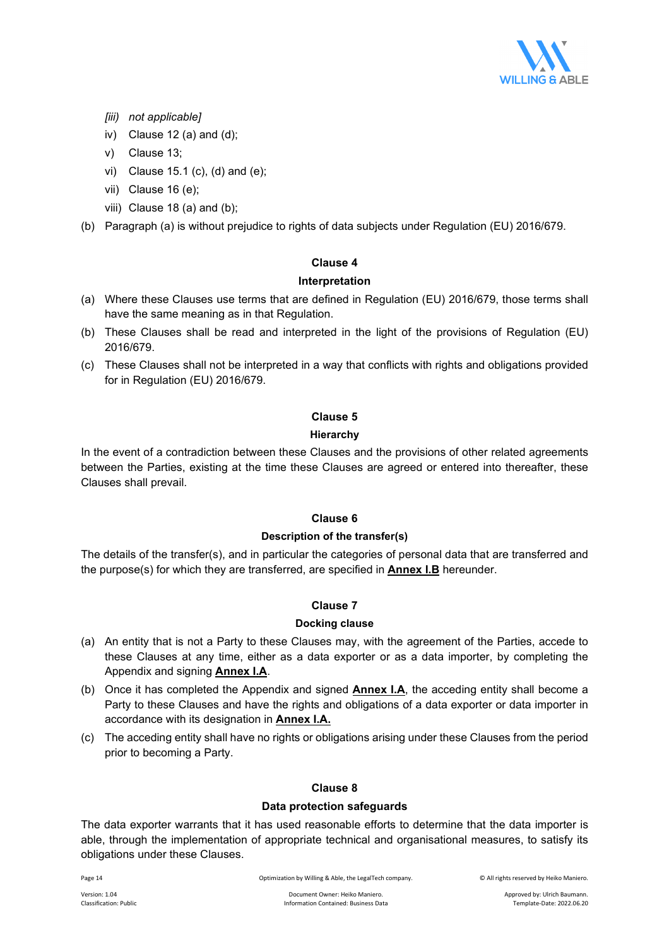

- *[iii) not applicable]*
- iv) Clause 12 (a) and (d);
- v) Clause 13;
- vi) Clause 15.1 (c), (d) and (e);
- vii) Clause 16 (e);
- viii) Clause 18 (a) and (b);
- (b) Paragraph (a) is without prejudice to rights of data subjects under Regulation (EU) 2016/679.

#### **Clause 4**

#### **Interpretation**

- (a) Where these Clauses use terms that are defined in Regulation (EU) 2016/679, those terms shall have the same meaning as in that Regulation.
- (b) These Clauses shall be read and interpreted in the light of the provisions of Regulation (EU) 2016/679.
- (c) These Clauses shall not be interpreted in a way that conflicts with rights and obligations provided for in Regulation (EU) 2016/679.

## **Clause 5**

#### **Hierarchy**

In the event of a contradiction between these Clauses and the provisions of other related agreements between the Parties, existing at the time these Clauses are agreed or entered into thereafter, these Clauses shall prevail.

## **Clause 6**

## **Description of the transfer(s)**

The details of the transfer(s), and in particular the categories of personal data that are transferred and the purpose(s) for which they are transferred, are specified in **Annex I.B** hereunder.

## **Clause 7**

## **Docking clause**

- (a) An entity that is not a Party to these Clauses may, with the agreement of the Parties, accede to these Clauses at any time, either as a data exporter or as a data importer, by completing the Appendix and signing **Annex I.A**.
- (b) Once it has completed the Appendix and signed **Annex I.A**, the acceding entity shall become a Party to these Clauses and have the rights and obligations of a data exporter or data importer in accordance with its designation in **Annex I.A.**
- (c) The acceding entity shall have no rights or obligations arising under these Clauses from the period prior to becoming a Party.

## **Clause 8**

#### **Data protection safeguards**

The data exporter warrants that it has used reasonable efforts to determine that the data importer is able, through the implementation of appropriate technical and organisational measures, to satisfy its obligations under these Clauses.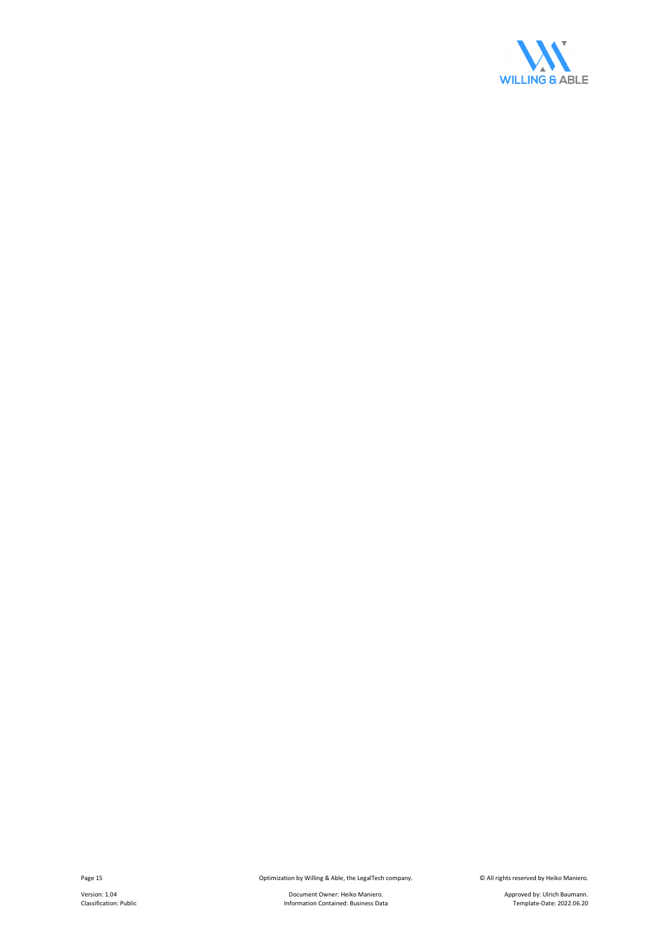

Page 15 Optimization by Willing & Able, the LegalTech company. © All rights reserved by Heiko Maniero.

Version: 1.04 Approved by: Ulrich Baumann.<br>2012 Classification: Public Classification: Public Information Contained: Business Data Template-Date: 2022.06<br>2012 Template-Date: 2022.06.20 مالكات المستوى المستوى المستوى المست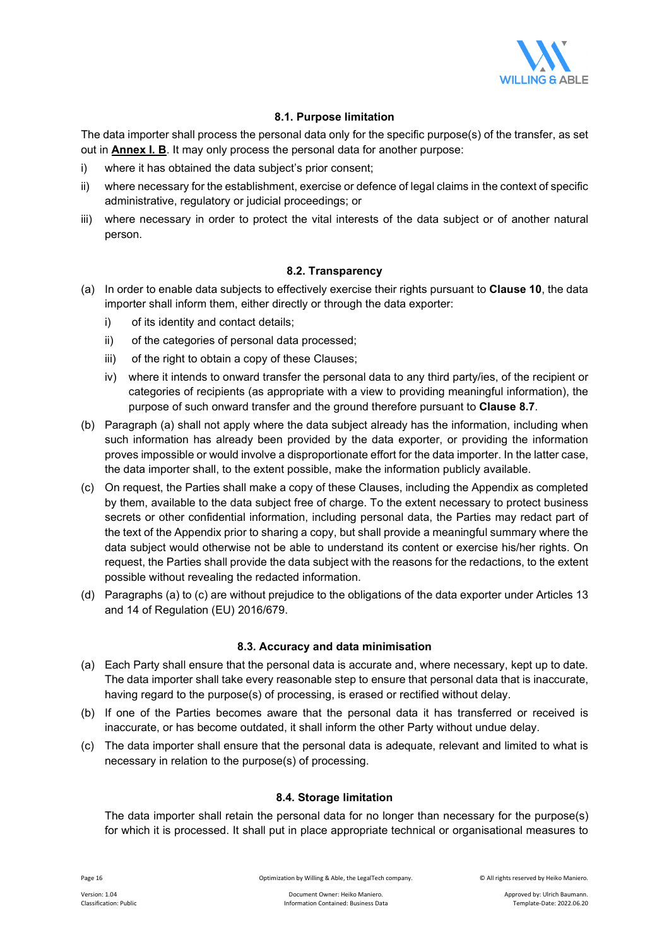

## **8.1. Purpose limitation**

The data importer shall process the personal data only for the specific purpose(s) of the transfer, as set out in **Annex I. B**. It may only process the personal data for another purpose:

- i) where it has obtained the data subject's prior consent;
- ii) where necessary for the establishment, exercise or defence of legal claims in the context of specific administrative, regulatory or judicial proceedings; or
- iii) where necessary in order to protect the vital interests of the data subject or of another natural person.

## **8.2. Transparency**

- (a) In order to enable data subjects to effectively exercise their rights pursuant to **Clause 10**, the data importer shall inform them, either directly or through the data exporter:
	- i) of its identity and contact details;
	- ii) of the categories of personal data processed;
	- iii) of the right to obtain a copy of these Clauses;
	- iv) where it intends to onward transfer the personal data to any third party/ies, of the recipient or categories of recipients (as appropriate with a view to providing meaningful information), the purpose of such onward transfer and the ground therefore pursuant to **Clause 8.7**.
- (b) Paragraph (a) shall not apply where the data subject already has the information, including when such information has already been provided by the data exporter, or providing the information proves impossible or would involve a disproportionate effort for the data importer. In the latter case, the data importer shall, to the extent possible, make the information publicly available.
- (c) On request, the Parties shall make a copy of these Clauses, including the Appendix as completed by them, available to the data subject free of charge. To the extent necessary to protect business secrets or other confidential information, including personal data, the Parties may redact part of the text of the Appendix prior to sharing a copy, but shall provide a meaningful summary where the data subject would otherwise not be able to understand its content or exercise his/her rights. On request, the Parties shall provide the data subject with the reasons for the redactions, to the extent possible without revealing the redacted information.
- (d) Paragraphs (a) to (c) are without prejudice to the obligations of the data exporter under Articles 13 and 14 of Regulation (EU) 2016/679.

## **8.3. Accuracy and data minimisation**

- (a) Each Party shall ensure that the personal data is accurate and, where necessary, kept up to date. The data importer shall take every reasonable step to ensure that personal data that is inaccurate, having regard to the purpose(s) of processing, is erased or rectified without delay.
- (b) If one of the Parties becomes aware that the personal data it has transferred or received is inaccurate, or has become outdated, it shall inform the other Party without undue delay.
- (c) The data importer shall ensure that the personal data is adequate, relevant and limited to what is necessary in relation to the purpose(s) of processing.

## **8.4. Storage limitation**

The data importer shall retain the personal data for no longer than necessary for the purpose(s) for which it is processed. It shall put in place appropriate technical or organisational measures to

Page 16 Optimization by Willing & Able, the LegalTech company. © All rights reserved by Heiko Maniero.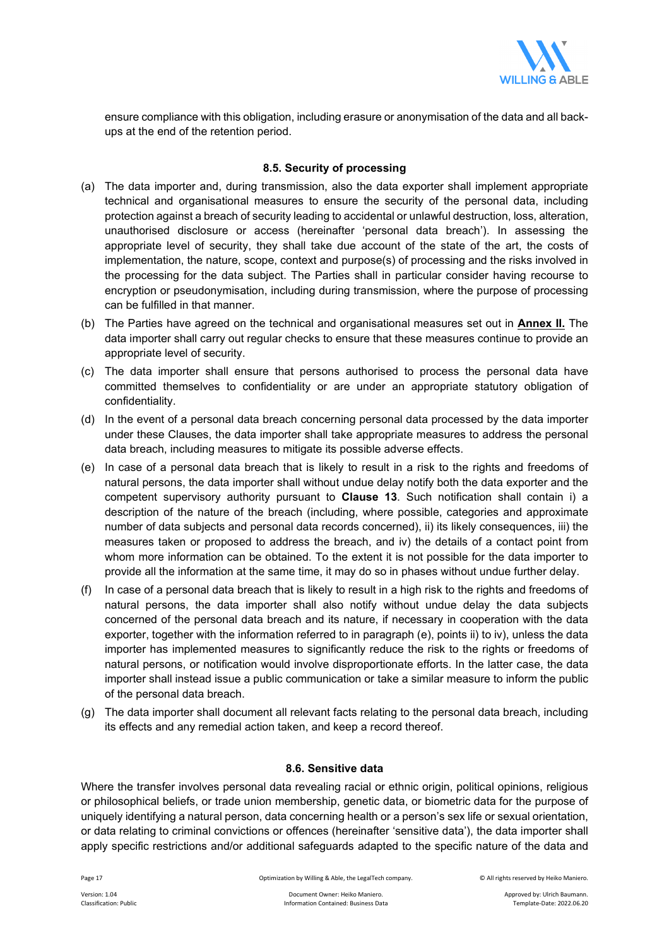

ensure compliance with this obligation, including erasure or anonymisation of the data and all backups at the end of the retention period.

#### **8.5. Security of processing**

- (a) The data importer and, during transmission, also the data exporter shall implement appropriate technical and organisational measures to ensure the security of the personal data, including protection against a breach of security leading to accidental or unlawful destruction, loss, alteration, unauthorised disclosure or access (hereinafter 'personal data breach'). In assessing the appropriate level of security, they shall take due account of the state of the art, the costs of implementation, the nature, scope, context and purpose(s) of processing and the risks involved in the processing for the data subject. The Parties shall in particular consider having recourse to encryption or pseudonymisation, including during transmission, where the purpose of processing can be fulfilled in that manner.
- (b) The Parties have agreed on the technical and organisational measures set out in **Annex II.** The data importer shall carry out regular checks to ensure that these measures continue to provide an appropriate level of security.
- (c) The data importer shall ensure that persons authorised to process the personal data have committed themselves to confidentiality or are under an appropriate statutory obligation of confidentiality.
- (d) In the event of a personal data breach concerning personal data processed by the data importer under these Clauses, the data importer shall take appropriate measures to address the personal data breach, including measures to mitigate its possible adverse effects.
- (e) In case of a personal data breach that is likely to result in a risk to the rights and freedoms of natural persons, the data importer shall without undue delay notify both the data exporter and the competent supervisory authority pursuant to **Clause 13**. Such notification shall contain i) a description of the nature of the breach (including, where possible, categories and approximate number of data subjects and personal data records concerned), ii) its likely consequences, iii) the measures taken or proposed to address the breach, and iv) the details of a contact point from whom more information can be obtained. To the extent it is not possible for the data importer to provide all the information at the same time, it may do so in phases without undue further delay.
- (f) In case of a personal data breach that is likely to result in a high risk to the rights and freedoms of natural persons, the data importer shall also notify without undue delay the data subjects concerned of the personal data breach and its nature, if necessary in cooperation with the data exporter, together with the information referred to in paragraph (e), points ii) to iv), unless the data importer has implemented measures to significantly reduce the risk to the rights or freedoms of natural persons, or notification would involve disproportionate efforts. In the latter case, the data importer shall instead issue a public communication or take a similar measure to inform the public of the personal data breach.
- (g) The data importer shall document all relevant facts relating to the personal data breach, including its effects and any remedial action taken, and keep a record thereof.

## **8.6. Sensitive data**

Where the transfer involves personal data revealing racial or ethnic origin, political opinions, religious or philosophical beliefs, or trade union membership, genetic data, or biometric data for the purpose of uniquely identifying a natural person, data concerning health or a person's sex life or sexual orientation, or data relating to criminal convictions or offences (hereinafter 'sensitive data'), the data importer shall apply specific restrictions and/or additional safeguards adapted to the specific nature of the data and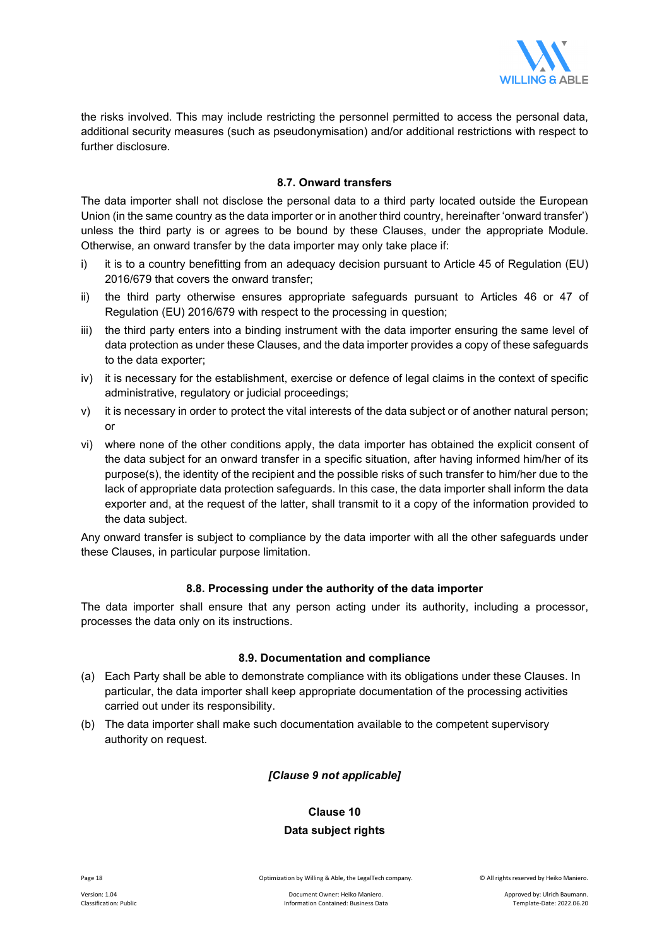

the risks involved. This may include restricting the personnel permitted to access the personal data, additional security measures (such as pseudonymisation) and/or additional restrictions with respect to further disclosure.

#### **8.7. Onward transfers**

The data importer shall not disclose the personal data to a third party located outside the European Union (in the same country as the data importer or in another third country, hereinafter 'onward transfer') unless the third party is or agrees to be bound by these Clauses, under the appropriate Module. Otherwise, an onward transfer by the data importer may only take place if:

- i) it is to a country benefitting from an adequacy decision pursuant to Article 45 of Regulation (EU) 2016/679 that covers the onward transfer;
- ii) the third party otherwise ensures appropriate safeguards pursuant to Articles 46 or 47 of Regulation (EU) 2016/679 with respect to the processing in question;
- iii) the third party enters into a binding instrument with the data importer ensuring the same level of data protection as under these Clauses, and the data importer provides a copy of these safeguards to the data exporter;
- iv) it is necessary for the establishment, exercise or defence of legal claims in the context of specific administrative, regulatory or judicial proceedings;
- v) it is necessary in order to protect the vital interests of the data subject or of another natural person; or
- vi) where none of the other conditions apply, the data importer has obtained the explicit consent of the data subject for an onward transfer in a specific situation, after having informed him/her of its purpose(s), the identity of the recipient and the possible risks of such transfer to him/her due to the lack of appropriate data protection safeguards. In this case, the data importer shall inform the data exporter and, at the request of the latter, shall transmit to it a copy of the information provided to the data subject.

Any onward transfer is subject to compliance by the data importer with all the other safeguards under these Clauses, in particular purpose limitation.

## **8.8. Processing under the authority of the data importer**

The data importer shall ensure that any person acting under its authority, including a processor, processes the data only on its instructions.

## **8.9. Documentation and compliance**

- (a) Each Party shall be able to demonstrate compliance with its obligations under these Clauses. In particular, the data importer shall keep appropriate documentation of the processing activities carried out under its responsibility.
- (b) The data importer shall make such documentation available to the competent supervisory authority on request.

## *[Clause 9 not applicable]*

## **Clause 10 Data subject rights**

Page 18 Optimization by Willing & Able, the LegalTech company. © All rights reserved by Heiko Maniero.

Version: 1.04 **Approved by: Ulrich Baumann.**<br>Classification: Public **Classification: Public** Classification: Public Classification: Public Classification: Public Information Contained: Business Data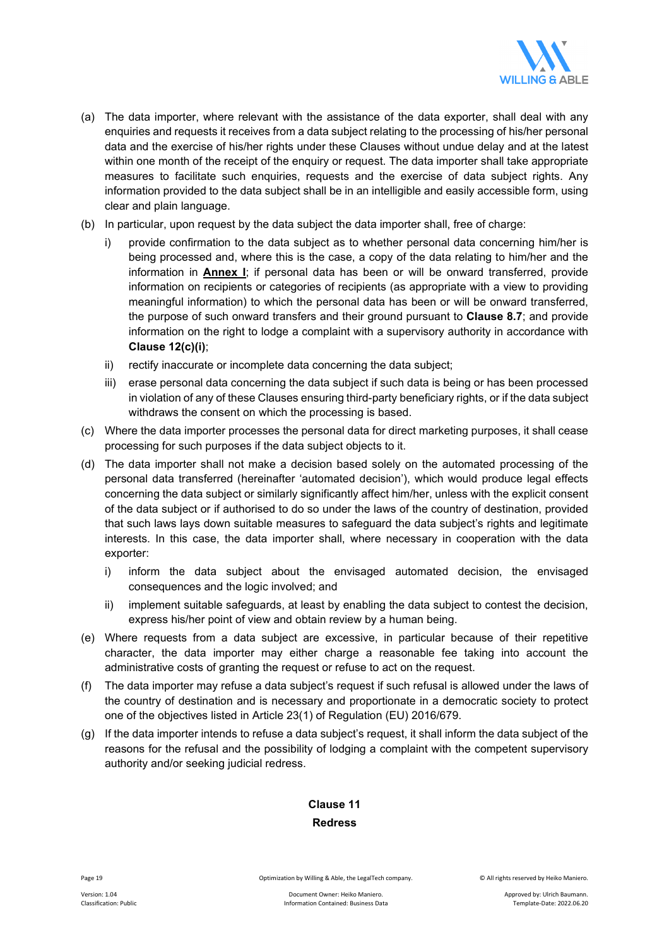

- (a) The data importer, where relevant with the assistance of the data exporter, shall deal with any enquiries and requests it receives from a data subject relating to the processing of his/her personal data and the exercise of his/her rights under these Clauses without undue delay and at the latest within one month of the receipt of the enquiry or request. The data importer shall take appropriate measures to facilitate such enquiries, requests and the exercise of data subject rights. Any information provided to the data subject shall be in an intelligible and easily accessible form, using clear and plain language.
- (b) In particular, upon request by the data subject the data importer shall, free of charge:
	- i) provide confirmation to the data subject as to whether personal data concerning him/her is being processed and, where this is the case, a copy of the data relating to him/her and the information in **Annex I**; if personal data has been or will be onward transferred, provide information on recipients or categories of recipients (as appropriate with a view to providing meaningful information) to which the personal data has been or will be onward transferred, the purpose of such onward transfers and their ground pursuant to **Clause 8.7**; and provide information on the right to lodge a complaint with a supervisory authority in accordance with **Clause 12(c)(i)**;
	- ii) rectify inaccurate or incomplete data concerning the data subject;
	- iii) erase personal data concerning the data subject if such data is being or has been processed in violation of any of these Clauses ensuring third-party beneficiary rights, or if the data subject withdraws the consent on which the processing is based.
- (c) Where the data importer processes the personal data for direct marketing purposes, it shall cease processing for such purposes if the data subject objects to it.
- (d) The data importer shall not make a decision based solely on the automated processing of the personal data transferred (hereinafter 'automated decision'), which would produce legal effects concerning the data subject or similarly significantly affect him/her, unless with the explicit consent of the data subject or if authorised to do so under the laws of the country of destination, provided that such laws lays down suitable measures to safeguard the data subject's rights and legitimate interests. In this case, the data importer shall, where necessary in cooperation with the data exporter:
	- i) inform the data subject about the envisaged automated decision, the envisaged consequences and the logic involved; and
	- ii) implement suitable safeguards, at least by enabling the data subject to contest the decision, express his/her point of view and obtain review by a human being.
- (e) Where requests from a data subject are excessive, in particular because of their repetitive character, the data importer may either charge a reasonable fee taking into account the administrative costs of granting the request or refuse to act on the request.
- (f) The data importer may refuse a data subject's request if such refusal is allowed under the laws of the country of destination and is necessary and proportionate in a democratic society to protect one of the objectives listed in Article 23(1) of Regulation (EU) 2016/679.
- (g) If the data importer intends to refuse a data subject's request, it shall inform the data subject of the reasons for the refusal and the possibility of lodging a complaint with the competent supervisory authority and/or seeking judicial redress.

## **Clause 11 Redress**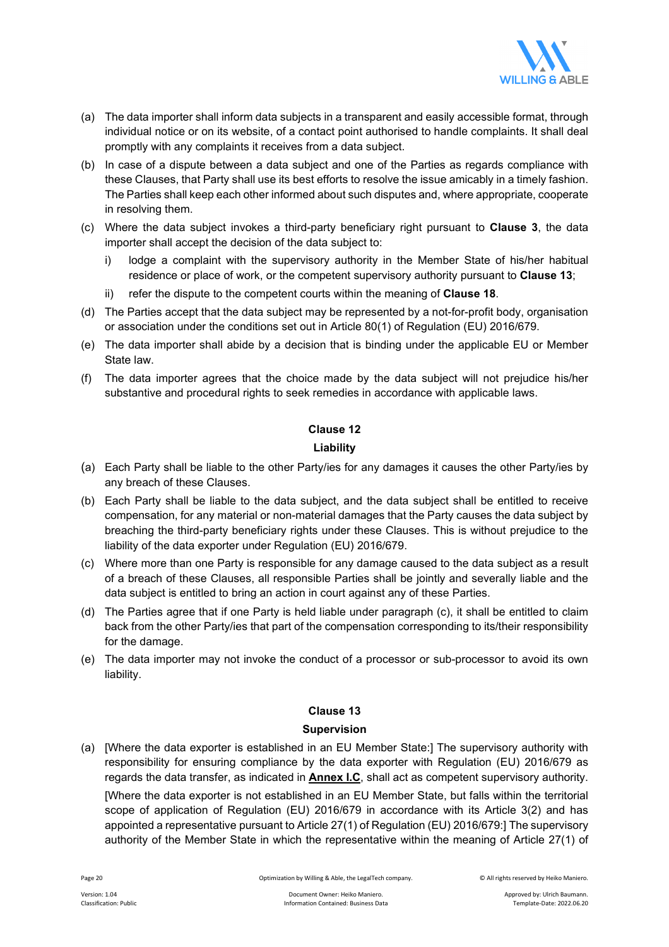

- (a) The data importer shall inform data subjects in a transparent and easily accessible format, through individual notice or on its website, of a contact point authorised to handle complaints. It shall deal promptly with any complaints it receives from a data subject.
- (b) In case of a dispute between a data subject and one of the Parties as regards compliance with these Clauses, that Party shall use its best efforts to resolve the issue amicably in a timely fashion. The Parties shall keep each other informed about such disputes and, where appropriate, cooperate in resolving them.
- (c) Where the data subject invokes a third-party beneficiary right pursuant to **Clause 3**, the data importer shall accept the decision of the data subject to:
	- i) lodge a complaint with the supervisory authority in the Member State of his/her habitual residence or place of work, or the competent supervisory authority pursuant to **Clause 13**;
	- ii) refer the dispute to the competent courts within the meaning of **Clause 18**.
- (d) The Parties accept that the data subject may be represented by a not-for-profit body, organisation or association under the conditions set out in Article 80(1) of Regulation (EU) 2016/679.
- (e) The data importer shall abide by a decision that is binding under the applicable EU or Member State law.
- (f) The data importer agrees that the choice made by the data subject will not prejudice his/her substantive and procedural rights to seek remedies in accordance with applicable laws.

#### **Clause 12**

#### **Liability**

- (a) Each Party shall be liable to the other Party/ies for any damages it causes the other Party/ies by any breach of these Clauses.
- (b) Each Party shall be liable to the data subject, and the data subject shall be entitled to receive compensation, for any material or non-material damages that the Party causes the data subject by breaching the third-party beneficiary rights under these Clauses. This is without prejudice to the liability of the data exporter under Regulation (EU) 2016/679.
- (c) Where more than one Party is responsible for any damage caused to the data subject as a result of a breach of these Clauses, all responsible Parties shall be jointly and severally liable and the data subject is entitled to bring an action in court against any of these Parties.
- (d) The Parties agree that if one Party is held liable under paragraph (c), it shall be entitled to claim back from the other Party/ies that part of the compensation corresponding to its/their responsibility for the damage.
- (e) The data importer may not invoke the conduct of a processor or sub-processor to avoid its own liability.

## **Clause 13**

#### **Supervision**

(a) [Where the data exporter is established in an EU Member State:] The supervisory authority with responsibility for ensuring compliance by the data exporter with Regulation (EU) 2016/679 as regards the data transfer, as indicated in **Annex I.C**, shall act as competent supervisory authority.

[Where the data exporter is not established in an EU Member State, but falls within the territorial scope of application of Regulation (EU) 2016/679 in accordance with its Article 3(2) and has appointed a representative pursuant to Article 27(1) of Regulation (EU) 2016/679:] The supervisory authority of the Member State in which the representative within the meaning of Article 27(1) of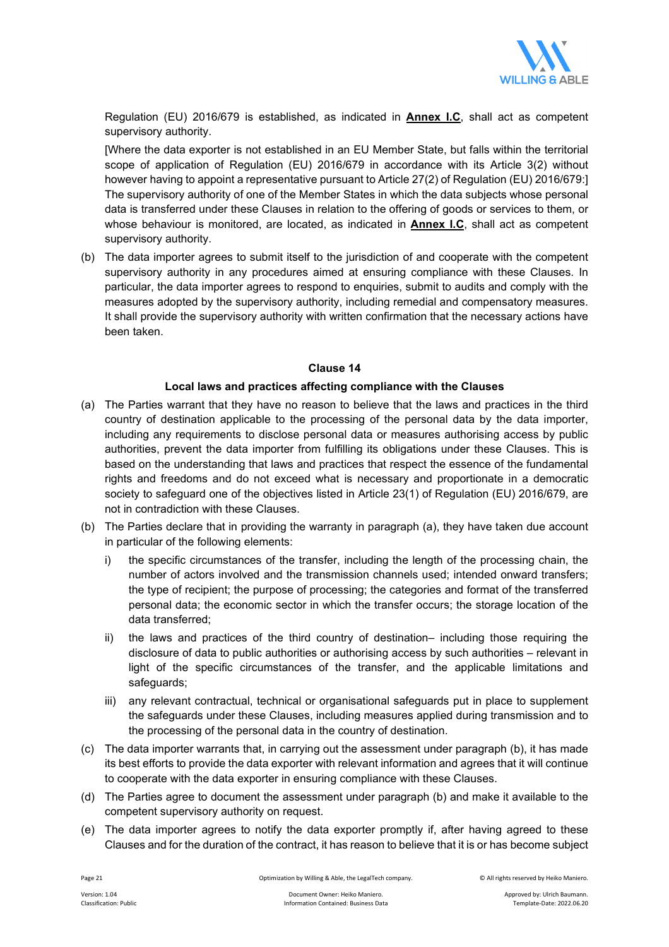

Regulation (EU) 2016/679 is established, as indicated in **Annex I.C**, shall act as competent supervisory authority.

[Where the data exporter is not established in an EU Member State, but falls within the territorial scope of application of Regulation (EU) 2016/679 in accordance with its Article 3(2) without however having to appoint a representative pursuant to Article 27(2) of Regulation (EU) 2016/679:] The supervisory authority of one of the Member States in which the data subjects whose personal data is transferred under these Clauses in relation to the offering of goods or services to them, or whose behaviour is monitored, are located, as indicated in **Annex I.C**, shall act as competent supervisory authority.

(b) The data importer agrees to submit itself to the jurisdiction of and cooperate with the competent supervisory authority in any procedures aimed at ensuring compliance with these Clauses. In particular, the data importer agrees to respond to enquiries, submit to audits and comply with the measures adopted by the supervisory authority, including remedial and compensatory measures. It shall provide the supervisory authority with written confirmation that the necessary actions have been taken.

## **Clause 14**

#### **Local laws and practices affecting compliance with the Clauses**

- (a) The Parties warrant that they have no reason to believe that the laws and practices in the third country of destination applicable to the processing of the personal data by the data importer, including any requirements to disclose personal data or measures authorising access by public authorities, prevent the data importer from fulfilling its obligations under these Clauses. This is based on the understanding that laws and practices that respect the essence of the fundamental rights and freedoms and do not exceed what is necessary and proportionate in a democratic society to safeguard one of the objectives listed in Article 23(1) of Regulation (EU) 2016/679, are not in contradiction with these Clauses.
- (b) The Parties declare that in providing the warranty in paragraph (a), they have taken due account in particular of the following elements:
	- i) the specific circumstances of the transfer, including the length of the processing chain, the number of actors involved and the transmission channels used; intended onward transfers; the type of recipient; the purpose of processing; the categories and format of the transferred personal data; the economic sector in which the transfer occurs; the storage location of the data transferred;
	- ii) the laws and practices of the third country of destination– including those requiring the disclosure of data to public authorities or authorising access by such authorities – relevant in light of the specific circumstances of the transfer, and the applicable limitations and safeguards;
	- iii) any relevant contractual, technical or organisational safeguards put in place to supplement the safeguards under these Clauses, including measures applied during transmission and to the processing of the personal data in the country of destination.
- (c) The data importer warrants that, in carrying out the assessment under paragraph (b), it has made its best efforts to provide the data exporter with relevant information and agrees that it will continue to cooperate with the data exporter in ensuring compliance with these Clauses.
- (d) The Parties agree to document the assessment under paragraph (b) and make it available to the competent supervisory authority on request.
- (e) The data importer agrees to notify the data exporter promptly if, after having agreed to these Clauses and for the duration of the contract, it has reason to believe that it is or has become subject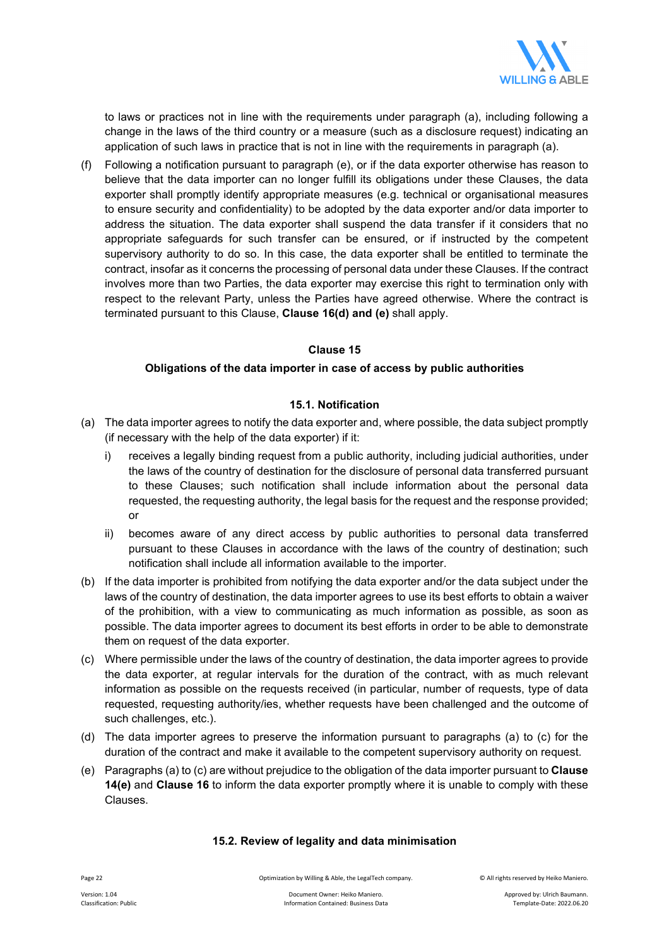

to laws or practices not in line with the requirements under paragraph (a), including following a change in the laws of the third country or a measure (such as a disclosure request) indicating an application of such laws in practice that is not in line with the requirements in paragraph (a).

(f) Following a notification pursuant to paragraph (e), or if the data exporter otherwise has reason to believe that the data importer can no longer fulfill its obligations under these Clauses, the data exporter shall promptly identify appropriate measures (e.g. technical or organisational measures to ensure security and confidentiality) to be adopted by the data exporter and/or data importer to address the situation. The data exporter shall suspend the data transfer if it considers that no appropriate safeguards for such transfer can be ensured, or if instructed by the competent supervisory authority to do so. In this case, the data exporter shall be entitled to terminate the contract, insofar as it concerns the processing of personal data under these Clauses. If the contract involves more than two Parties, the data exporter may exercise this right to termination only with respect to the relevant Party, unless the Parties have agreed otherwise. Where the contract is terminated pursuant to this Clause, **Clause 16(d) and (e)** shall apply.

#### **Clause 15**

## **Obligations of the data importer in case of access by public authorities**

## **15.1. Notification**

- (a) The data importer agrees to notify the data exporter and, where possible, the data subject promptly (if necessary with the help of the data exporter) if it:
	- i) receives a legally binding request from a public authority, including judicial authorities, under the laws of the country of destination for the disclosure of personal data transferred pursuant to these Clauses; such notification shall include information about the personal data requested, the requesting authority, the legal basis for the request and the response provided; or
	- ii) becomes aware of any direct access by public authorities to personal data transferred pursuant to these Clauses in accordance with the laws of the country of destination; such notification shall include all information available to the importer.
- (b) If the data importer is prohibited from notifying the data exporter and/or the data subject under the laws of the country of destination, the data importer agrees to use its best efforts to obtain a waiver of the prohibition, with a view to communicating as much information as possible, as soon as possible. The data importer agrees to document its best efforts in order to be able to demonstrate them on request of the data exporter.
- (c) Where permissible under the laws of the country of destination, the data importer agrees to provide the data exporter, at regular intervals for the duration of the contract, with as much relevant information as possible on the requests received (in particular, number of requests, type of data requested, requesting authority/ies, whether requests have been challenged and the outcome of such challenges, etc.).
- (d) The data importer agrees to preserve the information pursuant to paragraphs (a) to (c) for the duration of the contract and make it available to the competent supervisory authority on request.
- (e) Paragraphs (a) to (c) are without prejudice to the obligation of the data importer pursuant to **Clause 14(e)** and **Clause 16** to inform the data exporter promptly where it is unable to comply with these Clauses.

## **15.2. Review of legality and data minimisation**

Page 22 Optimization by Willing & Able, the LegalTech company. © All rights reserved by Heiko Maniero.

Information Contained: Business Data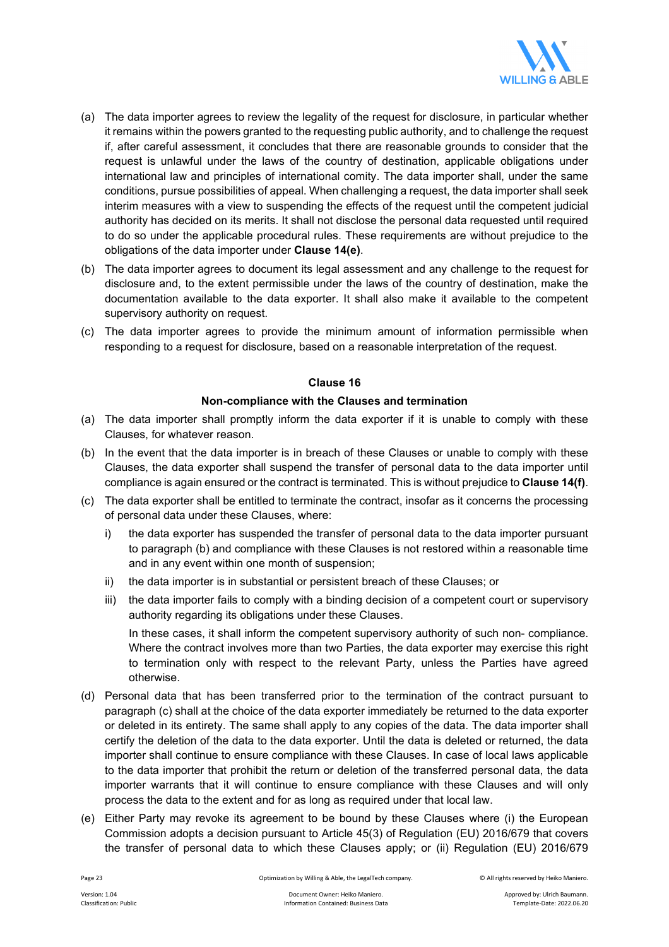

- (a) The data importer agrees to review the legality of the request for disclosure, in particular whether it remains within the powers granted to the requesting public authority, and to challenge the request if, after careful assessment, it concludes that there are reasonable grounds to consider that the request is unlawful under the laws of the country of destination, applicable obligations under international law and principles of international comity. The data importer shall, under the same conditions, pursue possibilities of appeal. When challenging a request, the data importer shall seek interim measures with a view to suspending the effects of the request until the competent judicial authority has decided on its merits. It shall not disclose the personal data requested until required to do so under the applicable procedural rules. These requirements are without prejudice to the obligations of the data importer under **Clause 14(e)**.
- (b) The data importer agrees to document its legal assessment and any challenge to the request for disclosure and, to the extent permissible under the laws of the country of destination, make the documentation available to the data exporter. It shall also make it available to the competent supervisory authority on request.
- (c) The data importer agrees to provide the minimum amount of information permissible when responding to a request for disclosure, based on a reasonable interpretation of the request.

## **Clause 16**

## **Non-compliance with the Clauses and termination**

- (a) The data importer shall promptly inform the data exporter if it is unable to comply with these Clauses, for whatever reason.
- (b) In the event that the data importer is in breach of these Clauses or unable to comply with these Clauses, the data exporter shall suspend the transfer of personal data to the data importer until compliance is again ensured or the contract is terminated. This is without prejudice to **Clause 14(f)**.
- (c) The data exporter shall be entitled to terminate the contract, insofar as it concerns the processing of personal data under these Clauses, where:
	- i) the data exporter has suspended the transfer of personal data to the data importer pursuant to paragraph (b) and compliance with these Clauses is not restored within a reasonable time and in any event within one month of suspension;
	- ii) the data importer is in substantial or persistent breach of these Clauses; or
	- iii) the data importer fails to comply with a binding decision of a competent court or supervisory authority regarding its obligations under these Clauses. In these cases, it shall inform the competent supervisory authority of such non- compliance. Where the contract involves more than two Parties, the data exporter may exercise this right to termination only with respect to the relevant Party, unless the Parties have agreed otherwise.
- (d) Personal data that has been transferred prior to the termination of the contract pursuant to paragraph (c) shall at the choice of the data exporter immediately be returned to the data exporter or deleted in its entirety. The same shall apply to any copies of the data. The data importer shall certify the deletion of the data to the data exporter. Until the data is deleted or returned, the data importer shall continue to ensure compliance with these Clauses. In case of local laws applicable to the data importer that prohibit the return or deletion of the transferred personal data, the data importer warrants that it will continue to ensure compliance with these Clauses and will only process the data to the extent and for as long as required under that local law.
- (e) Either Party may revoke its agreement to be bound by these Clauses where (i) the European Commission adopts a decision pursuant to Article 45(3) of Regulation (EU) 2016/679 that covers the transfer of personal data to which these Clauses apply; or (ii) Regulation (EU) 2016/679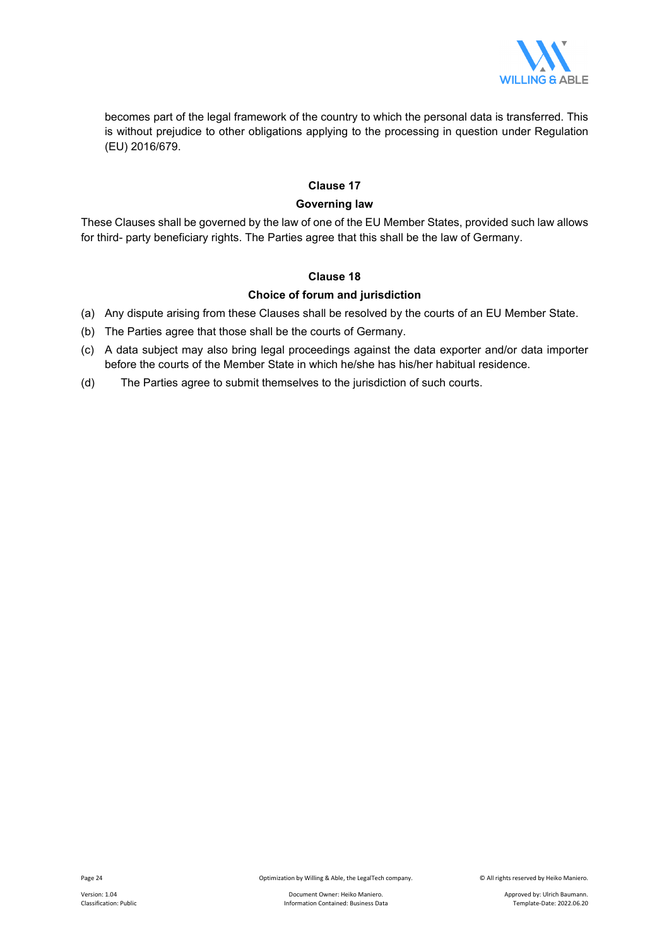

becomes part of the legal framework of the country to which the personal data is transferred. This is without prejudice to other obligations applying to the processing in question under Regulation (EU) 2016/679.

## **Clause 17**

## **Governing law**

These Clauses shall be governed by the law of one of the EU Member States, provided such law allows for third- party beneficiary rights. The Parties agree that this shall be the law of Germany.

## **Clause 18**

## **Choice of forum and jurisdiction**

- (a) Any dispute arising from these Clauses shall be resolved by the courts of an EU Member State.
- (b) The Parties agree that those shall be the courts of Germany.
- (c) A data subject may also bring legal proceedings against the data exporter and/or data importer before the courts of the Member State in which he/she has his/her habitual residence.
- (d) The Parties agree to submit themselves to the jurisdiction of such courts.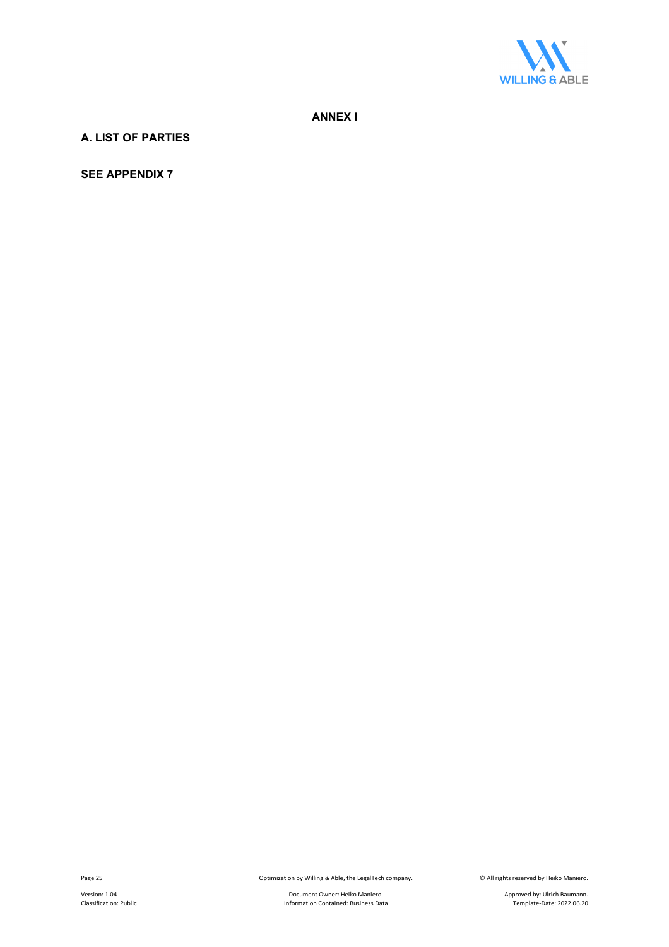

**ΑΝΝΕΧ I** 

## **A. LIST OF PARTIES**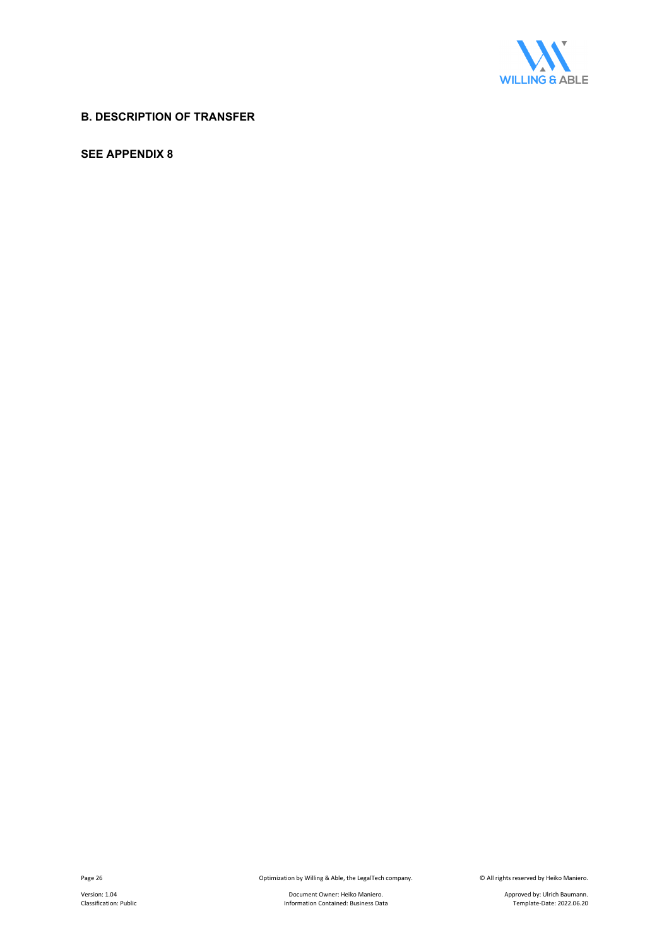

## **B. DESCRIPTION OF TRANSFER**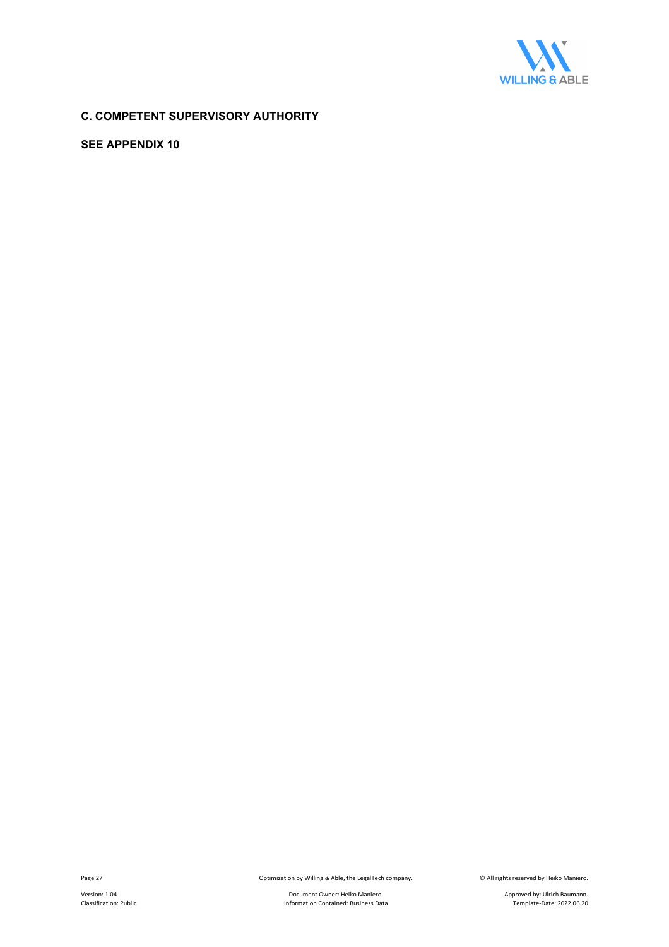

## **C. COMPETENT SUPERVISORY AUTHORITY**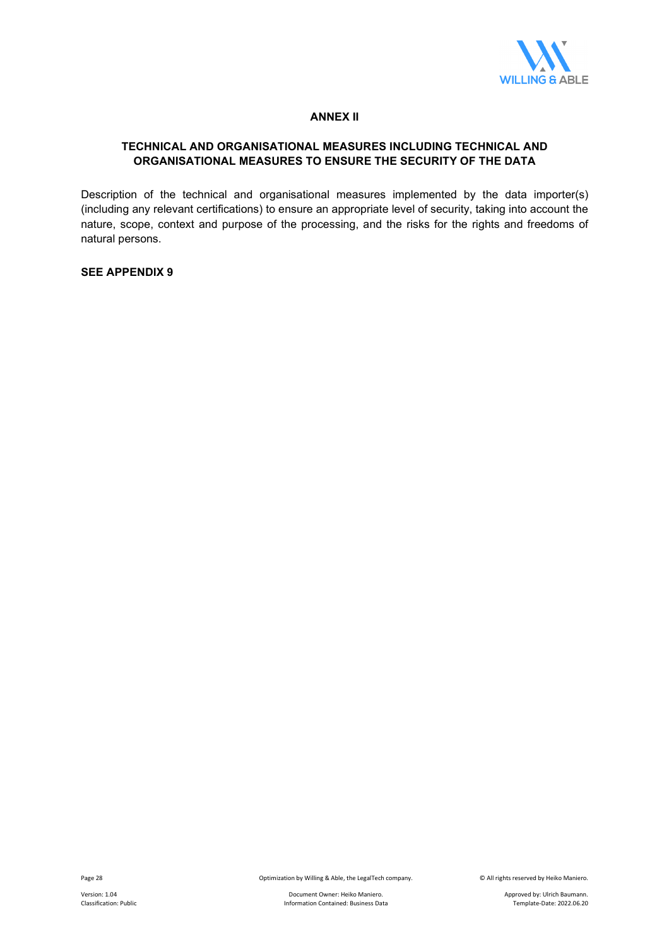

## **ANNEX II**

## **TECHNICAL AND ORGANISATIONAL MEASURES INCLUDING TECHNICAL AND ORGANISATIONAL MEASURES TO ENSURE THE SECURITY OF THE DATA**

Description of the technical and organisational measures implemented by the data importer(s) (including any relevant certifications) to ensure an appropriate level of security, taking into account the nature, scope, context and purpose of the processing, and the risks for the rights and freedoms of natural persons.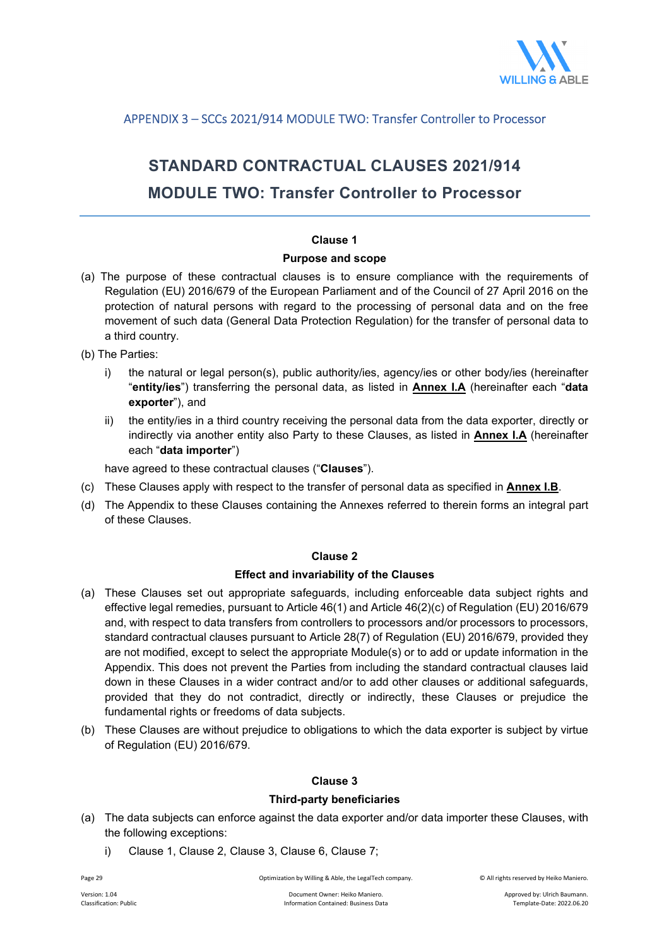

## APPENDIX 3 – SCCs 2021/914 MODULE TWO: Transfer Controller to Processor

# **STANDARD CONTRACTUAL CLAUSES 2021/914 MODULE TWO: Transfer Controller to Processor**

#### **Clause 1**

#### **Purpose and scope**

- (a) The purpose of these contractual clauses is to ensure compliance with the requirements of Regulation (EU) 2016/679 of the European Parliament and of the Council of 27 April 2016 on the protection of natural persons with regard to the processing of personal data and on the free movement of such data (General Data Protection Regulation) for the transfer of personal data to a third country.
- (b) The Parties:
	- i) the natural or legal person(s), public authority/ies, agency/ies or other body/ies (hereinafter "**entity/ies**") transferring the personal data, as listed in **Annex I.A** (hereinafter each "**data exporter**"), and
	- ii) the entity/ies in a third country receiving the personal data from the data exporter, directly or indirectly via another entity also Party to these Clauses, as listed in **Annex I.A** (hereinafter each "**data importer**")

have agreed to these contractual clauses ("**Clauses**").

- (c) These Clauses apply with respect to the transfer of personal data as specified in **Annex I.B**.
- (d) The Appendix to these Clauses containing the Annexes referred to therein forms an integral part of these Clauses.

#### **Clause 2**

### **Effect and invariability of the Clauses**

- (a) These Clauses set out appropriate safeguards, including enforceable data subject rights and effective legal remedies, pursuant to Article 46(1) and Article 46(2)(c) of Regulation (EU) 2016/679 and, with respect to data transfers from controllers to processors and/or processors to processors, standard contractual clauses pursuant to Article 28(7) of Regulation (EU) 2016/679, provided they are not modified, except to select the appropriate Module(s) or to add or update information in the Appendix. This does not prevent the Parties from including the standard contractual clauses laid down in these Clauses in a wider contract and/or to add other clauses or additional safeguards, provided that they do not contradict, directly or indirectly, these Clauses or prejudice the fundamental rights or freedoms of data subjects.
- (b) These Clauses are without prejudice to obligations to which the data exporter is subject by virtue of Regulation (EU) 2016/679.

## **Clause 3**

## **Third-party beneficiaries**

- (a) The data subjects can enforce against the data exporter and/or data importer these Clauses, with the following exceptions:
	- i) Clause 1, Clause 2, Clause 3, Clause 6, Clause 7;

Page 29 Optimization by Willing & Able, the LegalTech company. © All rights reserved by Heiko Maniero.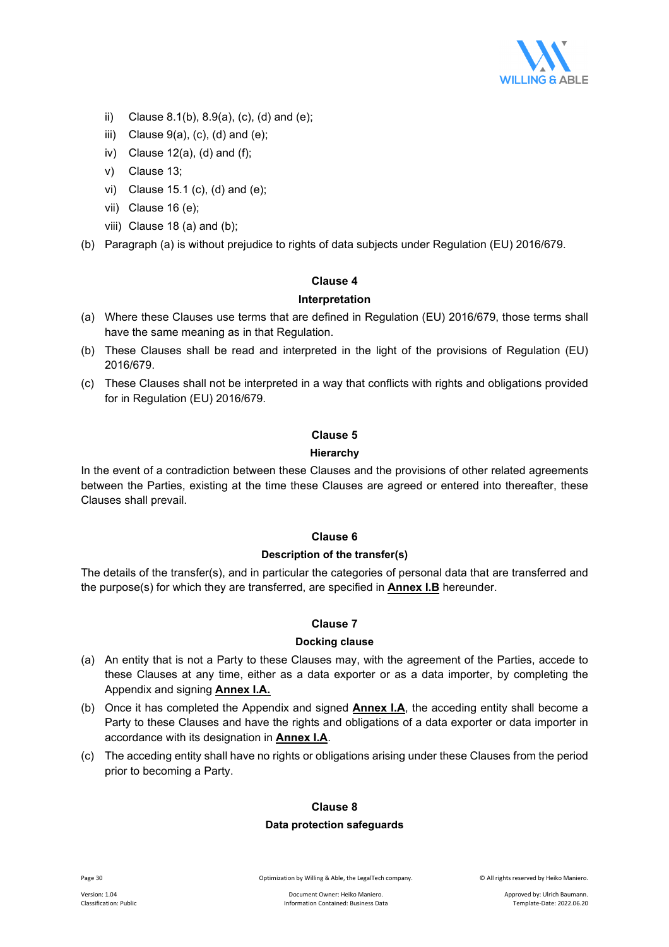

- ii) Clause  $8.1(b)$ ,  $8.9(a)$ ,  $(c)$ ,  $(d)$  and  $(e)$ ;
- iii) Clause  $9(a)$ ,  $(c)$ ,  $(d)$  and  $(e)$ ;
- iv) Clause  $12(a)$ ,  $(d)$  and  $(f)$ ;
- v) Clause 13;
- vi) Clause 15.1 (c), (d) and (e);
- vii) Clause 16 (e);
- viii) Clause 18 (a) and (b);

(b) Paragraph (a) is without prejudice to rights of data subjects under Regulation (EU) 2016/679.

## **Clause 4**

## **Interpretation**

- (a) Where these Clauses use terms that are defined in Regulation (EU) 2016/679, those terms shall have the same meaning as in that Regulation.
- (b) These Clauses shall be read and interpreted in the light of the provisions of Regulation (EU) 2016/679.
- (c) These Clauses shall not be interpreted in a way that conflicts with rights and obligations provided for in Regulation (EU) 2016/679.

## **Clause 5**

## **Hierarchy**

In the event of a contradiction between these Clauses and the provisions of other related agreements between the Parties, existing at the time these Clauses are agreed or entered into thereafter, these Clauses shall prevail.

## **Clause 6**

## **Description of the transfer(s)**

The details of the transfer(s), and in particular the categories of personal data that are transferred and the purpose(s) for which they are transferred, are specified in **Annex I.B** hereunder.

## **Clause 7**

## **Docking clause**

- (a) An entity that is not a Party to these Clauses may, with the agreement of the Parties, accede to these Clauses at any time, either as a data exporter or as a data importer, by completing the Appendix and signing **Annex I.A.**
- (b) Once it has completed the Appendix and signed **Annex I.A**, the acceding entity shall become a Party to these Clauses and have the rights and obligations of a data exporter or data importer in accordance with its designation in **Annex I.A**.
- (c) The acceding entity shall have no rights or obligations arising under these Clauses from the period prior to becoming a Party.

## **Clause 8**

## **Data protection safeguards**

Version: 1.04 **Approved by: Ulrich Baumann.**<br>Classification: Public **Classification: Public** Classification: Public Classification: Public Classification: Public Information Contained: Business Data

Page 30 Optimization by Willing & Able, the LegalTech company. © All rights reserved by Heiko Maniero.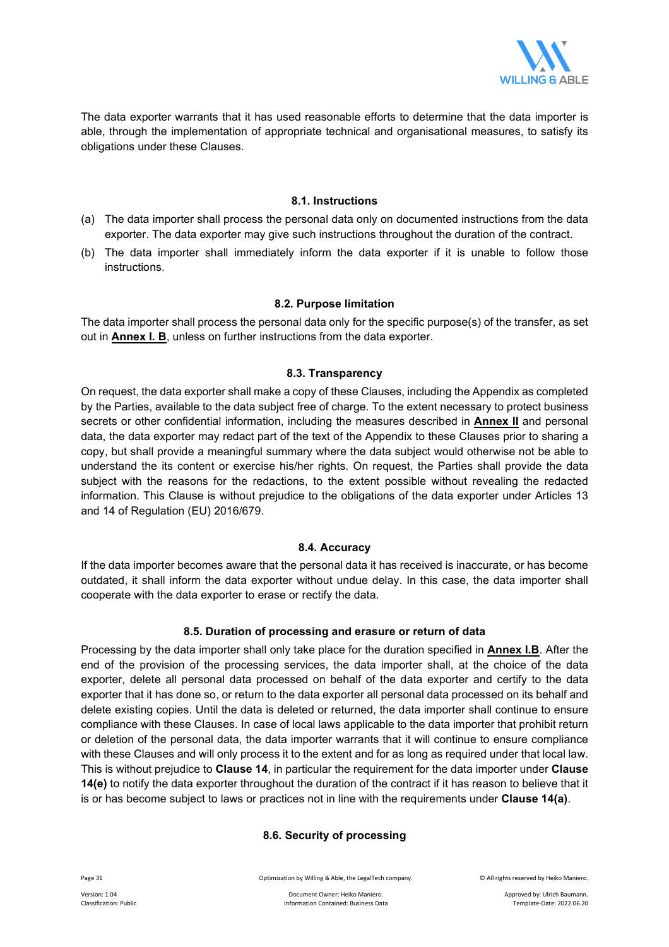

The data exporter warrants that it has used reasonable efforts to determine that the data importer is able, through the implementation of appropriate technical and organisational measures, to satisfy its obligations under these Clauses.

#### **8.1. Instructions**

- (a) The data importer shall process the personal data only on documented instructions from the data exporter. The data exporter may give such instructions throughout the duration of the contract.
- (b) The data importer shall immediately inform the data exporter if it is unable to follow those instructions.

#### **8.2. Purpose limitation**

The data importer shall process the personal data only for the specific purpose(s) of the transfer, as set out in **Annex I. B**, unless on further instructions from the data exporter.

## **8.3. Transparency**

On request, the data exporter shall make a copy of these Clauses, including the Appendix as completed by the Parties, available to the data subject free of charge. To the extent necessary to protect business secrets or other confidential information, including the measures described in **Annex II** and personal data, the data exporter may redact part of the text of the Appendix to these Clauses prior to sharing a copy, but shall provide a meaningful summary where the data subject would otherwise not be able to understand the its content or exercise his/her rights. On request, the Parties shall provide the data subject with the reasons for the redactions, to the extent possible without revealing the redacted information. This Clause is without prejudice to the obligations of the data exporter under Articles 13 and 14 of Regulation (EU) 2016/679.

#### **8.4. Accuracy**

If the data importer becomes aware that the personal data it has received is inaccurate, or has become outdated, it shall inform the data exporter without undue delay. In this case, the data importer shall cooperate with the data exporter to erase or rectify the data.

#### **8.5. Duration of processing and erasure or return of data**

Processing by the data importer shall only take place for the duration specified in **Annex I.B**. After the end of the provision of the processing services, the data importer shall, at the choice of the data exporter, delete all personal data processed on behalf of the data exporter and certify to the data exporter that it has done so, or return to the data exporter all personal data processed on its behalf and delete existing copies. Until the data is deleted or returned, the data importer shall continue to ensure compliance with these Clauses. In case of local laws applicable to the data importer that prohibit return or deletion of the personal data, the data importer warrants that it will continue to ensure compliance with these Clauses and will only process it to the extent and for as long as required under that local law. This is without prejudice to **Clause 14**, in particular the requirement for the data importer under **Clause 14(e)** to notify the data exporter throughout the duration of the contract if it has reason to believe that it is or has become subject to laws or practices not in line with the requirements under **Clause 14(a)**.

#### **8.6. Security of processing**

Page 31 Optimization by Willing & Able, the LegalTech company. © All rights reserved by Heiko Maniero.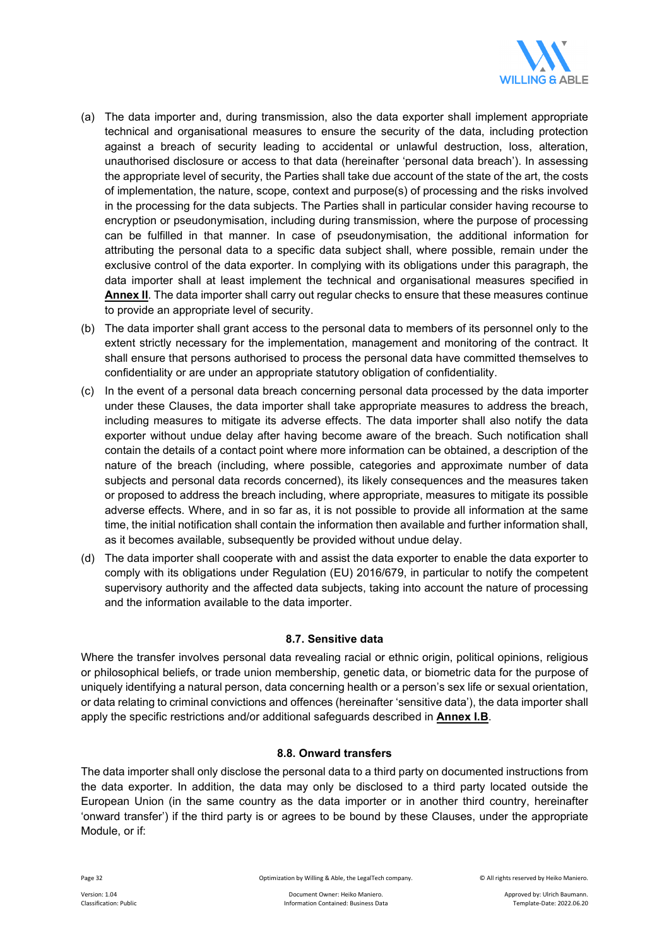

- (a) The data importer and, during transmission, also the data exporter shall implement appropriate technical and organisational measures to ensure the security of the data, including protection against a breach of security leading to accidental or unlawful destruction, loss, alteration, unauthorised disclosure or access to that data (hereinafter 'personal data breach'). In assessing the appropriate level of security, the Parties shall take due account of the state of the art, the costs of implementation, the nature, scope, context and purpose(s) of processing and the risks involved in the processing for the data subjects. The Parties shall in particular consider having recourse to encryption or pseudonymisation, including during transmission, where the purpose of processing can be fulfilled in that manner. In case of pseudonymisation, the additional information for attributing the personal data to a specific data subject shall, where possible, remain under the exclusive control of the data exporter. In complying with its obligations under this paragraph, the data importer shall at least implement the technical and organisational measures specified in **Annex II**. The data importer shall carry out regular checks to ensure that these measures continue to provide an appropriate level of security.
- (b) The data importer shall grant access to the personal data to members of its personnel only to the extent strictly necessary for the implementation, management and monitoring of the contract. It shall ensure that persons authorised to process the personal data have committed themselves to confidentiality or are under an appropriate statutory obligation of confidentiality.
- (c) In the event of a personal data breach concerning personal data processed by the data importer under these Clauses, the data importer shall take appropriate measures to address the breach, including measures to mitigate its adverse effects. The data importer shall also notify the data exporter without undue delay after having become aware of the breach. Such notification shall contain the details of a contact point where more information can be obtained, a description of the nature of the breach (including, where possible, categories and approximate number of data subjects and personal data records concerned), its likely consequences and the measures taken or proposed to address the breach including, where appropriate, measures to mitigate its possible adverse effects. Where, and in so far as, it is not possible to provide all information at the same time, the initial notification shall contain the information then available and further information shall, as it becomes available, subsequently be provided without undue delay.
- (d) The data importer shall cooperate with and assist the data exporter to enable the data exporter to comply with its obligations under Regulation (EU) 2016/679, in particular to notify the competent supervisory authority and the affected data subjects, taking into account the nature of processing and the information available to the data importer.

## **8.7. Sensitive data**

Where the transfer involves personal data revealing racial or ethnic origin, political opinions, religious or philosophical beliefs, or trade union membership, genetic data, or biometric data for the purpose of uniquely identifying a natural person, data concerning health or a person's sex life or sexual orientation, or data relating to criminal convictions and offences (hereinafter 'sensitive data'), the data importer shall apply the specific restrictions and/or additional safeguards described in **Annex I.B**.

#### **8.8. Onward transfers**

The data importer shall only disclose the personal data to a third party on documented instructions from the data exporter. In addition, the data may only be disclosed to a third party located outside the European Union (in the same country as the data importer or in another third country, hereinafter 'onward transfer') if the third party is or agrees to be bound by these Clauses, under the appropriate Module, or if:

Page 32 Optimization by Willing & Able, the LegalTech company. © All rights reserved by Heiko Maniero.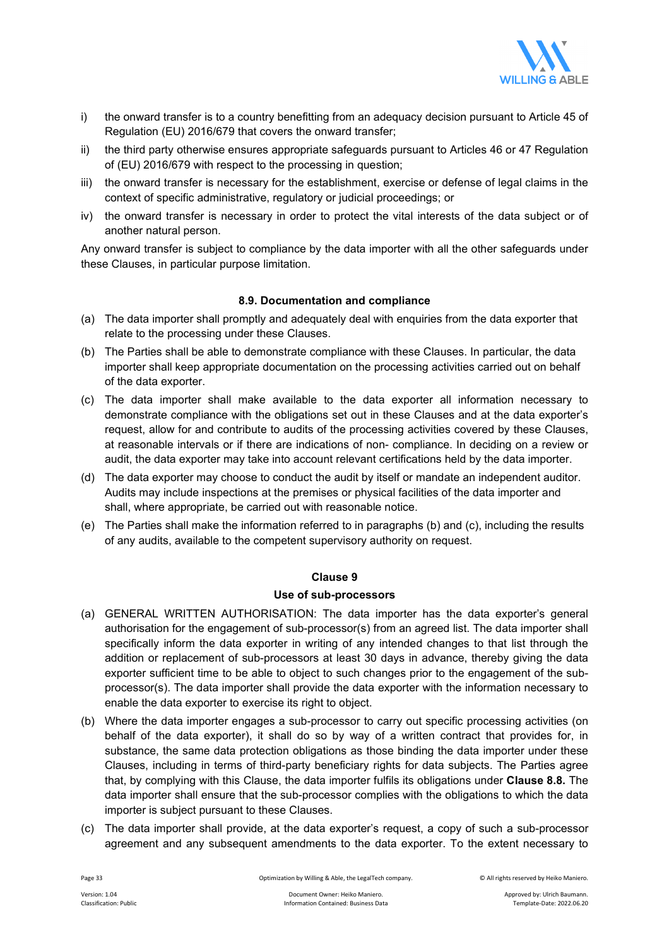

- i) the onward transfer is to a country benefitting from an adequacy decision pursuant to Article 45 of Regulation (EU) 2016/679 that covers the onward transfer;
- ii) the third party otherwise ensures appropriate safeguards pursuant to Articles 46 or 47 Regulation of (EU) 2016/679 with respect to the processing in question;
- iii) the onward transfer is necessary for the establishment, exercise or defense of legal claims in the context of specific administrative, regulatory or judicial proceedings; or
- iv) the onward transfer is necessary in order to protect the vital interests of the data subject or of another natural person.

Any onward transfer is subject to compliance by the data importer with all the other safeguards under these Clauses, in particular purpose limitation.

## **8.9. Documentation and compliance**

- (a) The data importer shall promptly and adequately deal with enquiries from the data exporter that relate to the processing under these Clauses.
- (b) The Parties shall be able to demonstrate compliance with these Clauses. In particular, the data importer shall keep appropriate documentation on the processing activities carried out on behalf of the data exporter.
- (c) The data importer shall make available to the data exporter all information necessary to demonstrate compliance with the obligations set out in these Clauses and at the data exporter's request, allow for and contribute to audits of the processing activities covered by these Clauses, at reasonable intervals or if there are indications of non- compliance. In deciding on a review or audit, the data exporter may take into account relevant certifications held by the data importer.
- (d) The data exporter may choose to conduct the audit by itself or mandate an independent auditor. Audits may include inspections at the premises or physical facilities of the data importer and shall, where appropriate, be carried out with reasonable notice.
- (e) The Parties shall make the information referred to in paragraphs (b) and (c), including the results of any audits, available to the competent supervisory authority on request.

## **Clause 9**

## **Use of sub-processors**

- (a) GENERAL WRITTEN AUTHORISATION: The data importer has the data exporter's general authorisation for the engagement of sub-processor(s) from an agreed list. The data importer shall specifically inform the data exporter in writing of any intended changes to that list through the addition or replacement of sub-processors at least 30 days in advance, thereby giving the data exporter sufficient time to be able to object to such changes prior to the engagement of the subprocessor(s). The data importer shall provide the data exporter with the information necessary to enable the data exporter to exercise its right to object.
- (b) Where the data importer engages a sub-processor to carry out specific processing activities (on behalf of the data exporter), it shall do so by way of a written contract that provides for, in substance, the same data protection obligations as those binding the data importer under these Clauses, including in terms of third-party beneficiary rights for data subjects. The Parties agree that, by complying with this Clause, the data importer fulfils its obligations under **Clause 8.8.** The data importer shall ensure that the sub-processor complies with the obligations to which the data importer is subject pursuant to these Clauses.
- (c) The data importer shall provide, at the data exporter's request, a copy of such a sub-processor agreement and any subsequent amendments to the data exporter. To the extent necessary to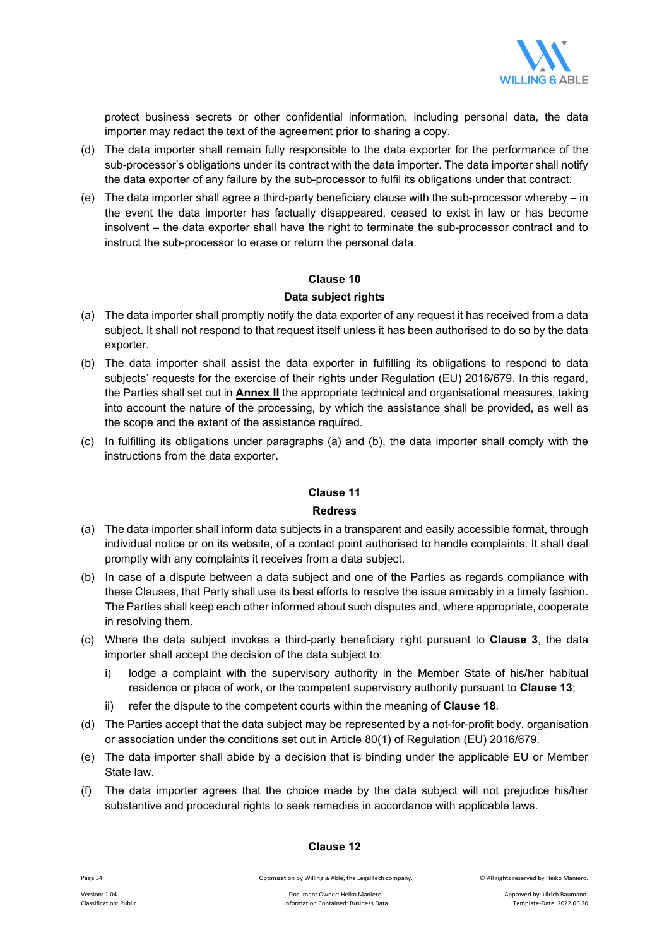

protect business secrets or other confidential information, including personal data, the data importer may redact the text of the agreement prior to sharing a copy.

- (d) The data importer shall remain fully responsible to the data exporter for the performance of the sub-processor's obligations under its contract with the data importer. The data importer shall notify the data exporter of any failure by the sub-processor to fulfil its obligations under that contract.
- (e) The data importer shall agree a third-party beneficiary clause with the sub-processor whereby in the event the data importer has factually disappeared, ceased to exist in law or has become insolvent – the data exporter shall have the right to terminate the sub-processor contract and to instruct the sub-processor to erase or return the personal data.

## **Clause 10**

#### **Data subject rights**

- (a) The data importer shall promptly notify the data exporter of any request it has received from a data subject. It shall not respond to that request itself unless it has been authorised to do so by the data exporter.
- (b) The data importer shall assist the data exporter in fulfilling its obligations to respond to data subjects' requests for the exercise of their rights under Regulation (EU) 2016/679. In this regard, the Parties shall set out in **Annex II** the appropriate technical and organisational measures, taking into account the nature of the processing, by which the assistance shall be provided, as well as the scope and the extent of the assistance required.
- (c) In fulfilling its obligations under paragraphs (a) and (b), the data importer shall comply with the instructions from the data exporter.

## **Clause 11**

## **Redress**

- (a) The data importer shall inform data subjects in a transparent and easily accessible format, through individual notice or on its website, of a contact point authorised to handle complaints. It shall deal promptly with any complaints it receives from a data subject.
- (b) In case of a dispute between a data subject and one of the Parties as regards compliance with these Clauses, that Party shall use its best efforts to resolve the issue amicably in a timely fashion. The Parties shall keep each other informed about such disputes and, where appropriate, cooperate in resolving them.
- (c) Where the data subject invokes a third-party beneficiary right pursuant to **Clause 3**, the data importer shall accept the decision of the data subject to:
	- i) lodge a complaint with the supervisory authority in the Member State of his/her habitual residence or place of work, or the competent supervisory authority pursuant to **Clause 13**;
	- ii) refer the dispute to the competent courts within the meaning of **Clause 18**.
- (d) The Parties accept that the data subject may be represented by a not-for-profit body, organisation or association under the conditions set out in Article 80(1) of Regulation (EU) 2016/679.
- (e) The data importer shall abide by a decision that is binding under the applicable EU or Member State law.
- (f) The data importer agrees that the choice made by the data subject will not prejudice his/her substantive and procedural rights to seek remedies in accordance with applicable laws.

## **Clause 12**

Page 34 Optimization by Willing & Able, the LegalTech company. © All rights reserved by Heiko Maniero.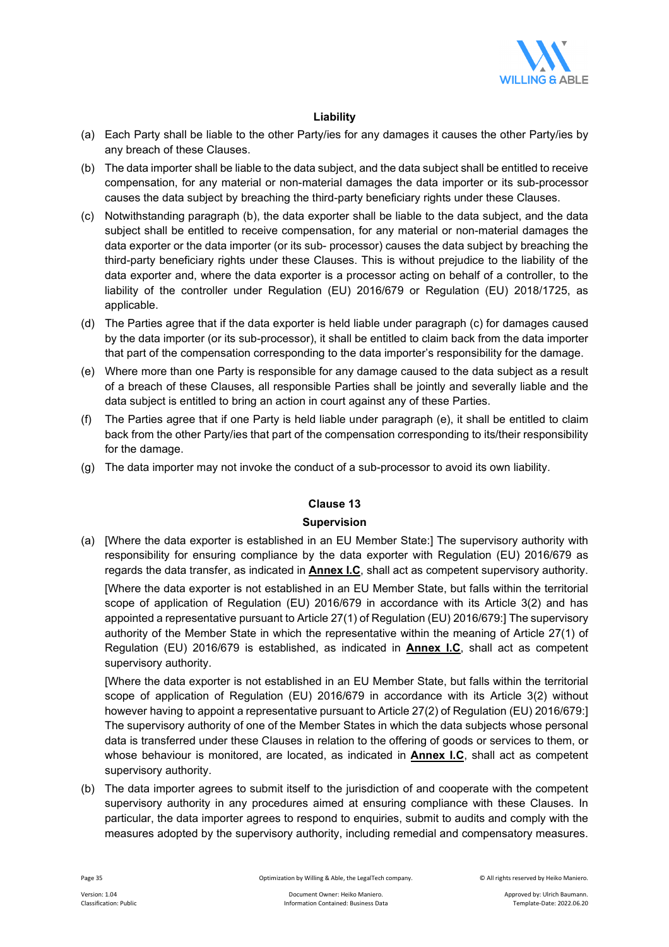

## **Liability**

- (a) Each Party shall be liable to the other Party/ies for any damages it causes the other Party/ies by any breach of these Clauses.
- (b) The data importer shall be liable to the data subject, and the data subject shall be entitled to receive compensation, for any material or non-material damages the data importer or its sub-processor causes the data subject by breaching the third-party beneficiary rights under these Clauses.
- (c) Notwithstanding paragraph (b), the data exporter shall be liable to the data subject, and the data subject shall be entitled to receive compensation, for any material or non-material damages the data exporter or the data importer (or its sub- processor) causes the data subject by breaching the third-party beneficiary rights under these Clauses. This is without prejudice to the liability of the data exporter and, where the data exporter is a processor acting on behalf of a controller, to the liability of the controller under Regulation (EU) 2016/679 or Regulation (EU) 2018/1725, as applicable.
- (d) The Parties agree that if the data exporter is held liable under paragraph (c) for damages caused by the data importer (or its sub-processor), it shall be entitled to claim back from the data importer that part of the compensation corresponding to the data importer's responsibility for the damage.
- (e) Where more than one Party is responsible for any damage caused to the data subject as a result of a breach of these Clauses, all responsible Parties shall be jointly and severally liable and the data subject is entitled to bring an action in court against any of these Parties.
- (f) The Parties agree that if one Party is held liable under paragraph (e), it shall be entitled to claim back from the other Party/ies that part of the compensation corresponding to its/their responsibility for the damage.
- (g) The data importer may not invoke the conduct of a sub-processor to avoid its own liability.

## **Clause 13**

## **Supervision**

(a) [Where the data exporter is established in an EU Member State:] The supervisory authority with responsibility for ensuring compliance by the data exporter with Regulation (EU) 2016/679 as regards the data transfer, as indicated in **Annex I.C**, shall act as competent supervisory authority. [Where the data exporter is not established in an EU Member State, but falls within the territorial scope of application of Regulation (EU) 2016/679 in accordance with its Article 3(2) and has appointed a representative pursuant to Article 27(1) of Regulation (EU) 2016/679:] The supervisory authority of the Member State in which the representative within the meaning of Article 27(1) of Regulation (EU) 2016/679 is established, as indicated in **Annex I.C**, shall act as competent supervisory authority.

 [Where the data exporter is not established in an EU Member State, but falls within the territorial scope of application of Regulation (EU) 2016/679 in accordance with its Article 3(2) without however having to appoint a representative pursuant to Article 27(2) of Regulation (EU) 2016/679:] The supervisory authority of one of the Member States in which the data subjects whose personal data is transferred under these Clauses in relation to the offering of goods or services to them, or whose behaviour is monitored, are located, as indicated in **Annex I.C**, shall act as competent supervisory authority.

(b) The data importer agrees to submit itself to the jurisdiction of and cooperate with the competent supervisory authority in any procedures aimed at ensuring compliance with these Clauses. In particular, the data importer agrees to respond to enquiries, submit to audits and comply with the measures adopted by the supervisory authority, including remedial and compensatory measures.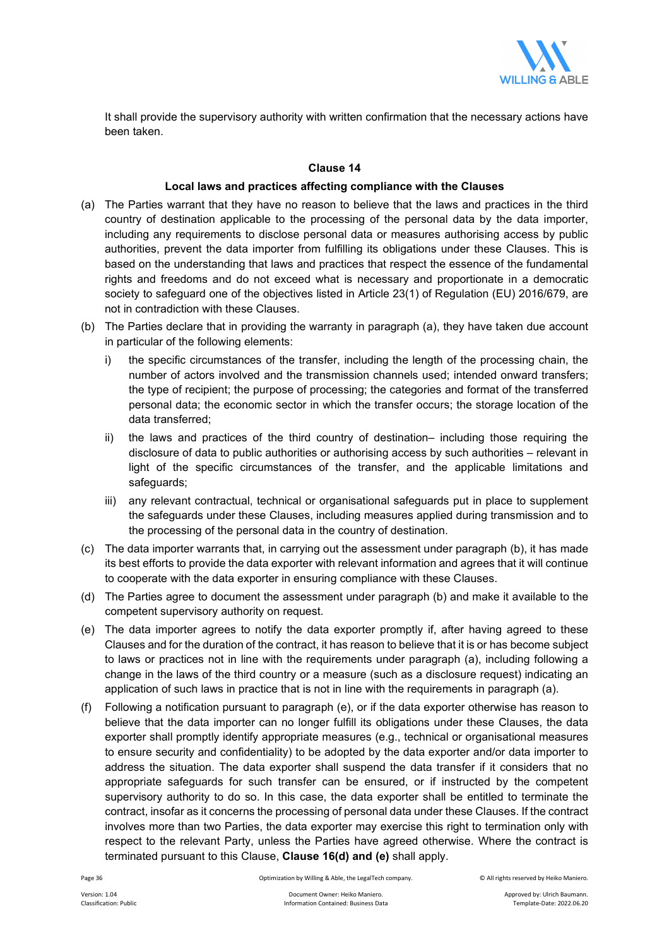

It shall provide the supervisory authority with written confirmation that the necessary actions have been taken.

## **Clause 14**

## **Local laws and practices affecting compliance with the Clauses**

- (a) The Parties warrant that they have no reason to believe that the laws and practices in the third country of destination applicable to the processing of the personal data by the data importer, including any requirements to disclose personal data or measures authorising access by public authorities, prevent the data importer from fulfilling its obligations under these Clauses. This is based on the understanding that laws and practices that respect the essence of the fundamental rights and freedoms and do not exceed what is necessary and proportionate in a democratic society to safeguard one of the objectives listed in Article 23(1) of Regulation (EU) 2016/679, are not in contradiction with these Clauses.
- (b) The Parties declare that in providing the warranty in paragraph (a), they have taken due account in particular of the following elements:
	- i) the specific circumstances of the transfer, including the length of the processing chain, the number of actors involved and the transmission channels used; intended onward transfers; the type of recipient; the purpose of processing; the categories and format of the transferred personal data; the economic sector in which the transfer occurs; the storage location of the data transferred;
	- ii) the laws and practices of the third country of destination– including those requiring the disclosure of data to public authorities or authorising access by such authorities – relevant in light of the specific circumstances of the transfer, and the applicable limitations and safeguards;
	- iii) any relevant contractual, technical or organisational safeguards put in place to supplement the safeguards under these Clauses, including measures applied during transmission and to the processing of the personal data in the country of destination.
- (c) The data importer warrants that, in carrying out the assessment under paragraph (b), it has made its best efforts to provide the data exporter with relevant information and agrees that it will continue to cooperate with the data exporter in ensuring compliance with these Clauses.
- (d) The Parties agree to document the assessment under paragraph (b) and make it available to the competent supervisory authority on request.
- (e) The data importer agrees to notify the data exporter promptly if, after having agreed to these Clauses and for the duration of the contract, it has reason to believe that it is or has become subject to laws or practices not in line with the requirements under paragraph (a), including following a change in the laws of the third country or a measure (such as a disclosure request) indicating an application of such laws in practice that is not in line with the requirements in paragraph (a).
- (f) Following a notification pursuant to paragraph (e), or if the data exporter otherwise has reason to believe that the data importer can no longer fulfill its obligations under these Clauses, the data exporter shall promptly identify appropriate measures (e.g., technical or organisational measures to ensure security and confidentiality) to be adopted by the data exporter and/or data importer to address the situation. The data exporter shall suspend the data transfer if it considers that no appropriate safeguards for such transfer can be ensured, or if instructed by the competent supervisory authority to do so. In this case, the data exporter shall be entitled to terminate the contract, insofar as it concerns the processing of personal data under these Clauses. If the contract involves more than two Parties, the data exporter may exercise this right to termination only with respect to the relevant Party, unless the Parties have agreed otherwise. Where the contract is terminated pursuant to this Clause, **Clause 16(d) and (e)** shall apply.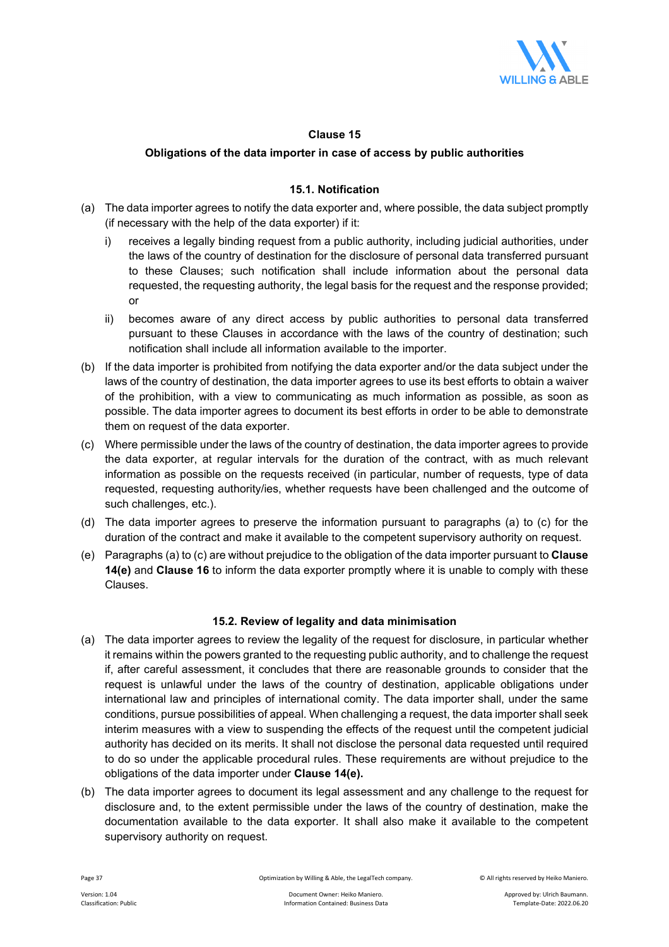

## **Obligations of the data importer in case of access by public authorities**

## **15.1. Notification**

- (a) The data importer agrees to notify the data exporter and, where possible, the data subject promptly (if necessary with the help of the data exporter) if it:
	- i) receives a legally binding request from a public authority, including judicial authorities, under the laws of the country of destination for the disclosure of personal data transferred pursuant to these Clauses; such notification shall include information about the personal data requested, the requesting authority, the legal basis for the request and the response provided; or
	- ii) becomes aware of any direct access by public authorities to personal data transferred pursuant to these Clauses in accordance with the laws of the country of destination; such notification shall include all information available to the importer.
- (b) If the data importer is prohibited from notifying the data exporter and/or the data subject under the laws of the country of destination, the data importer agrees to use its best efforts to obtain a waiver of the prohibition, with a view to communicating as much information as possible, as soon as possible. The data importer agrees to document its best efforts in order to be able to demonstrate them on request of the data exporter.
- (c) Where permissible under the laws of the country of destination, the data importer agrees to provide the data exporter, at regular intervals for the duration of the contract, with as much relevant information as possible on the requests received (in particular, number of requests, type of data requested, requesting authority/ies, whether requests have been challenged and the outcome of such challenges, etc.).
- (d) The data importer agrees to preserve the information pursuant to paragraphs (a) to (c) for the duration of the contract and make it available to the competent supervisory authority on request.
- (e) Paragraphs (a) to (c) are without prejudice to the obligation of the data importer pursuant to **Clause 14(e)** and **Clause 16** to inform the data exporter promptly where it is unable to comply with these Clauses.

#### **15.2. Review of legality and data minimisation**

- (a) The data importer agrees to review the legality of the request for disclosure, in particular whether it remains within the powers granted to the requesting public authority, and to challenge the request if, after careful assessment, it concludes that there are reasonable grounds to consider that the request is unlawful under the laws of the country of destination, applicable obligations under international law and principles of international comity. The data importer shall, under the same conditions, pursue possibilities of appeal. When challenging a request, the data importer shall seek interim measures with a view to suspending the effects of the request until the competent judicial authority has decided on its merits. It shall not disclose the personal data requested until required to do so under the applicable procedural rules. These requirements are without prejudice to the obligations of the data importer under **Clause 14(e).**
- (b) The data importer agrees to document its legal assessment and any challenge to the request for disclosure and, to the extent permissible under the laws of the country of destination, make the documentation available to the data exporter. It shall also make it available to the competent supervisory authority on request.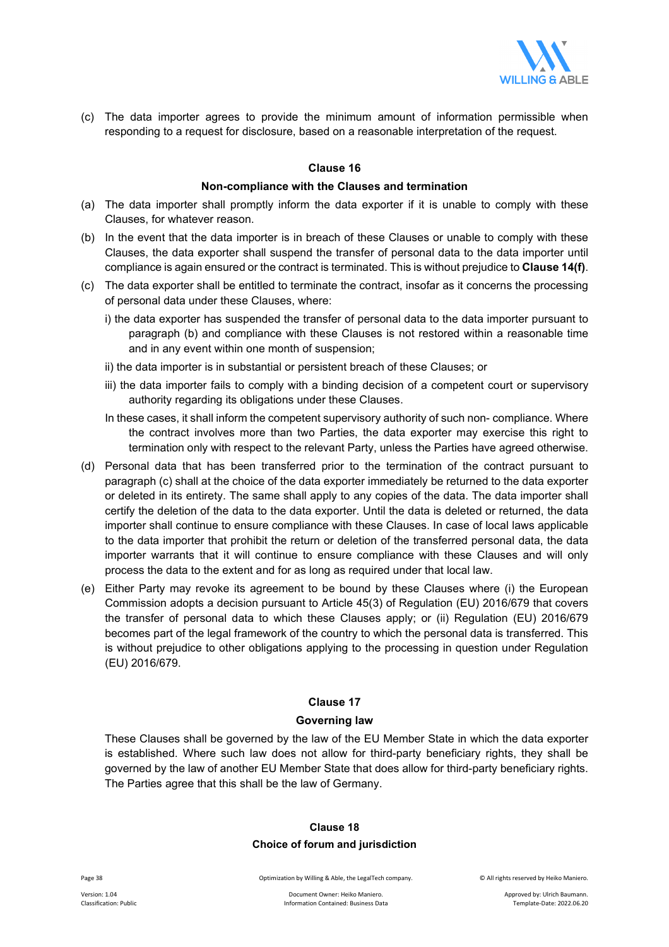

(c) The data importer agrees to provide the minimum amount of information permissible when responding to a request for disclosure, based on a reasonable interpretation of the request.

## **Clause 16**

## **Non-compliance with the Clauses and termination**

- (a) The data importer shall promptly inform the data exporter if it is unable to comply with these Clauses, for whatever reason.
- (b) In the event that the data importer is in breach of these Clauses or unable to comply with these Clauses, the data exporter shall suspend the transfer of personal data to the data importer until compliance is again ensured or the contract is terminated. This is without prejudice to **Clause 14(f)**.
- (c) The data exporter shall be entitled to terminate the contract, insofar as it concerns the processing of personal data under these Clauses, where:
	- i) the data exporter has suspended the transfer of personal data to the data importer pursuant to paragraph (b) and compliance with these Clauses is not restored within a reasonable time and in any event within one month of suspension;
	- ii) the data importer is in substantial or persistent breach of these Clauses; or
	- iii) the data importer fails to comply with a binding decision of a competent court or supervisory authority regarding its obligations under these Clauses.
	- In these cases, it shall inform the competent supervisory authority of such non- compliance. Where the contract involves more than two Parties, the data exporter may exercise this right to termination only with respect to the relevant Party, unless the Parties have agreed otherwise.
- (d) Personal data that has been transferred prior to the termination of the contract pursuant to paragraph (c) shall at the choice of the data exporter immediately be returned to the data exporter or deleted in its entirety. The same shall apply to any copies of the data. The data importer shall certify the deletion of the data to the data exporter. Until the data is deleted or returned, the data importer shall continue to ensure compliance with these Clauses. In case of local laws applicable to the data importer that prohibit the return or deletion of the transferred personal data, the data importer warrants that it will continue to ensure compliance with these Clauses and will only process the data to the extent and for as long as required under that local law.
- (e) Either Party may revoke its agreement to be bound by these Clauses where (i) the European Commission adopts a decision pursuant to Article 45(3) of Regulation (EU) 2016/679 that covers the transfer of personal data to which these Clauses apply; or (ii) Regulation (EU) 2016/679 becomes part of the legal framework of the country to which the personal data is transferred. This is without prejudice to other obligations applying to the processing in question under Regulation (EU) 2016/679.

## **Clause 17**

#### **Governing law**

These Clauses shall be governed by the law of the EU Member State in which the data exporter is established. Where such law does not allow for third-party beneficiary rights, they shall be governed by the law of another EU Member State that does allow for third-party beneficiary rights. The Parties agree that this shall be the law of Germany.

## **Clause 18 Choice of forum and jurisdiction**

Page 38 Optimization by Willing & Able, the LegalTech company. © All rights reserved by Heiko Maniero.

Version: 1.04 **Approved by: Ulrich Baumann.**<br>Classification: Public **Classification: Public** Classification: Public Classification: Public Classification: Public Information Contained: Business Data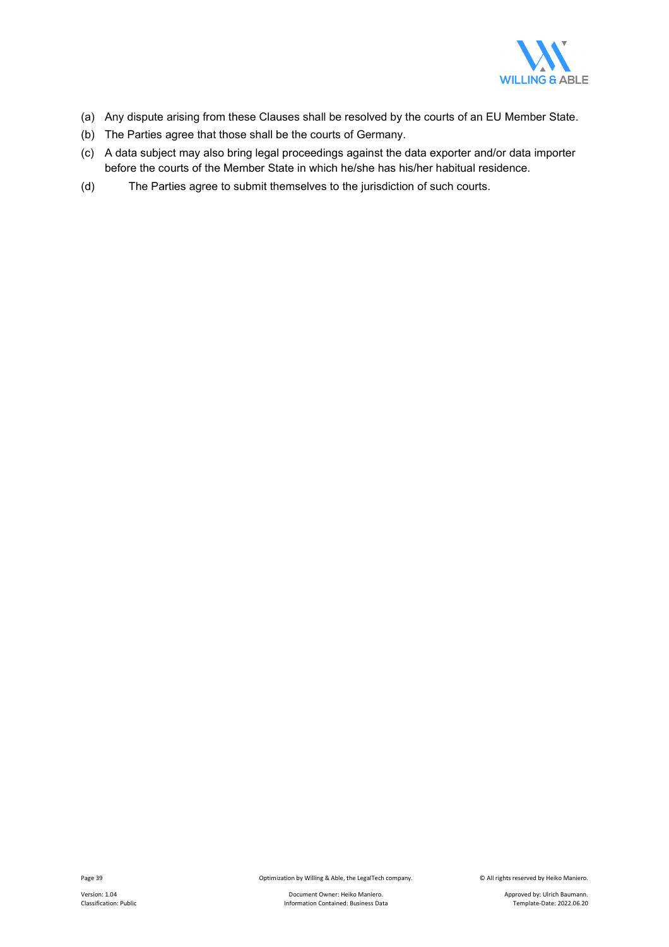

- (a) Any dispute arising from these Clauses shall be resolved by the courts of an EU Member State.
- (b) The Parties agree that those shall be the courts of Germany.
- (c) A data subject may also bring legal proceedings against the data exporter and/or data importer before the courts of the Member State in which he/she has his/her habitual residence.
- (d) The Parties agree to submit themselves to the jurisdiction of such courts.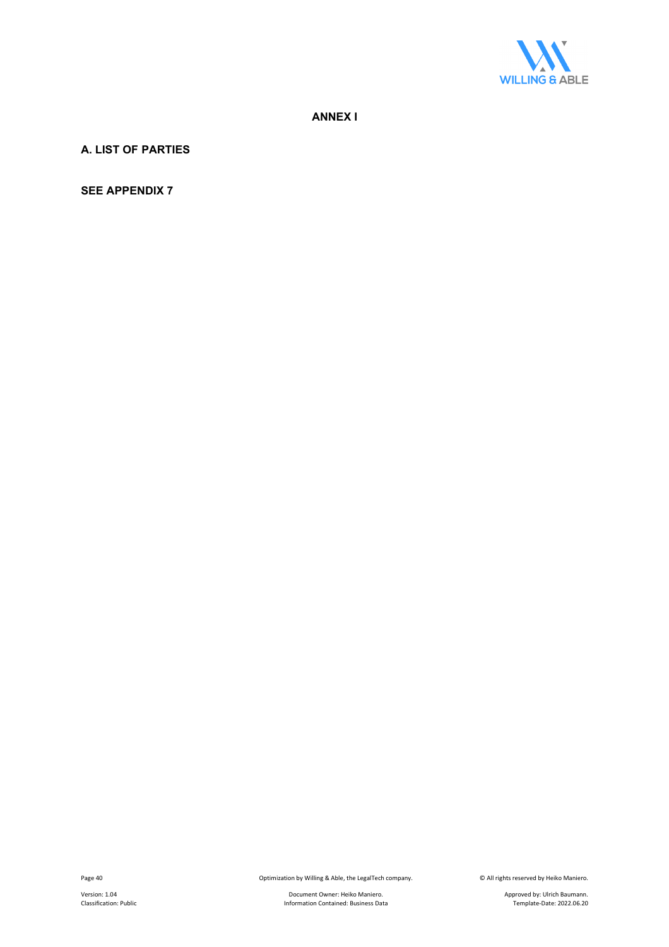

**ΑΝΝΕΧ I** 

# **A. LIST OF PARTIES**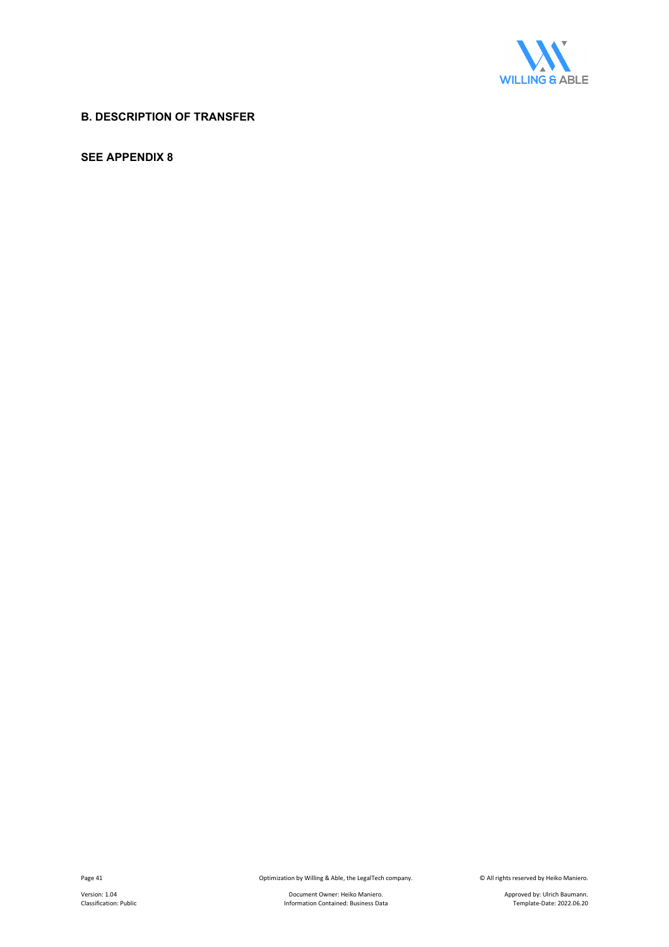

## **B. DESCRIPTION OF TRANSFER**

# **SEE APPENDIX 8**

Page 41 Optimization by Willing & Able, the LegalTech company. © All rights reserved by Heiko Maniero.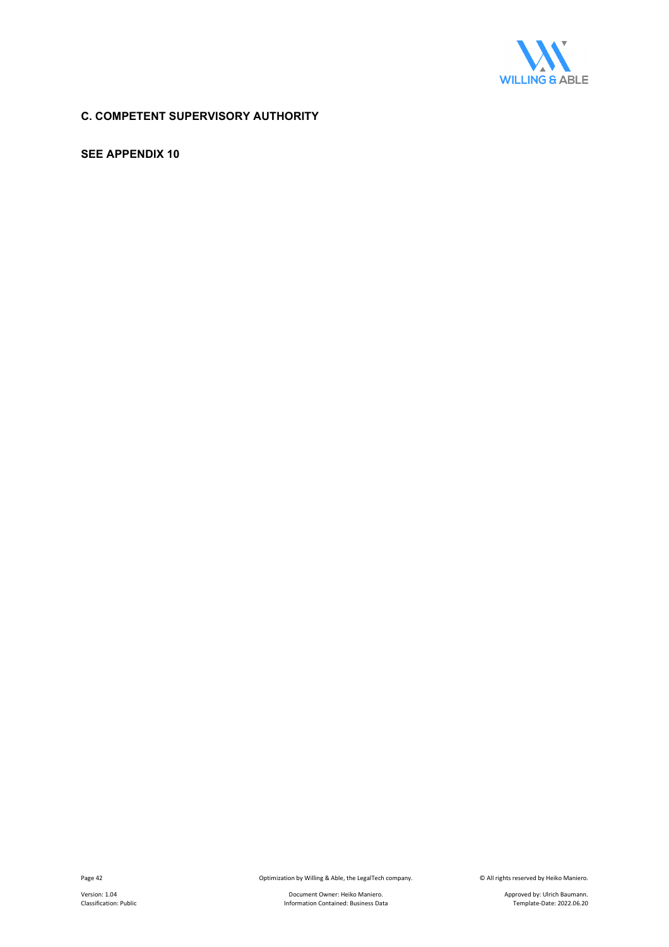

# **C. COMPETENT SUPERVISORY AUTHORITY**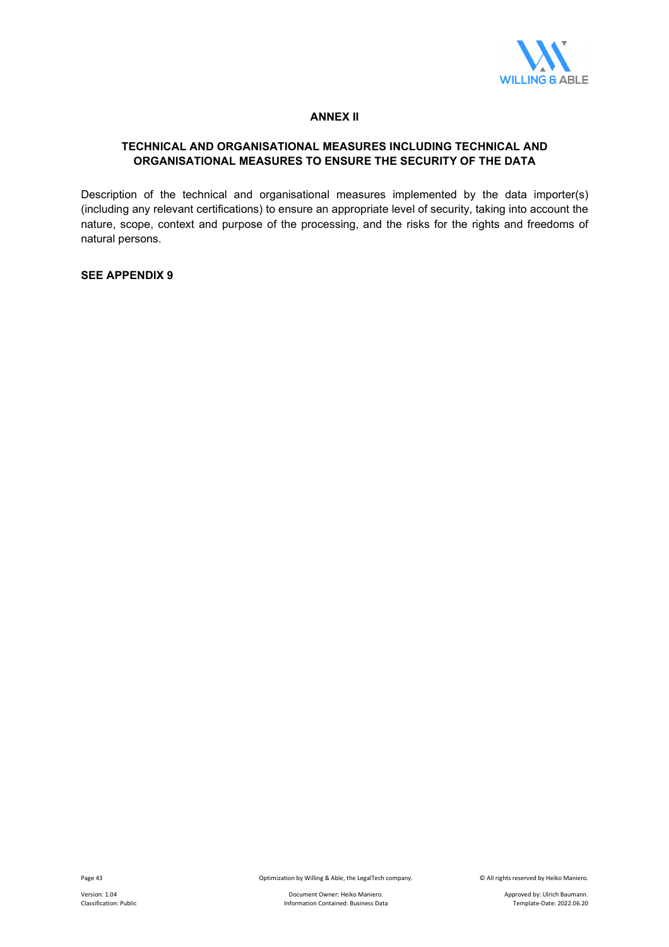

# **ANNEX II**

# **TECHNICAL AND ORGANISATIONAL MEASURES INCLUDING TECHNICAL AND ORGANISATIONAL MEASURES TO ENSURE THE SECURITY OF THE DATA**

Description of the technical and organisational measures implemented by the data importer(s) (including any relevant certifications) to ensure an appropriate level of security, taking into account the nature, scope, context and purpose of the processing, and the risks for the rights and freedoms of natural persons.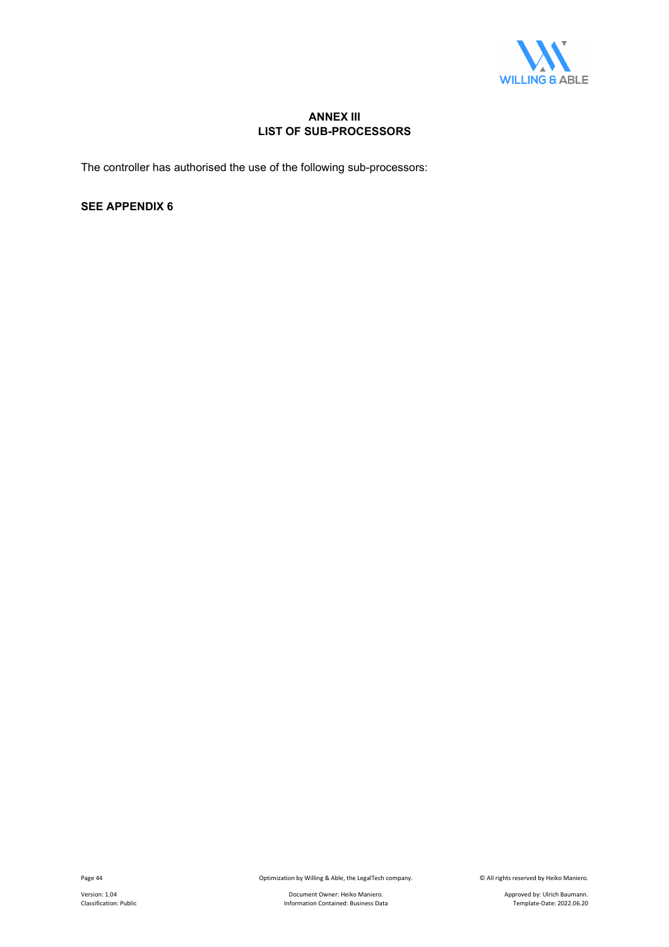

# **ANNEX III LIST OF SUB-PROCESSORS**

The controller has authorised the use of the following sub-processors:

# **SEE APPENDIX 6**

Page 44 Optimization by Willing & Able, the LegalTech company. © All rights reserved by Heiko Maniero.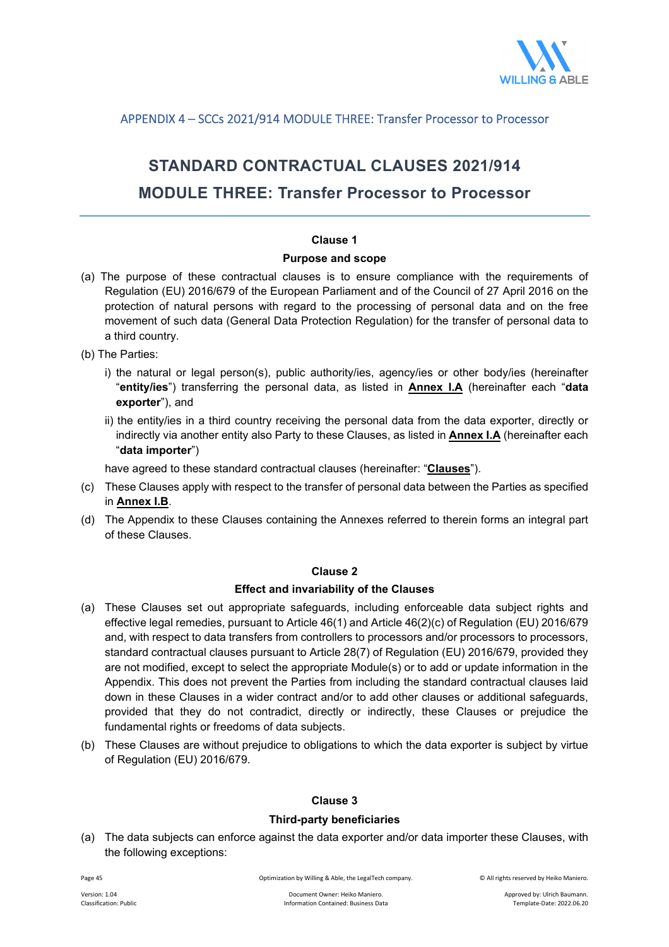

# APPENDIX 4 – SCCs 2021/914 MODULE THREE: Transfer Processor to Processor

# **STANDARD CONTRACTUAL CLAUSES 2021/914 MODULE THREE: Transfer Processor to Processor**

#### **Clause 1**

#### **Purpose and scope**

- (a) The purpose of these contractual clauses is to ensure compliance with the requirements of Regulation (EU) 2016/679 of the European Parliament and of the Council of 27 April 2016 on the protection of natural persons with regard to the processing of personal data and on the free movement of such data (General Data Protection Regulation) for the transfer of personal data to a third country.
- (b) The Parties:
	- i) the natural or legal person(s), public authority/ies, agency/ies or other body/ies (hereinafter "**entity/ies**") transferring the personal data, as listed in **Annex I.A** (hereinafter each "**data exporter**"), and
	- ii) the entity/ies in a third country receiving the personal data from the data exporter, directly or indirectly via another entity also Party to these Clauses, as listed in **Annex I.A** (hereinafter each "**data importer**")

have agreed to these standard contractual clauses (hereinafter: "**Clauses**").

- (c) These Clauses apply with respect to the transfer of personal data between the Parties as specified in **Annex I.B**.
- (d) The Appendix to these Clauses containing the Annexes referred to therein forms an integral part of these Clauses.

#### **Clause 2**

#### **Effect and invariability of the Clauses**

- (a) These Clauses set out appropriate safeguards, including enforceable data subject rights and effective legal remedies, pursuant to Article 46(1) and Article 46(2)(c) of Regulation (EU) 2016/679 and, with respect to data transfers from controllers to processors and/or processors to processors, standard contractual clauses pursuant to Article 28(7) of Regulation (EU) 2016/679, provided they are not modified, except to select the appropriate Module(s) or to add or update information in the Appendix. This does not prevent the Parties from including the standard contractual clauses laid down in these Clauses in a wider contract and/or to add other clauses or additional safeguards, provided that they do not contradict, directly or indirectly, these Clauses or prejudice the fundamental rights or freedoms of data subjects.
- (b) These Clauses are without prejudice to obligations to which the data exporter is subject by virtue of Regulation (EU) 2016/679.

#### **Clause 3**

#### **Third-party beneficiaries**

(a) The data subjects can enforce against the data exporter and/or data importer these Clauses, with the following exceptions:

Page 45 Optimization by Willing & Able, the LegalTech company. © All rights reserved by Heiko Maniero.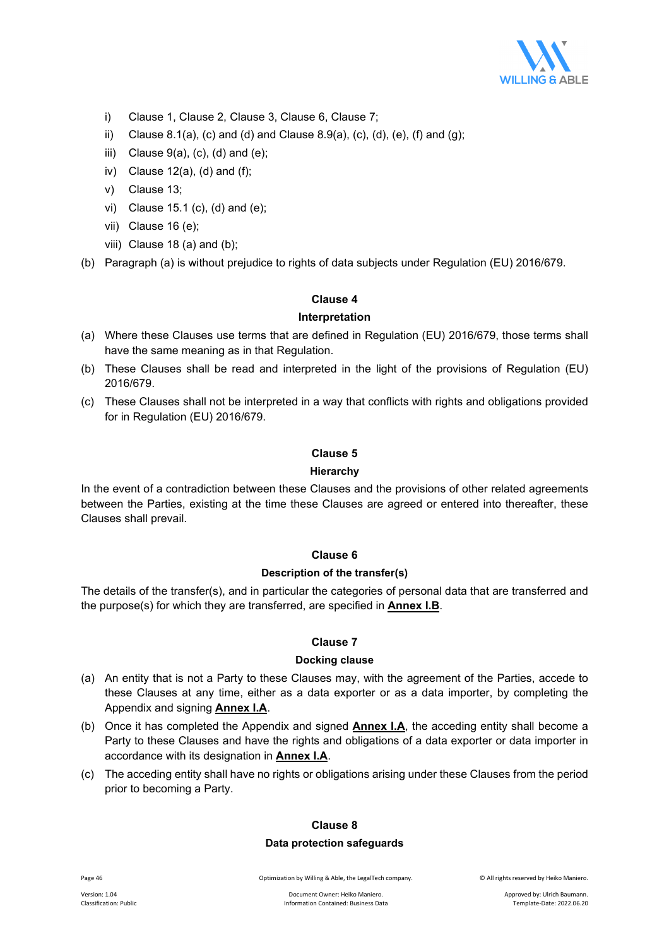

- i) Clause 1, Clause 2, Clause 3, Clause 6, Clause 7;
- ii) Clause 8.1(a), (c) and (d) and Clause 8.9(a), (c), (d), (e), (f) and (g);
- iii) Clause  $9(a)$ , (c), (d) and (e);
- iv) Clause  $12(a)$ ,  $(d)$  and  $(f)$ ;
- v) Clause 13;
- vi) Clause 15.1 (c), (d) and (e);
- vii) Clause 16 (e);
- viii) Clause 18 (a) and (b);

(b) Paragraph (a) is without prejudice to rights of data subjects under Regulation (EU) 2016/679.

# **Clause 4**

# **Interpretation**

- (a) Where these Clauses use terms that are defined in Regulation (EU) 2016/679, those terms shall have the same meaning as in that Regulation.
- (b) These Clauses shall be read and interpreted in the light of the provisions of Regulation (EU) 2016/679.
- (c) These Clauses shall not be interpreted in a way that conflicts with rights and obligations provided for in Regulation (EU) 2016/679.

# **Clause 5**

## **Hierarchy**

In the event of a contradiction between these Clauses and the provisions of other related agreements between the Parties, existing at the time these Clauses are agreed or entered into thereafter, these Clauses shall prevail.

## **Clause 6**

## **Description of the transfer(s)**

The details of the transfer(s), and in particular the categories of personal data that are transferred and the purpose(s) for which they are transferred, are specified in **Annex I.B**.

## **Clause 7**

## **Docking clause**

- (a) An entity that is not a Party to these Clauses may, with the agreement of the Parties, accede to these Clauses at any time, either as a data exporter or as a data importer, by completing the Appendix and signing **Annex I.A**.
- (b) Once it has completed the Appendix and signed **Annex I.A**, the acceding entity shall become a Party to these Clauses and have the rights and obligations of a data exporter or data importer in accordance with its designation in **Annex I.A**.
- (c) The acceding entity shall have no rights or obligations arising under these Clauses from the period prior to becoming a Party.

# **Clause 8**

# **Data protection safeguards**

Page 46 Optimization by Willing & Able, the LegalTech company. © All rights reserved by Heiko Maniero.

Version: 1.04 **Approved by: Ulrich Baumann.**<br>Classification: Public **Classification: Public** Classification: Public Classification: Public Classification: Public Information Contained: Business Data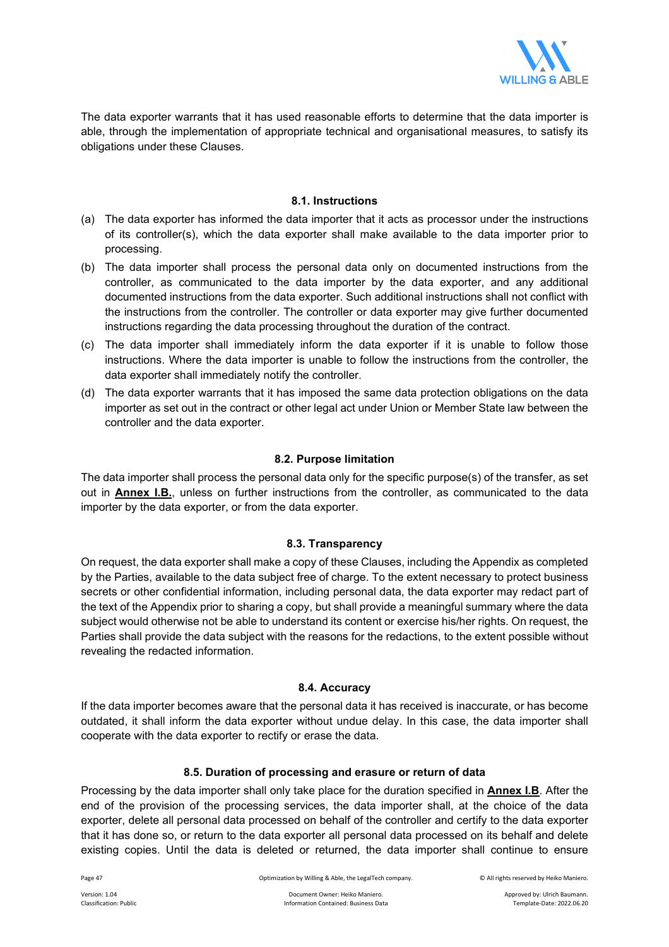

The data exporter warrants that it has used reasonable efforts to determine that the data importer is able, through the implementation of appropriate technical and organisational measures, to satisfy its obligations under these Clauses.

#### **8.1. Instructions**

- (a) The data exporter has informed the data importer that it acts as processor under the instructions of its controller(s), which the data exporter shall make available to the data importer prior to processing.
- (b) The data importer shall process the personal data only on documented instructions from the controller, as communicated to the data importer by the data exporter, and any additional documented instructions from the data exporter. Such additional instructions shall not conflict with the instructions from the controller. The controller or data exporter may give further documented instructions regarding the data processing throughout the duration of the contract.
- (c) The data importer shall immediately inform the data exporter if it is unable to follow those instructions. Where the data importer is unable to follow the instructions from the controller, the data exporter shall immediately notify the controller.
- (d) The data exporter warrants that it has imposed the same data protection obligations on the data importer as set out in the contract or other legal act under Union or Member State law between the controller and the data exporter.

## **8.2. Purpose limitation**

The data importer shall process the personal data only for the specific purpose(s) of the transfer, as set out in **Annex I.B.**, unless on further instructions from the controller, as communicated to the data importer by the data exporter, or from the data exporter.

## **8.3. Transparency**

On request, the data exporter shall make a copy of these Clauses, including the Appendix as completed by the Parties, available to the data subject free of charge. To the extent necessary to protect business secrets or other confidential information, including personal data, the data exporter may redact part of the text of the Appendix prior to sharing a copy, but shall provide a meaningful summary where the data subject would otherwise not be able to understand its content or exercise his/her rights. On request, the Parties shall provide the data subject with the reasons for the redactions, to the extent possible without revealing the redacted information.

## **8.4. Accuracy**

If the data importer becomes aware that the personal data it has received is inaccurate, or has become outdated, it shall inform the data exporter without undue delay. In this case, the data importer shall cooperate with the data exporter to rectify or erase the data.

## **8.5. Duration of processing and erasure or return of data**

Processing by the data importer shall only take place for the duration specified in **Annex I.B**. After the end of the provision of the processing services, the data importer shall, at the choice of the data exporter, delete all personal data processed on behalf of the controller and certify to the data exporter that it has done so, or return to the data exporter all personal data processed on its behalf and delete existing copies. Until the data is deleted or returned, the data importer shall continue to ensure

Version: 1.04 **Approved by: Ulrich Baumann.**<br>Classification: Public **Classification: Public** Classification: Public Classification: Public Classification: Public Information Contained: Business Data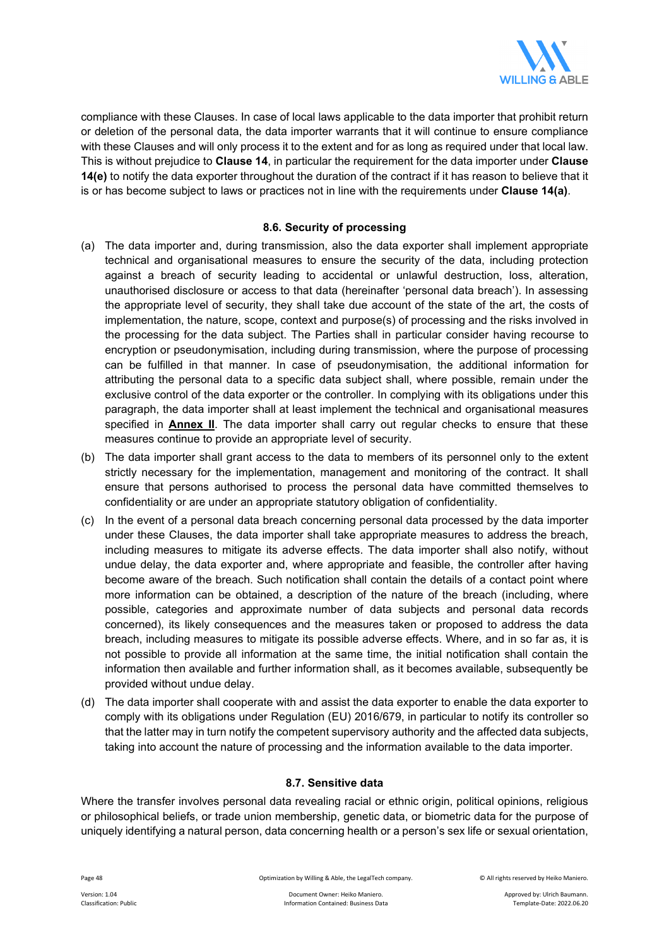

compliance with these Clauses. In case of local laws applicable to the data importer that prohibit return or deletion of the personal data, the data importer warrants that it will continue to ensure compliance with these Clauses and will only process it to the extent and for as long as required under that local law. This is without prejudice to **Clause 14**, in particular the requirement for the data importer under **Clause 14(e)** to notify the data exporter throughout the duration of the contract if it has reason to believe that it is or has become subject to laws or practices not in line with the requirements under **Clause 14(a)**.

## **8.6. Security of processing**

- (a) The data importer and, during transmission, also the data exporter shall implement appropriate technical and organisational measures to ensure the security of the data, including protection against a breach of security leading to accidental or unlawful destruction, loss, alteration, unauthorised disclosure or access to that data (hereinafter 'personal data breach'). In assessing the appropriate level of security, they shall take due account of the state of the art, the costs of implementation, the nature, scope, context and purpose(s) of processing and the risks involved in the processing for the data subject. The Parties shall in particular consider having recourse to encryption or pseudonymisation, including during transmission, where the purpose of processing can be fulfilled in that manner. In case of pseudonymisation, the additional information for attributing the personal data to a specific data subject shall, where possible, remain under the exclusive control of the data exporter or the controller. In complying with its obligations under this paragraph, the data importer shall at least implement the technical and organisational measures specified in **Annex II**. The data importer shall carry out regular checks to ensure that these measures continue to provide an appropriate level of security.
- (b) The data importer shall grant access to the data to members of its personnel only to the extent strictly necessary for the implementation, management and monitoring of the contract. It shall ensure that persons authorised to process the personal data have committed themselves to confidentiality or are under an appropriate statutory obligation of confidentiality.
- (c) In the event of a personal data breach concerning personal data processed by the data importer under these Clauses, the data importer shall take appropriate measures to address the breach, including measures to mitigate its adverse effects. The data importer shall also notify, without undue delay, the data exporter and, where appropriate and feasible, the controller after having become aware of the breach. Such notification shall contain the details of a contact point where more information can be obtained, a description of the nature of the breach (including, where possible, categories and approximate number of data subjects and personal data records concerned), its likely consequences and the measures taken or proposed to address the data breach, including measures to mitigate its possible adverse effects. Where, and in so far as, it is not possible to provide all information at the same time, the initial notification shall contain the information then available and further information shall, as it becomes available, subsequently be provided without undue delay.
- (d) The data importer shall cooperate with and assist the data exporter to enable the data exporter to comply with its obligations under Regulation (EU) 2016/679, in particular to notify its controller so that the latter may in turn notify the competent supervisory authority and the affected data subjects, taking into account the nature of processing and the information available to the data importer.

## **8.7. Sensitive data**

Where the transfer involves personal data revealing racial or ethnic origin, political opinions, religious or philosophical beliefs, or trade union membership, genetic data, or biometric data for the purpose of uniquely identifying a natural person, data concerning health or a person's sex life or sexual orientation,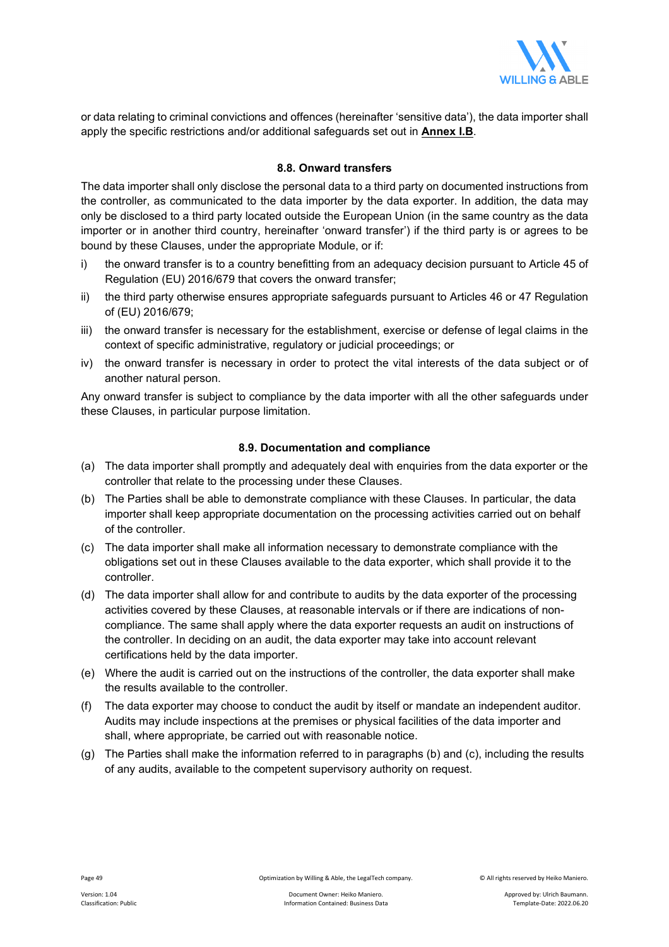

or data relating to criminal convictions and offences (hereinafter 'sensitive data'), the data importer shall apply the specific restrictions and/or additional safeguards set out in **Annex I.B**.

## **8.8. Onward transfers**

The data importer shall only disclose the personal data to a third party on documented instructions from the controller, as communicated to the data importer by the data exporter. In addition, the data may only be disclosed to a third party located outside the European Union (in the same country as the data importer or in another third country, hereinafter 'onward transfer') if the third party is or agrees to be bound by these Clauses, under the appropriate Module, or if:

- i) the onward transfer is to a country benefitting from an adequacy decision pursuant to Article 45 of Regulation (EU) 2016/679 that covers the onward transfer;
- ii) the third party otherwise ensures appropriate safeguards pursuant to Articles 46 or 47 Regulation of (EU) 2016/679;
- iii) the onward transfer is necessary for the establishment, exercise or defense of legal claims in the context of specific administrative, regulatory or judicial proceedings; or
- iv) the onward transfer is necessary in order to protect the vital interests of the data subject or of another natural person.

Any onward transfer is subject to compliance by the data importer with all the other safeguards under these Clauses, in particular purpose limitation.

## **8.9. Documentation and compliance**

- (a) The data importer shall promptly and adequately deal with enquiries from the data exporter or the controller that relate to the processing under these Clauses.
- (b) The Parties shall be able to demonstrate compliance with these Clauses. In particular, the data importer shall keep appropriate documentation on the processing activities carried out on behalf of the controller.
- (c) The data importer shall make all information necessary to demonstrate compliance with the obligations set out in these Clauses available to the data exporter, which shall provide it to the controller.
- (d) The data importer shall allow for and contribute to audits by the data exporter of the processing activities covered by these Clauses, at reasonable intervals or if there are indications of noncompliance. The same shall apply where the data exporter requests an audit on instructions of the controller. In deciding on an audit, the data exporter may take into account relevant certifications held by the data importer.
- (e) Where the audit is carried out on the instructions of the controller, the data exporter shall make the results available to the controller.
- (f) The data exporter may choose to conduct the audit by itself or mandate an independent auditor. Audits may include inspections at the premises or physical facilities of the data importer and shall, where appropriate, be carried out with reasonable notice.
- (g) The Parties shall make the information referred to in paragraphs (b) and (c), including the results of any audits, available to the competent supervisory authority on request.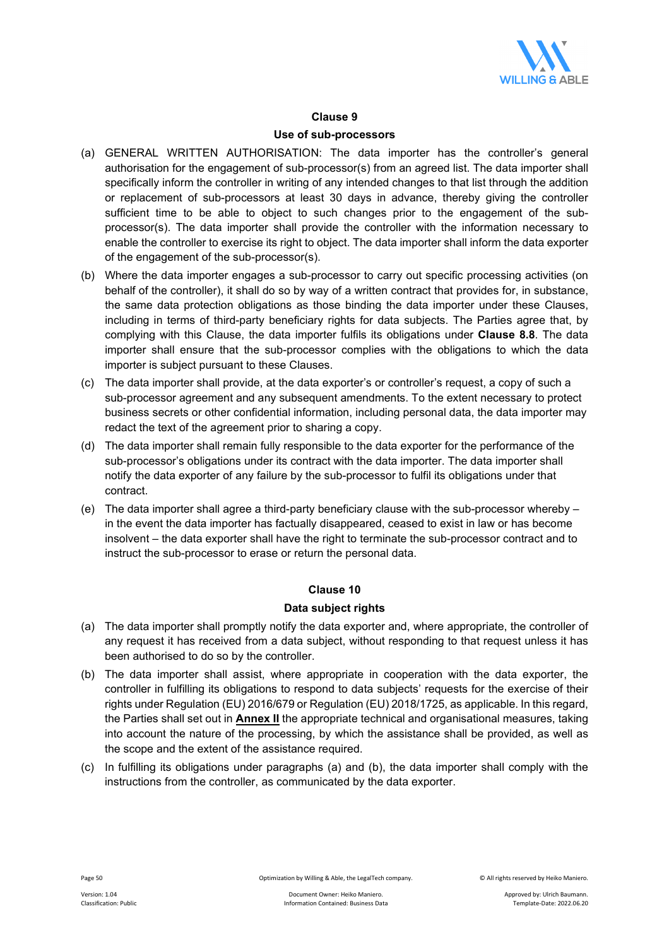

## **Use of sub-processors**

- (a) GENERAL WRITTEN AUTHORISATION: The data importer has the controller's general authorisation for the engagement of sub-processor(s) from an agreed list. The data importer shall specifically inform the controller in writing of any intended changes to that list through the addition or replacement of sub-processors at least 30 days in advance, thereby giving the controller sufficient time to be able to object to such changes prior to the engagement of the subprocessor(s). The data importer shall provide the controller with the information necessary to enable the controller to exercise its right to object. The data importer shall inform the data exporter of the engagement of the sub-processor(s).
- (b) Where the data importer engages a sub-processor to carry out specific processing activities (on behalf of the controller), it shall do so by way of a written contract that provides for, in substance, the same data protection obligations as those binding the data importer under these Clauses, including in terms of third-party beneficiary rights for data subjects. The Parties agree that, by complying with this Clause, the data importer fulfils its obligations under **Clause 8.8**. The data importer shall ensure that the sub-processor complies with the obligations to which the data importer is subject pursuant to these Clauses.
- (c) The data importer shall provide, at the data exporter's or controller's request, a copy of such a sub-processor agreement and any subsequent amendments. To the extent necessary to protect business secrets or other confidential information, including personal data, the data importer may redact the text of the agreement prior to sharing a copy.
- (d) The data importer shall remain fully responsible to the data exporter for the performance of the sub-processor's obligations under its contract with the data importer. The data importer shall notify the data exporter of any failure by the sub-processor to fulfil its obligations under that contract.
- (e) The data importer shall agree a third-party beneficiary clause with the sub-processor whereby in the event the data importer has factually disappeared, ceased to exist in law or has become insolvent – the data exporter shall have the right to terminate the sub-processor contract and to instruct the sub-processor to erase or return the personal data.

## **Clause 10**

## **Data subject rights**

- (a) The data importer shall promptly notify the data exporter and, where appropriate, the controller of any request it has received from a data subject, without responding to that request unless it has been authorised to do so by the controller.
- (b) The data importer shall assist, where appropriate in cooperation with the data exporter, the controller in fulfilling its obligations to respond to data subjects' requests for the exercise of their rights under Regulation (EU) 2016/679 or Regulation (EU) 2018/1725, as applicable. In this regard, the Parties shall set out in **Annex II** the appropriate technical and organisational measures, taking into account the nature of the processing, by which the assistance shall be provided, as well as the scope and the extent of the assistance required.
- (c) In fulfilling its obligations under paragraphs (a) and (b), the data importer shall comply with the instructions from the controller, as communicated by the data exporter.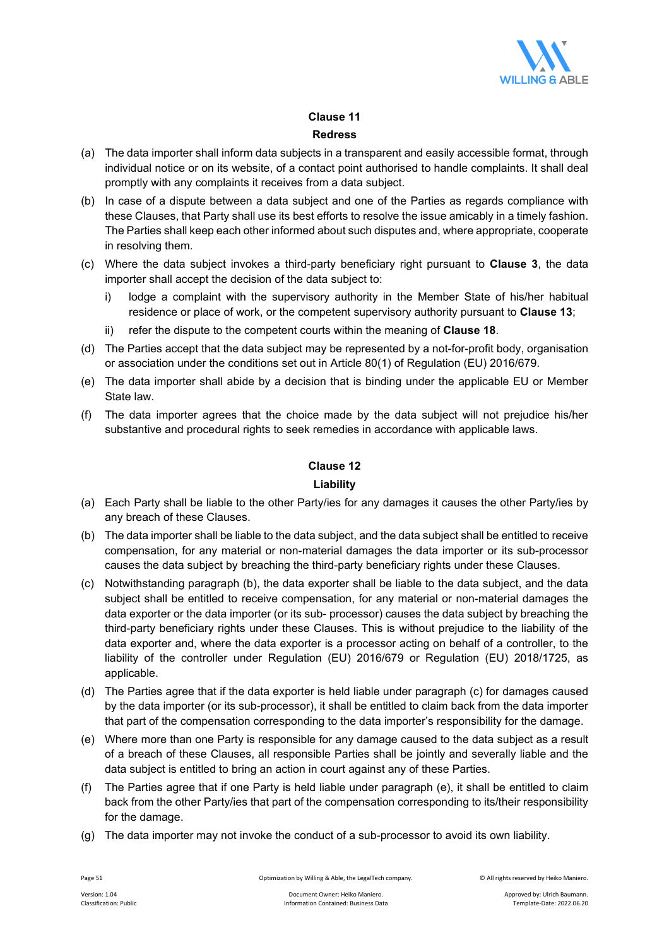

# **Redress**

- (a) The data importer shall inform data subjects in a transparent and easily accessible format, through individual notice or on its website, of a contact point authorised to handle complaints. It shall deal promptly with any complaints it receives from a data subject.
- (b) In case of a dispute between a data subject and one of the Parties as regards compliance with these Clauses, that Party shall use its best efforts to resolve the issue amicably in a timely fashion. The Parties shall keep each other informed about such disputes and, where appropriate, cooperate in resolving them.
- (c) Where the data subject invokes a third-party beneficiary right pursuant to **Clause 3**, the data importer shall accept the decision of the data subject to:
	- i) lodge a complaint with the supervisory authority in the Member State of his/her habitual residence or place of work, or the competent supervisory authority pursuant to **Clause 13**;
	- ii) refer the dispute to the competent courts within the meaning of **Clause 18**.
- (d) The Parties accept that the data subject may be represented by a not-for-profit body, organisation or association under the conditions set out in Article 80(1) of Regulation (EU) 2016/679.
- (e) The data importer shall abide by a decision that is binding under the applicable EU or Member State law.
- (f) The data importer agrees that the choice made by the data subject will not prejudice his/her substantive and procedural rights to seek remedies in accordance with applicable laws.

# **Clause 12**

## **Liability**

- (a) Each Party shall be liable to the other Party/ies for any damages it causes the other Party/ies by any breach of these Clauses.
- (b) The data importer shall be liable to the data subject, and the data subject shall be entitled to receive compensation, for any material or non-material damages the data importer or its sub-processor causes the data subject by breaching the third-party beneficiary rights under these Clauses.
- (c) Notwithstanding paragraph (b), the data exporter shall be liable to the data subject, and the data subject shall be entitled to receive compensation, for any material or non-material damages the data exporter or the data importer (or its sub- processor) causes the data subject by breaching the third-party beneficiary rights under these Clauses. This is without prejudice to the liability of the data exporter and, where the data exporter is a processor acting on behalf of a controller, to the liability of the controller under Regulation (EU) 2016/679 or Regulation (EU) 2018/1725, as applicable.
- (d) The Parties agree that if the data exporter is held liable under paragraph (c) for damages caused by the data importer (or its sub-processor), it shall be entitled to claim back from the data importer that part of the compensation corresponding to the data importer's responsibility for the damage.
- (e) Where more than one Party is responsible for any damage caused to the data subject as a result of a breach of these Clauses, all responsible Parties shall be jointly and severally liable and the data subject is entitled to bring an action in court against any of these Parties.
- (f) The Parties agree that if one Party is held liable under paragraph (e), it shall be entitled to claim back from the other Party/ies that part of the compensation corresponding to its/their responsibility for the damage.
- (g) The data importer may not invoke the conduct of a sub-processor to avoid its own liability.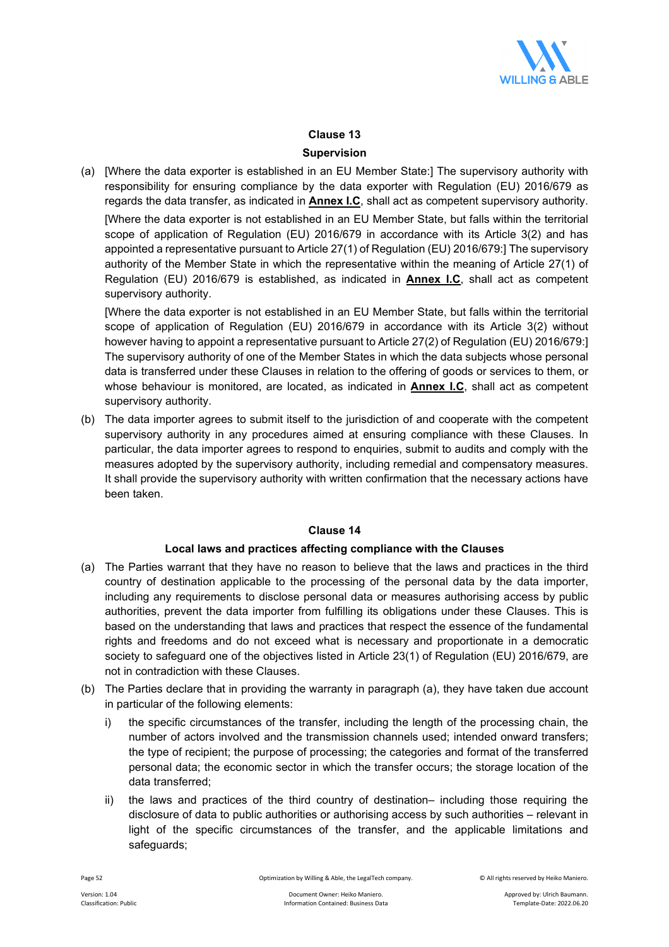

# **Supervision**

(a) [Where the data exporter is established in an EU Member State:] The supervisory authority with responsibility for ensuring compliance by the data exporter with Regulation (EU) 2016/679 as regards the data transfer, as indicated in **Annex I.C**, shall act as competent supervisory authority.

[Where the data exporter is not established in an EU Member State, but falls within the territorial scope of application of Regulation (EU) 2016/679 in accordance with its Article 3(2) and has appointed a representative pursuant to Article 27(1) of Regulation (EU) 2016/679:] The supervisory authority of the Member State in which the representative within the meaning of Article 27(1) of Regulation (EU) 2016/679 is established, as indicated in **Annex I.C**, shall act as competent supervisory authority.

[Where the data exporter is not established in an EU Member State, but falls within the territorial scope of application of Regulation (EU) 2016/679 in accordance with its Article 3(2) without however having to appoint a representative pursuant to Article 27(2) of Regulation (EU) 2016/679:] The supervisory authority of one of the Member States in which the data subjects whose personal data is transferred under these Clauses in relation to the offering of goods or services to them, or whose behaviour is monitored, are located, as indicated in **Annex I.C**, shall act as competent supervisory authority.

(b) The data importer agrees to submit itself to the jurisdiction of and cooperate with the competent supervisory authority in any procedures aimed at ensuring compliance with these Clauses. In particular, the data importer agrees to respond to enquiries, submit to audits and comply with the measures adopted by the supervisory authority, including remedial and compensatory measures. It shall provide the supervisory authority with written confirmation that the necessary actions have been taken.

# **Clause 14**

## **Local laws and practices affecting compliance with the Clauses**

- (a) The Parties warrant that they have no reason to believe that the laws and practices in the third country of destination applicable to the processing of the personal data by the data importer, including any requirements to disclose personal data or measures authorising access by public authorities, prevent the data importer from fulfilling its obligations under these Clauses. This is based on the understanding that laws and practices that respect the essence of the fundamental rights and freedoms and do not exceed what is necessary and proportionate in a democratic society to safeguard one of the objectives listed in Article 23(1) of Regulation (EU) 2016/679, are not in contradiction with these Clauses.
- (b) The Parties declare that in providing the warranty in paragraph (a), they have taken due account in particular of the following elements:
	- i) the specific circumstances of the transfer, including the length of the processing chain, the number of actors involved and the transmission channels used; intended onward transfers; the type of recipient; the purpose of processing; the categories and format of the transferred personal data; the economic sector in which the transfer occurs; the storage location of the data transferred;
	- ii) the laws and practices of the third country of destination– including those requiring the disclosure of data to public authorities or authorising access by such authorities – relevant in light of the specific circumstances of the transfer, and the applicable limitations and safeguards;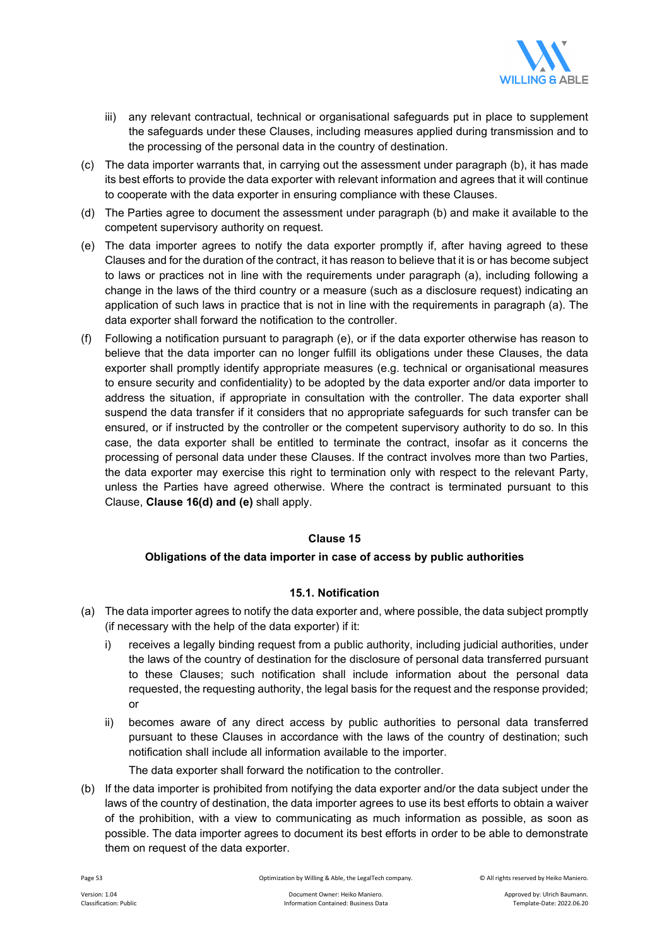

- iii) any relevant contractual, technical or organisational safeguards put in place to supplement the safeguards under these Clauses, including measures applied during transmission and to the processing of the personal data in the country of destination.
- (c) The data importer warrants that, in carrying out the assessment under paragraph (b), it has made its best efforts to provide the data exporter with relevant information and agrees that it will continue to cooperate with the data exporter in ensuring compliance with these Clauses.
- (d) The Parties agree to document the assessment under paragraph (b) and make it available to the competent supervisory authority on request.
- (e) The data importer agrees to notify the data exporter promptly if, after having agreed to these Clauses and for the duration of the contract, it has reason to believe that it is or has become subject to laws or practices not in line with the requirements under paragraph (a), including following a change in the laws of the third country or a measure (such as a disclosure request) indicating an application of such laws in practice that is not in line with the requirements in paragraph (a). The data exporter shall forward the notification to the controller.
- (f) Following a notification pursuant to paragraph (e), or if the data exporter otherwise has reason to believe that the data importer can no longer fulfill its obligations under these Clauses, the data exporter shall promptly identify appropriate measures (e.g. technical or organisational measures to ensure security and confidentiality) to be adopted by the data exporter and/or data importer to address the situation, if appropriate in consultation with the controller. The data exporter shall suspend the data transfer if it considers that no appropriate safeguards for such transfer can be ensured, or if instructed by the controller or the competent supervisory authority to do so. In this case, the data exporter shall be entitled to terminate the contract, insofar as it concerns the processing of personal data under these Clauses. If the contract involves more than two Parties, the data exporter may exercise this right to termination only with respect to the relevant Party, unless the Parties have agreed otherwise. Where the contract is terminated pursuant to this Clause, **Clause 16(d) and (e)** shall apply.

## **Obligations of the data importer in case of access by public authorities**

# **15.1. Notification**

- (a) The data importer agrees to notify the data exporter and, where possible, the data subject promptly (if necessary with the help of the data exporter) if it:
	- i) receives a legally binding request from a public authority, including judicial authorities, under the laws of the country of destination for the disclosure of personal data transferred pursuant to these Clauses; such notification shall include information about the personal data requested, the requesting authority, the legal basis for the request and the response provided; or
	- ii) becomes aware of any direct access by public authorities to personal data transferred pursuant to these Clauses in accordance with the laws of the country of destination; such notification shall include all information available to the importer.

The data exporter shall forward the notification to the controller.

(b) If the data importer is prohibited from notifying the data exporter and/or the data subject under the laws of the country of destination, the data importer agrees to use its best efforts to obtain a waiver of the prohibition, with a view to communicating as much information as possible, as soon as possible. The data importer agrees to document its best efforts in order to be able to demonstrate them on request of the data exporter.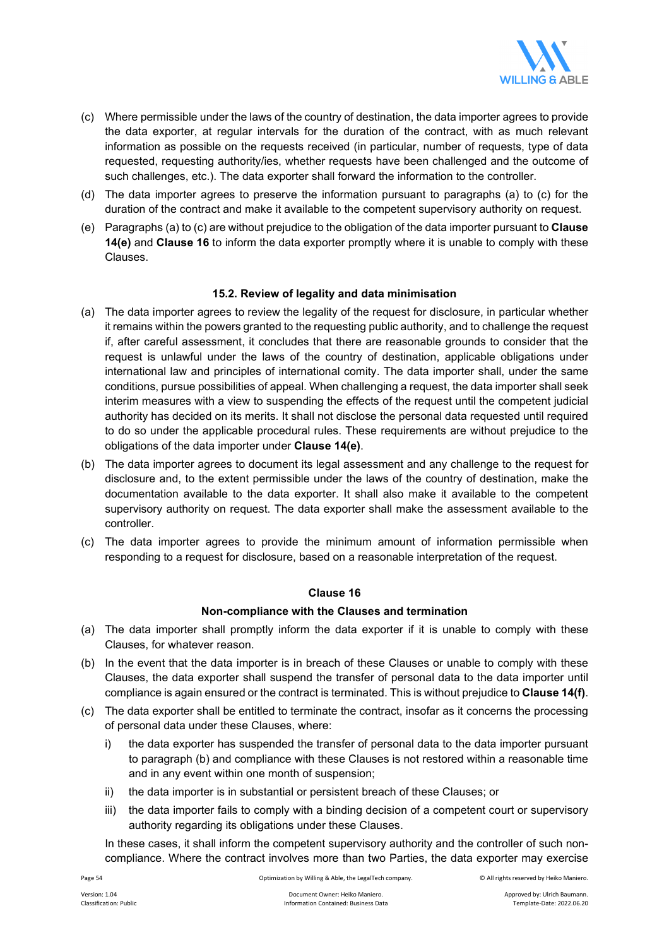

- (c) Where permissible under the laws of the country of destination, the data importer agrees to provide the data exporter, at regular intervals for the duration of the contract, with as much relevant information as possible on the requests received (in particular, number of requests, type of data requested, requesting authority/ies, whether requests have been challenged and the outcome of such challenges, etc.). The data exporter shall forward the information to the controller.
- (d) The data importer agrees to preserve the information pursuant to paragraphs (a) to (c) for the duration of the contract and make it available to the competent supervisory authority on request.
- (e) Paragraphs (a) to (c) are without prejudice to the obligation of the data importer pursuant to **Clause 14(e)** and **Clause 16** to inform the data exporter promptly where it is unable to comply with these Clauses.

## **15.2. Review of legality and data minimisation**

- (a) The data importer agrees to review the legality of the request for disclosure, in particular whether it remains within the powers granted to the requesting public authority, and to challenge the request if, after careful assessment, it concludes that there are reasonable grounds to consider that the request is unlawful under the laws of the country of destination, applicable obligations under international law and principles of international comity. The data importer shall, under the same conditions, pursue possibilities of appeal. When challenging a request, the data importer shall seek interim measures with a view to suspending the effects of the request until the competent judicial authority has decided on its merits. It shall not disclose the personal data requested until required to do so under the applicable procedural rules. These requirements are without prejudice to the obligations of the data importer under **Clause 14(e)**.
- (b) The data importer agrees to document its legal assessment and any challenge to the request for disclosure and, to the extent permissible under the laws of the country of destination, make the documentation available to the data exporter. It shall also make it available to the competent supervisory authority on request. The data exporter shall make the assessment available to the controller.
- (c) The data importer agrees to provide the minimum amount of information permissible when responding to a request for disclosure, based on a reasonable interpretation of the request.

#### **Clause 16**

#### **Non-compliance with the Clauses and termination**

- (a) The data importer shall promptly inform the data exporter if it is unable to comply with these Clauses, for whatever reason.
- (b) In the event that the data importer is in breach of these Clauses or unable to comply with these Clauses, the data exporter shall suspend the transfer of personal data to the data importer until compliance is again ensured or the contract is terminated. This is without prejudice to **Clause 14(f)**.
- (c) The data exporter shall be entitled to terminate the contract, insofar as it concerns the processing of personal data under these Clauses, where:
	- i) the data exporter has suspended the transfer of personal data to the data importer pursuant to paragraph (b) and compliance with these Clauses is not restored within a reasonable time and in any event within one month of suspension;
	- ii) the data importer is in substantial or persistent breach of these Clauses; or
	- iii) the data importer fails to comply with a binding decision of a competent court or supervisory authority regarding its obligations under these Clauses.

In these cases, it shall inform the competent supervisory authority and the controller of such noncompliance. Where the contract involves more than two Parties, the data exporter may exercise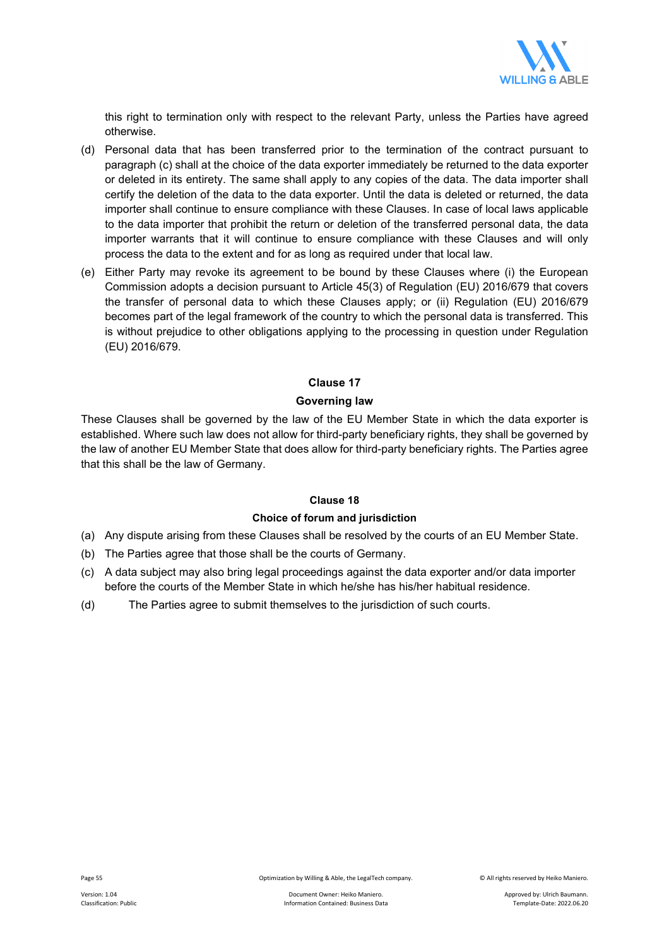

this right to termination only with respect to the relevant Party, unless the Parties have agreed otherwise.

- (d) Personal data that has been transferred prior to the termination of the contract pursuant to paragraph (c) shall at the choice of the data exporter immediately be returned to the data exporter or deleted in its entirety. The same shall apply to any copies of the data. The data importer shall certify the deletion of the data to the data exporter. Until the data is deleted or returned, the data importer shall continue to ensure compliance with these Clauses. In case of local laws applicable to the data importer that prohibit the return or deletion of the transferred personal data, the data importer warrants that it will continue to ensure compliance with these Clauses and will only process the data to the extent and for as long as required under that local law.
- (e) Either Party may revoke its agreement to be bound by these Clauses where (i) the European Commission adopts a decision pursuant to Article 45(3) of Regulation (EU) 2016/679 that covers the transfer of personal data to which these Clauses apply; or (ii) Regulation (EU) 2016/679 becomes part of the legal framework of the country to which the personal data is transferred. This is without prejudice to other obligations applying to the processing in question under Regulation (EU) 2016/679.

## **Clause 17**

# **Governing law**

These Clauses shall be governed by the law of the EU Member State in which the data exporter is established. Where such law does not allow for third-party beneficiary rights, they shall be governed by the law of another EU Member State that does allow for third-party beneficiary rights. The Parties agree that this shall be the law of Germany.

#### **Clause 18**

#### **Choice of forum and jurisdiction**

- (a) Any dispute arising from these Clauses shall be resolved by the courts of an EU Member State.
- (b) The Parties agree that those shall be the courts of Germany.
- (c) A data subject may also bring legal proceedings against the data exporter and/or data importer before the courts of the Member State in which he/she has his/her habitual residence.
- (d) The Parties agree to submit themselves to the jurisdiction of such courts.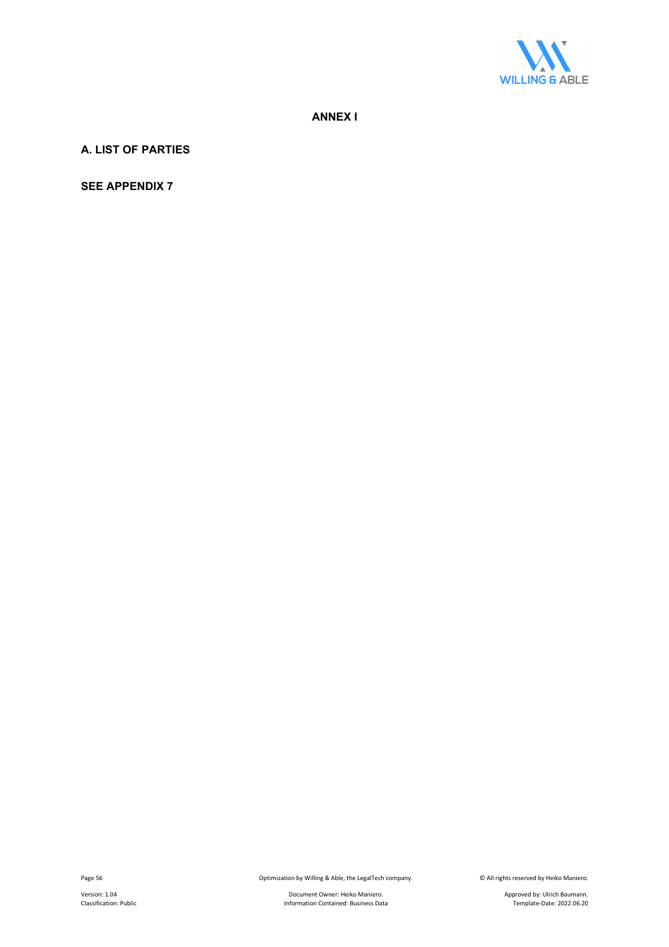

**ΑΝΝΕΧ I** 

## **A. LIST OF PARTIES**

**SEE APPENDIX 7** 

Page 56 Optimization by Willing & Able, the LegalTech company. © All rights reserved by Heiko Maniero.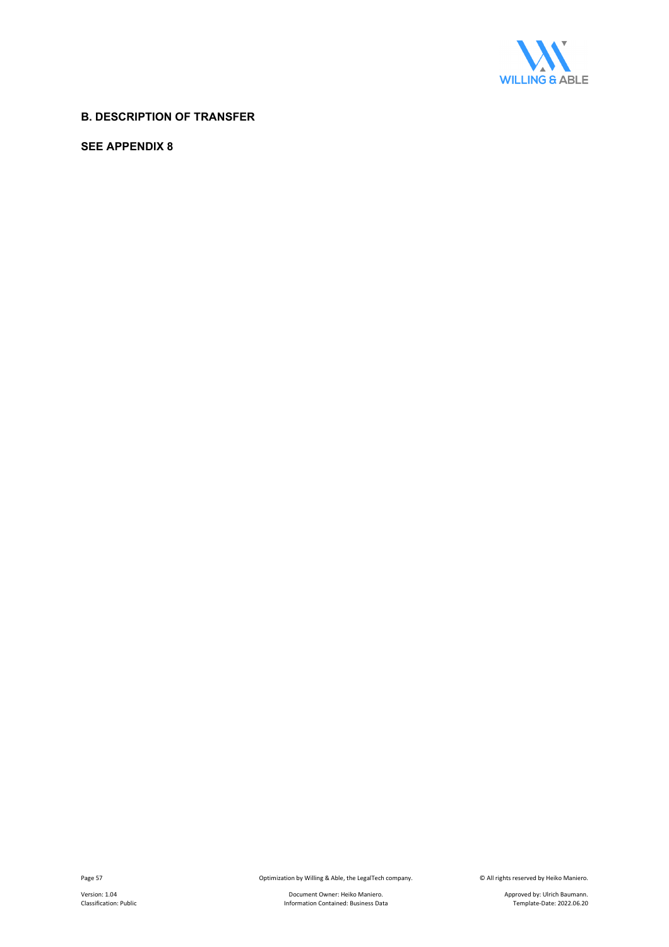

# **B. DESCRIPTION OF TRANSFER**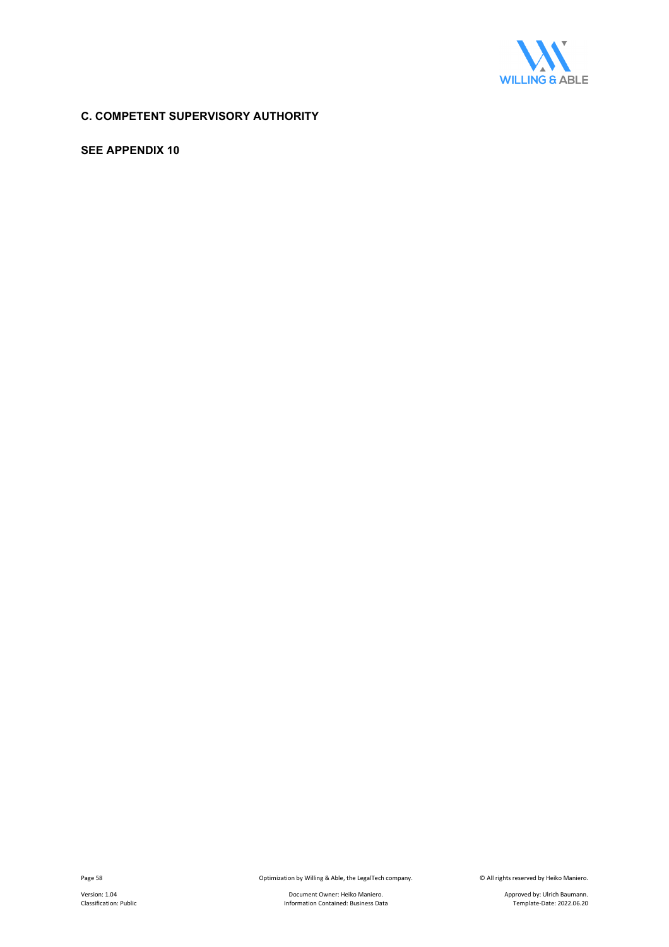

# **C. COMPETENT SUPERVISORY AUTHORITY**

**SEE APPENDIX 10** 

Page 58 Optimization by Willing & Able, the LegalTech company. © All rights reserved by Heiko Maniero.

Version: 1.04 Document Owner: Heiko Maniero. Approved by: Ulrich Baumann. Document Owner: Helio Walliero:<br>Information Contained: Business Data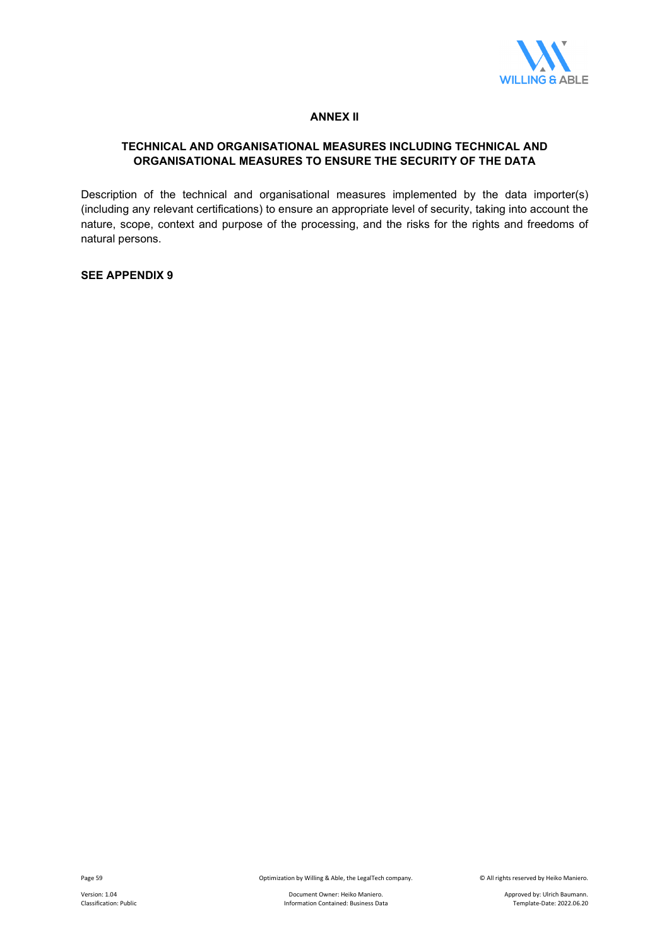

# **ANNEX II**

# **TECHNICAL AND ORGANISATIONAL MEASURES INCLUDING TECHNICAL AND ORGANISATIONAL MEASURES TO ENSURE THE SECURITY OF THE DATA**

Description of the technical and organisational measures implemented by the data importer(s) (including any relevant certifications) to ensure an appropriate level of security, taking into account the nature, scope, context and purpose of the processing, and the risks for the rights and freedoms of natural persons.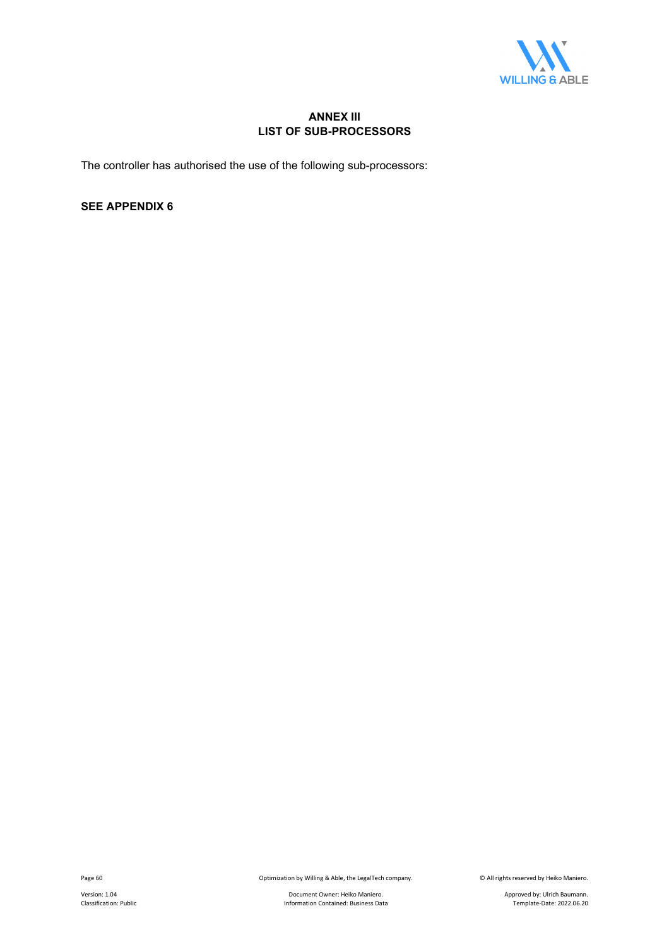

# **ANNEX III LIST OF SUB-PROCESSORS**

The controller has authorised the use of the following sub-processors:

# **SEE APPENDIX 6**

Page 60 Optimization by Willing & Able, the LegalTech company. © All rights reserved by Heiko Maniero.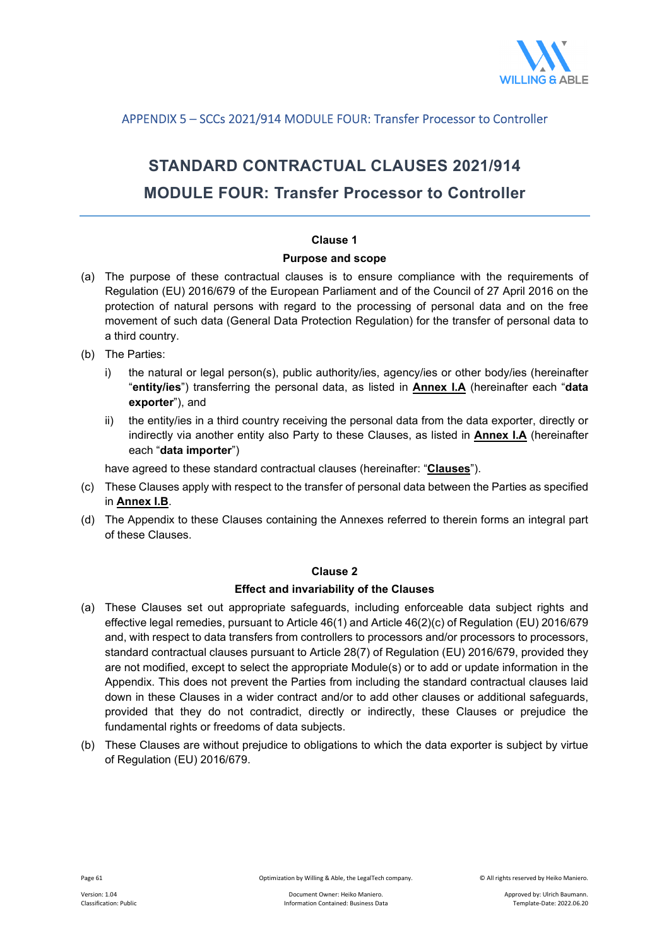

# APPENDIX 5 – SCCs 2021/914 MODULE FOUR: Transfer Processor to Controller

# **STANDARD CONTRACTUAL CLAUSES 2021/914 MODULE FOUR: Transfer Processor to Controller**

## **Clause 1**

#### **Purpose and scope**

- (a) The purpose of these contractual clauses is to ensure compliance with the requirements of Regulation (EU) 2016/679 of the European Parliament and of the Council of 27 April 2016 on the protection of natural persons with regard to the processing of personal data and on the free movement of such data (General Data Protection Regulation) for the transfer of personal data to a third country.
- (b) The Parties:
	- i) the natural or legal person(s), public authority/ies, agency/ies or other body/ies (hereinafter "**entity/ies**") transferring the personal data, as listed in **Annex I.A** (hereinafter each "**data exporter**"), and
	- ii) the entity/ies in a third country receiving the personal data from the data exporter, directly or indirectly via another entity also Party to these Clauses, as listed in **Annex I.A** (hereinafter each "**data importer**")

have agreed to these standard contractual clauses (hereinafter: "**Clauses**").

- (c) These Clauses apply with respect to the transfer of personal data between the Parties as specified in **Annex I.B**.
- (d) The Appendix to these Clauses containing the Annexes referred to therein forms an integral part of these Clauses.

#### **Clause 2**

#### **Effect and invariability of the Clauses**

- (a) These Clauses set out appropriate safeguards, including enforceable data subject rights and effective legal remedies, pursuant to Article 46(1) and Article 46(2)(c) of Regulation (EU) 2016/679 and, with respect to data transfers from controllers to processors and/or processors to processors, standard contractual clauses pursuant to Article 28(7) of Regulation (EU) 2016/679, provided they are not modified, except to select the appropriate Module(s) or to add or update information in the Appendix. This does not prevent the Parties from including the standard contractual clauses laid down in these Clauses in a wider contract and/or to add other clauses or additional safeguards, provided that they do not contradict, directly or indirectly, these Clauses or prejudice the fundamental rights or freedoms of data subjects.
- (b) These Clauses are without prejudice to obligations to which the data exporter is subject by virtue of Regulation (EU) 2016/679.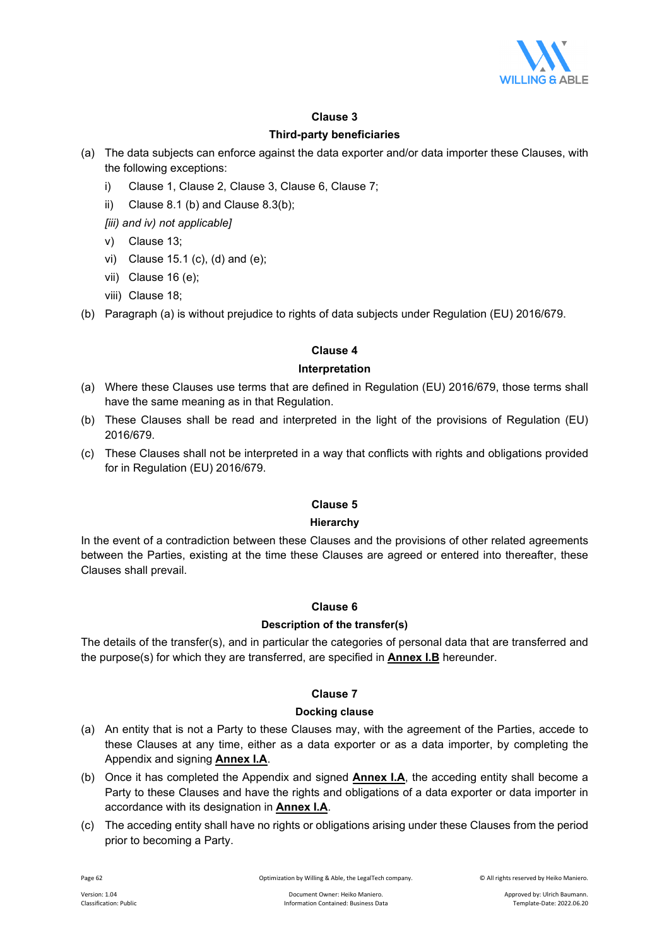

# **Third-party beneficiaries**

- (a) The data subjects can enforce against the data exporter and/or data importer these Clauses, with the following exceptions:
	- i) Clause 1, Clause 2, Clause 3, Clause 6, Clause 7;
	- ii) Clause 8.1 (b) and Clause 8.3(b);
	- *[iii) and iv) not applicable]*
	- v) Clause 13;
	- vi) Clause 15.1 (c), (d) and (e);
	- vii) Clause 16 (e);
	- viii) Clause 18;
- (b) Paragraph (a) is without prejudice to rights of data subjects under Regulation (EU) 2016/679.

## **Clause 4**

## **Interpretation**

- (a) Where these Clauses use terms that are defined in Regulation (EU) 2016/679, those terms shall have the same meaning as in that Regulation.
- (b) These Clauses shall be read and interpreted in the light of the provisions of Regulation (EU) 2016/679.
- (c) These Clauses shall not be interpreted in a way that conflicts with rights and obligations provided for in Regulation (EU) 2016/679.

## **Clause 5**

# **Hierarchy**

In the event of a contradiction between these Clauses and the provisions of other related agreements between the Parties, existing at the time these Clauses are agreed or entered into thereafter, these Clauses shall prevail.

## **Clause 6**

## **Description of the transfer(s)**

The details of the transfer(s), and in particular the categories of personal data that are transferred and the purpose(s) for which they are transferred, are specified in **Annex I.B** hereunder.

## **Clause 7**

#### **Docking clause**

- (a) An entity that is not a Party to these Clauses may, with the agreement of the Parties, accede to these Clauses at any time, either as a data exporter or as a data importer, by completing the Appendix and signing **Annex I.A**.
- (b) Once it has completed the Appendix and signed **Annex I.A**, the acceding entity shall become a Party to these Clauses and have the rights and obligations of a data exporter or data importer in accordance with its designation in **Annex I.A**.
- (c) The acceding entity shall have no rights or obligations arising under these Clauses from the period prior to becoming a Party.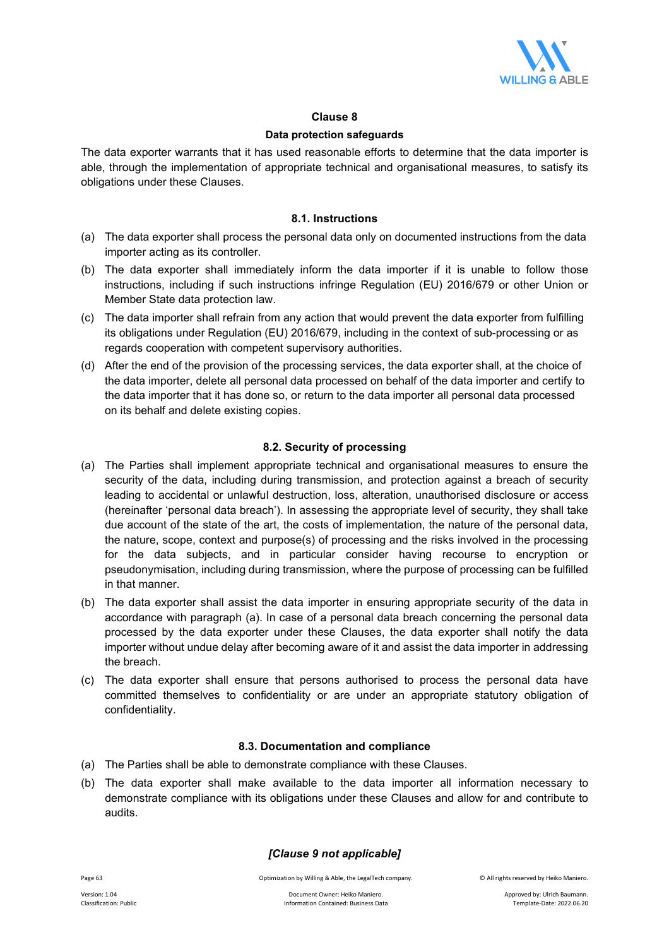

## **Data protection safeguards**

The data exporter warrants that it has used reasonable efforts to determine that the data importer is able, through the implementation of appropriate technical and organisational measures, to satisfy its obligations under these Clauses.

## **8.1. Instructions**

- (a) The data exporter shall process the personal data only on documented instructions from the data importer acting as its controller.
- (b) The data exporter shall immediately inform the data importer if it is unable to follow those instructions, including if such instructions infringe Regulation (EU) 2016/679 or other Union or Member State data protection law.
- (c) The data importer shall refrain from any action that would prevent the data exporter from fulfilling its obligations under Regulation (EU) 2016/679, including in the context of sub-processing or as regards cooperation with competent supervisory authorities.
- (d) After the end of the provision of the processing services, the data exporter shall, at the choice of the data importer, delete all personal data processed on behalf of the data importer and certify to the data importer that it has done so, or return to the data importer all personal data processed on its behalf and delete existing copies.

# **8.2. Security of processing**

- (a) The Parties shall implement appropriate technical and organisational measures to ensure the security of the data, including during transmission, and protection against a breach of security leading to accidental or unlawful destruction, loss, alteration, unauthorised disclosure or access (hereinafter 'personal data breach'). In assessing the appropriate level of security, they shall take due account of the state of the art, the costs of implementation, the nature of the personal data, the nature, scope, context and purpose(s) of processing and the risks involved in the processing for the data subjects, and in particular consider having recourse to encryption or pseudonymisation, including during transmission, where the purpose of processing can be fulfilled in that manner.
- (b) The data exporter shall assist the data importer in ensuring appropriate security of the data in accordance with paragraph (a). In case of a personal data breach concerning the personal data processed by the data exporter under these Clauses, the data exporter shall notify the data importer without undue delay after becoming aware of it and assist the data importer in addressing the breach.
- (c) The data exporter shall ensure that persons authorised to process the personal data have committed themselves to confidentiality or are under an appropriate statutory obligation of confidentiality.

# **8.3. Documentation and compliance**

- (a) The Parties shall be able to demonstrate compliance with these Clauses.
- (b) The data exporter shall make available to the data importer all information necessary to demonstrate compliance with its obligations under these Clauses and allow for and contribute to audits.

# *[Clause 9 not applicable]*

Page 63 Optimization by Willing & Able, the LegalTech company. © All rights reserved by Heiko Maniero.

Version: 1.04 **Approved by: Ulrich Baumann.**<br>Classification: Public **Classification: Public** Classification: Public Classification: Public Classification: Public Information Contained: Business Data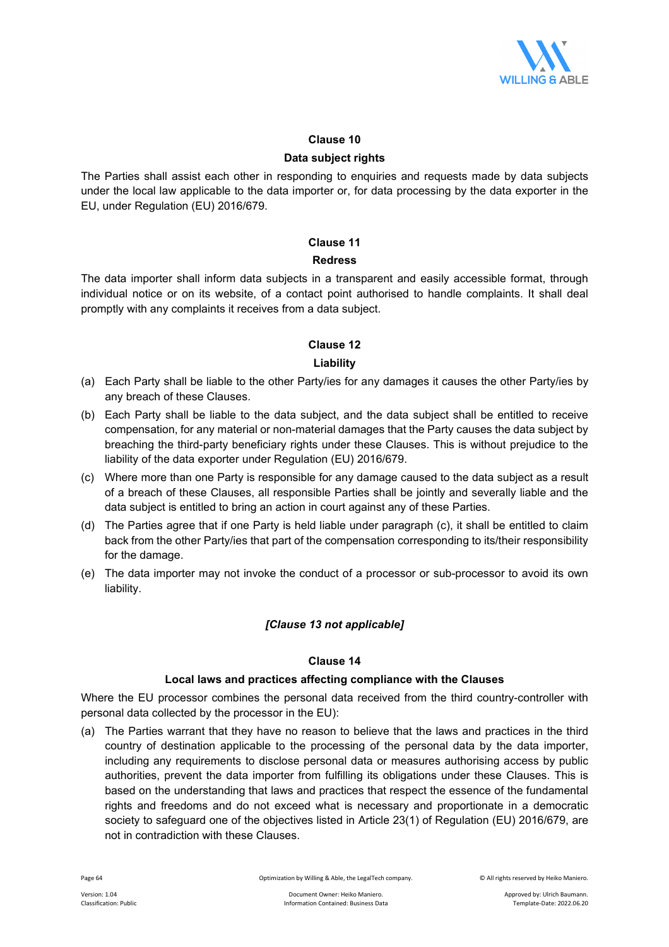

#### **Data subject rights**

The Parties shall assist each other in responding to enquiries and requests made by data subjects under the local law applicable to the data importer or, for data processing by the data exporter in the EU, under Regulation (EU) 2016/679.

## **Clause 11**

## **Redress**

The data importer shall inform data subjects in a transparent and easily accessible format, through individual notice or on its website, of a contact point authorised to handle complaints. It shall deal promptly with any complaints it receives from a data subject.

## **Clause 12**

## **Liability**

- (a) Each Party shall be liable to the other Party/ies for any damages it causes the other Party/ies by any breach of these Clauses.
- (b) Each Party shall be liable to the data subject, and the data subject shall be entitled to receive compensation, for any material or non-material damages that the Party causes the data subject by breaching the third-party beneficiary rights under these Clauses. This is without prejudice to the liability of the data exporter under Regulation (EU) 2016/679.
- (c) Where more than one Party is responsible for any damage caused to the data subject as a result of a breach of these Clauses, all responsible Parties shall be jointly and severally liable and the data subject is entitled to bring an action in court against any of these Parties.
- (d) The Parties agree that if one Party is held liable under paragraph (c), it shall be entitled to claim back from the other Party/ies that part of the compensation corresponding to its/their responsibility for the damage.
- (e) The data importer may not invoke the conduct of a processor or sub-processor to avoid its own liability.

# *[Clause 13 not applicable]*

# **Clause 14**

## **Local laws and practices affecting compliance with the Clauses**

Where the EU processor combines the personal data received from the third country-controller with personal data collected by the processor in the EU):

(a) The Parties warrant that they have no reason to believe that the laws and practices in the third country of destination applicable to the processing of the personal data by the data importer, including any requirements to disclose personal data or measures authorising access by public authorities, prevent the data importer from fulfilling its obligations under these Clauses. This is based on the understanding that laws and practices that respect the essence of the fundamental rights and freedoms and do not exceed what is necessary and proportionate in a democratic society to safeguard one of the objectives listed in Article 23(1) of Regulation (EU) 2016/679, are not in contradiction with these Clauses.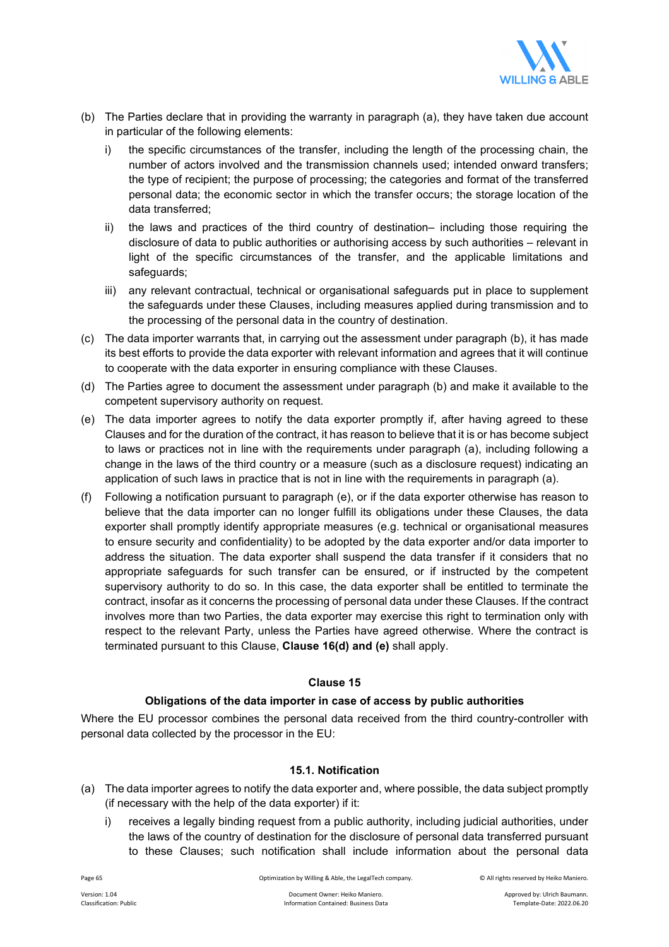

- (b) The Parties declare that in providing the warranty in paragraph (a), they have taken due account in particular of the following elements:
	- i) the specific circumstances of the transfer, including the length of the processing chain, the number of actors involved and the transmission channels used; intended onward transfers; the type of recipient; the purpose of processing; the categories and format of the transferred personal data; the economic sector in which the transfer occurs; the storage location of the data transferred;
	- ii) the laws and practices of the third country of destination– including those requiring the disclosure of data to public authorities or authorising access by such authorities – relevant in light of the specific circumstances of the transfer, and the applicable limitations and safeguards;
	- iii) any relevant contractual, technical or organisational safeguards put in place to supplement the safeguards under these Clauses, including measures applied during transmission and to the processing of the personal data in the country of destination.
- (c) The data importer warrants that, in carrying out the assessment under paragraph (b), it has made its best efforts to provide the data exporter with relevant information and agrees that it will continue to cooperate with the data exporter in ensuring compliance with these Clauses.
- (d) The Parties agree to document the assessment under paragraph (b) and make it available to the competent supervisory authority on request.
- (e) The data importer agrees to notify the data exporter promptly if, after having agreed to these Clauses and for the duration of the contract, it has reason to believe that it is or has become subject to laws or practices not in line with the requirements under paragraph (a), including following a change in the laws of the third country or a measure (such as a disclosure request) indicating an application of such laws in practice that is not in line with the requirements in paragraph (a).
- (f) Following a notification pursuant to paragraph (e), or if the data exporter otherwise has reason to believe that the data importer can no longer fulfill its obligations under these Clauses, the data exporter shall promptly identify appropriate measures (e.g. technical or organisational measures to ensure security and confidentiality) to be adopted by the data exporter and/or data importer to address the situation. The data exporter shall suspend the data transfer if it considers that no appropriate safeguards for such transfer can be ensured, or if instructed by the competent supervisory authority to do so. In this case, the data exporter shall be entitled to terminate the contract, insofar as it concerns the processing of personal data under these Clauses. If the contract involves more than two Parties, the data exporter may exercise this right to termination only with respect to the relevant Party, unless the Parties have agreed otherwise. Where the contract is terminated pursuant to this Clause, **Clause 16(d) and (e)** shall apply.

## **Obligations of the data importer in case of access by public authorities**

Where the EU processor combines the personal data received from the third country-controller with personal data collected by the processor in the EU:

## **15.1. Notification**

- (a) The data importer agrees to notify the data exporter and, where possible, the data subject promptly (if necessary with the help of the data exporter) if it:
	- i) receives a legally binding request from a public authority, including judicial authorities, under the laws of the country of destination for the disclosure of personal data transferred pursuant to these Clauses; such notification shall include information about the personal data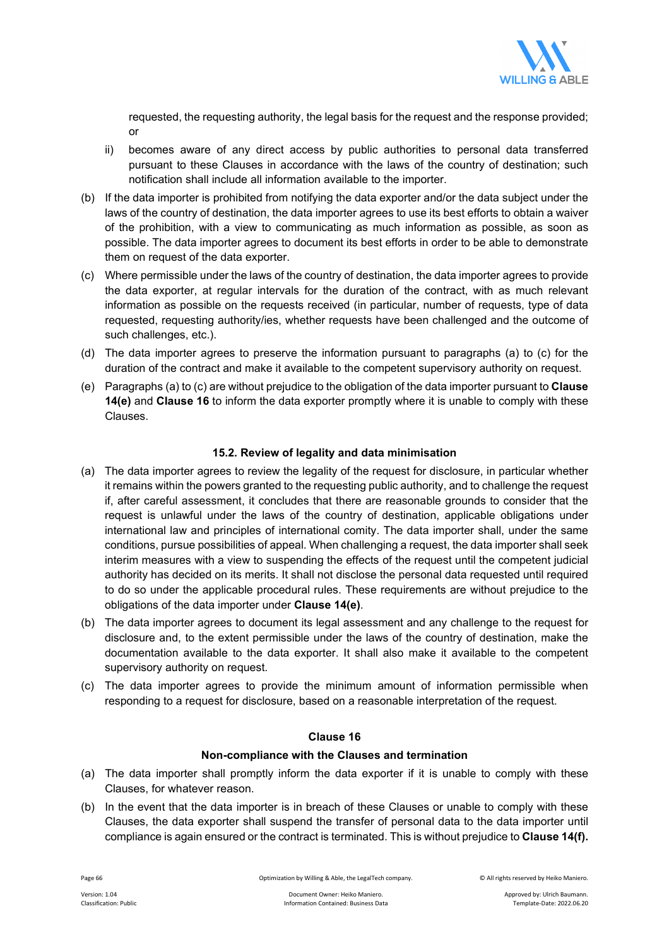

requested, the requesting authority, the legal basis for the request and the response provided; or

- ii) becomes aware of any direct access by public authorities to personal data transferred pursuant to these Clauses in accordance with the laws of the country of destination; such notification shall include all information available to the importer.
- (b) If the data importer is prohibited from notifying the data exporter and/or the data subject under the laws of the country of destination, the data importer agrees to use its best efforts to obtain a waiver of the prohibition, with a view to communicating as much information as possible, as soon as possible. The data importer agrees to document its best efforts in order to be able to demonstrate them on request of the data exporter.
- (c) Where permissible under the laws of the country of destination, the data importer agrees to provide the data exporter, at regular intervals for the duration of the contract, with as much relevant information as possible on the requests received (in particular, number of requests, type of data requested, requesting authority/ies, whether requests have been challenged and the outcome of such challenges, etc.).
- (d) The data importer agrees to preserve the information pursuant to paragraphs (a) to (c) for the duration of the contract and make it available to the competent supervisory authority on request.
- (e) Paragraphs (a) to (c) are without prejudice to the obligation of the data importer pursuant to **Clause 14(e)** and **Clause 16** to inform the data exporter promptly where it is unable to comply with these Clauses.

## **15.2. Review of legality and data minimisation**

- (a) The data importer agrees to review the legality of the request for disclosure, in particular whether it remains within the powers granted to the requesting public authority, and to challenge the request if, after careful assessment, it concludes that there are reasonable grounds to consider that the request is unlawful under the laws of the country of destination, applicable obligations under international law and principles of international comity. The data importer shall, under the same conditions, pursue possibilities of appeal. When challenging a request, the data importer shall seek interim measures with a view to suspending the effects of the request until the competent judicial authority has decided on its merits. It shall not disclose the personal data requested until required to do so under the applicable procedural rules. These requirements are without prejudice to the obligations of the data importer under **Clause 14(e)**.
- (b) The data importer agrees to document its legal assessment and any challenge to the request for disclosure and, to the extent permissible under the laws of the country of destination, make the documentation available to the data exporter. It shall also make it available to the competent supervisory authority on request.
- (c) The data importer agrees to provide the minimum amount of information permissible when responding to a request for disclosure, based on a reasonable interpretation of the request.

## **Clause 16**

## **Non-compliance with the Clauses and termination**

- (a) The data importer shall promptly inform the data exporter if it is unable to comply with these Clauses, for whatever reason.
- (b) In the event that the data importer is in breach of these Clauses or unable to comply with these Clauses, the data exporter shall suspend the transfer of personal data to the data importer until compliance is again ensured or the contract is terminated. This is without prejudice to **Clause 14(f).**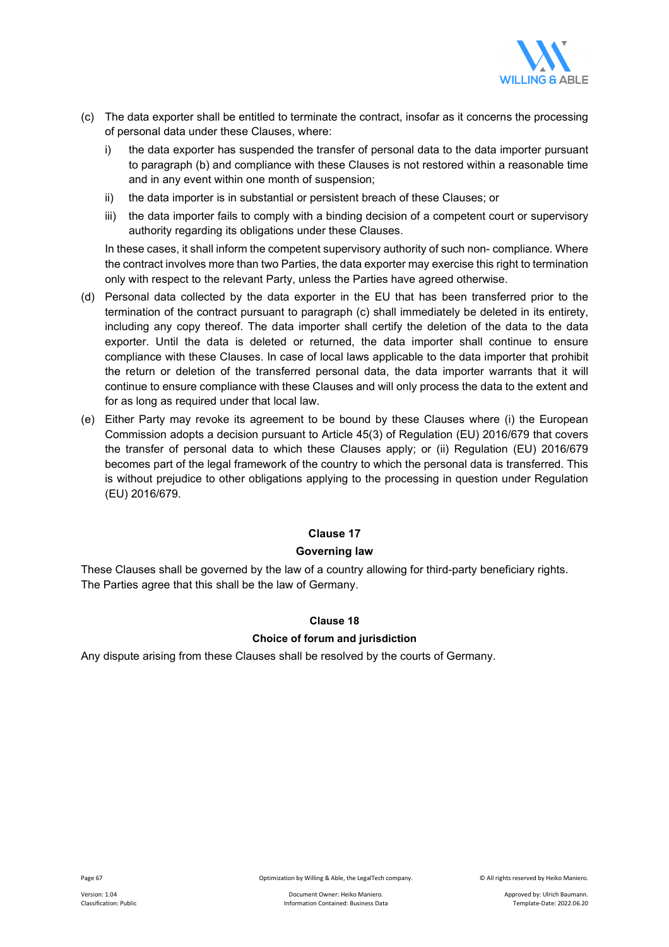

- (c) The data exporter shall be entitled to terminate the contract, insofar as it concerns the processing of personal data under these Clauses, where:
	- i) the data exporter has suspended the transfer of personal data to the data importer pursuant to paragraph (b) and compliance with these Clauses is not restored within a reasonable time and in any event within one month of suspension;
	- ii) the data importer is in substantial or persistent breach of these Clauses; or
	- iii) the data importer fails to comply with a binding decision of a competent court or supervisory authority regarding its obligations under these Clauses.

In these cases, it shall inform the competent supervisory authority of such non- compliance. Where the contract involves more than two Parties, the data exporter may exercise this right to termination only with respect to the relevant Party, unless the Parties have agreed otherwise.

- (d) Personal data collected by the data exporter in the EU that has been transferred prior to the termination of the contract pursuant to paragraph (c) shall immediately be deleted in its entirety, including any copy thereof. The data importer shall certify the deletion of the data to the data exporter. Until the data is deleted or returned, the data importer shall continue to ensure compliance with these Clauses. In case of local laws applicable to the data importer that prohibit the return or deletion of the transferred personal data, the data importer warrants that it will continue to ensure compliance with these Clauses and will only process the data to the extent and for as long as required under that local law.
- (e) Either Party may revoke its agreement to be bound by these Clauses where (i) the European Commission adopts a decision pursuant to Article 45(3) of Regulation (EU) 2016/679 that covers the transfer of personal data to which these Clauses apply; or (ii) Regulation (EU) 2016/679 becomes part of the legal framework of the country to which the personal data is transferred. This is without prejudice to other obligations applying to the processing in question under Regulation (EU) 2016/679.

## **Clause 17**

## **Governing law**

These Clauses shall be governed by the law of a country allowing for third-party beneficiary rights. The Parties agree that this shall be the law of Germany.

#### **Clause 18**

#### **Choice of forum and jurisdiction**

Any dispute arising from these Clauses shall be resolved by the courts of Germany.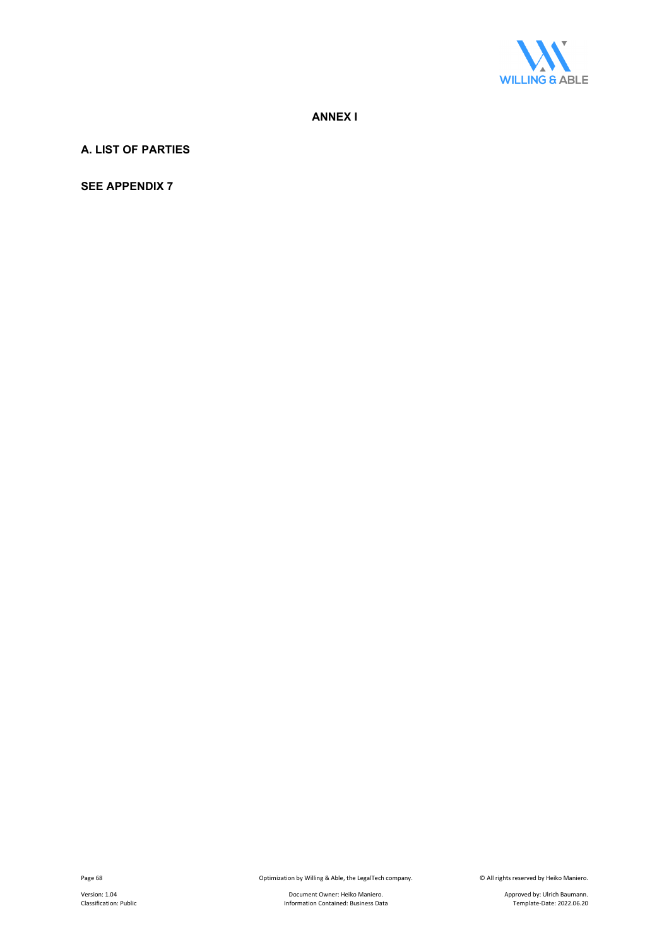

**ΑΝΝΕΧ I** 

## **A. LIST OF PARTIES**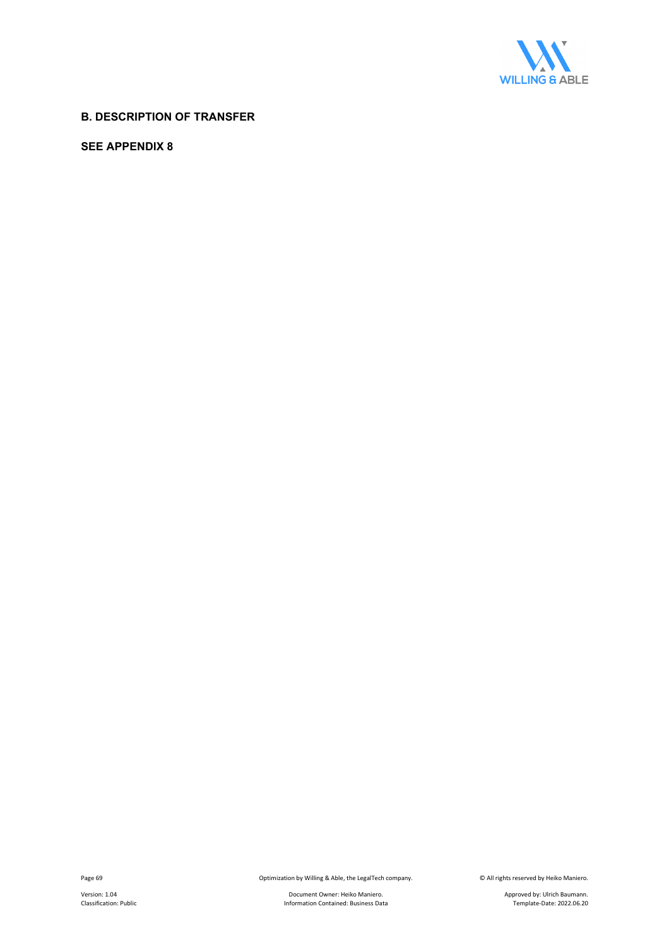

# **B. DESCRIPTION OF TRANSFER**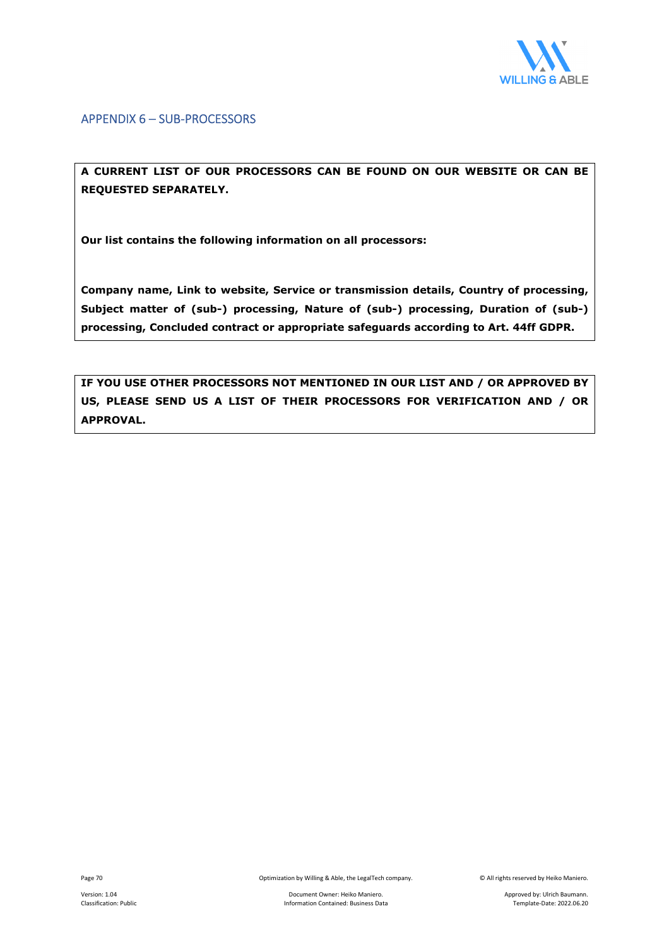

APPENDIX 6 – SUB-PROCESSORS

**A CURRENT LIST OF OUR PROCESSORS CAN BE FOUND ON OUR WEBSITE OR CAN BE REQUESTED SEPARATELY.** 

**Our list contains the following information on all processors:** 

**Company name, Link to website, Service or transmission details, Country of processing, Subject matter of (sub-) processing, Nature of (sub-) processing, Duration of (sub-) processing, Concluded contract or appropriate safeguards according to Art. 44ff GDPR.** 

**IF YOU USE OTHER PROCESSORS NOT MENTIONED IN OUR LIST AND / OR APPROVED BY US, PLEASE SEND US A LIST OF THEIR PROCESSORS FOR VERIFICATION AND / OR APPROVAL.**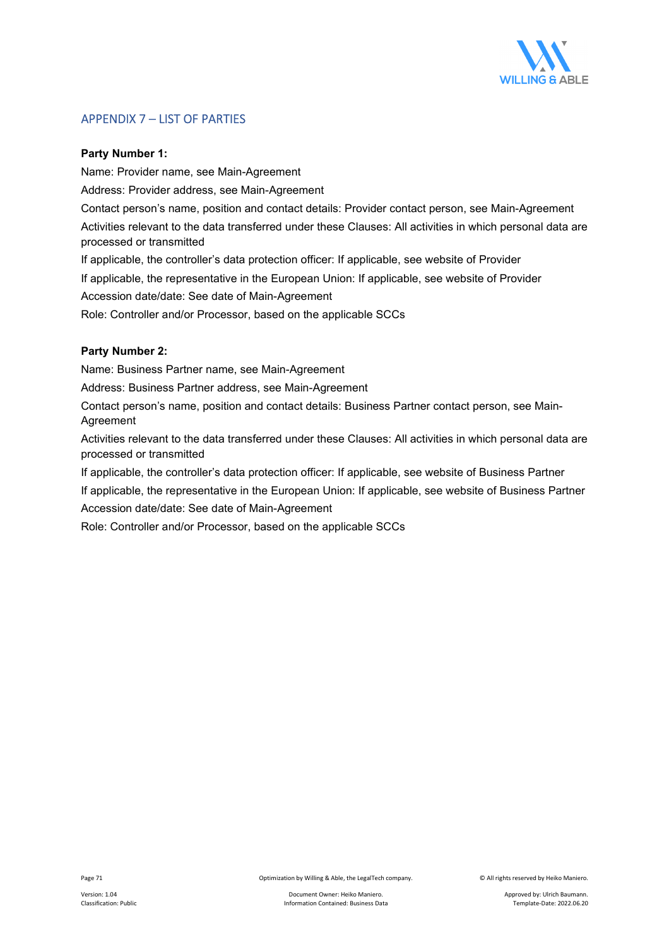

# APPENDIX 7 – LIST OF PARTIES

## **Party Number 1:**

Name: Provider name, see Main-Agreement Address: Provider address, see Main-Agreement Contact person's name, position and contact details: Provider contact person, see Main-Agreement Activities relevant to the data transferred under these Clauses: All activities in which personal data are processed or transmitted If applicable, the controller's data protection officer: If applicable, see website of Provider If applicable, the representative in the European Union: If applicable, see website of Provider Accession date/date: See date of Main-Agreement Role: Controller and/or Processor, based on the applicable SCCs

## **Party Number 2:**

Name: Business Partner name, see Main-Agreement

Address: Business Partner address, see Main-Agreement

Contact person's name, position and contact details: Business Partner contact person, see Main-Agreement

Activities relevant to the data transferred under these Clauses: All activities in which personal data are processed or transmitted

If applicable, the controller's data protection officer: If applicable, see website of Business Partner

If applicable, the representative in the European Union: If applicable, see website of Business Partner Accession date/date: See date of Main-Agreement

Role: Controller and/or Processor, based on the applicable SCCs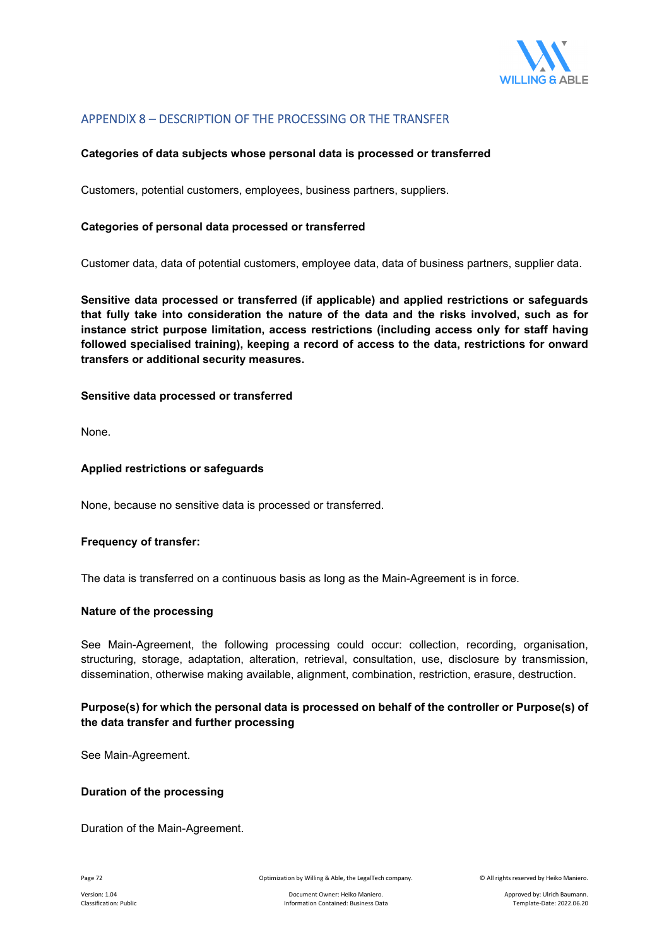

# APPENDIX 8 – DESCRIPTION OF THE PROCESSING OR THE TRANSFER

## **Categories of data subjects whose personal data is processed or transferred**

Customers, potential customers, employees, business partners, suppliers.

#### **Categories of personal data processed or transferred**

Customer data, data of potential customers, employee data, data of business partners, supplier data.

**Sensitive data processed or transferred (if applicable) and applied restrictions or safeguards that fully take into consideration the nature of the data and the risks involved, such as for instance strict purpose limitation, access restrictions (including access only for staff having followed specialised training), keeping a record of access to the data, restrictions for onward transfers or additional security measures.** 

#### **Sensitive data processed or transferred**

None.

#### **Applied restrictions or safeguards**

None, because no sensitive data is processed or transferred.

#### **Frequency of transfer:**

The data is transferred on a continuous basis as long as the Main-Agreement is in force.

#### **Nature of the processing**

See Main-Agreement, the following processing could occur: collection, recording, organisation, structuring, storage, adaptation, alteration, retrieval, consultation, use, disclosure by transmission, dissemination, otherwise making available, alignment, combination, restriction, erasure, destruction.

## **Purpose(s) for which the personal data is processed on behalf of the controller or Purpose(s) of the data transfer and further processing**

See Main-Agreement.

#### **Duration of the processing**

Duration of the Main-Agreement.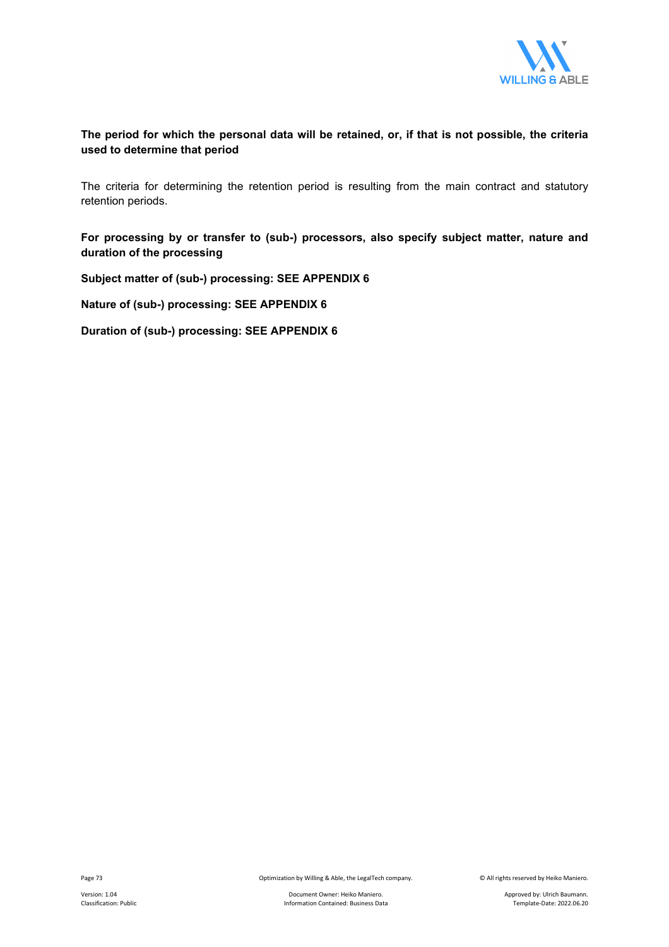

#### **The period for which the personal data will be retained, or, if that is not possible, the criteria used to determine that period**

The criteria for determining the retention period is resulting from the main contract and statutory retention periods.

**For processing by or transfer to (sub-) processors, also specify subject matter, nature and duration of the processing** 

**Subject matter of (sub-) processing: SEE APPENDIX 6**

**Nature of (sub-) processing: SEE APPENDIX 6**

**Duration of (sub-) processing: SEE APPENDIX 6**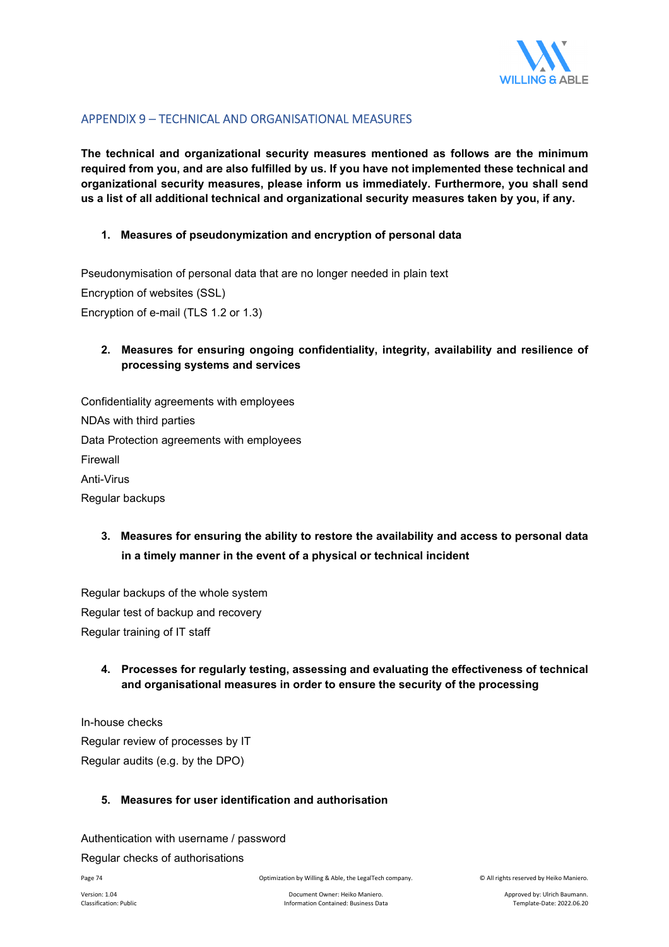

#### APPENDIX 9 – TECHNICAL AND ORGANISATIONAL MEASURES

**The technical and organizational security measures mentioned as follows are the minimum required from you, and are also fulfilled by us. If you have not implemented these technical and organizational security measures, please inform us immediately. Furthermore, you shall send us a list of all additional technical and organizational security measures taken by you, if any.** 

**1. Measures of pseudonymization and encryption of personal data**

Pseudonymisation of personal data that are no longer needed in plain text

Encryption of websites (SSL)

Encryption of e-mail (TLS 1.2 or 1.3)

**2. Measures for ensuring ongoing confidentiality, integrity, availability and resilience of processing systems and services** 

Confidentiality agreements with employees NDAs with third parties Data Protection agreements with employees Firewall Anti-Virus Regular backups

**3. Measures for ensuring the ability to restore the availability and access to personal data in a timely manner in the event of a physical or technical incident**

Regular backups of the whole system Regular test of backup and recovery Regular training of IT staff

> **4. Processes for regularly testing, assessing and evaluating the effectiveness of technical and organisational measures in order to ensure the security of the processing**

In-house checks Regular review of processes by IT Regular audits (e.g. by the DPO)

#### **5. Measures for user identification and authorisation**

Authentication with username / password

Regular checks of authorisations

Page 74 Optimization by Willing & Able, the LegalTech company. © All rights reserved by Heiko Maniero.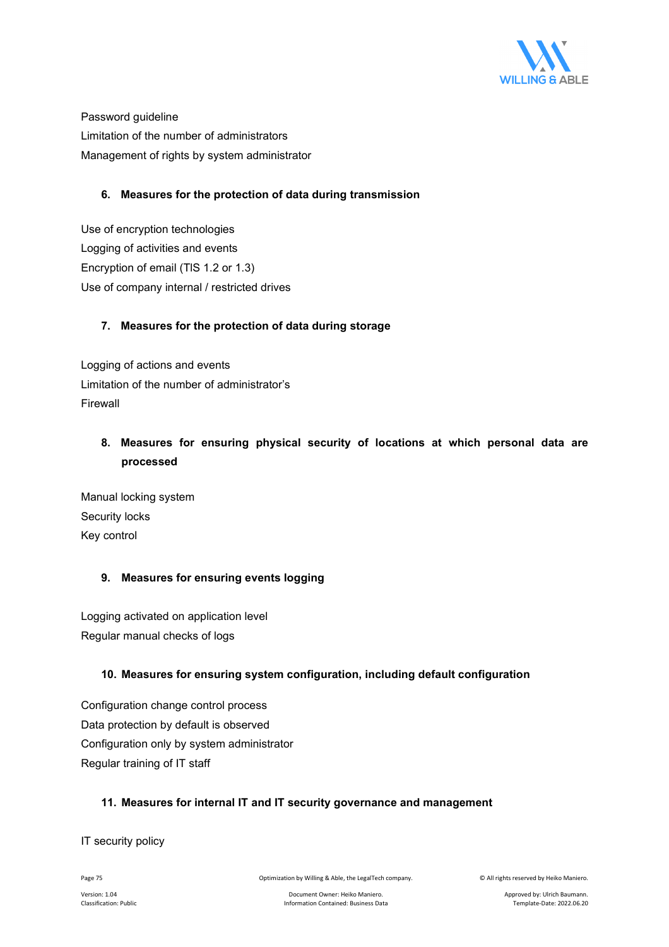

Password guideline Limitation of the number of administrators Management of rights by system administrator

#### **6. Measures for the protection of data during transmission**

Use of encryption technologies Logging of activities and events Encryption of email (TlS 1.2 or 1.3) Use of company internal / restricted drives

#### **7. Measures for the protection of data during storage**

Logging of actions and events Limitation of the number of administrator's Firewall

## **8. Measures for ensuring physical security of locations at which personal data are processed**

Manual locking system Security locks Key control

#### **9. Measures for ensuring events logging**

Logging activated on application level Regular manual checks of logs

#### **10. Measures for ensuring system configuration, including default configuration**

Configuration change control process Data protection by default is observed Configuration only by system administrator Regular training of IT staff

#### **11. Measures for internal IT and IT security governance and management**

IT security policy

Page 75 Optimization by Willing & Able, the LegalTech company. © All rights reserved by Heiko Maniero.

Version: 1.04 **Approved by: Ulrich Baumann.**<br>Classification: Public **Classification: Public** Contained: Business Data Classification: Public Public Classification: Public Public Public Classification: Public Public Public Information Contained: Business Data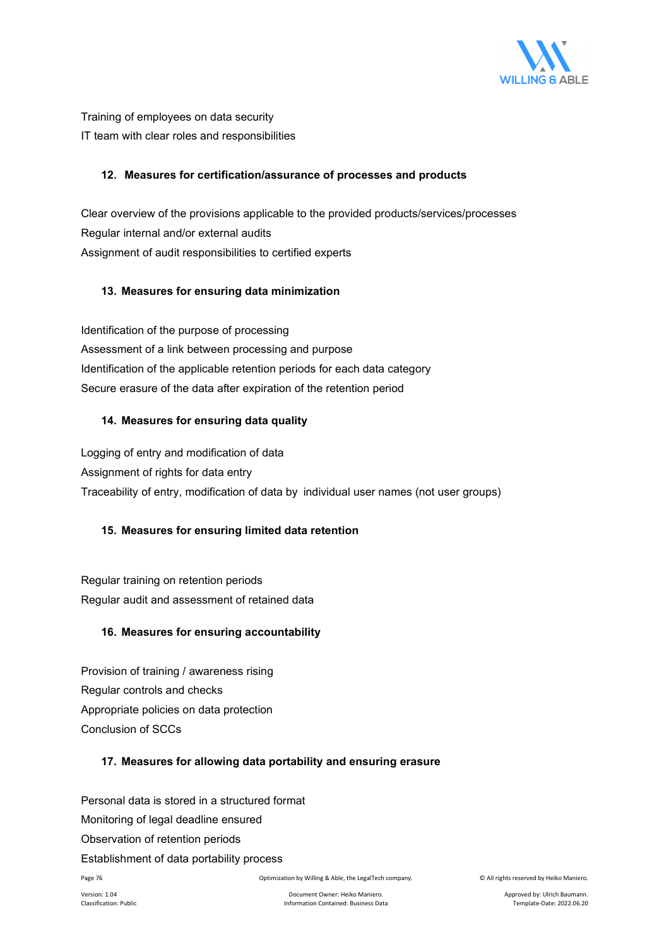

Training of employees on data security IT team with clear roles and responsibilities

#### **12. Measures for certification/assurance of processes and products**

Clear overview of the provisions applicable to the provided products/services/processes Regular internal and/or external audits Assignment of audit responsibilities to certified experts

#### **13. Measures for ensuring data minimization**

Identification of the purpose of processing Assessment of a link between processing and purpose Identification of the applicable retention periods for each data category Secure erasure of the data after expiration of the retention period

#### **14. Measures for ensuring data quality**

Logging of entry and modification of data Assignment of rights for data entry Traceability of entry, modification of data by individual user names (not user groups)

#### **15. Measures for ensuring limited data retention**

Regular training on retention periods Regular audit and assessment of retained data

#### **16. Measures for ensuring accountability**

Provision of training / awareness rising Regular controls and checks Appropriate policies on data protection Conclusion of SCCs

#### **17. Measures for allowing data portability and ensuring erasure**

Personal data is stored in a structured format Monitoring of legal deadline ensured Observation of retention periods Establishment of data portability process

Page 76 Optimization by Willing & Able, the LegalTech company. © All rights reserved by Heiko Maniero.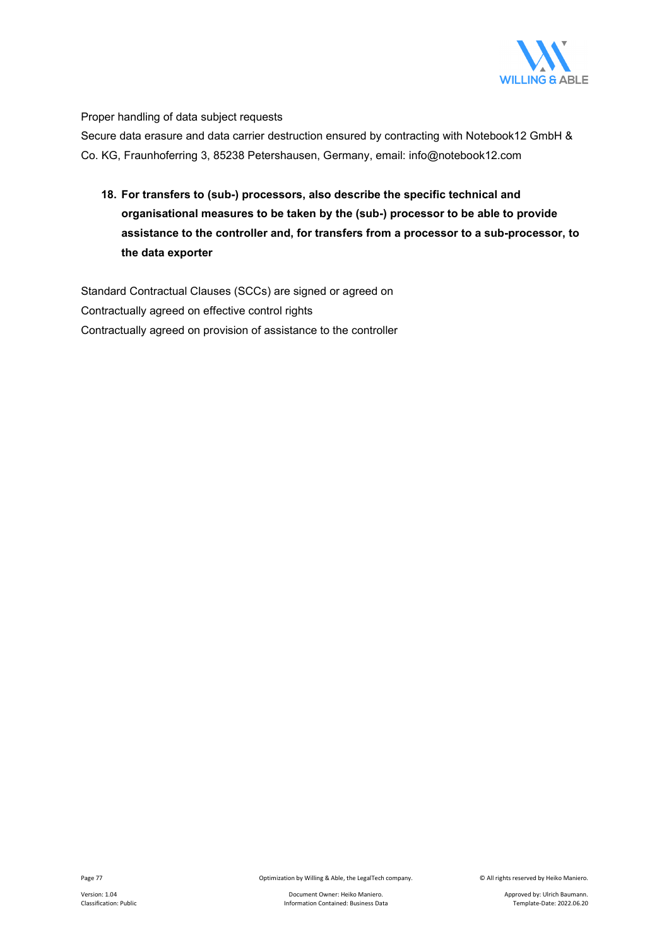

Proper handling of data subject requests

Secure data erasure and data carrier destruction ensured by contracting with Notebook12 GmbH & Co. KG, Fraunhoferring 3, 85238 Petershausen, Germany, email: info@notebook12.com

**18. For transfers to (sub-) processors, also describe the specific technical and organisational measures to be taken by the (sub-) processor to be able to provide assistance to the controller and, for transfers from a processor to a sub-processor, to the data exporter** 

Standard Contractual Clauses (SCCs) are signed or agreed on Contractually agreed on effective control rights Contractually agreed on provision of assistance to the controller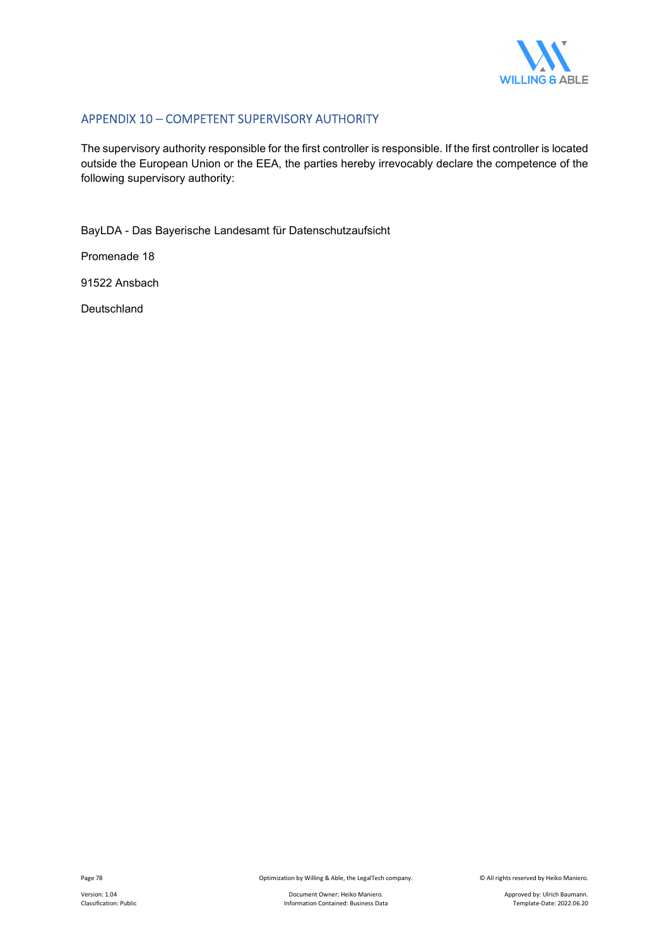

## APPENDIX 10 – COMPETENT SUPERVISORY AUTHORITY

The supervisory authority responsible for the first controller is responsible. If the first controller is located outside the European Union or the EEA, the parties hereby irrevocably declare the competence of the following supervisory authority:

BayLDA - Das Bayerische Landesamt für Datenschutzaufsicht

Promenade 18

91522 Ansbach

Deutschland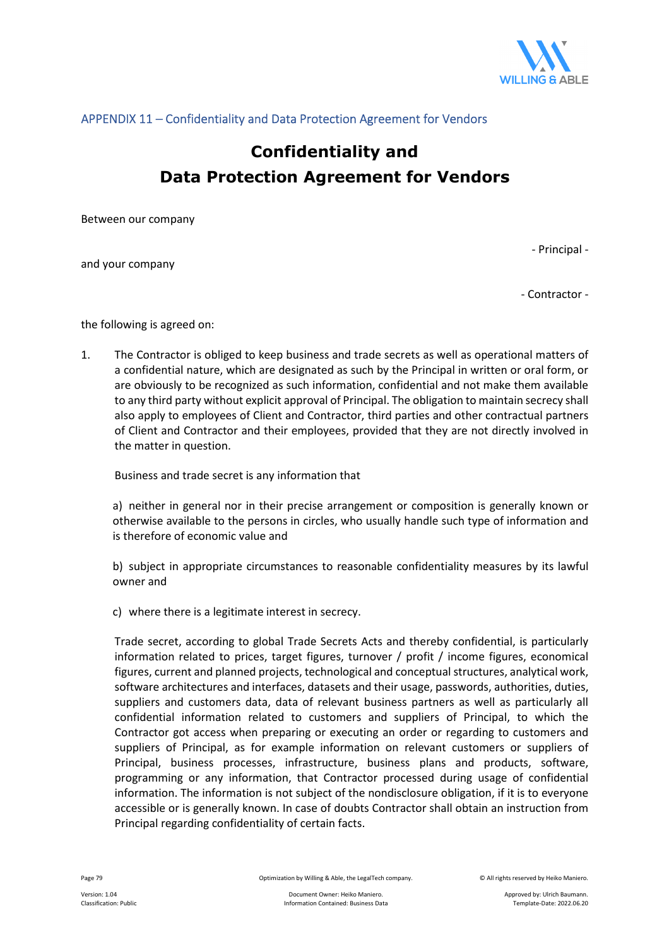

APPENDIX 11 – Confidentiality and Data Protection Agreement for Vendors

# **Confidentiality and Data Protection Agreement for Vendors**

Between our company

and your company

- Principal -

- Contractor -

the following is agreed on:

1. The Contractor is obliged to keep business and trade secrets as well as operational matters of a confidential nature, which are designated as such by the Principal in written or oral form, or are obviously to be recognized as such information, confidential and not make them available to any third party without explicit approval of Principal. The obligation to maintain secrecy shall also apply to employees of Client and Contractor, third parties and other contractual partners of Client and Contractor and their employees, provided that they are not directly involved in the matter in question.

Business and trade secret is any information that

a) neither in general nor in their precise arrangement or composition is generally known or otherwise available to the persons in circles, who usually handle such type of information and is therefore of economic value and

b) subject in appropriate circumstances to reasonable confidentiality measures by its lawful owner and

c) where there is a legitimate interest in secrecy.

Trade secret, according to global Trade Secrets Acts and thereby confidential, is particularly information related to prices, target figures, turnover / profit / income figures, economical figures, current and planned projects, technological and conceptual structures, analytical work, software architectures and interfaces, datasets and their usage, passwords, authorities, duties, suppliers and customers data, data of relevant business partners as well as particularly all confidential information related to customers and suppliers of Principal, to which the Contractor got access when preparing or executing an order or regarding to customers and suppliers of Principal, as for example information on relevant customers or suppliers of Principal, business processes, infrastructure, business plans and products, software, programming or any information, that Contractor processed during usage of confidential information. The information is not subject of the nondisclosure obligation, if it is to everyone accessible or is generally known. In case of doubts Contractor shall obtain an instruction from Principal regarding confidentiality of certain facts.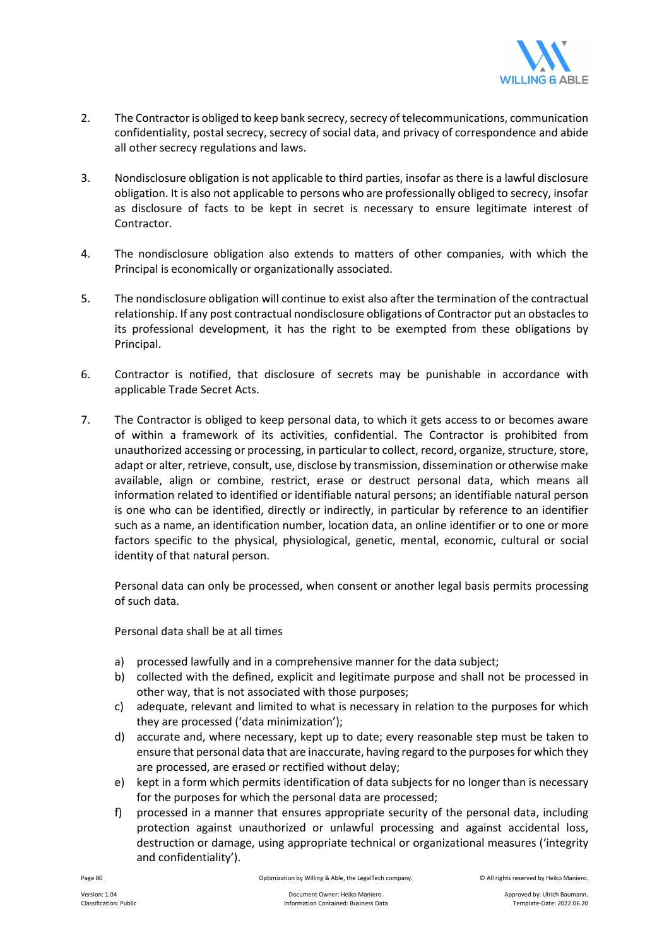

- 2. The Contractor is obliged to keep bank secrecy, secrecy of telecommunications, communication confidentiality, postal secrecy, secrecy of social data, and privacy of correspondence and abide all other secrecy regulations and laws.
- 3. Nondisclosure obligation is not applicable to third parties, insofar as there is a lawful disclosure obligation. It is also not applicable to persons who are professionally obliged to secrecy, insofar as disclosure of facts to be kept in secret is necessary to ensure legitimate interest of Contractor.
- 4. The nondisclosure obligation also extends to matters of other companies, with which the Principal is economically or organizationally associated.
- 5. The nondisclosure obligation will continue to exist also after the termination of the contractual relationship. If any post contractual nondisclosure obligations of Contractor put an obstacles to its professional development, it has the right to be exempted from these obligations by Principal.
- 6. Contractor is notified, that disclosure of secrets may be punishable in accordance with applicable Trade Secret Acts.
- 7. The Contractor is obliged to keep personal data, to which it gets access to or becomes aware of within a framework of its activities, confidential. The Contractor is prohibited from unauthorized accessing or processing, in particular to collect, record, organize, structure, store, adapt or alter, retrieve, consult, use, disclose by transmission, dissemination or otherwise make available, align or combine, restrict, erase or destruct personal data, which means all information related to identified or identifiable natural persons; an identifiable natural person is one who can be identified, directly or indirectly, in particular by reference to an identifier such as a name, an identification number, location data, an online identifier or to one or more factors specific to the physical, physiological, genetic, mental, economic, cultural or social identity of that natural person.

Personal data can only be processed, when consent or another legal basis permits processing of such data.

Personal data shall be at all times

- a) processed lawfully and in a comprehensive manner for the data subject;
- b) collected with the defined, explicit and legitimate purpose and shall not be processed in other way, that is not associated with those purposes;
- c) adequate, relevant and limited to what is necessary in relation to the purposes for which they are processed ('data minimization');
- d) accurate and, where necessary, kept up to date; every reasonable step must be taken to ensure that personal data that are inaccurate, having regard to the purposes for which they are processed, are erased or rectified without delay;
- e) kept in a form which permits identification of data subjects for no longer than is necessary for the purposes for which the personal data are processed;
- f) processed in a manner that ensures appropriate security of the personal data, including protection against unauthorized or unlawful processing and against accidental loss, destruction or damage, using appropriate technical or organizational measures ('integrity and confidentiality').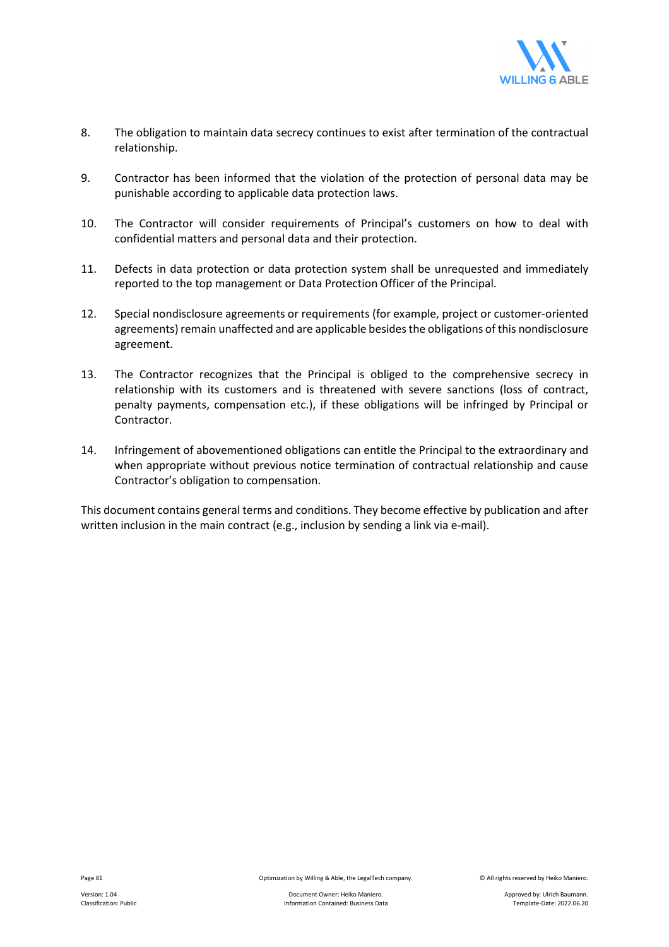

- 8. The obligation to maintain data secrecy continues to exist after termination of the contractual relationship.
- 9. Contractor has been informed that the violation of the protection of personal data may be punishable according to applicable data protection laws.
- 10. The Contractor will consider requirements of Principal's customers on how to deal with confidential matters and personal data and their protection.
- 11. Defects in data protection or data protection system shall be unrequested and immediately reported to the top management or Data Protection Officer of the Principal.
- 12. Special nondisclosure agreements or requirements (for example, project or customer-oriented agreements) remain unaffected and are applicable besides the obligations of this nondisclosure agreement.
- 13. The Contractor recognizes that the Principal is obliged to the comprehensive secrecy in relationship with its customers and is threatened with severe sanctions (loss of contract, penalty payments, compensation etc.), if these obligations will be infringed by Principal or Contractor.
- 14. Infringement of abovementioned obligations can entitle the Principal to the extraordinary and when appropriate without previous notice termination of contractual relationship and cause Contractor's obligation to compensation.

This document contains general terms and conditions. They become effective by publication and after written inclusion in the main contract (e.g., inclusion by sending a link via e-mail).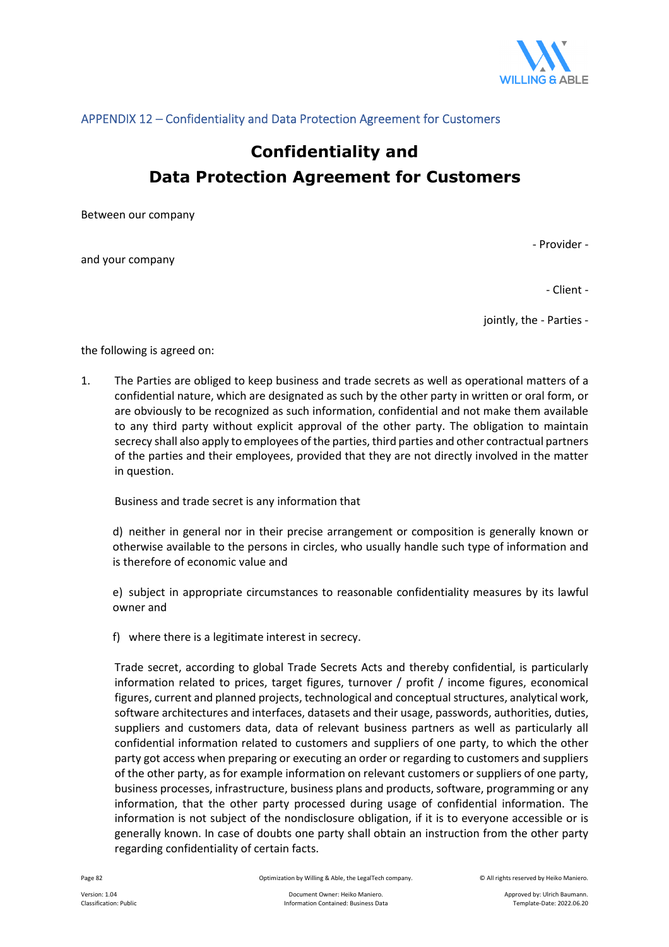

APPENDIX 12 – Confidentiality and Data Protection Agreement for Customers

# **Confidentiality and Data Protection Agreement for Customers**

Between our company

and your company

- Provider -

- Client -

jointly, the - Parties -

the following is agreed on:

1. The Parties are obliged to keep business and trade secrets as well as operational matters of a confidential nature, which are designated as such by the other party in written or oral form, or are obviously to be recognized as such information, confidential and not make them available to any third party without explicit approval of the other party. The obligation to maintain secrecy shall also apply to employees of the parties, third parties and other contractual partners of the parties and their employees, provided that they are not directly involved in the matter in question.

Business and trade secret is any information that

d) neither in general nor in their precise arrangement or composition is generally known or otherwise available to the persons in circles, who usually handle such type of information and is therefore of economic value and

e) subject in appropriate circumstances to reasonable confidentiality measures by its lawful owner and

f) where there is a legitimate interest in secrecy.

Trade secret, according to global Trade Secrets Acts and thereby confidential, is particularly information related to prices, target figures, turnover / profit / income figures, economical figures, current and planned projects, technological and conceptual structures, analytical work, software architectures and interfaces, datasets and their usage, passwords, authorities, duties, suppliers and customers data, data of relevant business partners as well as particularly all confidential information related to customers and suppliers of one party, to which the other party got access when preparing or executing an order or regarding to customers and suppliers of the other party, as for example information on relevant customers or suppliers of one party, business processes, infrastructure, business plans and products, software, programming or any information, that the other party processed during usage of confidential information. The information is not subject of the nondisclosure obligation, if it is to everyone accessible or is generally known. In case of doubts one party shall obtain an instruction from the other party regarding confidentiality of certain facts.

Page 82 Optimization by Willing & Able, the LegalTech company. © All rights reserved by Heiko Maniero.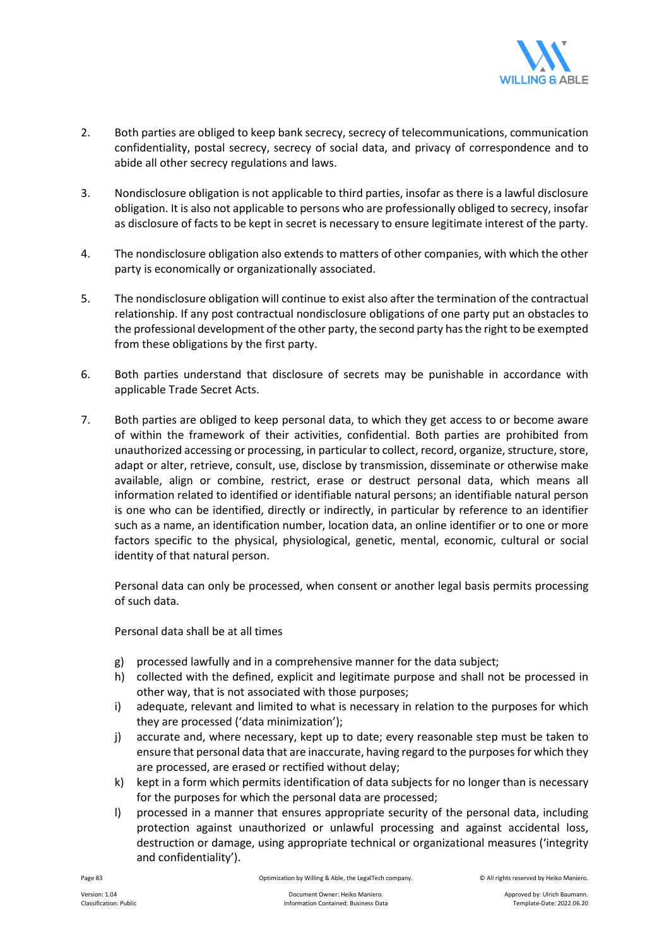

- 2. Both parties are obliged to keep bank secrecy, secrecy of telecommunications, communication confidentiality, postal secrecy, secrecy of social data, and privacy of correspondence and to abide all other secrecy regulations and laws.
- 3. Nondisclosure obligation is not applicable to third parties, insofar as there is a lawful disclosure obligation. It is also not applicable to persons who are professionally obliged to secrecy, insofar as disclosure of facts to be kept in secret is necessary to ensure legitimate interest of the party.
- 4. The nondisclosure obligation also extends to matters of other companies, with which the other party is economically or organizationally associated.
- 5. The nondisclosure obligation will continue to exist also after the termination of the contractual relationship. If any post contractual nondisclosure obligations of one party put an obstacles to the professional development of the other party, the second party has the right to be exempted from these obligations by the first party.
- 6. Both parties understand that disclosure of secrets may be punishable in accordance with applicable Trade Secret Acts.
- 7. Both parties are obliged to keep personal data, to which they get access to or become aware of within the framework of their activities, confidential. Both parties are prohibited from unauthorized accessing or processing, in particular to collect, record, organize, structure, store, adapt or alter, retrieve, consult, use, disclose by transmission, disseminate or otherwise make available, align or combine, restrict, erase or destruct personal data, which means all information related to identified or identifiable natural persons; an identifiable natural person is one who can be identified, directly or indirectly, in particular by reference to an identifier such as a name, an identification number, location data, an online identifier or to one or more factors specific to the physical, physiological, genetic, mental, economic, cultural or social identity of that natural person.

Personal data can only be processed, when consent or another legal basis permits processing of such data.

Personal data shall be at all times

- g) processed lawfully and in a comprehensive manner for the data subject;
- h) collected with the defined, explicit and legitimate purpose and shall not be processed in other way, that is not associated with those purposes;
- i) adequate, relevant and limited to what is necessary in relation to the purposes for which they are processed ('data minimization');
- j) accurate and, where necessary, kept up to date; every reasonable step must be taken to ensure that personal data that are inaccurate, having regard to the purposes for which they are processed, are erased or rectified without delay;
- k) kept in a form which permits identification of data subjects for no longer than is necessary for the purposes for which the personal data are processed;
- l) processed in a manner that ensures appropriate security of the personal data, including protection against unauthorized or unlawful processing and against accidental loss, destruction or damage, using appropriate technical or organizational measures ('integrity and confidentiality').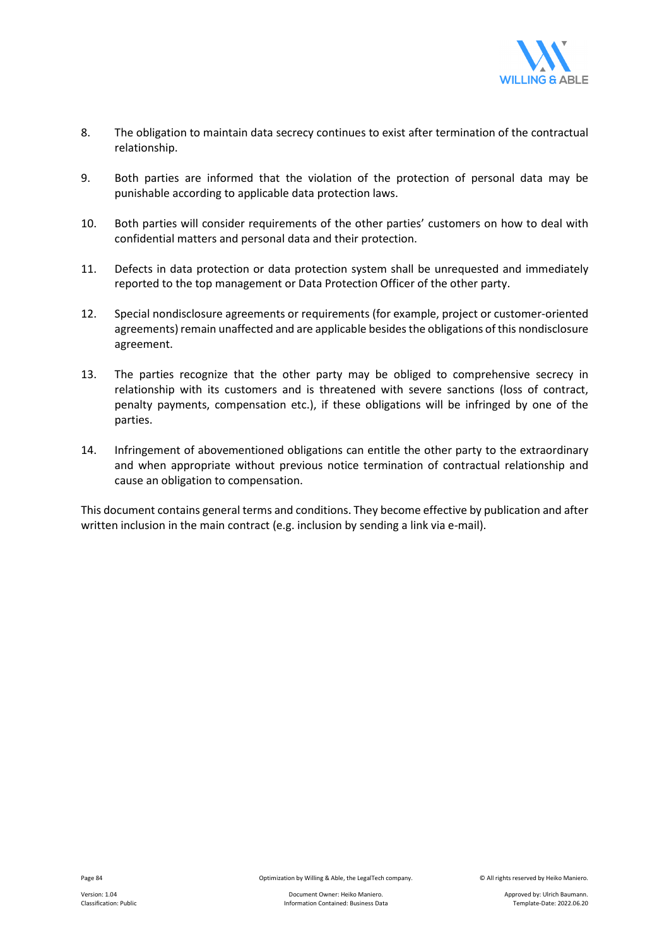

- 8. The obligation to maintain data secrecy continues to exist after termination of the contractual relationship.
- 9. Both parties are informed that the violation of the protection of personal data may be punishable according to applicable data protection laws.
- 10. Both parties will consider requirements of the other parties' customers on how to deal with confidential matters and personal data and their protection.
- 11. Defects in data protection or data protection system shall be unrequested and immediately reported to the top management or Data Protection Officer of the other party.
- 12. Special nondisclosure agreements or requirements (for example, project or customer-oriented agreements) remain unaffected and are applicable besides the obligations of this nondisclosure agreement.
- 13. The parties recognize that the other party may be obliged to comprehensive secrecy in relationship with its customers and is threatened with severe sanctions (loss of contract, penalty payments, compensation etc.), if these obligations will be infringed by one of the parties.
- 14. Infringement of abovementioned obligations can entitle the other party to the extraordinary and when appropriate without previous notice termination of contractual relationship and cause an obligation to compensation.

This document contains general terms and conditions. They become effective by publication and after written inclusion in the main contract (e.g. inclusion by sending a link via e-mail).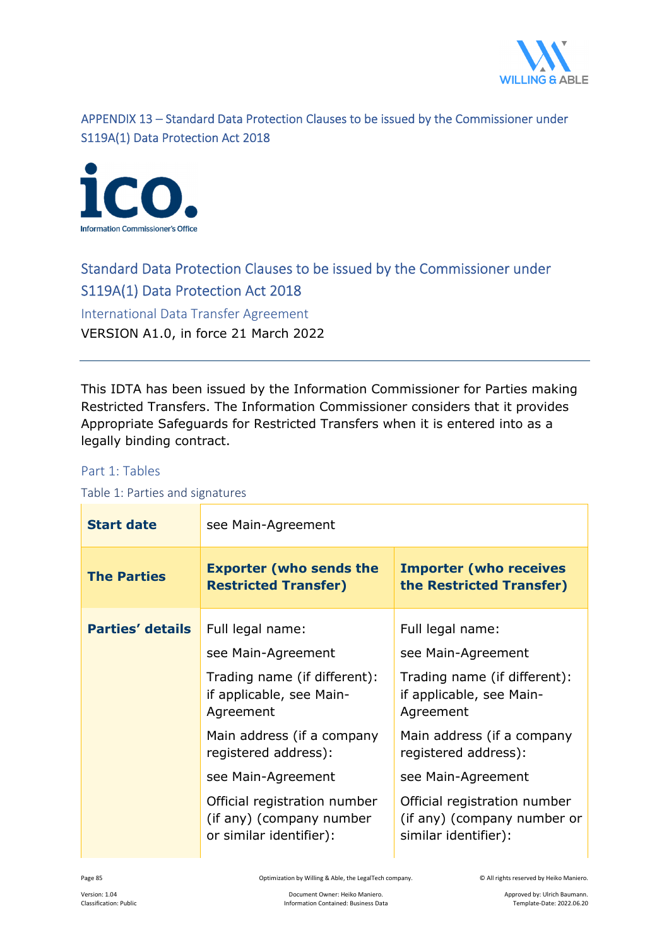

APPENDIX 13 – Standard Data Protection Clauses to be issued by the Commissioner under S119A(1) Data Protection Act 2018



## Standard Data Protection Clauses to be issued by the Commissioner under S119A(1) Data Protection Act 2018

International Data Transfer Agreement VERSION A1.0, in force 21 March 2022

This IDTA has been issued by the Information Commissioner for Parties making Restricted Transfers. The Information Commissioner considers that it provides Appropriate Safeguards for Restricted Transfers when it is entered into as a legally binding contract.

### Part 1: Tables

Table 1: Parties and signatures

| <b>Start date</b>       | see Main-Agreement                                                                  |                                                                                     |
|-------------------------|-------------------------------------------------------------------------------------|-------------------------------------------------------------------------------------|
| <b>The Parties</b>      | <b>Exporter (who sends the</b><br><b>Restricted Transfer)</b>                       | <b>Importer (who receives</b><br>the Restricted Transfer)                           |
| <b>Parties' details</b> | Full legal name:                                                                    | Full legal name:                                                                    |
|                         | see Main-Agreement                                                                  | see Main-Agreement                                                                  |
|                         | Trading name (if different):<br>if applicable, see Main-<br>Agreement               | Trading name (if different):<br>if applicable, see Main-<br>Agreement               |
|                         | Main address (if a company<br>registered address):                                  | Main address (if a company<br>registered address):                                  |
|                         | see Main-Agreement                                                                  | see Main-Agreement                                                                  |
|                         | Official registration number<br>(if any) (company number<br>or similar identifier): | Official registration number<br>(if any) (company number or<br>similar identifier): |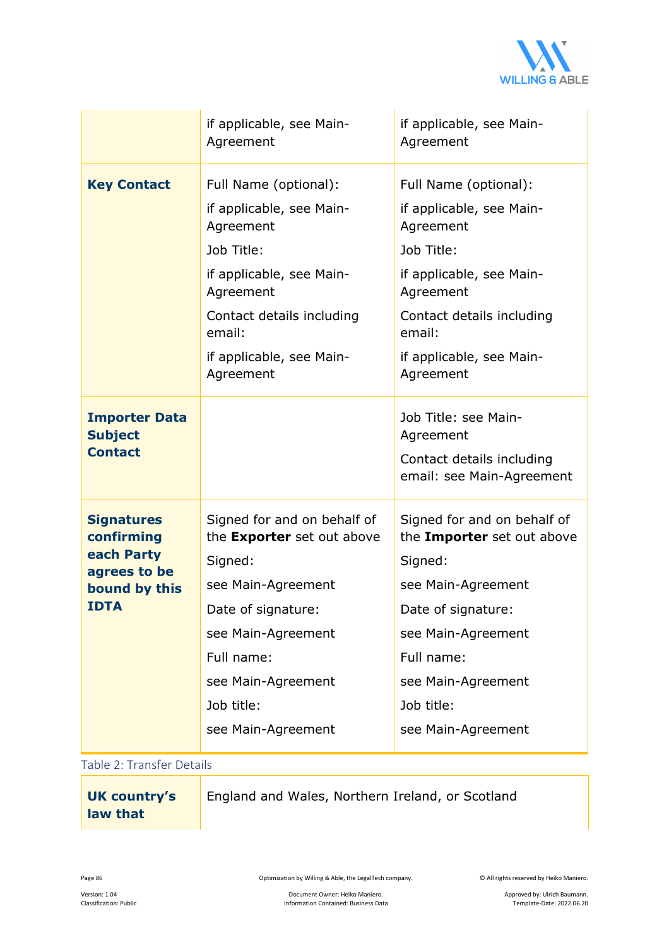

|                                                                                               | if applicable, see Main-<br>Agreement                                                                                                                                                                          | if applicable, see Main-<br>Agreement                                                                                                                                                                          |
|-----------------------------------------------------------------------------------------------|----------------------------------------------------------------------------------------------------------------------------------------------------------------------------------------------------------------|----------------------------------------------------------------------------------------------------------------------------------------------------------------------------------------------------------------|
| <b>Key Contact</b>                                                                            | Full Name (optional):<br>if applicable, see Main-<br>Agreement<br>Job Title:<br>if applicable, see Main-<br>Agreement<br>Contact details including<br>email:<br>if applicable, see Main-<br>Agreement          | Full Name (optional):<br>if applicable, see Main-<br>Agreement<br>Job Title:<br>if applicable, see Main-<br>Agreement<br>Contact details including<br>email:<br>if applicable, see Main-<br>Agreement          |
| <b>Importer Data</b><br><b>Subject</b><br><b>Contact</b>                                      |                                                                                                                                                                                                                | Job Title: see Main-<br>Agreement<br>Contact details including<br>email: see Main-Agreement                                                                                                                    |
| <b>Signatures</b><br>confirming<br>each Party<br>agrees to be<br>bound by this<br><b>IDTA</b> | Signed for and on behalf of<br>the Exporter set out above<br>Signed:<br>see Main-Agreement<br>Date of signature:<br>see Main-Agreement<br>Full name:<br>see Main-Agreement<br>Job title:<br>see Main-Agreement | Signed for and on behalf of<br>the Importer set out above<br>Signed:<br>see Main-Agreement<br>Date of signature:<br>see Main-Agreement<br>Full name:<br>see Main-Agreement<br>Job title:<br>see Main-Agreement |

Table 2: Transfer Details

**UK country's law that** 

England and Wales, Northern Ireland, or Scotland

Page 86 Optimization by Willing & Able, the LegalTech company. © All rights reserved by Heiko Maniero.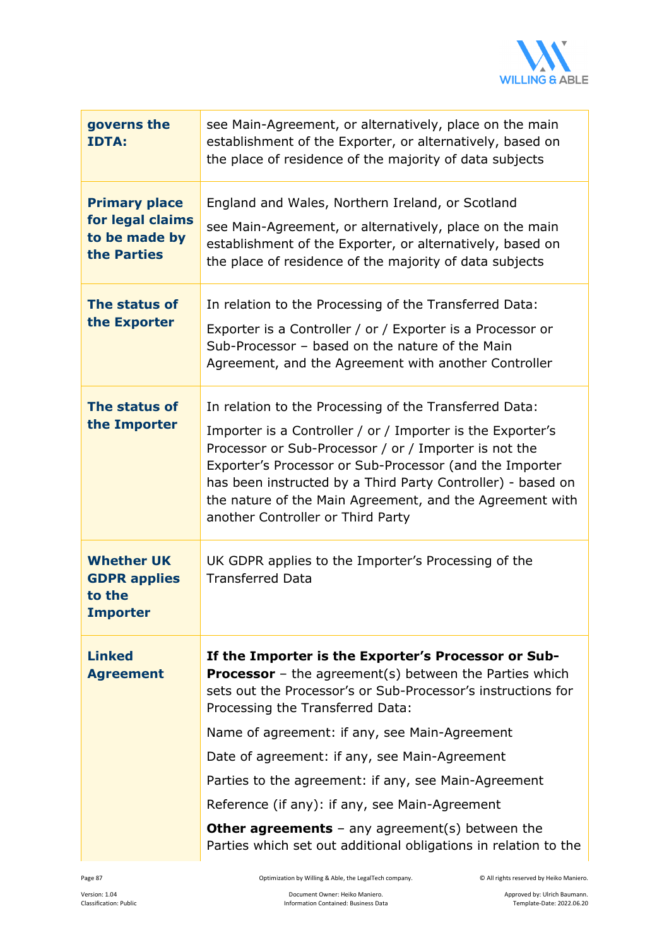

| governs the<br><b>IDTA:</b>                                              | see Main-Agreement, or alternatively, place on the main<br>establishment of the Exporter, or alternatively, based on<br>the place of residence of the majority of data subjects                                                                                                                                                                                                                                                                                                                                                                                   |
|--------------------------------------------------------------------------|-------------------------------------------------------------------------------------------------------------------------------------------------------------------------------------------------------------------------------------------------------------------------------------------------------------------------------------------------------------------------------------------------------------------------------------------------------------------------------------------------------------------------------------------------------------------|
| <b>Primary place</b><br>for legal claims<br>to be made by<br>the Parties | England and Wales, Northern Ireland, or Scotland<br>see Main-Agreement, or alternatively, place on the main<br>establishment of the Exporter, or alternatively, based on<br>the place of residence of the majority of data subjects                                                                                                                                                                                                                                                                                                                               |
| The status of<br>the Exporter                                            | In relation to the Processing of the Transferred Data:<br>Exporter is a Controller / or / Exporter is a Processor or<br>Sub-Processor - based on the nature of the Main<br>Agreement, and the Agreement with another Controller                                                                                                                                                                                                                                                                                                                                   |
| The status of<br>the Importer                                            | In relation to the Processing of the Transferred Data:<br>Importer is a Controller / or / Importer is the Exporter's<br>Processor or Sub-Processor / or / Importer is not the<br>Exporter's Processor or Sub-Processor (and the Importer<br>has been instructed by a Third Party Controller) - based on<br>the nature of the Main Agreement, and the Agreement with<br>another Controller or Third Party                                                                                                                                                          |
| <b>Whether UK</b><br><b>GDPR applies</b><br>to the<br><b>Importer</b>    | UK GDPR applies to the Importer's Processing of the<br><b>Transferred Data</b>                                                                                                                                                                                                                                                                                                                                                                                                                                                                                    |
| <b>Linked</b><br><b>Agreement</b>                                        | If the Importer is the Exporter's Processor or Sub-<br><b>Processor</b> – the agreement(s) between the Parties which<br>sets out the Processor's or Sub-Processor's instructions for<br>Processing the Transferred Data:<br>Name of agreement: if any, see Main-Agreement<br>Date of agreement: if any, see Main-Agreement<br>Parties to the agreement: if any, see Main-Agreement<br>Reference (if any): if any, see Main-Agreement<br><b>Other agreements</b> – any agreement(s) between the<br>Parties which set out additional obligations in relation to the |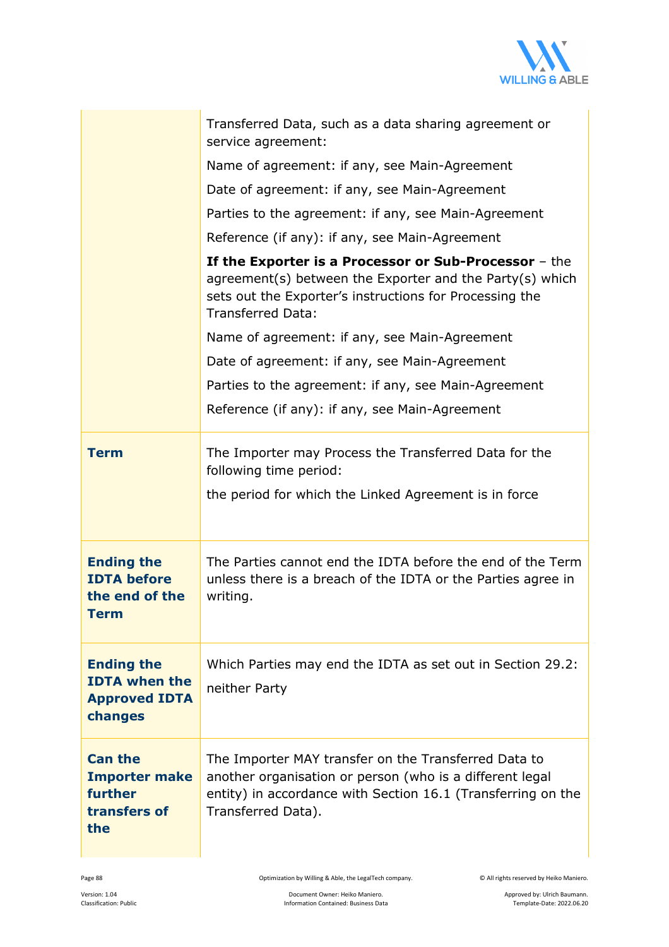

|                                                                              | Transferred Data, such as a data sharing agreement or<br>service agreement:                                                                                                                              |
|------------------------------------------------------------------------------|----------------------------------------------------------------------------------------------------------------------------------------------------------------------------------------------------------|
|                                                                              | Name of agreement: if any, see Main-Agreement                                                                                                                                                            |
|                                                                              | Date of agreement: if any, see Main-Agreement                                                                                                                                                            |
|                                                                              | Parties to the agreement: if any, see Main-Agreement                                                                                                                                                     |
|                                                                              | Reference (if any): if any, see Main-Agreement                                                                                                                                                           |
|                                                                              | If the Exporter is a Processor or Sub-Processor - the<br>agreement(s) between the Exporter and the Party(s) which<br>sets out the Exporter's instructions for Processing the<br><b>Transferred Data:</b> |
|                                                                              | Name of agreement: if any, see Main-Agreement                                                                                                                                                            |
|                                                                              | Date of agreement: if any, see Main-Agreement                                                                                                                                                            |
|                                                                              | Parties to the agreement: if any, see Main-Agreement                                                                                                                                                     |
|                                                                              | Reference (if any): if any, see Main-Agreement                                                                                                                                                           |
| <b>Term</b>                                                                  | The Importer may Process the Transferred Data for the<br>following time period:<br>the period for which the Linked Agreement is in force                                                                 |
| <b>Ending the</b><br><b>IDTA before</b><br>the end of the<br><b>Term</b>     | The Parties cannot end the IDTA before the end of the Term<br>unless there is a breach of the IDTA or the Parties agree in<br>writing.                                                                   |
| <b>Ending the</b><br><b>IDTA when the</b><br><b>Approved IDTA</b><br>changes | Which Parties may end the IDTA as set out in Section 29.2:<br>neither Party                                                                                                                              |
| <b>Can the</b><br><b>Importer make</b><br>further<br>transfers of<br>the     | The Importer MAY transfer on the Transferred Data to<br>another organisation or person (who is a different legal<br>entity) in accordance with Section 16.1 (Transferring on the<br>Transferred Data).   |

L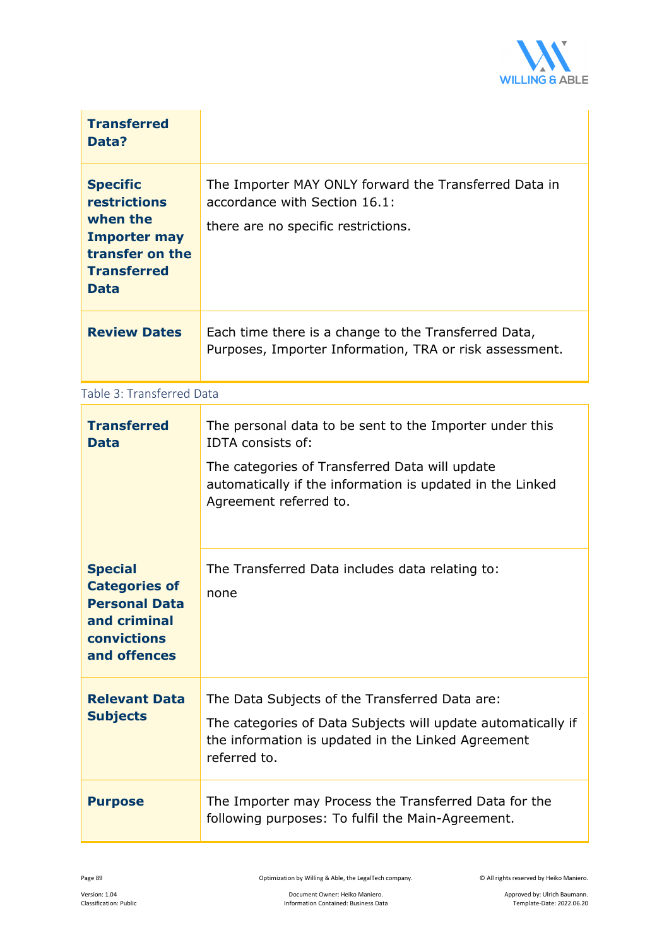

| <b>Transferred</b><br>Data?                                                                                                       |                                                                                                                               |
|-----------------------------------------------------------------------------------------------------------------------------------|-------------------------------------------------------------------------------------------------------------------------------|
| <b>Specific</b><br><b>restrictions</b><br>when the<br><b>Importer may</b><br>transfer on the<br><b>Transferred</b><br><b>Data</b> | The Importer MAY ONLY forward the Transferred Data in<br>accordance with Section 16.1:<br>there are no specific restrictions. |
| <b>Review Dates</b>                                                                                                               | Each time there is a change to the Transferred Data,<br>Purposes, Importer Information, TRA or risk assessment.               |

Table 3: Transferred Data

r.

| <b>Transferred</b><br>Data                                                                                    | The personal data to be sent to the Importer under this<br>IDTA consists of:<br>The categories of Transferred Data will update<br>automatically if the information is updated in the Linked<br>Agreement referred to. |
|---------------------------------------------------------------------------------------------------------------|-----------------------------------------------------------------------------------------------------------------------------------------------------------------------------------------------------------------------|
| <b>Special</b><br><b>Categories of</b><br><b>Personal Data</b><br>and criminal<br>convictions<br>and offences | The Transferred Data includes data relating to:<br>none                                                                                                                                                               |
| <b>Relevant Data</b><br><b>Subjects</b>                                                                       | The Data Subjects of the Transferred Data are:<br>The categories of Data Subjects will update automatically if<br>the information is updated in the Linked Agreement<br>referred to.                                  |
| <b>Purpose</b>                                                                                                | The Importer may Process the Transferred Data for the<br>following purposes: To fulfil the Main-Agreement.                                                                                                            |

Page 89 Optimization by Willing & Able, the LegalTech company. © All rights reserved by Heiko Maniero.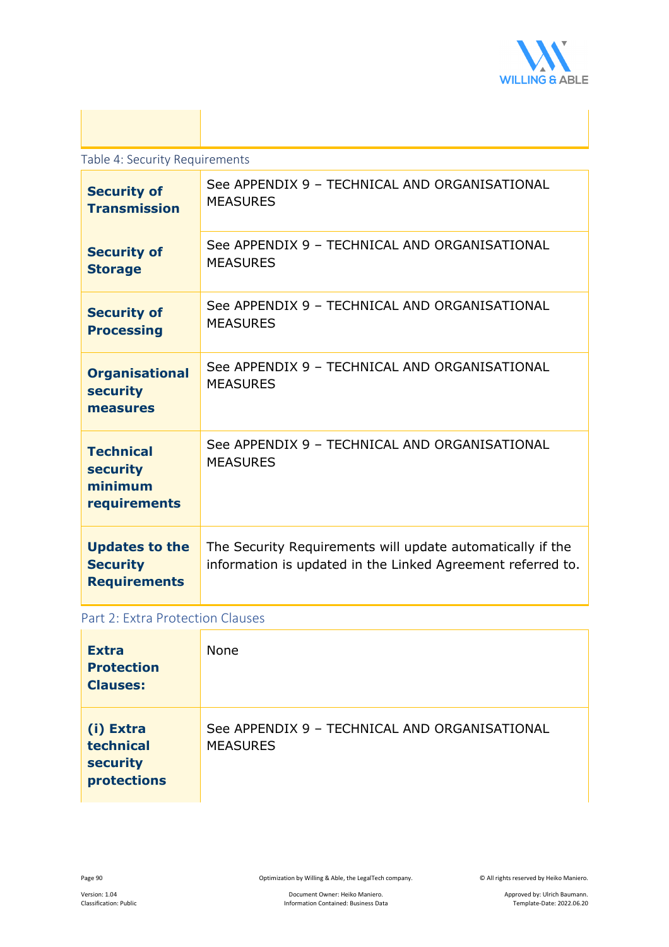

| Table 4: Security Requirements                                  |                                                                                                                           |  |
|-----------------------------------------------------------------|---------------------------------------------------------------------------------------------------------------------------|--|
| <b>Security of</b><br><b>Transmission</b>                       | See APPENDIX 9 - TECHNICAL AND ORGANISATIONAL<br><b>MEASURES</b>                                                          |  |
| <b>Security of</b><br><b>Storage</b>                            | See APPENDIX 9 - TECHNICAL AND ORGANISATIONAL<br><b>MEASURES</b>                                                          |  |
| <b>Security of</b><br><b>Processing</b>                         | See APPENDIX 9 - TECHNICAL AND ORGANISATIONAL<br><b>MEASURES</b>                                                          |  |
| <b>Organisational</b><br><b>security</b><br>measures            | See APPENDIX 9 - TECHNICAL AND ORGANISATIONAL<br><b>MEASURES</b>                                                          |  |
| <b>Technical</b><br><b>security</b><br>minimum<br>requirements  | See APPENDIX 9 - TECHNICAL AND ORGANISATIONAL<br><b>MEASURES</b>                                                          |  |
| <b>Updates to the</b><br><b>Security</b><br><b>Requirements</b> | The Security Requirements will update automatically if the<br>information is updated in the Linked Agreement referred to. |  |

## Part 2: Extra Protection Clauses

| <b>Extra</b><br><b>Protection</b><br><b>Clauses:</b>     | <b>None</b>                                                      |
|----------------------------------------------------------|------------------------------------------------------------------|
| (i) Extra<br>technical<br><b>security</b><br>protections | See APPENDIX 9 - TECHNICAL AND ORGANISATIONAL<br><b>MEASURES</b> |

Page 90 Optimization by Willing & Able, the LegalTech company. © All rights reserved by Heiko Maniero.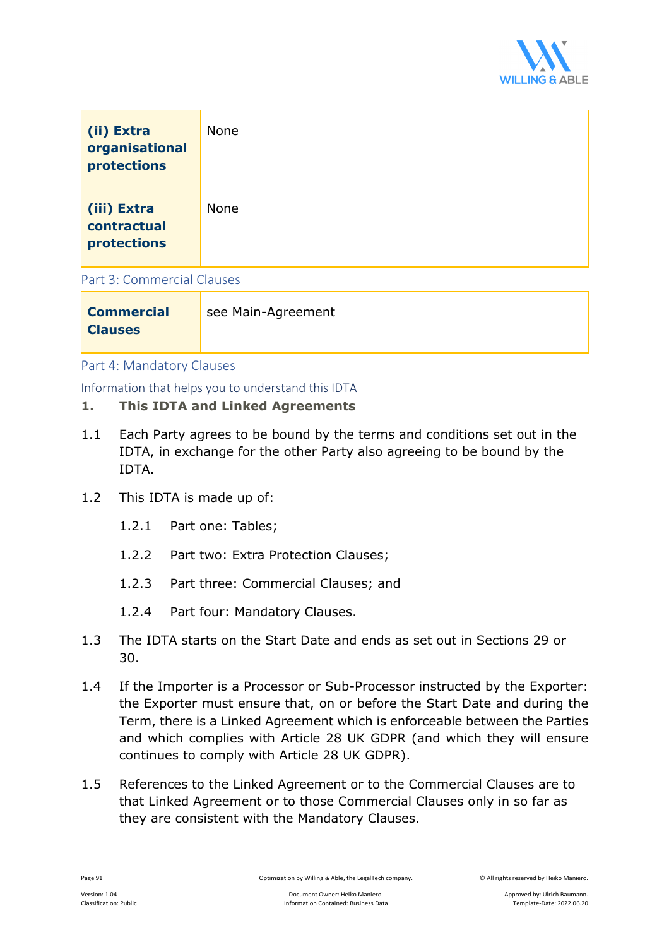

| (ii) Extra<br>organisational<br>protections | <b>None</b> |
|---------------------------------------------|-------------|
| (iii) Extra<br>contractual<br>protections   | <b>None</b> |

#### Part 3: Commercial Clauses

| <b>Commercial</b> | see Main-Agreement |
|-------------------|--------------------|
| <b>Clauses</b>    |                    |
|                   |                    |

### Part 4: Mandatory Clauses

Information that helps you to understand this IDTA

## **1. This IDTA and Linked Agreements**

- 1.1 Each Party agrees to be bound by the terms and conditions set out in the IDTA, in exchange for the other Party also agreeing to be bound by the IDTA.
- 1.2 This IDTA is made up of:
	- 1.2.1 Part one: Tables;
	- 1.2.2 Part two: Extra Protection Clauses;
	- 1.2.3 Part three: Commercial Clauses; and
	- 1.2.4 Part four: Mandatory Clauses.
- 1.3 The IDTA starts on the Start Date and ends as set out in Sections 29 or 30.
- 1.4 If the Importer is a Processor or Sub-Processor instructed by the Exporter: the Exporter must ensure that, on or before the Start Date and during the Term, there is a Linked Agreement which is enforceable between the Parties and which complies with Article 28 UK GDPR (and which they will ensure continues to comply with Article 28 UK GDPR).
- 1.5 References to the Linked Agreement or to the Commercial Clauses are to that Linked Agreement or to those Commercial Clauses only in so far as they are consistent with the Mandatory Clauses.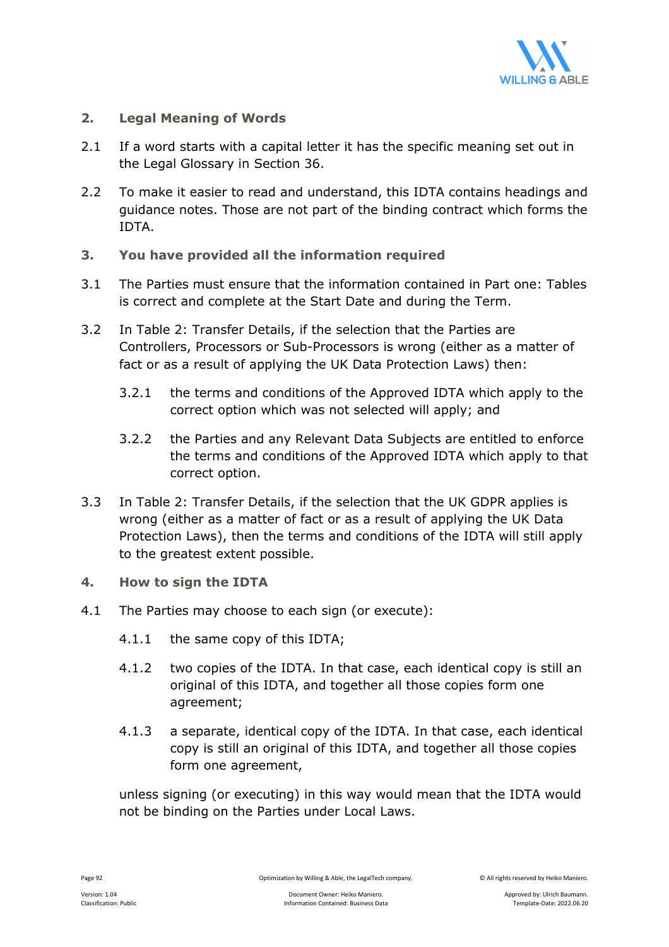

## **2. Legal Meaning of Words**

- 2.1 If a word starts with a capital letter it has the specific meaning set out in the Legal Glossary in Section 36.
- 2.2 To make it easier to read and understand, this IDTA contains headings and guidance notes. Those are not part of the binding contract which forms the IDTA.
- **3. You have provided all the information required**
- 3.1 The Parties must ensure that the information contained in Part one: Tables is correct and complete at the Start Date and during the Term.
- 3.2 In Table 2: Transfer Details, if the selection that the Parties are Controllers, Processors or Sub-Processors is wrong (either as a matter of fact or as a result of applying the UK Data Protection Laws) then:
	- 3.2.1 the terms and conditions of the Approved IDTA which apply to the correct option which was not selected will apply; and
	- 3.2.2 the Parties and any Relevant Data Subjects are entitled to enforce the terms and conditions of the Approved IDTA which apply to that correct option.
- 3.3 In Table 2: Transfer Details, if the selection that the UK GDPR applies is wrong (either as a matter of fact or as a result of applying the UK Data Protection Laws), then the terms and conditions of the IDTA will still apply to the greatest extent possible.
- **4. How to sign the IDTA**
- 4.1 The Parties may choose to each sign (or execute):
	- 4.1.1 the same copy of this IDTA;
	- 4.1.2 two copies of the IDTA. In that case, each identical copy is still an original of this IDTA, and together all those copies form one agreement;
	- 4.1.3 a separate, identical copy of the IDTA. In that case, each identical copy is still an original of this IDTA, and together all those copies form one agreement,

unless signing (or executing) in this way would mean that the IDTA would not be binding on the Parties under Local Laws.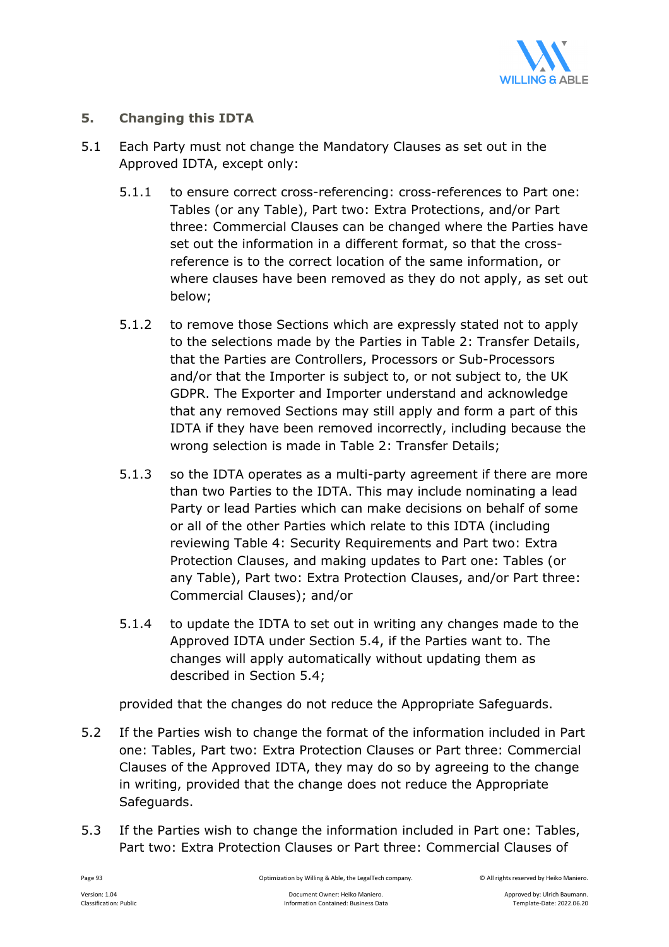

## **5. Changing this IDTA**

- 5.1 Each Party must not change the Mandatory Clauses as set out in the Approved IDTA, except only:
	- 5.1.1 to ensure correct cross-referencing: cross-references to Part one: Tables (or any Table), Part two: Extra Protections, and/or Part three: Commercial Clauses can be changed where the Parties have set out the information in a different format, so that the crossreference is to the correct location of the same information, or where clauses have been removed as they do not apply, as set out below;
	- 5.1.2 to remove those Sections which are expressly stated not to apply to the selections made by the Parties in Table 2: Transfer Details, that the Parties are Controllers, Processors or Sub-Processors and/or that the Importer is subject to, or not subject to, the UK GDPR. The Exporter and Importer understand and acknowledge that any removed Sections may still apply and form a part of this IDTA if they have been removed incorrectly, including because the wrong selection is made in Table 2: Transfer Details;
	- 5.1.3 so the IDTA operates as a multi-party agreement if there are more than two Parties to the IDTA. This may include nominating a lead Party or lead Parties which can make decisions on behalf of some or all of the other Parties which relate to this IDTA (including reviewing Table 4: Security Requirements and Part two: Extra Protection Clauses, and making updates to Part one: Tables (or any Table), Part two: Extra Protection Clauses, and/or Part three: Commercial Clauses); and/or
	- 5.1.4 to update the IDTA to set out in writing any changes made to the Approved IDTA under Section 5.4, if the Parties want to. The changes will apply automatically without updating them as described in Section 5.4;

provided that the changes do not reduce the Appropriate Safeguards.

- 5.2 If the Parties wish to change the format of the information included in Part one: Tables, Part two: Extra Protection Clauses or Part three: Commercial Clauses of the Approved IDTA, they may do so by agreeing to the change in writing, provided that the change does not reduce the Appropriate Safeguards.
- 5.3 If the Parties wish to change the information included in Part one: Tables, Part two: Extra Protection Clauses or Part three: Commercial Clauses of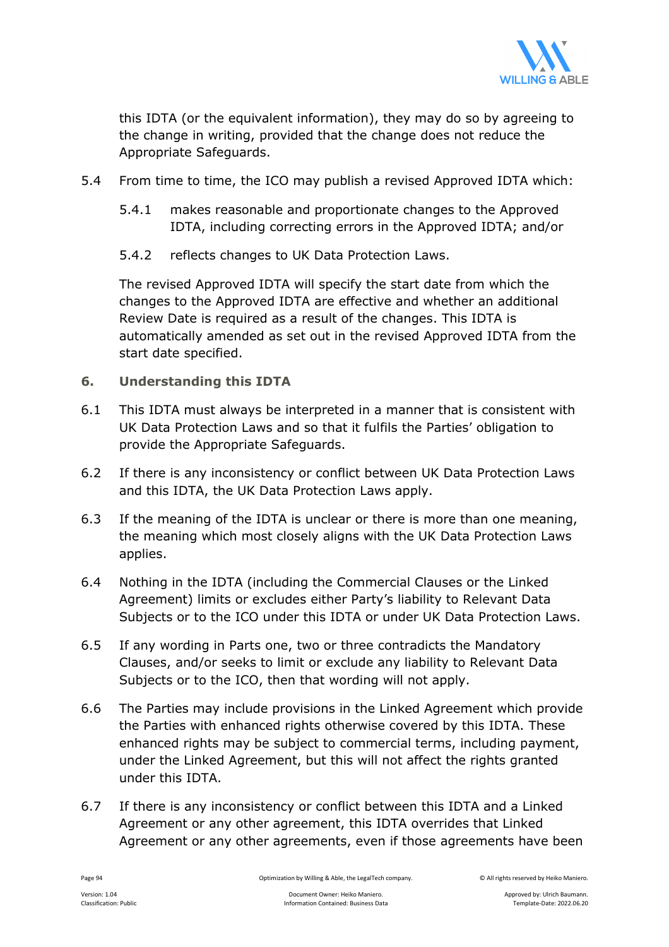

this IDTA (or the equivalent information), they may do so by agreeing to the change in writing, provided that the change does not reduce the Appropriate Safeguards.

- 5.4 From time to time, the ICO may publish a revised Approved IDTA which:
	- 5.4.1 makes reasonable and proportionate changes to the Approved IDTA, including correcting errors in the Approved IDTA; and/or
	- 5.4.2 reflects changes to UK Data Protection Laws.

The revised Approved IDTA will specify the start date from which the changes to the Approved IDTA are effective and whether an additional Review Date is required as a result of the changes. This IDTA is automatically amended as set out in the revised Approved IDTA from the start date specified.

## **6. Understanding this IDTA**

- 6.1 This IDTA must always be interpreted in a manner that is consistent with UK Data Protection Laws and so that it fulfils the Parties' obligation to provide the Appropriate Safeguards.
- 6.2 If there is any inconsistency or conflict between UK Data Protection Laws and this IDTA, the UK Data Protection Laws apply.
- 6.3 If the meaning of the IDTA is unclear or there is more than one meaning, the meaning which most closely aligns with the UK Data Protection Laws applies.
- 6.4 Nothing in the IDTA (including the Commercial Clauses or the Linked Agreement) limits or excludes either Party's liability to Relevant Data Subjects or to the ICO under this IDTA or under UK Data Protection Laws.
- 6.5 If any wording in Parts one, two or three contradicts the Mandatory Clauses, and/or seeks to limit or exclude any liability to Relevant Data Subjects or to the ICO, then that wording will not apply.
- 6.6 The Parties may include provisions in the Linked Agreement which provide the Parties with enhanced rights otherwise covered by this IDTA. These enhanced rights may be subject to commercial terms, including payment, under the Linked Agreement, but this will not affect the rights granted under this IDTA.
- 6.7 If there is any inconsistency or conflict between this IDTA and a Linked Agreement or any other agreement, this IDTA overrides that Linked Agreement or any other agreements, even if those agreements have been

Page 94 Optimization by Willing & Able, the LegalTech company. © All rights reserved by Heiko Maniero.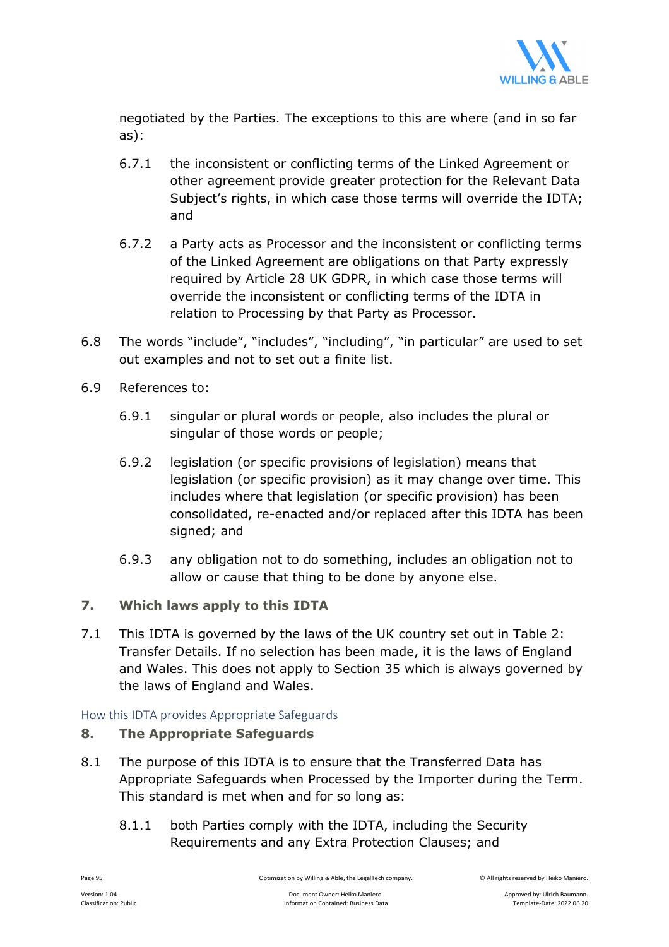

negotiated by the Parties. The exceptions to this are where (and in so far as):

- 6.7.1 the inconsistent or conflicting terms of the Linked Agreement or other agreement provide greater protection for the Relevant Data Subject's rights, in which case those terms will override the IDTA; and
- 6.7.2 a Party acts as Processor and the inconsistent or conflicting terms of the Linked Agreement are obligations on that Party expressly required by Article 28 UK GDPR, in which case those terms will override the inconsistent or conflicting terms of the IDTA in relation to Processing by that Party as Processor.
- 6.8 The words "include", "includes", "including", "in particular" are used to set out examples and not to set out a finite list.
- 6.9 References to:
	- 6.9.1 singular or plural words or people, also includes the plural or singular of those words or people;
	- 6.9.2 legislation (or specific provisions of legislation) means that legislation (or specific provision) as it may change over time. This includes where that legislation (or specific provision) has been consolidated, re-enacted and/or replaced after this IDTA has been signed; and
	- 6.9.3 any obligation not to do something, includes an obligation not to allow or cause that thing to be done by anyone else.
- **7. Which laws apply to this IDTA**
- 7.1 This IDTA is governed by the laws of the UK country set out in Table 2: Transfer Details. If no selection has been made, it is the laws of England and Wales. This does not apply to Section 35 which is always governed by the laws of England and Wales.

How this IDTA provides Appropriate Safeguards

## **8. The Appropriate Safeguards**

- 8.1 The purpose of this IDTA is to ensure that the Transferred Data has Appropriate Safeguards when Processed by the Importer during the Term. This standard is met when and for so long as:
	- 8.1.1 both Parties comply with the IDTA, including the Security Requirements and any Extra Protection Clauses; and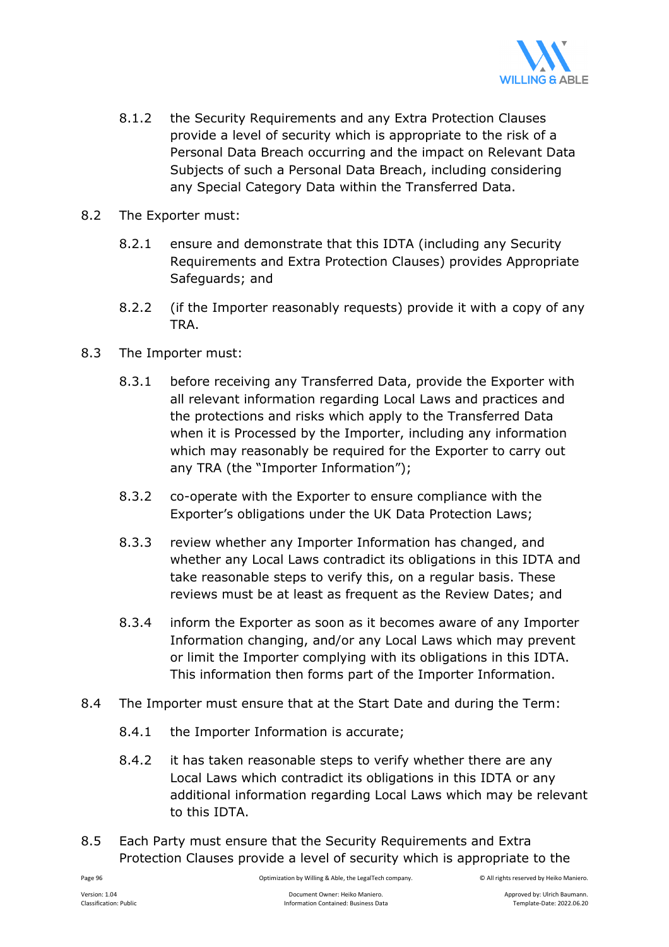

- 8.1.2 the Security Requirements and any Extra Protection Clauses provide a level of security which is appropriate to the risk of a Personal Data Breach occurring and the impact on Relevant Data Subjects of such a Personal Data Breach, including considering any Special Category Data within the Transferred Data.
- 8.2 The Exporter must:
	- 8.2.1 ensure and demonstrate that this IDTA (including any Security Requirements and Extra Protection Clauses) provides Appropriate Safeguards; and
	- 8.2.2 (if the Importer reasonably requests) provide it with a copy of any TRA.
- 8.3 The Importer must:
	- 8.3.1 before receiving any Transferred Data, provide the Exporter with all relevant information regarding Local Laws and practices and the protections and risks which apply to the Transferred Data when it is Processed by the Importer, including any information which may reasonably be required for the Exporter to carry out any TRA (the "Importer Information");
	- 8.3.2 co-operate with the Exporter to ensure compliance with the Exporter's obligations under the UK Data Protection Laws;
	- 8.3.3 review whether any Importer Information has changed, and whether any Local Laws contradict its obligations in this IDTA and take reasonable steps to verify this, on a regular basis. These reviews must be at least as frequent as the Review Dates; and
	- 8.3.4 inform the Exporter as soon as it becomes aware of any Importer Information changing, and/or any Local Laws which may prevent or limit the Importer complying with its obligations in this IDTA. This information then forms part of the Importer Information.
- 8.4 The Importer must ensure that at the Start Date and during the Term:
	- 8.4.1 the Importer Information is accurate;
	- 8.4.2 it has taken reasonable steps to verify whether there are any Local Laws which contradict its obligations in this IDTA or any additional information regarding Local Laws which may be relevant to this IDTA.
- 8.5 Each Party must ensure that the Security Requirements and Extra Protection Clauses provide a level of security which is appropriate to the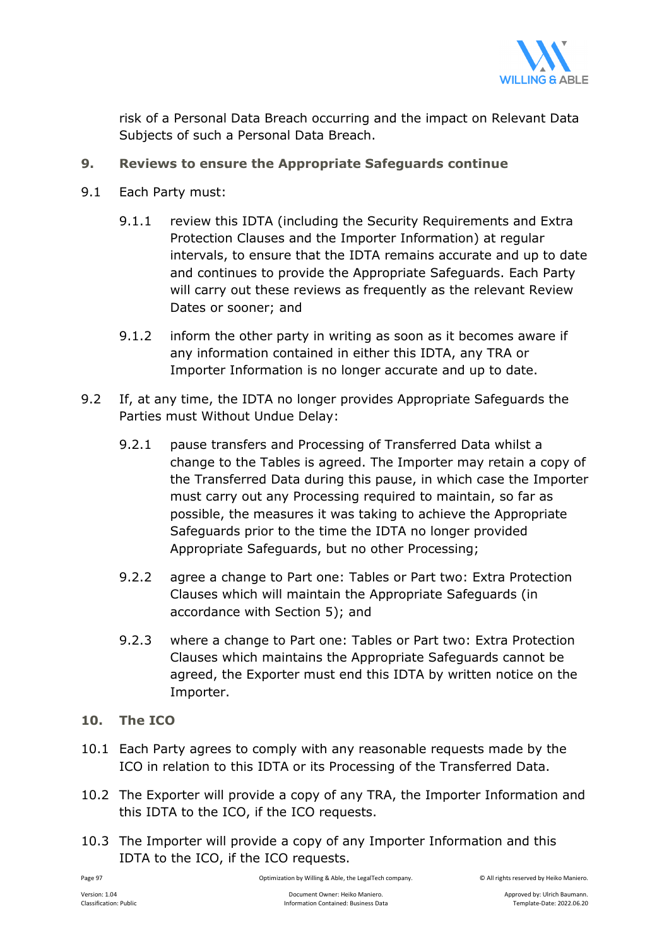

risk of a Personal Data Breach occurring and the impact on Relevant Data Subjects of such a Personal Data Breach.

## **9. Reviews to ensure the Appropriate Safeguards continue**

- 9.1 Each Party must:
	- 9.1.1 review this IDTA (including the Security Requirements and Extra Protection Clauses and the Importer Information) at regular intervals, to ensure that the IDTA remains accurate and up to date and continues to provide the Appropriate Safeguards. Each Party will carry out these reviews as frequently as the relevant Review Dates or sooner; and
	- 9.1.2 inform the other party in writing as soon as it becomes aware if any information contained in either this IDTA, any TRA or Importer Information is no longer accurate and up to date.
- 9.2 If, at any time, the IDTA no longer provides Appropriate Safeguards the Parties must Without Undue Delay:
	- 9.2.1 pause transfers and Processing of Transferred Data whilst a change to the Tables is agreed. The Importer may retain a copy of the Transferred Data during this pause, in which case the Importer must carry out any Processing required to maintain, so far as possible, the measures it was taking to achieve the Appropriate Safeguards prior to the time the IDTA no longer provided Appropriate Safeguards, but no other Processing;
	- 9.2.2 agree a change to Part one: Tables or Part two: Extra Protection Clauses which will maintain the Appropriate Safeguards (in accordance with Section 5); and
	- 9.2.3 where a change to Part one: Tables or Part two: Extra Protection Clauses which maintains the Appropriate Safeguards cannot be agreed, the Exporter must end this IDTA by written notice on the Importer.
- **10. The ICO**
- 10.1 Each Party agrees to comply with any reasonable requests made by the ICO in relation to this IDTA or its Processing of the Transferred Data.
- 10.2 The Exporter will provide a copy of any TRA, the Importer Information and this IDTA to the ICO, if the ICO requests.
- 10.3 The Importer will provide a copy of any Importer Information and this IDTA to the ICO, if the ICO requests.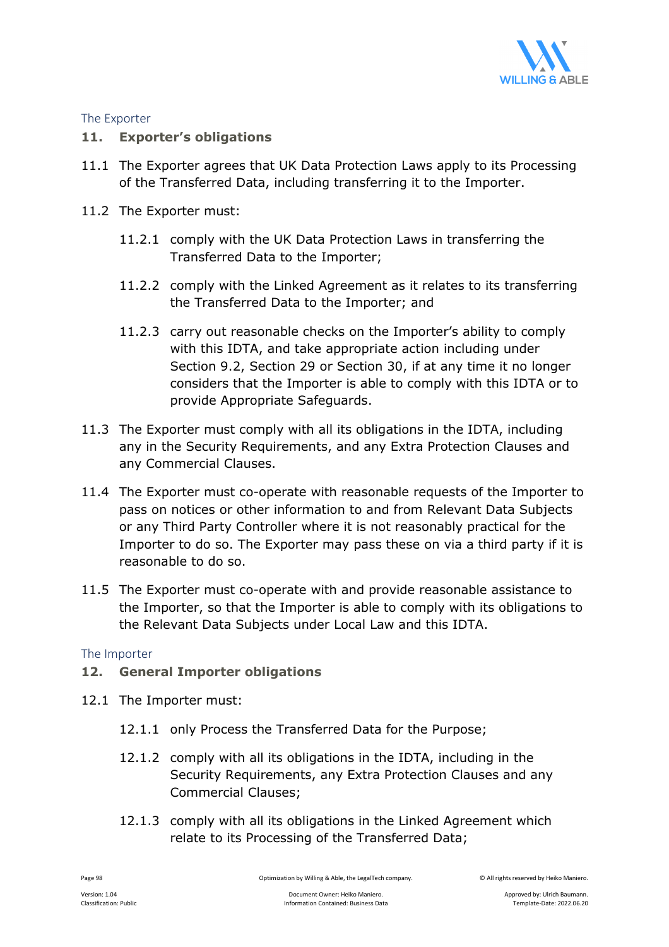

The Exporter

- **11. Exporter's obligations**
- 11.1 The Exporter agrees that UK Data Protection Laws apply to its Processing of the Transferred Data, including transferring it to the Importer.
- 11.2 The Exporter must:
	- 11.2.1 comply with the UK Data Protection Laws in transferring the Transferred Data to the Importer;
	- 11.2.2 comply with the Linked Agreement as it relates to its transferring the Transferred Data to the Importer; and
	- 11.2.3 carry out reasonable checks on the Importer's ability to comply with this IDTA, and take appropriate action including under Section 9.2, Section 29 or Section 30, if at any time it no longer considers that the Importer is able to comply with this IDTA or to provide Appropriate Safeguards.
- 11.3 The Exporter must comply with all its obligations in the IDTA, including any in the Security Requirements, and any Extra Protection Clauses and any Commercial Clauses.
- 11.4 The Exporter must co-operate with reasonable requests of the Importer to pass on notices or other information to and from Relevant Data Subjects or any Third Party Controller where it is not reasonably practical for the Importer to do so. The Exporter may pass these on via a third party if it is reasonable to do so.
- 11.5 The Exporter must co-operate with and provide reasonable assistance to the Importer, so that the Importer is able to comply with its obligations to the Relevant Data Subjects under Local Law and this IDTA.

#### The Importer

- **12. General Importer obligations**
- 12.1 The Importer must:
	- 12.1.1 only Process the Transferred Data for the Purpose;
	- 12.1.2 comply with all its obligations in the IDTA, including in the Security Requirements, any Extra Protection Clauses and any Commercial Clauses;
	- 12.1.3 comply with all its obligations in the Linked Agreement which relate to its Processing of the Transferred Data;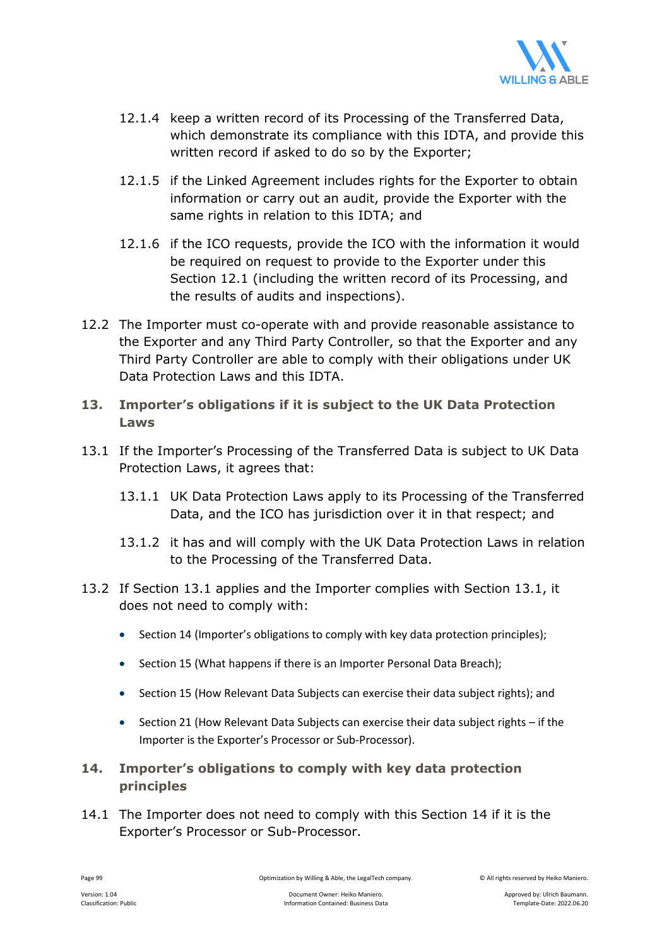

- 12.1.4 keep a written record of its Processing of the Transferred Data, which demonstrate its compliance with this IDTA, and provide this written record if asked to do so by the Exporter;
- 12.1.5 if the Linked Agreement includes rights for the Exporter to obtain information or carry out an audit, provide the Exporter with the same rights in relation to this IDTA; and
- 12.1.6 if the ICO requests, provide the ICO with the information it would be required on request to provide to the Exporter under this Section 12.1 (including the written record of its Processing, and the results of audits and inspections).
- 12.2 The Importer must co-operate with and provide reasonable assistance to the Exporter and any Third Party Controller, so that the Exporter and any Third Party Controller are able to comply with their obligations under UK Data Protection Laws and this IDTA.
- **13. Importer's obligations if it is subject to the UK Data Protection Laws**
- 13.1 If the Importer's Processing of the Transferred Data is subject to UK Data Protection Laws, it agrees that:
	- 13.1.1 UK Data Protection Laws apply to its Processing of the Transferred Data, and the ICO has jurisdiction over it in that respect; and
	- 13.1.2 it has and will comply with the UK Data Protection Laws in relation to the Processing of the Transferred Data.
- 13.2 If Section 13.1 applies and the Importer complies with Section 13.1, it does not need to comply with:
	- Section 14 (Importer's obligations to comply with key data protection principles);
	- Section 15 (What happens if there is an Importer Personal Data Breach);
	- Section 15 (How Relevant Data Subjects can exercise their data subject rights); and
	- Section 21 (How Relevant Data Subjects can exercise their data subject rights if the Importer is the Exporter's Processor or Sub-Processor).
- **14. Importer's obligations to comply with key data protection principles**
- 14.1 The Importer does not need to comply with this Section 14 if it is the Exporter's Processor or Sub-Processor.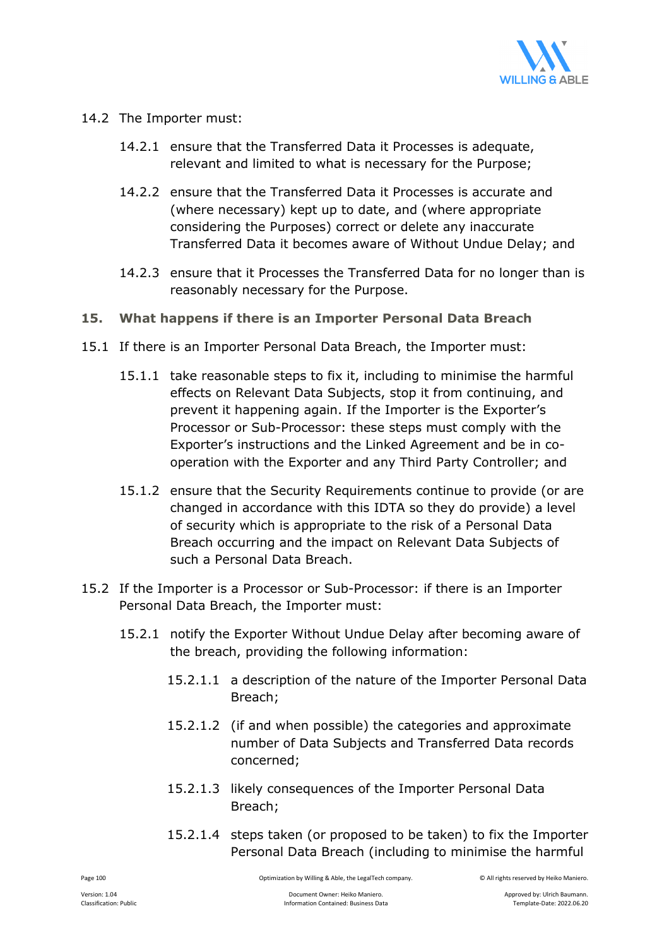

- 14.2 The Importer must:
	- 14.2.1 ensure that the Transferred Data it Processes is adequate, relevant and limited to what is necessary for the Purpose;
	- 14.2.2 ensure that the Transferred Data it Processes is accurate and (where necessary) kept up to date, and (where appropriate considering the Purposes) correct or delete any inaccurate Transferred Data it becomes aware of Without Undue Delay; and
	- 14.2.3 ensure that it Processes the Transferred Data for no longer than is reasonably necessary for the Purpose.
- **15. What happens if there is an Importer Personal Data Breach**
- 15.1 If there is an Importer Personal Data Breach, the Importer must:
	- 15.1.1 take reasonable steps to fix it, including to minimise the harmful effects on Relevant Data Subjects, stop it from continuing, and prevent it happening again. If the Importer is the Exporter's Processor or Sub-Processor: these steps must comply with the Exporter's instructions and the Linked Agreement and be in cooperation with the Exporter and any Third Party Controller; and
	- 15.1.2 ensure that the Security Requirements continue to provide (or are changed in accordance with this IDTA so they do provide) a level of security which is appropriate to the risk of a Personal Data Breach occurring and the impact on Relevant Data Subjects of such a Personal Data Breach.
- 15.2 If the Importer is a Processor or Sub-Processor: if there is an Importer Personal Data Breach, the Importer must:
	- 15.2.1 notify the Exporter Without Undue Delay after becoming aware of the breach, providing the following information:
		- 15.2.1.1 a description of the nature of the Importer Personal Data Breach;
		- 15.2.1.2 (if and when possible) the categories and approximate number of Data Subjects and Transferred Data records concerned;
		- 15.2.1.3 likely consequences of the Importer Personal Data Breach;
		- 15.2.1.4 steps taken (or proposed to be taken) to fix the Importer Personal Data Breach (including to minimise the harmful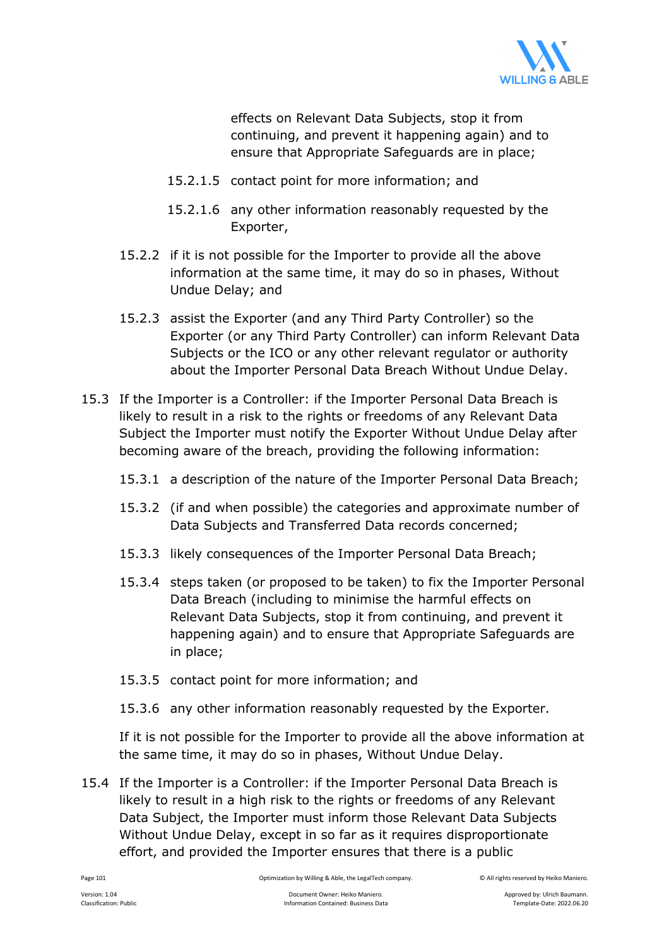

effects on Relevant Data Subjects, stop it from continuing, and prevent it happening again) and to ensure that Appropriate Safeguards are in place;

- 15.2.1.5 contact point for more information; and
- 15.2.1.6 any other information reasonably requested by the Exporter,
- 15.2.2 if it is not possible for the Importer to provide all the above information at the same time, it may do so in phases, Without Undue Delay; and
- 15.2.3 assist the Exporter (and any Third Party Controller) so the Exporter (or any Third Party Controller) can inform Relevant Data Subjects or the ICO or any other relevant regulator or authority about the Importer Personal Data Breach Without Undue Delay.
- 15.3 If the Importer is a Controller: if the Importer Personal Data Breach is likely to result in a risk to the rights or freedoms of any Relevant Data Subject the Importer must notify the Exporter Without Undue Delay after becoming aware of the breach, providing the following information:
	- 15.3.1 a description of the nature of the Importer Personal Data Breach;
	- 15.3.2 (if and when possible) the categories and approximate number of Data Subjects and Transferred Data records concerned;
	- 15.3.3 likely consequences of the Importer Personal Data Breach;
	- 15.3.4 steps taken (or proposed to be taken) to fix the Importer Personal Data Breach (including to minimise the harmful effects on Relevant Data Subjects, stop it from continuing, and prevent it happening again) and to ensure that Appropriate Safeguards are in place;
	- 15.3.5 contact point for more information; and
	- 15.3.6 any other information reasonably requested by the Exporter.

If it is not possible for the Importer to provide all the above information at the same time, it may do so in phases, Without Undue Delay.

15.4 If the Importer is a Controller: if the Importer Personal Data Breach is likely to result in a high risk to the rights or freedoms of any Relevant Data Subject, the Importer must inform those Relevant Data Subjects Without Undue Delay, except in so far as it requires disproportionate effort, and provided the Importer ensures that there is a public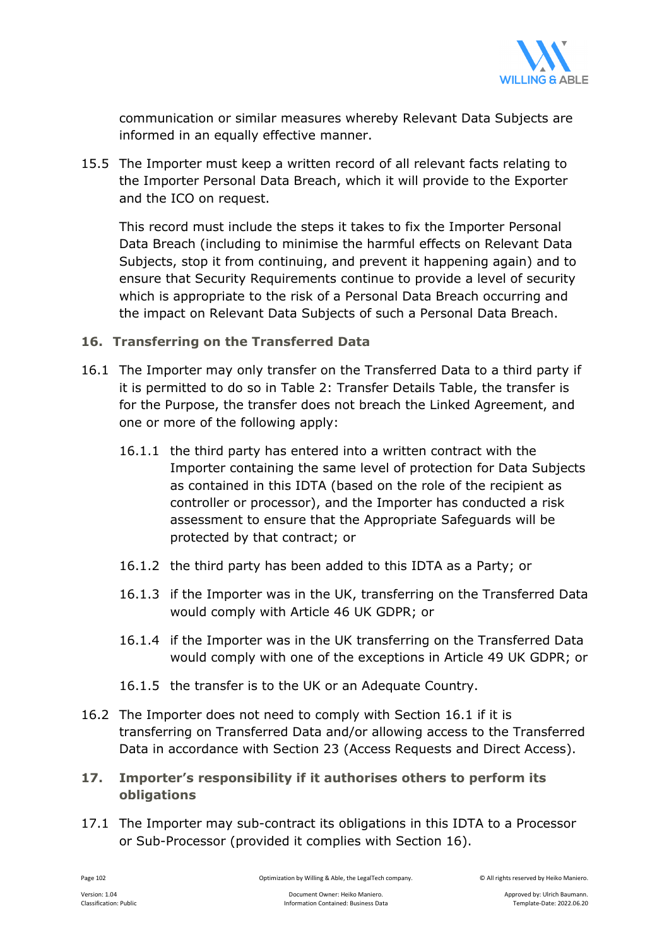

communication or similar measures whereby Relevant Data Subjects are informed in an equally effective manner.

15.5 The Importer must keep a written record of all relevant facts relating to the Importer Personal Data Breach, which it will provide to the Exporter and the ICO on request.

This record must include the steps it takes to fix the Importer Personal Data Breach (including to minimise the harmful effects on Relevant Data Subjects, stop it from continuing, and prevent it happening again) and to ensure that Security Requirements continue to provide a level of security which is appropriate to the risk of a Personal Data Breach occurring and the impact on Relevant Data Subjects of such a Personal Data Breach.

## **16. Transferring on the Transferred Data**

- 16.1 The Importer may only transfer on the Transferred Data to a third party if it is permitted to do so in Table 2: Transfer Details Table, the transfer is for the Purpose, the transfer does not breach the Linked Agreement, and one or more of the following apply:
	- 16.1.1 the third party has entered into a written contract with the Importer containing the same level of protection for Data Subjects as contained in this IDTA (based on the role of the recipient as controller or processor), and the Importer has conducted a risk assessment to ensure that the Appropriate Safeguards will be protected by that contract; or
	- 16.1.2 the third party has been added to this IDTA as a Party; or
	- 16.1.3 if the Importer was in the UK, transferring on the Transferred Data would comply with Article 46 UK GDPR; or
	- 16.1.4 if the Importer was in the UK transferring on the Transferred Data would comply with one of the exceptions in Article 49 UK GDPR; or
	- 16.1.5 the transfer is to the UK or an Adequate Country.
- 16.2 The Importer does not need to comply with Section 16.1 if it is transferring on Transferred Data and/or allowing access to the Transferred Data in accordance with Section 23 (Access Requests and Direct Access).

## **17. Importer's responsibility if it authorises others to perform its obligations**

17.1 The Importer may sub-contract its obligations in this IDTA to a Processor or Sub-Processor (provided it complies with Section 16).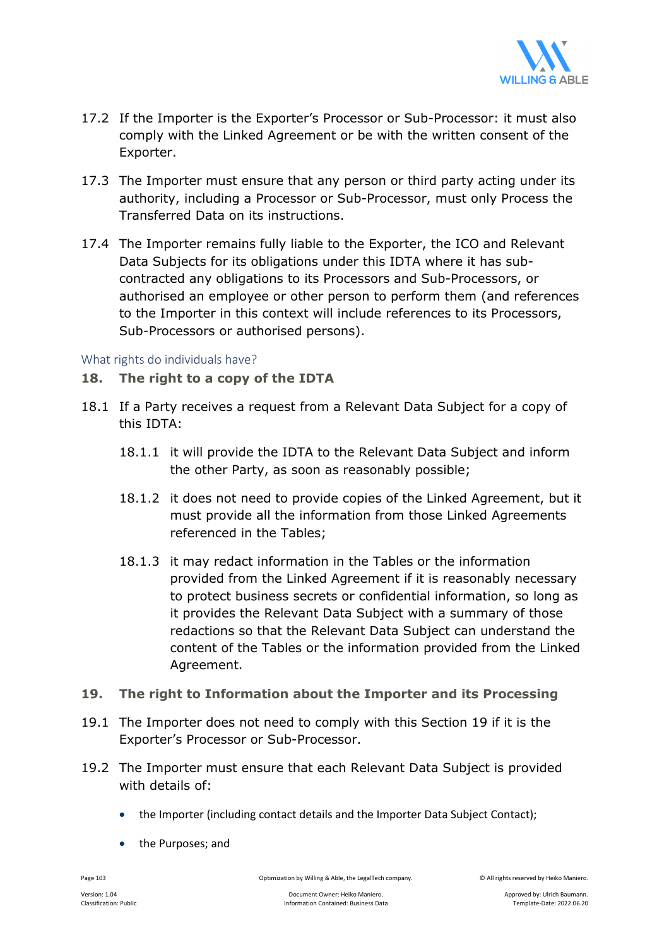

- 17.2 If the Importer is the Exporter's Processor or Sub-Processor: it must also comply with the Linked Agreement or be with the written consent of the Exporter.
- 17.3 The Importer must ensure that any person or third party acting under its authority, including a Processor or Sub-Processor, must only Process the Transferred Data on its instructions.
- 17.4 The Importer remains fully liable to the Exporter, the ICO and Relevant Data Subjects for its obligations under this IDTA where it has subcontracted any obligations to its Processors and Sub-Processors, or authorised an employee or other person to perform them (and references to the Importer in this context will include references to its Processors, Sub-Processors or authorised persons).

#### What rights do individuals have?

- **18. The right to a copy of the IDTA**
- 18.1 If a Party receives a request from a Relevant Data Subject for a copy of this IDTA:
	- 18.1.1 it will provide the IDTA to the Relevant Data Subject and inform the other Party, as soon as reasonably possible;
	- 18.1.2 it does not need to provide copies of the Linked Agreement, but it must provide all the information from those Linked Agreements referenced in the Tables;
	- 18.1.3 it may redact information in the Tables or the information provided from the Linked Agreement if it is reasonably necessary to protect business secrets or confidential information, so long as it provides the Relevant Data Subject with a summary of those redactions so that the Relevant Data Subject can understand the content of the Tables or the information provided from the Linked Agreement.

## **19. The right to Information about the Importer and its Processing**

- 19.1 The Importer does not need to comply with this Section 19 if it is the Exporter's Processor or Sub-Processor.
- 19.2 The Importer must ensure that each Relevant Data Subject is provided with details of:
	- the Importer (including contact details and the Importer Data Subject Contact);
	- the Purposes: and

Page 103 Optimization by Willing & Able, the LegalTech company. © All rights reserved by Heiko Maniero.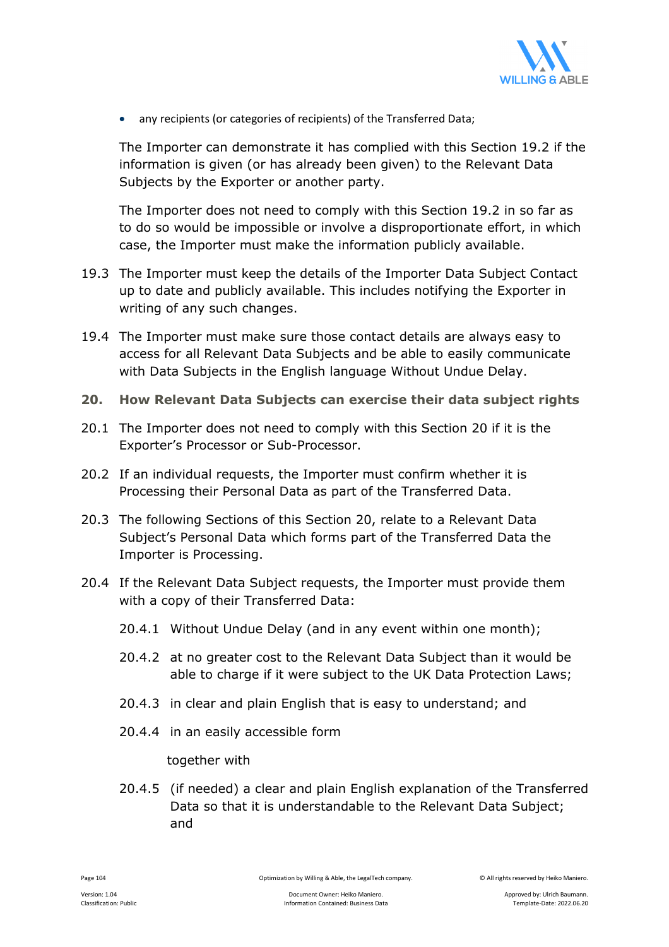

any recipients (or categories of recipients) of the Transferred Data;

The Importer can demonstrate it has complied with this Section 19.2 if the information is given (or has already been given) to the Relevant Data Subjects by the Exporter or another party.

The Importer does not need to comply with this Section 19.2 in so far as to do so would be impossible or involve a disproportionate effort, in which case, the Importer must make the information publicly available.

- 19.3 The Importer must keep the details of the Importer Data Subject Contact up to date and publicly available. This includes notifying the Exporter in writing of any such changes.
- 19.4 The Importer must make sure those contact details are always easy to access for all Relevant Data Subjects and be able to easily communicate with Data Subjects in the English language Without Undue Delay.
- **20. How Relevant Data Subjects can exercise their data subject rights**
- 20.1 The Importer does not need to comply with this Section 20 if it is the Exporter's Processor or Sub-Processor.
- 20.2 If an individual requests, the Importer must confirm whether it is Processing their Personal Data as part of the Transferred Data.
- 20.3 The following Sections of this Section 20, relate to a Relevant Data Subject's Personal Data which forms part of the Transferred Data the Importer is Processing.
- 20.4 If the Relevant Data Subject requests, the Importer must provide them with a copy of their Transferred Data:
	- 20.4.1 Without Undue Delay (and in any event within one month);
	- 20.4.2 at no greater cost to the Relevant Data Subject than it would be able to charge if it were subject to the UK Data Protection Laws;
	- 20.4.3 in clear and plain English that is easy to understand; and
	- 20.4.4 in an easily accessible form

together with

20.4.5 (if needed) a clear and plain English explanation of the Transferred Data so that it is understandable to the Relevant Data Subject; and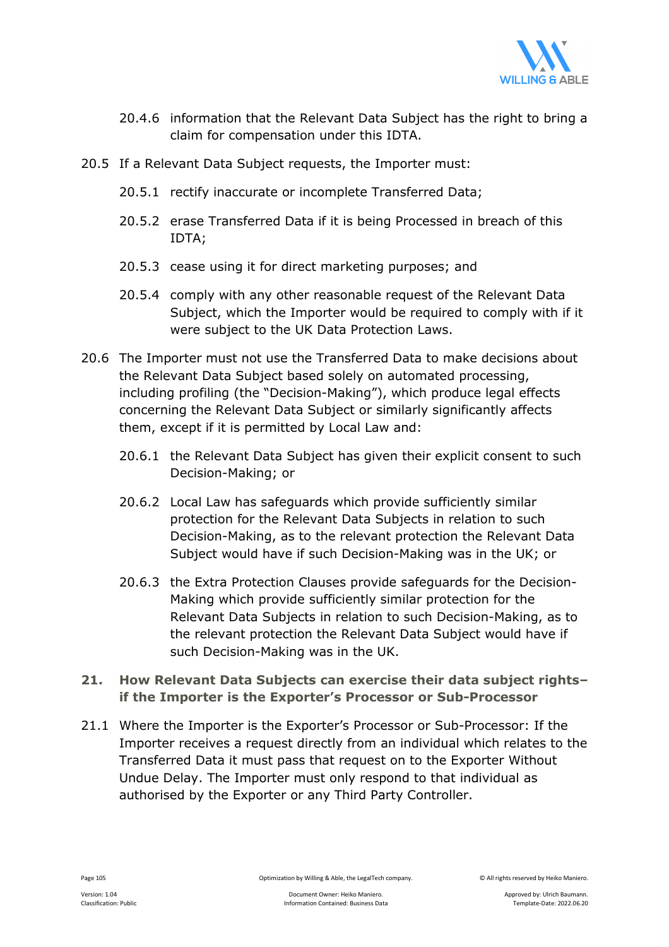

- 20.4.6 information that the Relevant Data Subject has the right to bring a claim for compensation under this IDTA.
- 20.5 If a Relevant Data Subject requests, the Importer must:
	- 20.5.1 rectify inaccurate or incomplete Transferred Data;
	- 20.5.2 erase Transferred Data if it is being Processed in breach of this IDTA;
	- 20.5.3 cease using it for direct marketing purposes; and
	- 20.5.4 comply with any other reasonable request of the Relevant Data Subject, which the Importer would be required to comply with if it were subject to the UK Data Protection Laws.
- 20.6 The Importer must not use the Transferred Data to make decisions about the Relevant Data Subject based solely on automated processing, including profiling (the "Decision-Making"), which produce legal effects concerning the Relevant Data Subject or similarly significantly affects them, except if it is permitted by Local Law and:
	- 20.6.1 the Relevant Data Subject has given their explicit consent to such Decision-Making; or
	- 20.6.2 Local Law has safeguards which provide sufficiently similar protection for the Relevant Data Subjects in relation to such Decision-Making, as to the relevant protection the Relevant Data Subject would have if such Decision-Making was in the UK; or
	- 20.6.3 the Extra Protection Clauses provide safeguards for the Decision-Making which provide sufficiently similar protection for the Relevant Data Subjects in relation to such Decision-Making, as to the relevant protection the Relevant Data Subject would have if such Decision-Making was in the UK.
- **21. How Relevant Data Subjects can exercise their data subject rights– if the Importer is the Exporter's Processor or Sub-Processor**
- 21.1 Where the Importer is the Exporter's Processor or Sub-Processor: If the Importer receives a request directly from an individual which relates to the Transferred Data it must pass that request on to the Exporter Without Undue Delay. The Importer must only respond to that individual as authorised by the Exporter or any Third Party Controller.

Page 105 Optimization by Willing & Able, the LegalTech company. © All rights reserved by Heiko Maniero.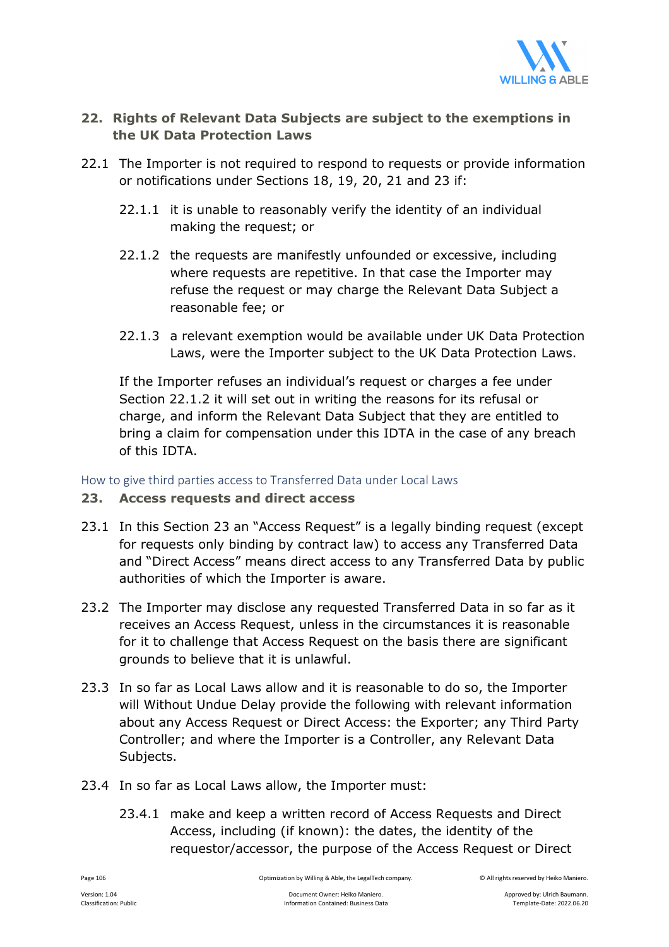

## **22. Rights of Relevant Data Subjects are subject to the exemptions in the UK Data Protection Laws**

- 22.1 The Importer is not required to respond to requests or provide information or notifications under Sections 18, 19, 20, 21 and 23 if:
	- 22.1.1 it is unable to reasonably verify the identity of an individual making the request; or
	- 22.1.2 the requests are manifestly unfounded or excessive, including where requests are repetitive. In that case the Importer may refuse the request or may charge the Relevant Data Subject a reasonable fee; or
	- 22.1.3 a relevant exemption would be available under UK Data Protection Laws, were the Importer subject to the UK Data Protection Laws.

If the Importer refuses an individual's request or charges a fee under Section 22.1.2 it will set out in writing the reasons for its refusal or charge, and inform the Relevant Data Subject that they are entitled to bring a claim for compensation under this IDTA in the case of any breach of this IDTA.

How to give third parties access to Transferred Data under Local Laws

## **23. Access requests and direct access**

- 23.1 In this Section 23 an "Access Request" is a legally binding request (except for requests only binding by contract law) to access any Transferred Data and "Direct Access" means direct access to any Transferred Data by public authorities of which the Importer is aware.
- 23.2 The Importer may disclose any requested Transferred Data in so far as it receives an Access Request, unless in the circumstances it is reasonable for it to challenge that Access Request on the basis there are significant grounds to believe that it is unlawful.
- 23.3 In so far as Local Laws allow and it is reasonable to do so, the Importer will Without Undue Delay provide the following with relevant information about any Access Request or Direct Access: the Exporter; any Third Party Controller; and where the Importer is a Controller, any Relevant Data Subjects.
- 23.4 In so far as Local Laws allow, the Importer must:
	- 23.4.1 make and keep a written record of Access Requests and Direct Access, including (if known): the dates, the identity of the requestor/accessor, the purpose of the Access Request or Direct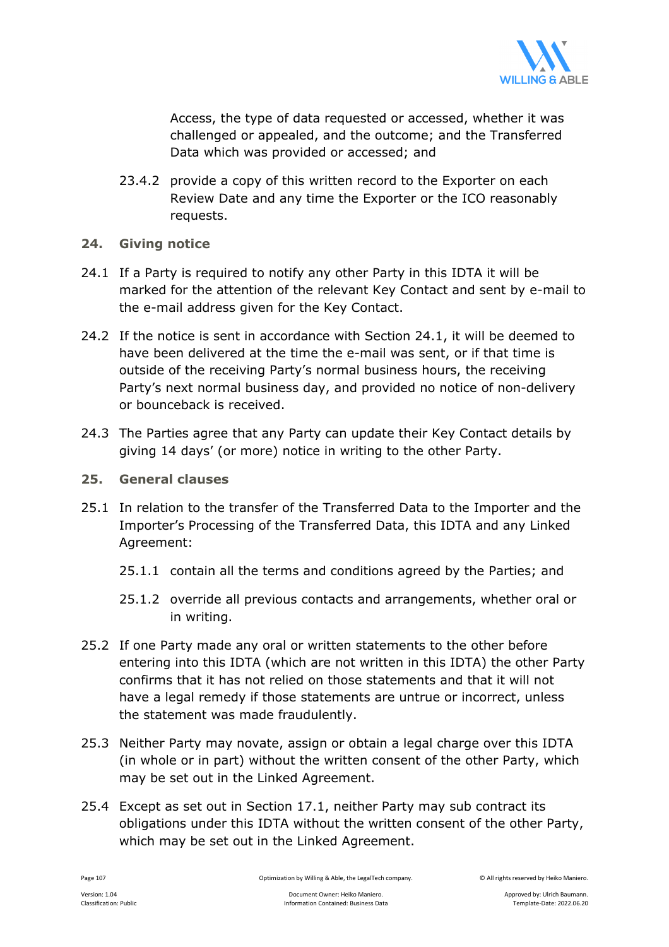

Access, the type of data requested or accessed, whether it was challenged or appealed, and the outcome; and the Transferred Data which was provided or accessed; and

- 23.4.2 provide a copy of this written record to the Exporter on each Review Date and any time the Exporter or the ICO reasonably requests.
- **24. Giving notice**
- 24.1 If a Party is required to notify any other Party in this IDTA it will be marked for the attention of the relevant Key Contact and sent by e-mail to the e-mail address given for the Key Contact.
- 24.2 If the notice is sent in accordance with Section 24.1, it will be deemed to have been delivered at the time the e-mail was sent, or if that time is outside of the receiving Party's normal business hours, the receiving Party's next normal business day, and provided no notice of non-delivery or bounceback is received.
- 24.3 The Parties agree that any Party can update their Key Contact details by giving 14 days' (or more) notice in writing to the other Party.
- **25. General clauses**
- 25.1 In relation to the transfer of the Transferred Data to the Importer and the Importer's Processing of the Transferred Data, this IDTA and any Linked Agreement:
	- 25.1.1 contain all the terms and conditions agreed by the Parties; and
	- 25.1.2 override all previous contacts and arrangements, whether oral or in writing.
- 25.2 If one Party made any oral or written statements to the other before entering into this IDTA (which are not written in this IDTA) the other Party confirms that it has not relied on those statements and that it will not have a legal remedy if those statements are untrue or incorrect, unless the statement was made fraudulently.
- 25.3 Neither Party may novate, assign or obtain a legal charge over this IDTA (in whole or in part) without the written consent of the other Party, which may be set out in the Linked Agreement.
- 25.4 Except as set out in Section 17.1, neither Party may sub contract its obligations under this IDTA without the written consent of the other Party, which may be set out in the Linked Agreement.

Page 107 Optimization by Willing & Able, the LegalTech company. © All rights reserved by Heiko Maniero.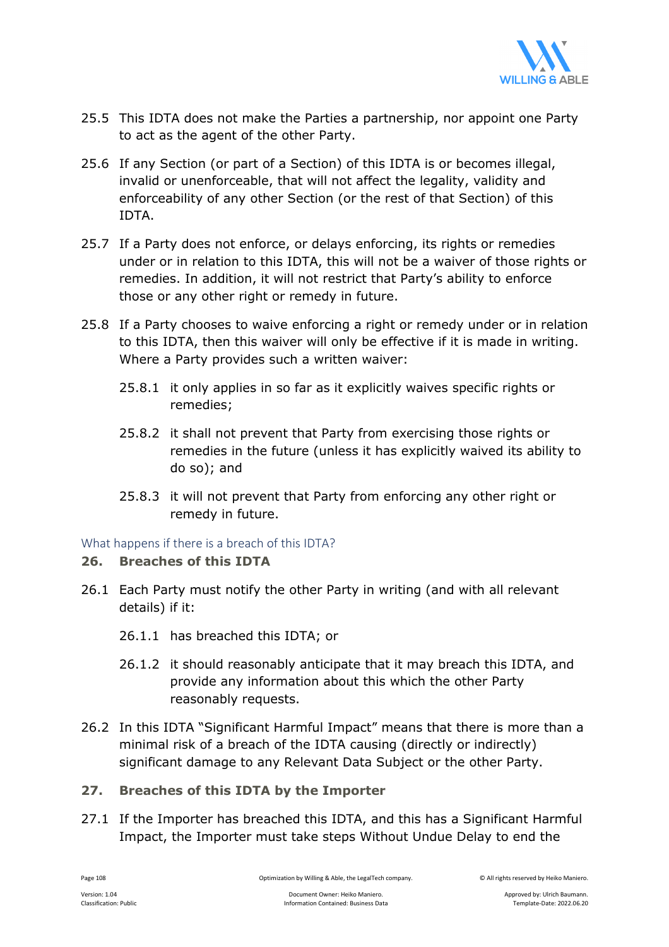

- 25.5 This IDTA does not make the Parties a partnership, nor appoint one Party to act as the agent of the other Party.
- 25.6 If any Section (or part of a Section) of this IDTA is or becomes illegal, invalid or unenforceable, that will not affect the legality, validity and enforceability of any other Section (or the rest of that Section) of this IDTA.
- 25.7 If a Party does not enforce, or delays enforcing, its rights or remedies under or in relation to this IDTA, this will not be a waiver of those rights or remedies. In addition, it will not restrict that Party's ability to enforce those or any other right or remedy in future.
- 25.8 If a Party chooses to waive enforcing a right or remedy under or in relation to this IDTA, then this waiver will only be effective if it is made in writing. Where a Party provides such a written waiver:
	- 25.8.1 it only applies in so far as it explicitly waives specific rights or remedies;
	- 25.8.2 it shall not prevent that Party from exercising those rights or remedies in the future (unless it has explicitly waived its ability to do so); and
	- 25.8.3 it will not prevent that Party from enforcing any other right or remedy in future.

What happens if there is a breach of this IDTA?

## **26. Breaches of this IDTA**

- 26.1 Each Party must notify the other Party in writing (and with all relevant details) if it:
	- 26.1.1 has breached this IDTA; or
	- 26.1.2 it should reasonably anticipate that it may breach this IDTA, and provide any information about this which the other Party reasonably requests.
- 26.2 In this IDTA "Significant Harmful Impact" means that there is more than a minimal risk of a breach of the IDTA causing (directly or indirectly) significant damage to any Relevant Data Subject or the other Party.
- **27. Breaches of this IDTA by the Importer**
- 27.1 If the Importer has breached this IDTA, and this has a Significant Harmful Impact, the Importer must take steps Without Undue Delay to end the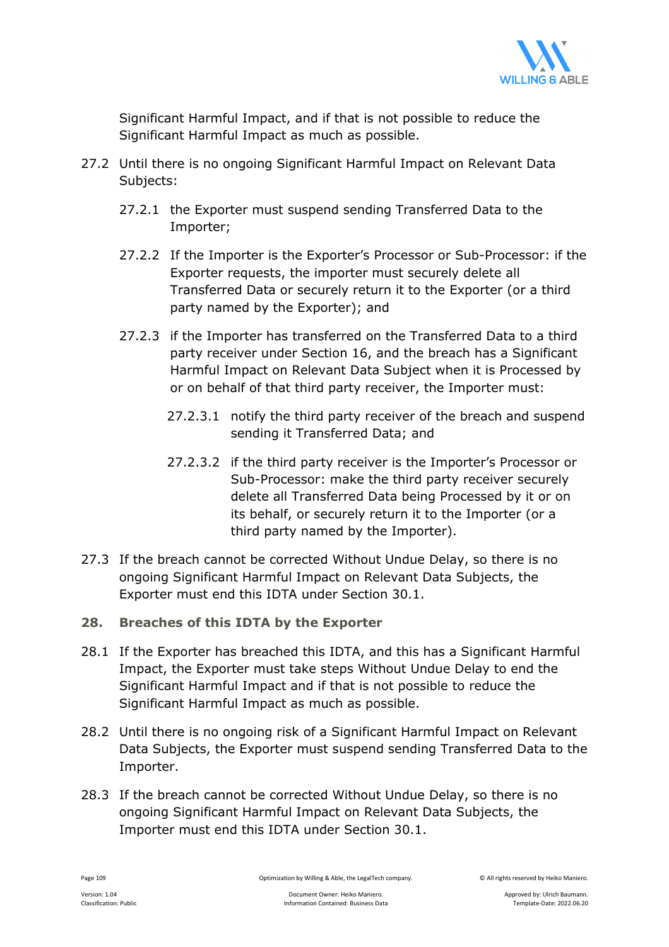

Significant Harmful Impact, and if that is not possible to reduce the Significant Harmful Impact as much as possible.

- 27.2 Until there is no ongoing Significant Harmful Impact on Relevant Data Subjects:
	- 27.2.1 the Exporter must suspend sending Transferred Data to the Importer;
	- 27.2.2 If the Importer is the Exporter's Processor or Sub-Processor: if the Exporter requests, the importer must securely delete all Transferred Data or securely return it to the Exporter (or a third party named by the Exporter); and
	- 27.2.3 if the Importer has transferred on the Transferred Data to a third party receiver under Section 16, and the breach has a Significant Harmful Impact on Relevant Data Subject when it is Processed by or on behalf of that third party receiver, the Importer must:
		- 27.2.3.1 notify the third party receiver of the breach and suspend sending it Transferred Data; and
		- 27.2.3.2 if the third party receiver is the Importer's Processor or Sub-Processor: make the third party receiver securely delete all Transferred Data being Processed by it or on its behalf, or securely return it to the Importer (or a third party named by the Importer).
- 27.3 If the breach cannot be corrected Without Undue Delay, so there is no ongoing Significant Harmful Impact on Relevant Data Subjects, the Exporter must end this IDTA under Section 30.1.

## **28. Breaches of this IDTA by the Exporter**

- 28.1 If the Exporter has breached this IDTA, and this has a Significant Harmful Impact, the Exporter must take steps Without Undue Delay to end the Significant Harmful Impact and if that is not possible to reduce the Significant Harmful Impact as much as possible.
- 28.2 Until there is no ongoing risk of a Significant Harmful Impact on Relevant Data Subjects, the Exporter must suspend sending Transferred Data to the Importer.
- 28.3 If the breach cannot be corrected Without Undue Delay, so there is no ongoing Significant Harmful Impact on Relevant Data Subjects, the Importer must end this IDTA under Section 30.1.

Page 109 Optimization by Willing & Able, the LegalTech company. © All rights reserved by Heiko Maniero.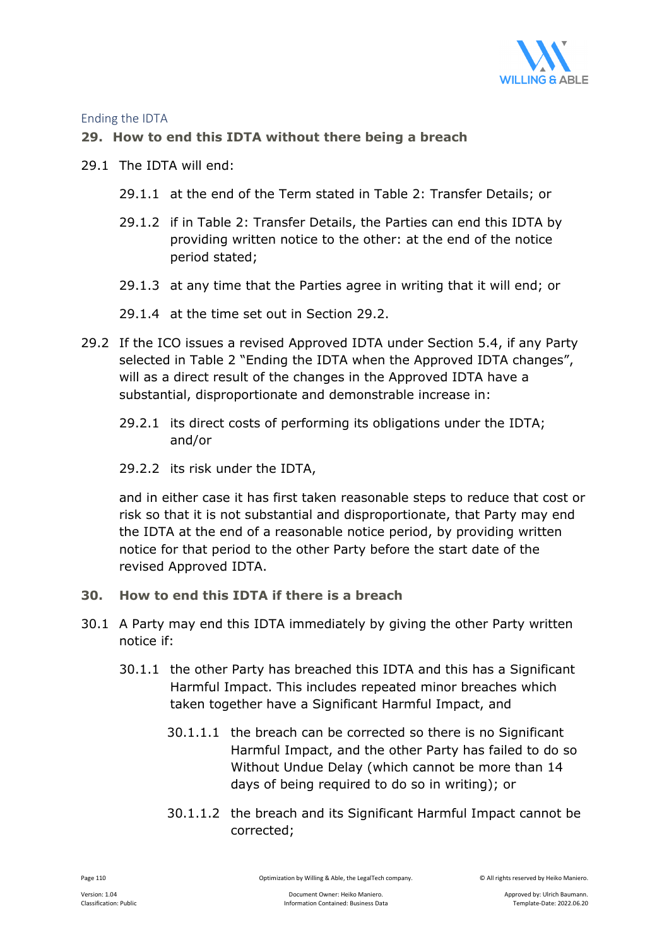

Ending the IDTA

- **29. How to end this IDTA without there being a breach**
- 29.1 The IDTA will end:
	- 29.1.1 at the end of the Term stated in Table 2: Transfer Details; or
	- 29.1.2 if in Table 2: Transfer Details, the Parties can end this IDTA by providing written notice to the other: at the end of the notice period stated;
	- 29.1.3 at any time that the Parties agree in writing that it will end; or
	- 29.1.4 at the time set out in Section 29.2.
- 29.2 If the ICO issues a revised Approved IDTA under Section 5.4, if any Party selected in Table 2 "Ending the IDTA when the Approved IDTA changes", will as a direct result of the changes in the Approved IDTA have a substantial, disproportionate and demonstrable increase in:
	- 29.2.1 its direct costs of performing its obligations under the IDTA; and/or
	- 29.2.2 its risk under the IDTA,

and in either case it has first taken reasonable steps to reduce that cost or risk so that it is not substantial and disproportionate, that Party may end the IDTA at the end of a reasonable notice period, by providing written notice for that period to the other Party before the start date of the revised Approved IDTA.

- **30. How to end this IDTA if there is a breach**
- 30.1 A Party may end this IDTA immediately by giving the other Party written notice if:
	- 30.1.1 the other Party has breached this IDTA and this has a Significant Harmful Impact. This includes repeated minor breaches which taken together have a Significant Harmful Impact, and
		- 30.1.1.1 the breach can be corrected so there is no Significant Harmful Impact, and the other Party has failed to do so Without Undue Delay (which cannot be more than 14 days of being required to do so in writing); or
		- 30.1.1.2 the breach and its Significant Harmful Impact cannot be corrected;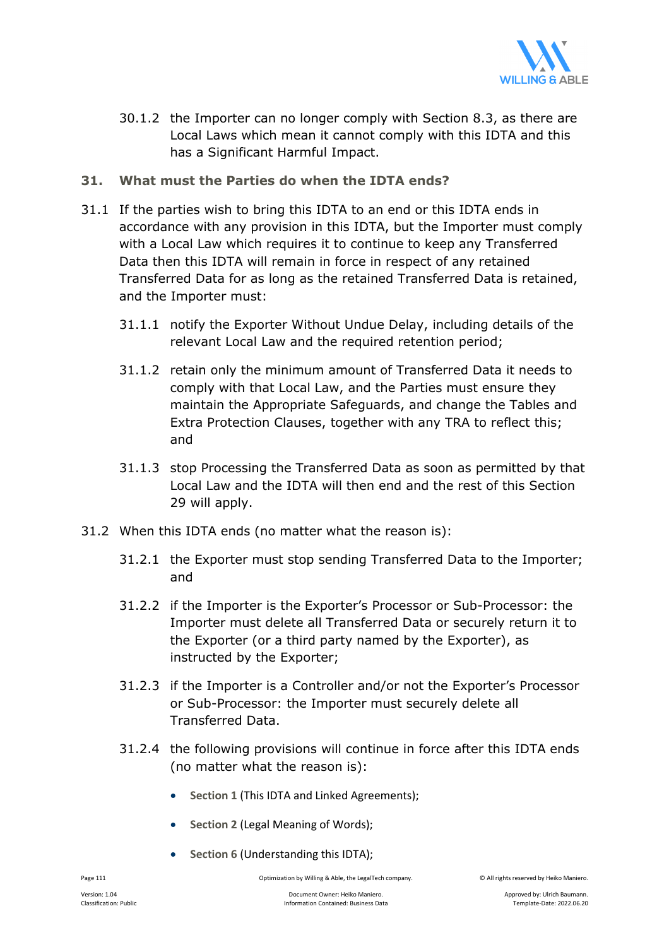

30.1.2 the Importer can no longer comply with Section 8.3, as there are Local Laws which mean it cannot comply with this IDTA and this has a Significant Harmful Impact.

### **31. What must the Parties do when the IDTA ends?**

- 31.1 If the parties wish to bring this IDTA to an end or this IDTA ends in accordance with any provision in this IDTA, but the Importer must comply with a Local Law which requires it to continue to keep any Transferred Data then this IDTA will remain in force in respect of any retained Transferred Data for as long as the retained Transferred Data is retained, and the Importer must:
	- 31.1.1 notify the Exporter Without Undue Delay, including details of the relevant Local Law and the required retention period;
	- 31.1.2 retain only the minimum amount of Transferred Data it needs to comply with that Local Law, and the Parties must ensure they maintain the Appropriate Safeguards, and change the Tables and Extra Protection Clauses, together with any TRA to reflect this; and
	- 31.1.3 stop Processing the Transferred Data as soon as permitted by that Local Law and the IDTA will then end and the rest of this Section 29 will apply.
- 31.2 When this IDTA ends (no matter what the reason is):
	- 31.2.1 the Exporter must stop sending Transferred Data to the Importer; and
	- 31.2.2 if the Importer is the Exporter's Processor or Sub-Processor: the Importer must delete all Transferred Data or securely return it to the Exporter (or a third party named by the Exporter), as instructed by the Exporter;
	- 31.2.3 if the Importer is a Controller and/or not the Exporter's Processor or Sub-Processor: the Importer must securely delete all Transferred Data.
	- 31.2.4 the following provisions will continue in force after this IDTA ends (no matter what the reason is):
		- **Section 1** (This IDTA and Linked Agreements);
		- **•** Section 2 (Legal Meaning of Words);
		- **•** Section 6 (Understanding this IDTA);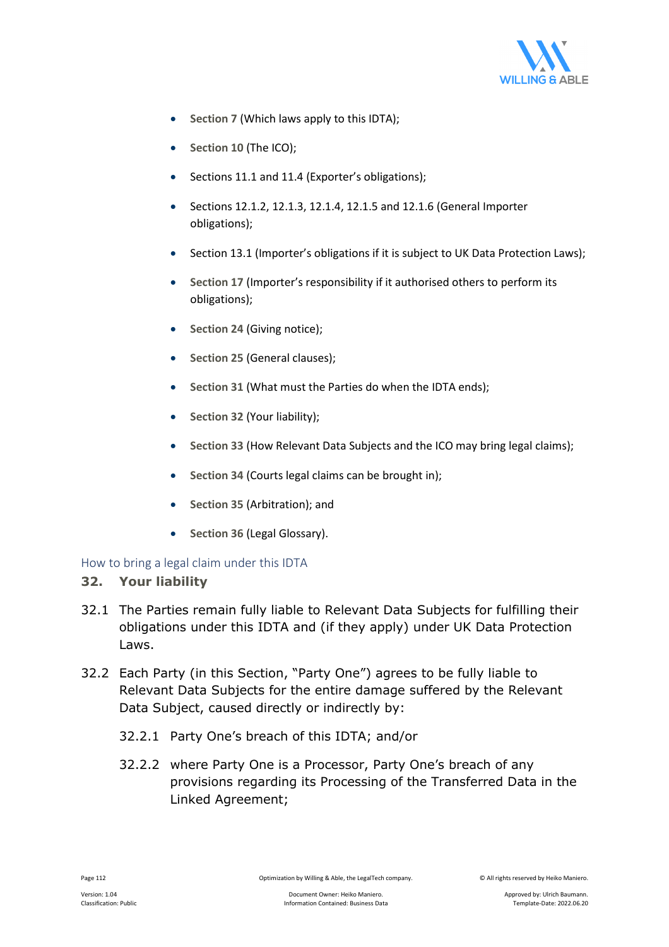

- **Section 7** (Which laws apply to this IDTA):
- **Section 10 (The ICO);**
- Sections 11.1 and 11.4 (Exporter's obligations);
- Sections 12.1.2, 12.1.3, 12.1.4, 12.1.5 and 12.1.6 (General Importer obligations);
- Section 13.1 (Importer's obligations if it is subject to UK Data Protection Laws);
- **Section 17** (Importer's responsibility if it authorised others to perform its obligations);
- **•** Section 24 (Giving notice);
- **•** Section 25 (General clauses);
- **Section 31** (What must the Parties do when the IDTA ends);
- **•** Section 32 (Your liability);
- **Section 33** (How Relevant Data Subjects and the ICO may bring legal claims);
- **Section 34** (Courts legal claims can be brought in);
- **•** Section 35 (Arbitration); and
- **•** Section 36 (Legal Glossary).

### How to bring a legal claim under this IDTA

### **32. Your liability**

- 32.1 The Parties remain fully liable to Relevant Data Subjects for fulfilling their obligations under this IDTA and (if they apply) under UK Data Protection Laws.
- 32.2 Each Party (in this Section, "Party One") agrees to be fully liable to Relevant Data Subjects for the entire damage suffered by the Relevant Data Subject, caused directly or indirectly by:
	- 32.2.1 Party One's breach of this IDTA; and/or
	- 32.2.2 where Party One is a Processor, Party One's breach of any provisions regarding its Processing of the Transferred Data in the Linked Agreement;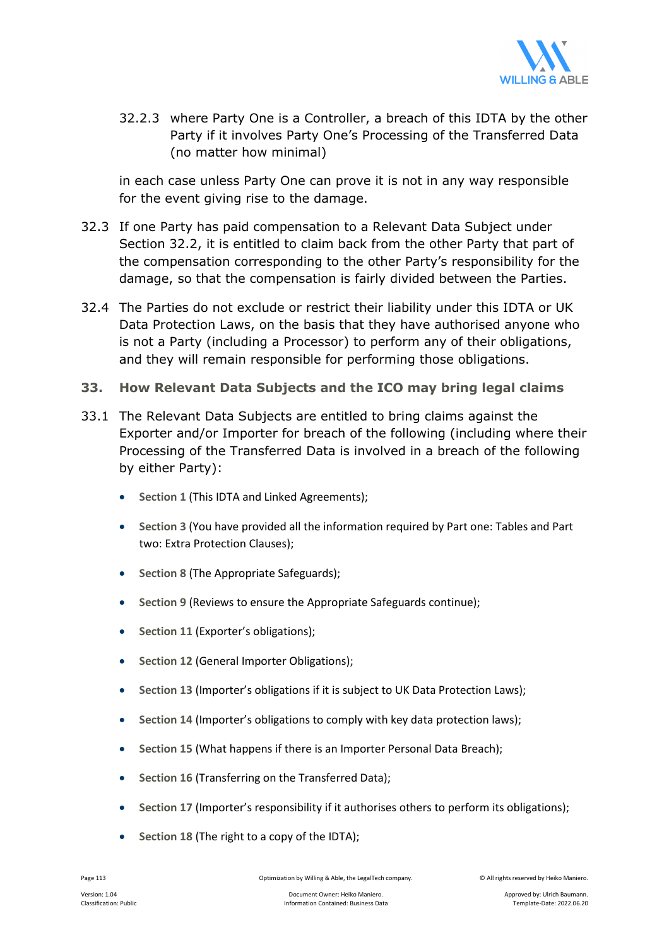

32.2.3 where Party One is a Controller, a breach of this IDTA by the other Party if it involves Party One's Processing of the Transferred Data (no matter how minimal)

in each case unless Party One can prove it is not in any way responsible for the event giving rise to the damage.

- 32.3 If one Party has paid compensation to a Relevant Data Subject under Section 32.2, it is entitled to claim back from the other Party that part of the compensation corresponding to the other Party's responsibility for the damage, so that the compensation is fairly divided between the Parties.
- 32.4 The Parties do not exclude or restrict their liability under this IDTA or UK Data Protection Laws, on the basis that they have authorised anyone who is not a Party (including a Processor) to perform any of their obligations, and they will remain responsible for performing those obligations.

### **33. How Relevant Data Subjects and the ICO may bring legal claims**

- 33.1 The Relevant Data Subjects are entitled to bring claims against the Exporter and/or Importer for breach of the following (including where their Processing of the Transferred Data is involved in a breach of the following by either Party):
	- **Section 1** (This IDTA and Linked Agreements);
	- **Section 3** (You have provided all the information required by Part one: Tables and Part two: Extra Protection Clauses);
	- **•** Section 8 (The Appropriate Safeguards):
	- **Section 9** (Reviews to ensure the Appropriate Safeguards continue);
	- **•** Section 11 (Exporter's obligations);
	- **•** Section 12 (General Importer Obligations);
	- **Section 13** (Importer's obligations if it is subject to UK Data Protection Laws);
	- **Section 14** (Importer's obligations to comply with key data protection laws);
	- **Section 15** (What happens if there is an Importer Personal Data Breach);
	- **Section 16 (Transferring on the Transferred Data);**
	- **Section 17** (Importer's responsibility if it authorises others to perform its obligations);
	- **Section 18** (The right to a copy of the IDTA);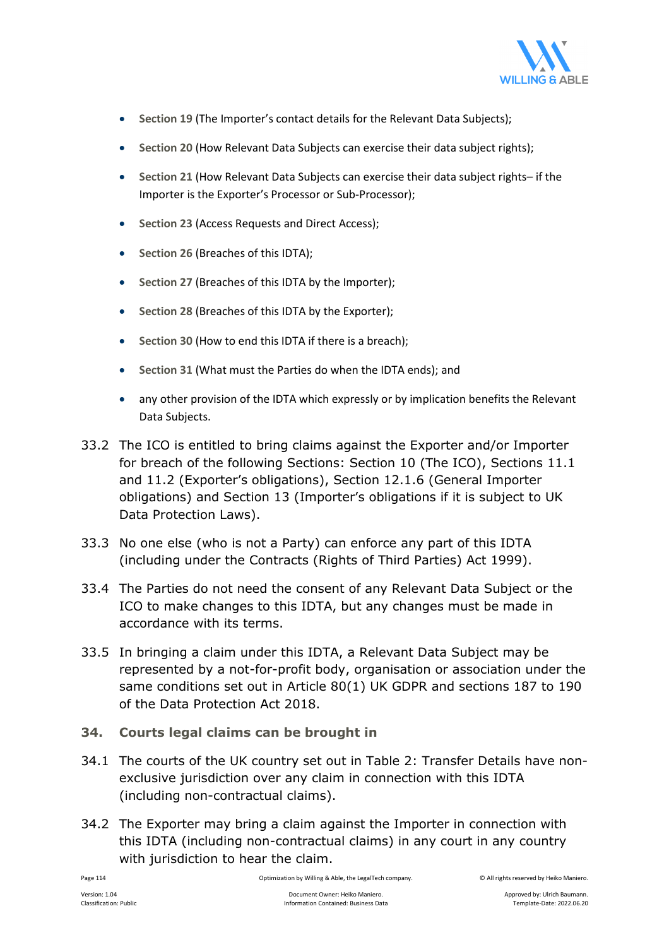

- **Section 19** (The Importer's contact details for the Relevant Data Subjects);
- **Section 20** (How Relevant Data Subjects can exercise their data subject rights);
- **Section 21** (How Relevant Data Subjects can exercise their data subject rights– if the Importer is the Exporter's Processor or Sub-Processor);
- **Section 23** (Access Requests and Direct Access);
- **Section 26 (Breaches of this IDTA);**
- **Section 27** (Breaches of this IDTA by the Importer);
- **Section 28** (Breaches of this IDTA by the Exporter);
- **Section 30** (How to end this IDTA if there is a breach);
- **Section 31** (What must the Parties do when the IDTA ends); and
- any other provision of the IDTA which expressly or by implication benefits the Relevant Data Subjects.
- 33.2 The ICO is entitled to bring claims against the Exporter and/or Importer for breach of the following Sections: Section 10 (The ICO), Sections 11.1 and 11.2 (Exporter's obligations), Section 12.1.6 (General Importer obligations) and Section 13 (Importer's obligations if it is subject to UK Data Protection Laws).
- 33.3 No one else (who is not a Party) can enforce any part of this IDTA (including under the Contracts (Rights of Third Parties) Act 1999).
- 33.4 The Parties do not need the consent of any Relevant Data Subject or the ICO to make changes to this IDTA, but any changes must be made in accordance with its terms.
- 33.5 In bringing a claim under this IDTA, a Relevant Data Subject may be represented by a not-for-profit body, organisation or association under the same conditions set out in Article 80(1) UK GDPR and sections 187 to 190 of the Data Protection Act 2018.

### **34. Courts legal claims can be brought in**

- 34.1 The courts of the UK country set out in Table 2: Transfer Details have nonexclusive jurisdiction over any claim in connection with this IDTA (including non-contractual claims).
- 34.2 The Exporter may bring a claim against the Importer in connection with this IDTA (including non-contractual claims) in any court in any country with jurisdiction to hear the claim.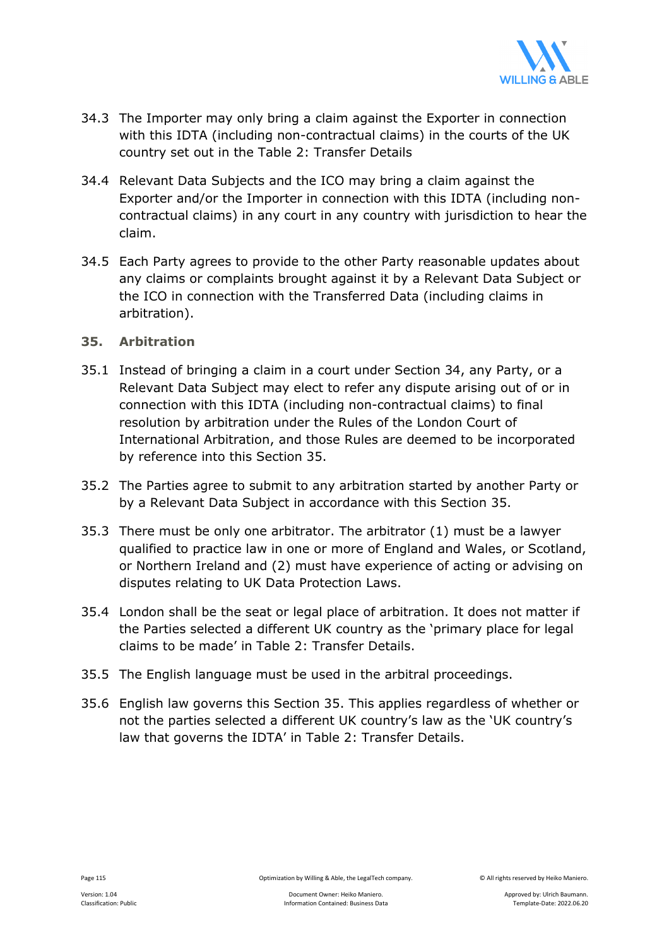

- 34.3 The Importer may only bring a claim against the Exporter in connection with this IDTA (including non-contractual claims) in the courts of the UK country set out in the Table 2: Transfer Details
- 34.4 Relevant Data Subjects and the ICO may bring a claim against the Exporter and/or the Importer in connection with this IDTA (including noncontractual claims) in any court in any country with jurisdiction to hear the claim.
- 34.5 Each Party agrees to provide to the other Party reasonable updates about any claims or complaints brought against it by a Relevant Data Subject or the ICO in connection with the Transferred Data (including claims in arbitration).

### **35. Arbitration**

- 35.1 Instead of bringing a claim in a court under Section 34, any Party, or a Relevant Data Subject may elect to refer any dispute arising out of or in connection with this IDTA (including non-contractual claims) to final resolution by arbitration under the Rules of the London Court of International Arbitration, and those Rules are deemed to be incorporated by reference into this Section 35.
- 35.2 The Parties agree to submit to any arbitration started by another Party or by a Relevant Data Subject in accordance with this Section 35.
- 35.3 There must be only one arbitrator. The arbitrator (1) must be a lawyer qualified to practice law in one or more of England and Wales, or Scotland, or Northern Ireland and (2) must have experience of acting or advising on disputes relating to UK Data Protection Laws.
- 35.4 London shall be the seat or legal place of arbitration. It does not matter if the Parties selected a different UK country as the 'primary place for legal claims to be made' in Table 2: Transfer Details.
- 35.5 The English language must be used in the arbitral proceedings.
- 35.6 English law governs this Section 35. This applies regardless of whether or not the parties selected a different UK country's law as the 'UK country's law that governs the IDTA' in Table 2: Transfer Details.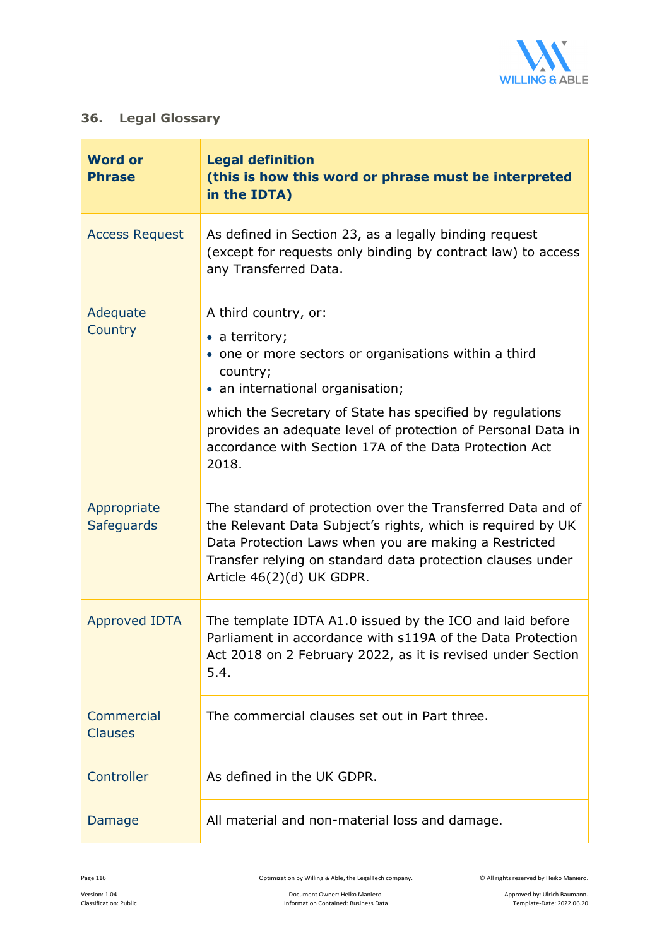

## **36. Legal Glossary**

| <b>Word or</b><br><b>Phrase</b>     | <b>Legal definition</b><br>(this is how this word or phrase must be interpreted<br>in the IDTA)                                                                                                                                                                                                                                                         |
|-------------------------------------|---------------------------------------------------------------------------------------------------------------------------------------------------------------------------------------------------------------------------------------------------------------------------------------------------------------------------------------------------------|
| <b>Access Request</b>               | As defined in Section 23, as a legally binding request<br>(except for requests only binding by contract law) to access<br>any Transferred Data.                                                                                                                                                                                                         |
| Adequate<br>Country                 | A third country, or:<br>$\bullet$ a territory;<br>• one or more sectors or organisations within a third<br>country;<br>• an international organisation;<br>which the Secretary of State has specified by regulations<br>provides an adequate level of protection of Personal Data in<br>accordance with Section 17A of the Data Protection Act<br>2018. |
| Appropriate<br><b>Safeguards</b>    | The standard of protection over the Transferred Data and of<br>the Relevant Data Subject's rights, which is required by UK<br>Data Protection Laws when you are making a Restricted<br>Transfer relying on standard data protection clauses under<br>Article 46(2)(d) UK GDPR.                                                                          |
| <b>Approved IDTA</b>                | The template IDTA A1.0 issued by the ICO and laid before<br>Parliament in accordance with s119A of the Data Protection<br>Act 2018 on 2 February 2022, as it is revised under Section<br>5.4.                                                                                                                                                           |
| <b>Commercial</b><br><b>Clauses</b> | The commercial clauses set out in Part three.                                                                                                                                                                                                                                                                                                           |
| Controller                          | As defined in the UK GDPR.                                                                                                                                                                                                                                                                                                                              |
| Damage                              | All material and non-material loss and damage.                                                                                                                                                                                                                                                                                                          |

Page 116 Optimization by Willing & Able, the LegalTech company. © All rights reserved by Heiko Maniero.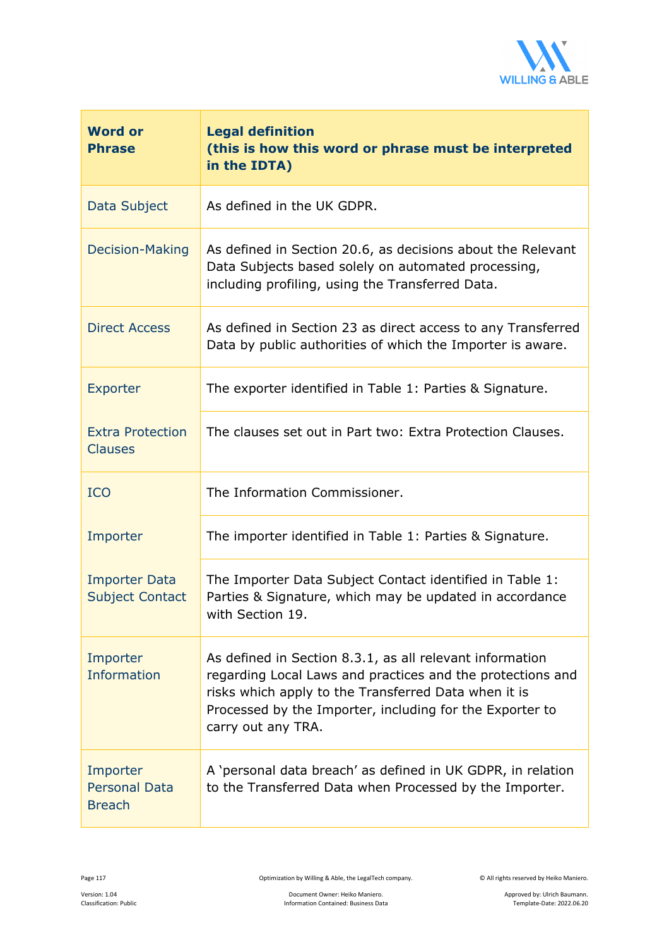

| <b>Word or</b><br><b>Phrase</b>                   | <b>Legal definition</b><br>(this is how this word or phrase must be interpreted<br>in the IDTA)                                                                                                                                                                  |
|---------------------------------------------------|------------------------------------------------------------------------------------------------------------------------------------------------------------------------------------------------------------------------------------------------------------------|
| Data Subject                                      | As defined in the UK GDPR.                                                                                                                                                                                                                                       |
| <b>Decision-Making</b>                            | As defined in Section 20.6, as decisions about the Relevant<br>Data Subjects based solely on automated processing,<br>including profiling, using the Transferred Data.                                                                                           |
| <b>Direct Access</b>                              | As defined in Section 23 as direct access to any Transferred<br>Data by public authorities of which the Importer is aware.                                                                                                                                       |
| Exporter                                          | The exporter identified in Table 1: Parties & Signature.                                                                                                                                                                                                         |
| <b>Extra Protection</b><br><b>Clauses</b>         | The clauses set out in Part two: Extra Protection Clauses.                                                                                                                                                                                                       |
| <b>ICO</b>                                        | The Information Commissioner.                                                                                                                                                                                                                                    |
| Importer                                          | The importer identified in Table 1: Parties & Signature.                                                                                                                                                                                                         |
| <b>Importer Data</b><br><b>Subject Contact</b>    | The Importer Data Subject Contact identified in Table 1:<br>Parties & Signature, which may be updated in accordance<br>with Section 19.                                                                                                                          |
| Importer<br><b>Information</b>                    | As defined in Section 8.3.1, as all relevant information<br>regarding Local Laws and practices and the protections and<br>risks which apply to the Transferred Data when it is<br>Processed by the Importer, including for the Exporter to<br>carry out any TRA. |
| Importer<br><b>Personal Data</b><br><b>Breach</b> | A 'personal data breach' as defined in UK GDPR, in relation<br>to the Transferred Data when Processed by the Importer.                                                                                                                                           |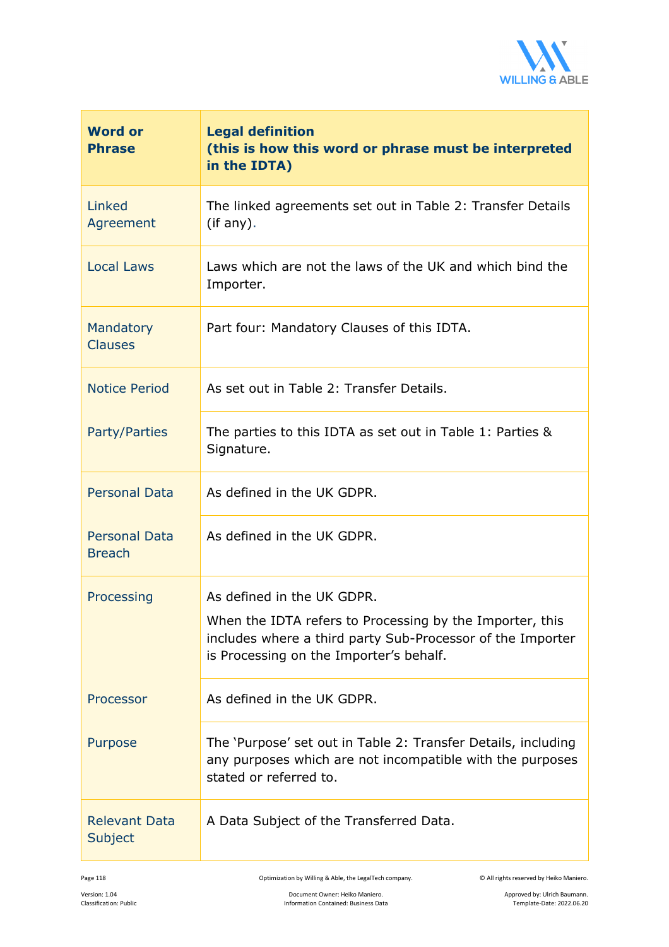

| <b>Word or</b><br><b>Phrase</b>       | <b>Legal definition</b><br>(this is how this word or phrase must be interpreted<br>in the IDTA)                                                                   |
|---------------------------------------|-------------------------------------------------------------------------------------------------------------------------------------------------------------------|
| Linked<br>Agreement                   | The linked agreements set out in Table 2: Transfer Details<br>(if any).                                                                                           |
| <b>Local Laws</b>                     | Laws which are not the laws of the UK and which bind the<br>Importer.                                                                                             |
| Mandatory<br><b>Clauses</b>           | Part four: Mandatory Clauses of this IDTA.                                                                                                                        |
| <b>Notice Period</b>                  | As set out in Table 2: Transfer Details.                                                                                                                          |
| Party/Parties                         | The parties to this IDTA as set out in Table 1: Parties &<br>Signature.                                                                                           |
| <b>Personal Data</b>                  | As defined in the UK GDPR.                                                                                                                                        |
| <b>Personal Data</b><br><b>Breach</b> | As defined in the UK GDPR.                                                                                                                                        |
| Processing                            | As defined in the UK GDPR.                                                                                                                                        |
|                                       | When the IDTA refers to Processing by the Importer, this<br>includes where a third party Sub-Processor of the Importer<br>is Processing on the Importer's behalf. |
| Processor                             | As defined in the UK GDPR.                                                                                                                                        |
| Purpose                               | The 'Purpose' set out in Table 2: Transfer Details, including<br>any purposes which are not incompatible with the purposes<br>stated or referred to.              |
| <b>Relevant Data</b><br>Subject       | A Data Subject of the Transferred Data.                                                                                                                           |

Page 118 Optimization by Willing & Able, the LegalTech company. © All rights reserved by Heiko Maniero.

Version: 1.04 Approved by: Ulrich Baumann.<br>2012 Classification: Public Classification: Public Information Contained: Business Data Template-Date: 2022.06.20<br>2012.06.20 Template-Date: 2022.06.20 Template-Date: 2022.06.20 I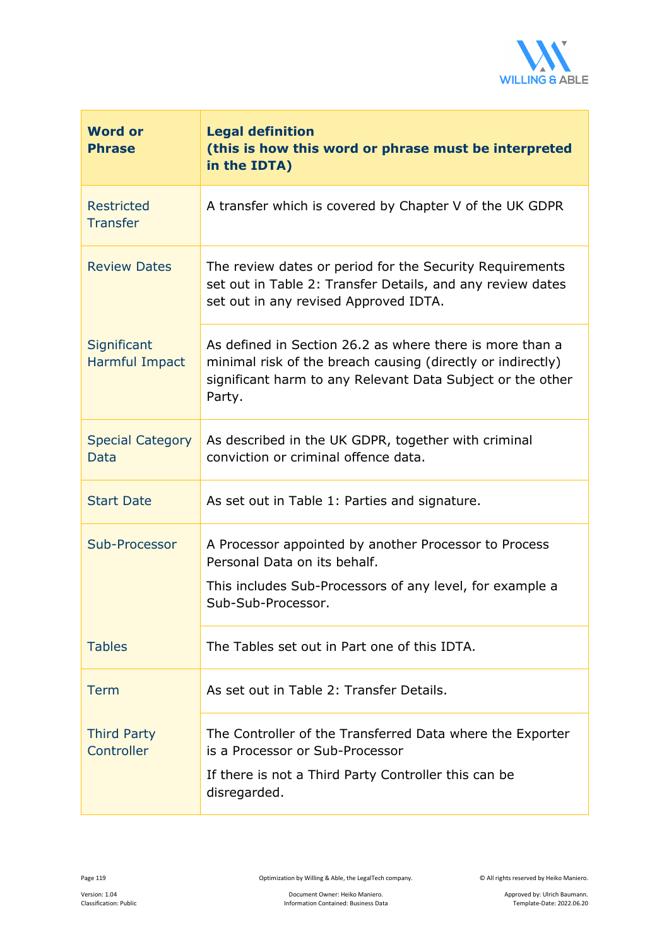

| <b>Word or</b><br><b>Phrase</b>        | <b>Legal definition</b><br>(this is how this word or phrase must be interpreted<br>in the IDTA)                                                                                                 |
|----------------------------------------|-------------------------------------------------------------------------------------------------------------------------------------------------------------------------------------------------|
| <b>Restricted</b><br><b>Transfer</b>   | A transfer which is covered by Chapter V of the UK GDPR                                                                                                                                         |
| <b>Review Dates</b>                    | The review dates or period for the Security Requirements<br>set out in Table 2: Transfer Details, and any review dates<br>set out in any revised Approved IDTA.                                 |
| Significant<br>Harmful Impact          | As defined in Section 26.2 as where there is more than a<br>minimal risk of the breach causing (directly or indirectly)<br>significant harm to any Relevant Data Subject or the other<br>Party. |
| <b>Special Category</b><br><b>Data</b> | As described in the UK GDPR, together with criminal<br>conviction or criminal offence data.                                                                                                     |
| <b>Start Date</b>                      | As set out in Table 1: Parties and signature.                                                                                                                                                   |
| Sub-Processor                          | A Processor appointed by another Processor to Process<br>Personal Data on its behalf.                                                                                                           |
|                                        | This includes Sub-Processors of any level, for example a<br>Sub-Sub-Processor.                                                                                                                  |
| <b>Tables</b>                          | The Tables set out in Part one of this IDTA.                                                                                                                                                    |
| <b>Term</b>                            | As set out in Table 2: Transfer Details.                                                                                                                                                        |
| <b>Third Party</b><br>Controller       | The Controller of the Transferred Data where the Exporter<br>is a Processor or Sub-Processor                                                                                                    |
|                                        | If there is not a Third Party Controller this can be<br>disregarded.                                                                                                                            |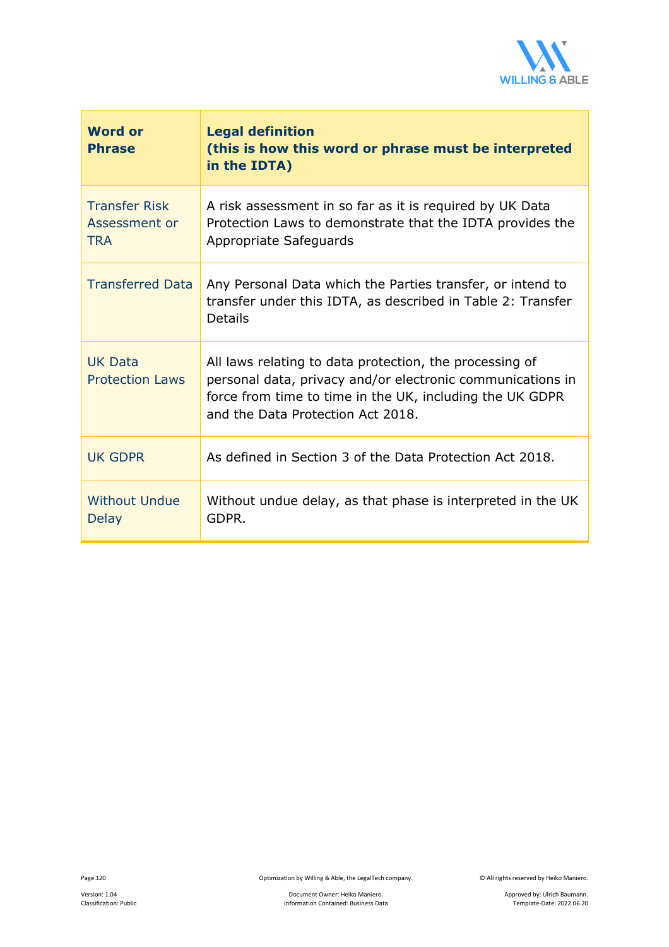

| <b>Word or</b><br><b>Phrase</b>                     | <b>Legal definition</b><br>(this is how this word or phrase must be interpreted<br>in the IDTA)                                                                                                                        |
|-----------------------------------------------------|------------------------------------------------------------------------------------------------------------------------------------------------------------------------------------------------------------------------|
| <b>Transfer Risk</b><br>Assessment or<br><b>TRA</b> | A risk assessment in so far as it is required by UK Data<br>Protection Laws to demonstrate that the IDTA provides the<br>Appropriate Safeguards                                                                        |
| <b>Transferred Data</b>                             | Any Personal Data which the Parties transfer, or intend to<br>transfer under this IDTA, as described in Table 2: Transfer<br>Details                                                                                   |
| <b>UK Data</b><br><b>Protection Laws</b>            | All laws relating to data protection, the processing of<br>personal data, privacy and/or electronic communications in<br>force from time to time in the UK, including the UK GDPR<br>and the Data Protection Act 2018. |
| <b>UK GDPR</b>                                      | As defined in Section 3 of the Data Protection Act 2018.                                                                                                                                                               |
| <b>Without Undue</b><br><b>Delay</b>                | Without undue delay, as that phase is interpreted in the UK<br>GDPR.                                                                                                                                                   |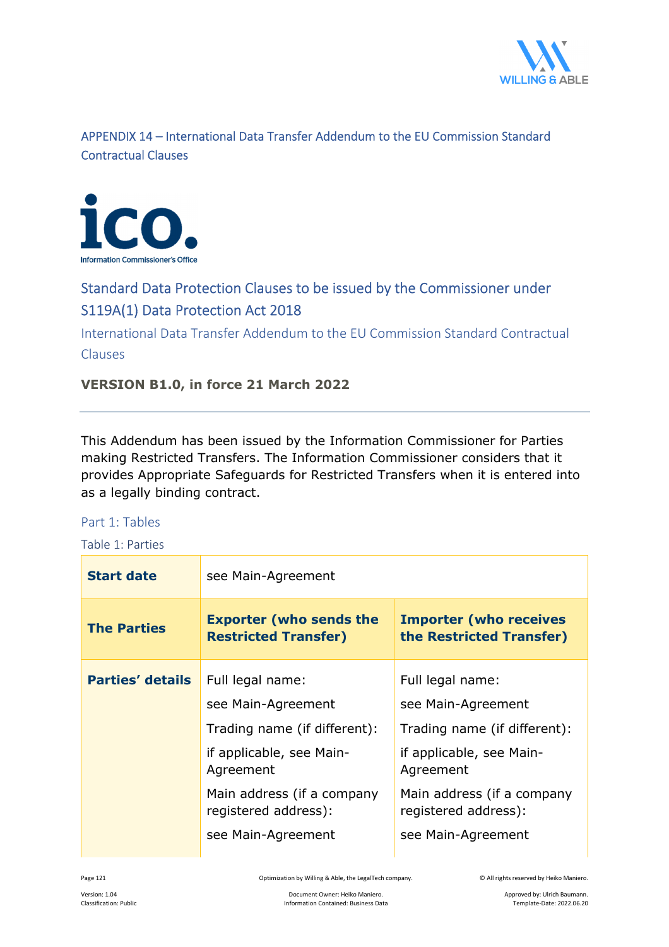

APPENDIX 14 – International Data Transfer Addendum to the EU Commission Standard Contractual Clauses



# Standard Data Protection Clauses to be issued by the Commissioner under S119A(1) Data Protection Act 2018

International Data Transfer Addendum to the EU Commission Standard Contractual Clauses

**VERSION B1.0, in force 21 March 2022** 

This Addendum has been issued by the Information Commissioner for Parties making Restricted Transfers. The Information Commissioner considers that it provides Appropriate Safeguards for Restricted Transfers when it is entered into as a legally binding contract.

### Part 1: Tables

Table 1: Parties

| <b>Start date</b>       | see Main-Agreement                                                                                              |                                                                                                                 |
|-------------------------|-----------------------------------------------------------------------------------------------------------------|-----------------------------------------------------------------------------------------------------------------|
| <b>The Parties</b>      | <b>Exporter (who sends the</b><br><b>Restricted Transfer)</b>                                                   | <b>Importer (who receives</b><br>the Restricted Transfer)                                                       |
| <b>Parties' details</b> | Full legal name:<br>see Main-Agreement<br>Trading name (if different):<br>if applicable, see Main-<br>Agreement | Full legal name:<br>see Main-Agreement<br>Trading name (if different):<br>if applicable, see Main-<br>Agreement |
|                         | Main address (if a company<br>registered address):                                                              | Main address (if a company<br>registered address):                                                              |
|                         | see Main-Agreement                                                                                              | see Main-Agreement                                                                                              |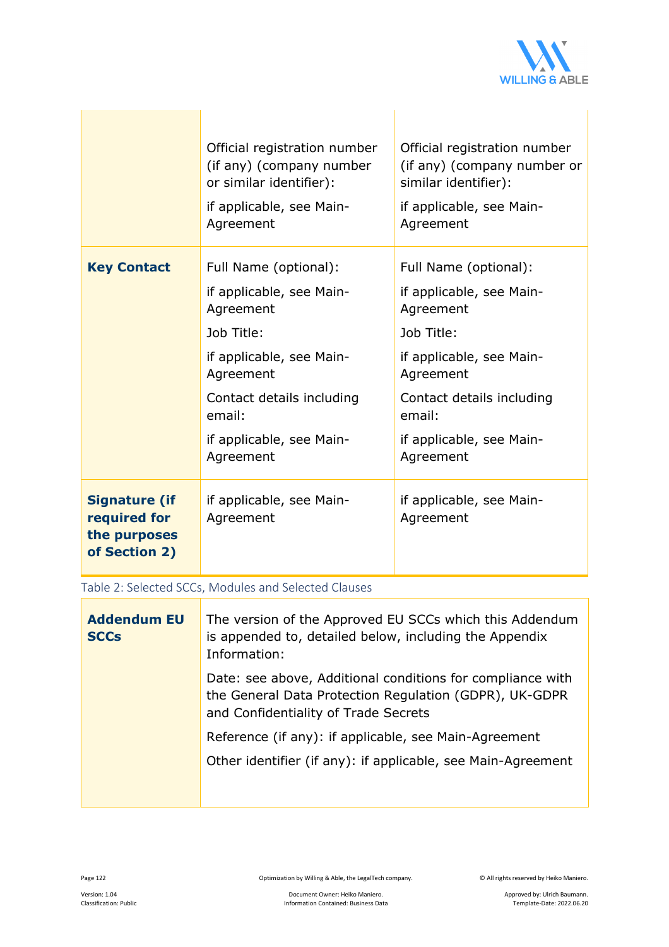

|                                                                       | Official registration number<br>(if any) (company number<br>or similar identifier):<br>if applicable, see Main-<br>Agreement                       | Official registration number<br>(if any) (company number or<br>similar identifier):<br>if applicable, see Main-<br>Agreement                       |
|-----------------------------------------------------------------------|----------------------------------------------------------------------------------------------------------------------------------------------------|----------------------------------------------------------------------------------------------------------------------------------------------------|
| <b>Key Contact</b>                                                    | Full Name (optional):<br>if applicable, see Main-<br>Agreement<br>Job Title:<br>if applicable, see Main-<br>Agreement<br>Contact details including | Full Name (optional):<br>if applicable, see Main-<br>Agreement<br>Job Title:<br>if applicable, see Main-<br>Agreement<br>Contact details including |
|                                                                       | email:<br>if applicable, see Main-<br>Agreement                                                                                                    | email:<br>if applicable, see Main-<br>Agreement                                                                                                    |
| <b>Signature (if</b><br>required for<br>the purposes<br>of Section 2) | if applicable, see Main-<br>Agreement                                                                                                              | if applicable, see Main-<br>Agreement                                                                                                              |

Table 2: Selected SCCs, Modules and Selected Clauses

| <b>Addendum EU</b><br><b>SCCs</b> | The version of the Approved EU SCCs which this Addendum<br>is appended to, detailed below, including the Appendix<br>Information:                            |
|-----------------------------------|--------------------------------------------------------------------------------------------------------------------------------------------------------------|
|                                   | Date: see above, Additional conditions for compliance with<br>the General Data Protection Regulation (GDPR), UK-GDPR<br>and Confidentiality of Trade Secrets |
|                                   | Reference (if any): if applicable, see Main-Agreement                                                                                                        |
|                                   | Other identifier (if any): if applicable, see Main-Agreement                                                                                                 |
|                                   |                                                                                                                                                              |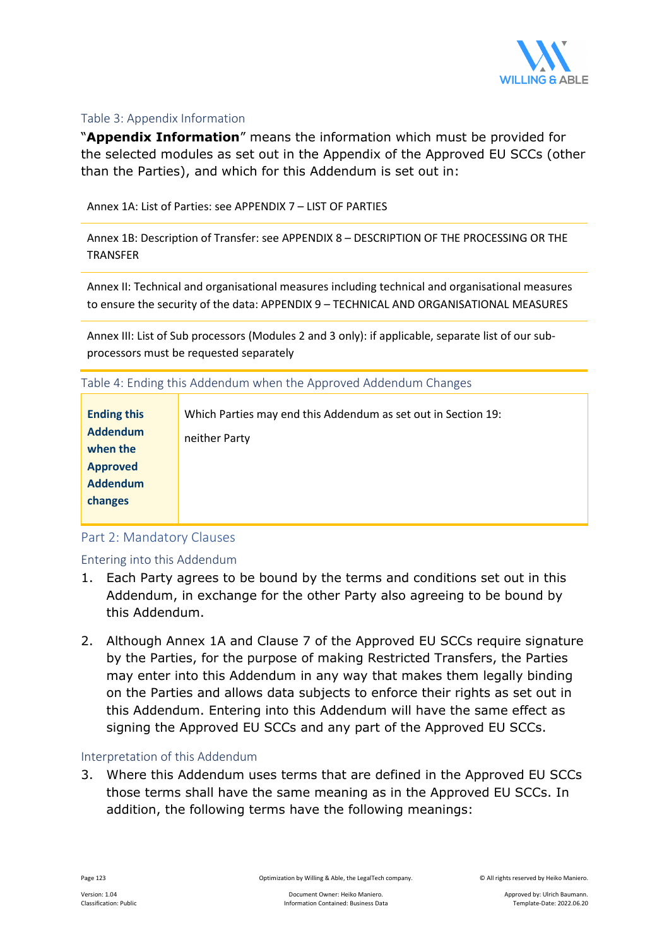

### Table 3: Appendix Information

"**Appendix Information**" means the information which must be provided for the selected modules as set out in the Appendix of the Approved EU SCCs (other than the Parties), and which for this Addendum is set out in:

Annex 1A: List of Parties: see APPENDIX 7 – LIST OF PARTIES

Annex 1B: Description of Transfer: see APPENDIX 8 – DESCRIPTION OF THE PROCESSING OR THE TRANSFER

Annex II: Technical and organisational measures including technical and organisational measures to ensure the security of the data: APPENDIX 9 – TECHNICAL AND ORGANISATIONAL MEASURES

Annex III: List of Sub processors (Modules 2 and 3 only): if applicable, separate list of our subprocessors must be requested separately

Table 4: Ending this Addendum when the Approved Addendum Changes

| <b>Ending this</b> | Which Parties may end this Addendum as set out in Section 19: |
|--------------------|---------------------------------------------------------------|
| <b>Addendum</b>    | neither Party                                                 |
| when the           |                                                               |
| <b>Approved</b>    |                                                               |
| <b>Addendum</b>    |                                                               |
| changes            |                                                               |
|                    |                                                               |

### Part 2: Mandatory Clauses

### Entering into this Addendum

- 1. Each Party agrees to be bound by the terms and conditions set out in this Addendum, in exchange for the other Party also agreeing to be bound by this Addendum.
- 2. Although Annex 1A and Clause 7 of the Approved EU SCCs require signature by the Parties, for the purpose of making Restricted Transfers, the Parties may enter into this Addendum in any way that makes them legally binding on the Parties and allows data subjects to enforce their rights as set out in this Addendum. Entering into this Addendum will have the same effect as signing the Approved EU SCCs and any part of the Approved EU SCCs.

### Interpretation of this Addendum

3. Where this Addendum uses terms that are defined in the Approved EU SCCs those terms shall have the same meaning as in the Approved EU SCCs. In addition, the following terms have the following meanings: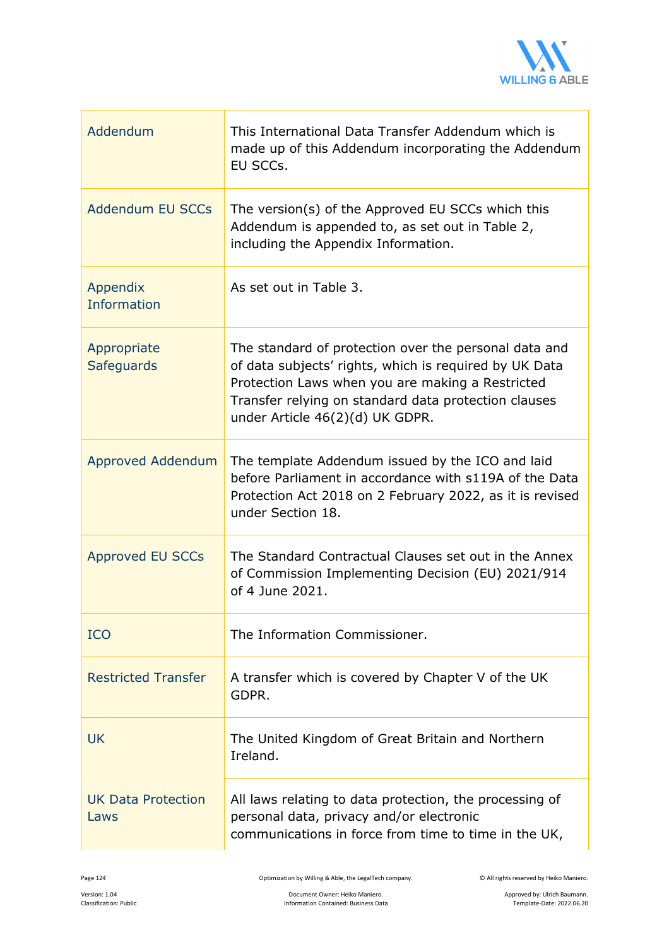

L,

| Addendum                          | This International Data Transfer Addendum which is<br>made up of this Addendum incorporating the Addendum<br>EU SCCs.                                                                                                                                          |
|-----------------------------------|----------------------------------------------------------------------------------------------------------------------------------------------------------------------------------------------------------------------------------------------------------------|
| <b>Addendum EU SCCs</b>           | The version(s) of the Approved EU SCCs which this<br>Addendum is appended to, as set out in Table 2,<br>including the Appendix Information.                                                                                                                    |
| Appendix<br><b>Information</b>    | As set out in Table 3.                                                                                                                                                                                                                                         |
| Appropriate<br><b>Safeguards</b>  | The standard of protection over the personal data and<br>of data subjects' rights, which is required by UK Data<br>Protection Laws when you are making a Restricted<br>Transfer relying on standard data protection clauses<br>under Article 46(2)(d) UK GDPR. |
| <b>Approved Addendum</b>          | The template Addendum issued by the ICO and laid<br>before Parliament in accordance with s119A of the Data<br>Protection Act 2018 on 2 February 2022, as it is revised<br>under Section 18.                                                                    |
| <b>Approved EU SCCs</b>           | The Standard Contractual Clauses set out in the Annex<br>of Commission Implementing Decision (EU) 2021/914<br>of 4 June 2021.                                                                                                                                  |
| <b>ICO</b>                        | The Information Commissioner.                                                                                                                                                                                                                                  |
| <b>Restricted Transfer</b>        | A transfer which is covered by Chapter V of the UK<br>GDPR.                                                                                                                                                                                                    |
| <b>UK</b>                         | The United Kingdom of Great Britain and Northern<br>Ireland.                                                                                                                                                                                                   |
| <b>UK Data Protection</b><br>Laws | All laws relating to data protection, the processing of<br>personal data, privacy and/or electronic<br>communications in force from time to time in the UK,                                                                                                    |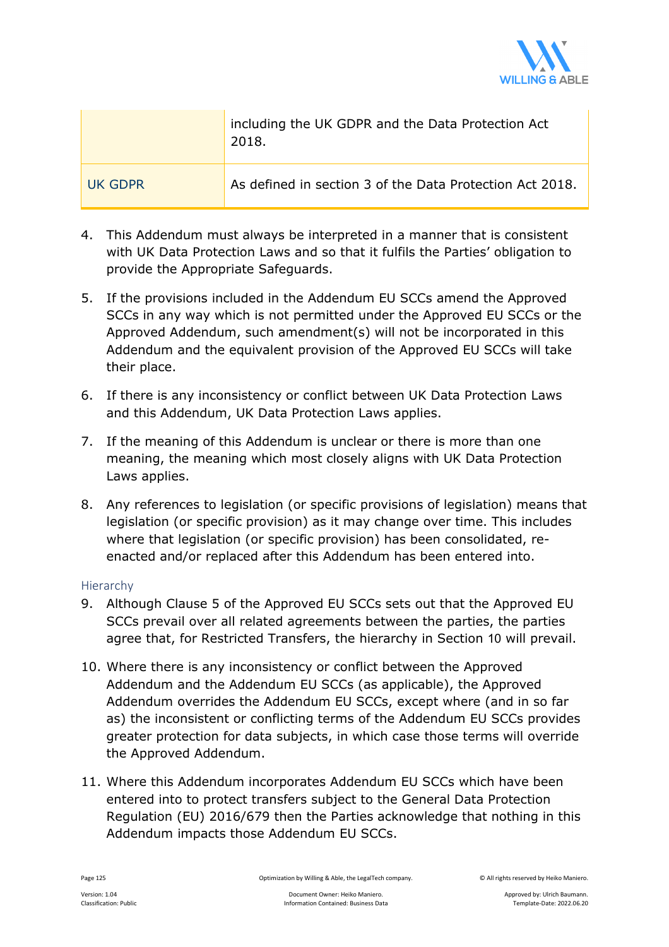

|         | including the UK GDPR and the Data Protection Act<br>2018. |
|---------|------------------------------------------------------------|
| UK GDPR | As defined in section 3 of the Data Protection Act 2018.   |

- 4. This Addendum must always be interpreted in a manner that is consistent with UK Data Protection Laws and so that it fulfils the Parties' obligation to provide the Appropriate Safeguards.
- 5. If the provisions included in the Addendum EU SCCs amend the Approved SCCs in any way which is not permitted under the Approved EU SCCs or the Approved Addendum, such amendment(s) will not be incorporated in this Addendum and the equivalent provision of the Approved EU SCCs will take their place.
- 6. If there is any inconsistency or conflict between UK Data Protection Laws and this Addendum, UK Data Protection Laws applies.
- 7. If the meaning of this Addendum is unclear or there is more than one meaning, the meaning which most closely aligns with UK Data Protection Laws applies.
- 8. Any references to legislation (or specific provisions of legislation) means that legislation (or specific provision) as it may change over time. This includes where that legislation (or specific provision) has been consolidated, reenacted and/or replaced after this Addendum has been entered into.

### Hierarchy

- 9. Although Clause 5 of the Approved EU SCCs sets out that the Approved EU SCCs prevail over all related agreements between the parties, the parties agree that, for Restricted Transfers, the hierarchy in Section 10 will prevail.
- 10. Where there is any inconsistency or conflict between the Approved Addendum and the Addendum EU SCCs (as applicable), the Approved Addendum overrides the Addendum EU SCCs, except where (and in so far as) the inconsistent or conflicting terms of the Addendum EU SCCs provides greater protection for data subjects, in which case those terms will override the Approved Addendum.
- 11. Where this Addendum incorporates Addendum EU SCCs which have been entered into to protect transfers subject to the General Data Protection Regulation (EU) 2016/679 then the Parties acknowledge that nothing in this Addendum impacts those Addendum EU SCCs.

Page 125 Optimization by Willing & Able, the LegalTech company. © All rights reserved by Heiko Maniero.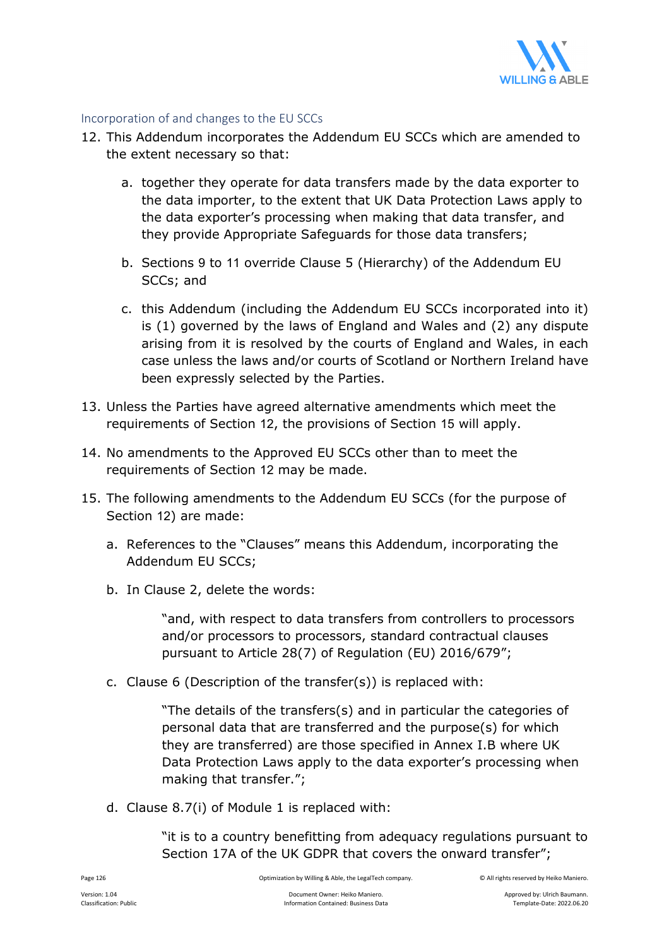

### Incorporation of and changes to the EU SCCs

- 12. This Addendum incorporates the Addendum EU SCCs which are amended to the extent necessary so that:
	- a. together they operate for data transfers made by the data exporter to the data importer, to the extent that UK Data Protection Laws apply to the data exporter's processing when making that data transfer, and they provide Appropriate Safeguards for those data transfers;
	- b. Sections 9 to 11 override Clause 5 (Hierarchy) of the Addendum EU SCCs; and
	- c. this Addendum (including the Addendum EU SCCs incorporated into it) is (1) governed by the laws of England and Wales and (2) any dispute arising from it is resolved by the courts of England and Wales, in each case unless the laws and/or courts of Scotland or Northern Ireland have been expressly selected by the Parties.
- 13. Unless the Parties have agreed alternative amendments which meet the requirements of Section 12, the provisions of Section 15 will apply.
- 14. No amendments to the Approved EU SCCs other than to meet the requirements of Section 12 may be made.
- 15. The following amendments to the Addendum EU SCCs (for the purpose of Section 12) are made:
	- a. References to the "Clauses" means this Addendum, incorporating the Addendum EU SCCs;
	- b. In Clause 2, delete the words:

"and, with respect to data transfers from controllers to processors and/or processors to processors, standard contractual clauses pursuant to Article 28(7) of Regulation (EU) 2016/679";

c. Clause 6 (Description of the transfer(s)) is replaced with:

"The details of the transfers(s) and in particular the categories of personal data that are transferred and the purpose(s) for which they are transferred) are those specified in Annex I.B where UK Data Protection Laws apply to the data exporter's processing when making that transfer.";

d. Clause 8.7(i) of Module 1 is replaced with:

"it is to a country benefitting from adequacy regulations pursuant to Section 17A of the UK GDPR that covers the onward transfer";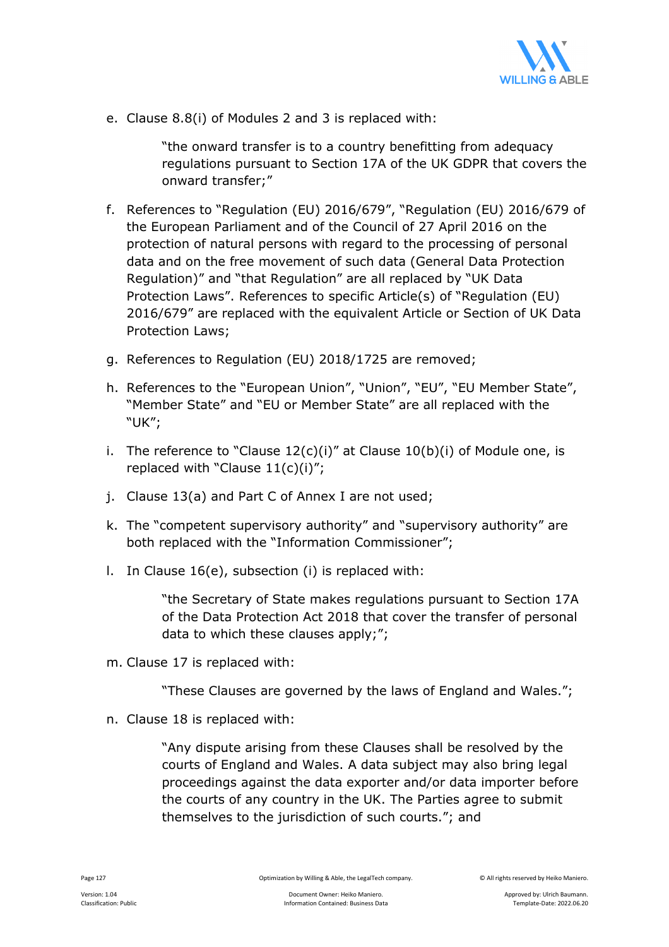

e. Clause 8.8(i) of Modules 2 and 3 is replaced with:

"the onward transfer is to a country benefitting from adequacy regulations pursuant to Section 17A of the UK GDPR that covers the onward transfer;"

- f. References to "Regulation (EU) 2016/679", "Regulation (EU) 2016/679 of the European Parliament and of the Council of 27 April 2016 on the protection of natural persons with regard to the processing of personal data and on the free movement of such data (General Data Protection Regulation)" and "that Regulation" are all replaced by "UK Data Protection Laws". References to specific Article(s) of "Regulation (EU) 2016/679" are replaced with the equivalent Article or Section of UK Data Protection Laws;
- g. References to Regulation (EU) 2018/1725 are removed;
- h. References to the "European Union", "Union", "EU", "EU Member State", "Member State" and "EU or Member State" are all replaced with the "UK";
- i. The reference to "Clause  $12(c)(i)$ " at Clause  $10(b)(i)$  of Module one, is replaced with "Clause 11(c)(i)";
- j. Clause 13(a) and Part C of Annex I are not used;
- k. The "competent supervisory authority" and "supervisory authority" are both replaced with the "Information Commissioner";
- l. In Clause 16(e), subsection (i) is replaced with:

"the Secretary of State makes regulations pursuant to Section 17A of the Data Protection Act 2018 that cover the transfer of personal data to which these clauses apply;";

m. Clause 17 is replaced with:

"These Clauses are governed by the laws of England and Wales.";

n. Clause 18 is replaced with:

"Any dispute arising from these Clauses shall be resolved by the courts of England and Wales. A data subject may also bring legal proceedings against the data exporter and/or data importer before the courts of any country in the UK. The Parties agree to submit themselves to the jurisdiction of such courts."; and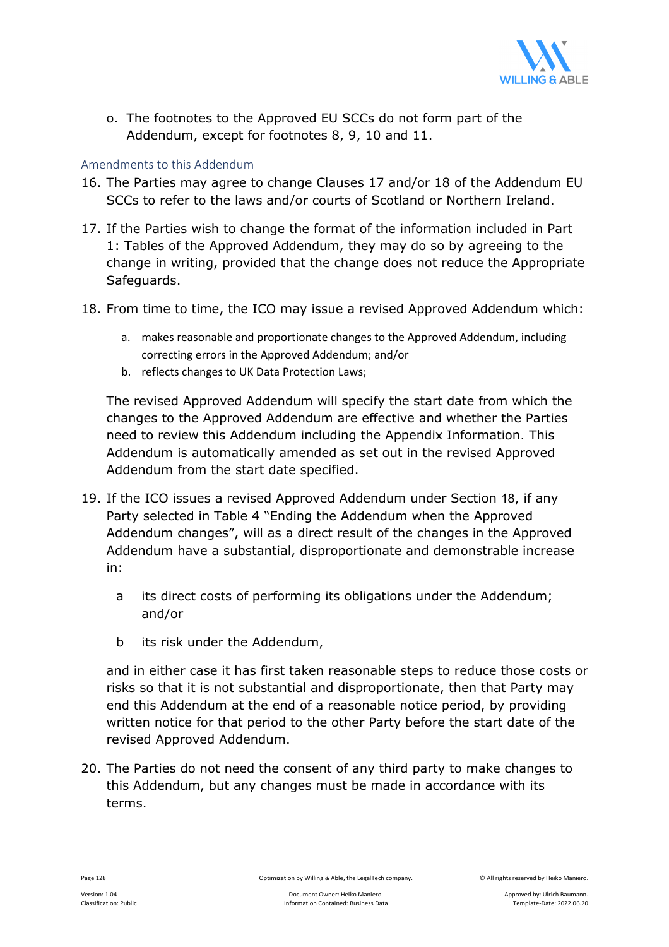

o. The footnotes to the Approved EU SCCs do not form part of the Addendum, except for footnotes 8, 9, 10 and 11.

### Amendments to this Addendum

- 16. The Parties may agree to change Clauses 17 and/or 18 of the Addendum EU SCCs to refer to the laws and/or courts of Scotland or Northern Ireland.
- 17. If the Parties wish to change the format of the information included in Part 1: Tables of the Approved Addendum, they may do so by agreeing to the change in writing, provided that the change does not reduce the Appropriate Safeguards.
- 18. From time to time, the ICO may issue a revised Approved Addendum which:
	- a. makes reasonable and proportionate changes to the Approved Addendum, including correcting errors in the Approved Addendum; and/or
	- b. reflects changes to UK Data Protection Laws;

The revised Approved Addendum will specify the start date from which the changes to the Approved Addendum are effective and whether the Parties need to review this Addendum including the Appendix Information. This Addendum is automatically amended as set out in the revised Approved Addendum from the start date specified.

- 19. If the ICO issues a revised Approved Addendum under Section 18, if any Party selected in Table 4 "Ending the Addendum when the Approved Addendum changes", will as a direct result of the changes in the Approved Addendum have a substantial, disproportionate and demonstrable increase in:
	- a its direct costs of performing its obligations under the Addendum; and/or
	- b its risk under the Addendum,

and in either case it has first taken reasonable steps to reduce those costs or risks so that it is not substantial and disproportionate, then that Party may end this Addendum at the end of a reasonable notice period, by providing written notice for that period to the other Party before the start date of the revised Approved Addendum.

20. The Parties do not need the consent of any third party to make changes to this Addendum, but any changes must be made in accordance with its terms.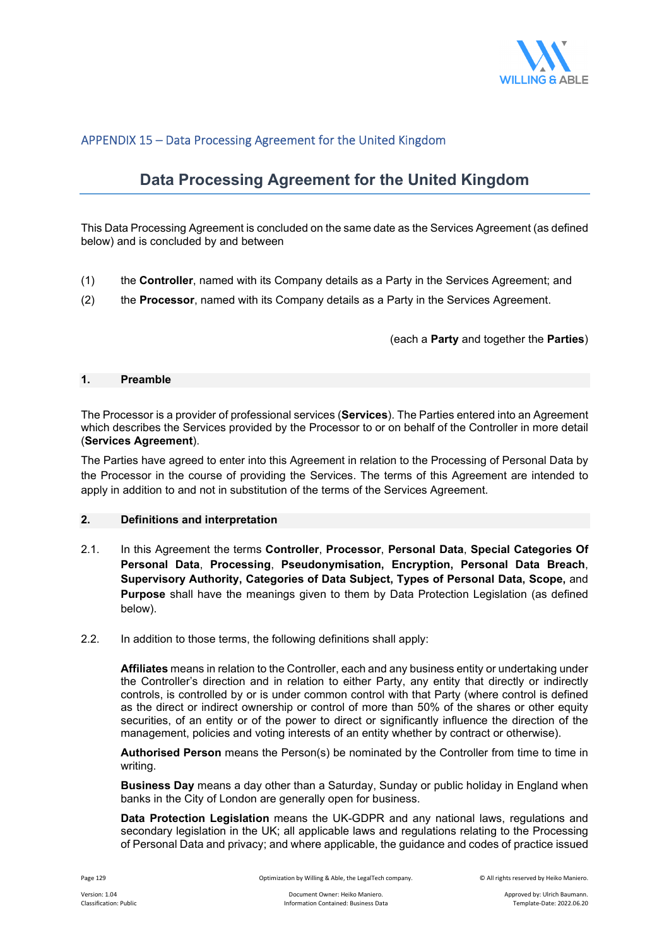

### APPENDIX 15 – Data Processing Agreement for the United Kingdom

# **Data Processing Agreement for the United Kingdom**

This Data Processing Agreement is concluded on the same date as the Services Agreement (as defined below) and is concluded by and between

- (1) the **Controller**, named with its Company details as a Party in the Services Agreement; and
- (2) the **Processor**, named with its Company details as a Party in the Services Agreement.

(each a **Party** and together the **Parties**)

#### **1. Preamble**

The Processor is a provider of professional services (**Services**). The Parties entered into an Agreement which describes the Services provided by the Processor to or on behalf of the Controller in more detail (**Services Agreement**).

The Parties have agreed to enter into this Agreement in relation to the Processing of Personal Data by the Processor in the course of providing the Services. The terms of this Agreement are intended to apply in addition to and not in substitution of the terms of the Services Agreement.

#### **2. Definitions and interpretation**

- 2.1. In this Agreement the terms **Controller**, **Processor**, **Personal Data**, **Special Categories Of Personal Data**, **Processing**, **Pseudonymisation, Encryption, Personal Data Breach**, **Supervisory Authority, Categories of Data Subject, Types of Personal Data, Scope,** and **Purpose** shall have the meanings given to them by Data Protection Legislation (as defined below).
- 2.2. In addition to those terms, the following definitions shall apply:

**Affiliates** means in relation to the Controller, each and any business entity or undertaking under the Controller's direction and in relation to either Party, any entity that directly or indirectly controls, is controlled by or is under common control with that Party (where control is defined as the direct or indirect ownership or control of more than 50% of the shares or other equity securities, of an entity or of the power to direct or significantly influence the direction of the management, policies and voting interests of an entity whether by contract or otherwise).

**Authorised Person** means the Person(s) be nominated by the Controller from time to time in writing.

**Business Day** means a day other than a Saturday, Sunday or public holiday in England when banks in the City of London are generally open for business.

**Data Protection Legislation** means the UK-GDPR and any national laws, regulations and secondary legislation in the UK; all applicable laws and regulations relating to the Processing of Personal Data and privacy; and where applicable, the guidance and codes of practice issued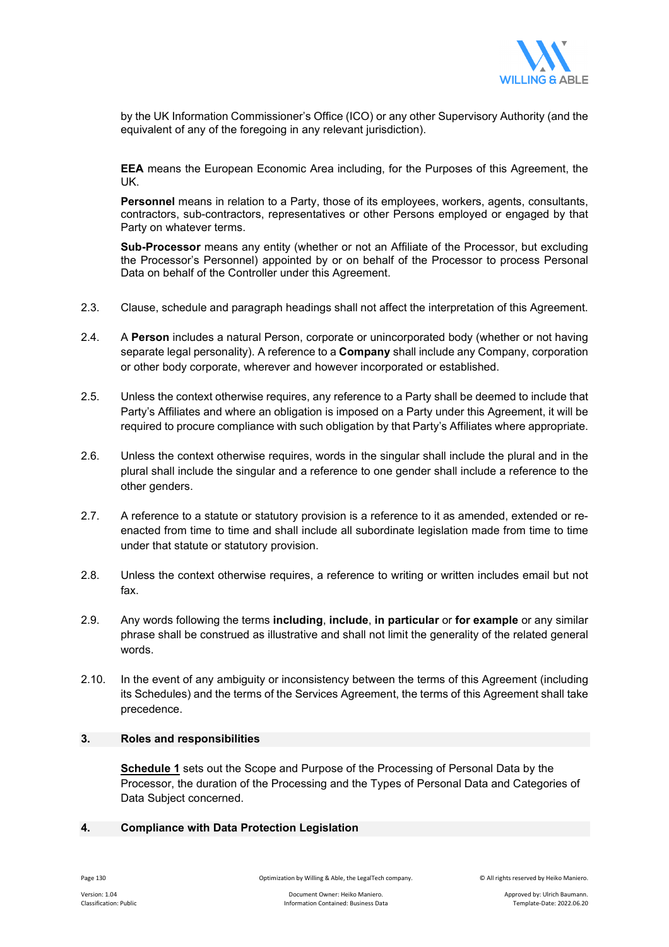

by the UK Information Commissioner's Office (ICO) or any other Supervisory Authority (and the equivalent of any of the foregoing in any relevant jurisdiction).

**EEA** means the European Economic Area including, for the Purposes of this Agreement, the UK.

**Personnel** means in relation to a Party, those of its employees, workers, agents, consultants, contractors, sub-contractors, representatives or other Persons employed or engaged by that Party on whatever terms.

**Sub-Processor** means any entity (whether or not an Affiliate of the Processor, but excluding the Processor's Personnel) appointed by or on behalf of the Processor to process Personal Data on behalf of the Controller under this Agreement.

- 2.3. Clause, schedule and paragraph headings shall not affect the interpretation of this Agreement.
- 2.4. A **Person** includes a natural Person, corporate or unincorporated body (whether or not having separate legal personality). A reference to a **Company** shall include any Company, corporation or other body corporate, wherever and however incorporated or established.
- 2.5. Unless the context otherwise requires, any reference to a Party shall be deemed to include that Party's Affiliates and where an obligation is imposed on a Party under this Agreement, it will be required to procure compliance with such obligation by that Party's Affiliates where appropriate.
- 2.6. Unless the context otherwise requires, words in the singular shall include the plural and in the plural shall include the singular and a reference to one gender shall include a reference to the other genders.
- 2.7. A reference to a statute or statutory provision is a reference to it as amended, extended or reenacted from time to time and shall include all subordinate legislation made from time to time under that statute or statutory provision.
- 2.8. Unless the context otherwise requires, a reference to writing or written includes email but not fax.
- 2.9. Any words following the terms **including**, **include**, **in particular** or **for example** or any similar phrase shall be construed as illustrative and shall not limit the generality of the related general words.
- 2.10. In the event of any ambiguity or inconsistency between the terms of this Agreement (including its Schedules) and the terms of the Services Agreement, the terms of this Agreement shall take precedence.

#### **3. Roles and responsibilities**

**Schedule 1** sets out the Scope and Purpose of the Processing of Personal Data by the Processor, the duration of the Processing and the Types of Personal Data and Categories of Data Subject concerned.

#### **4. Compliance with Data Protection Legislation**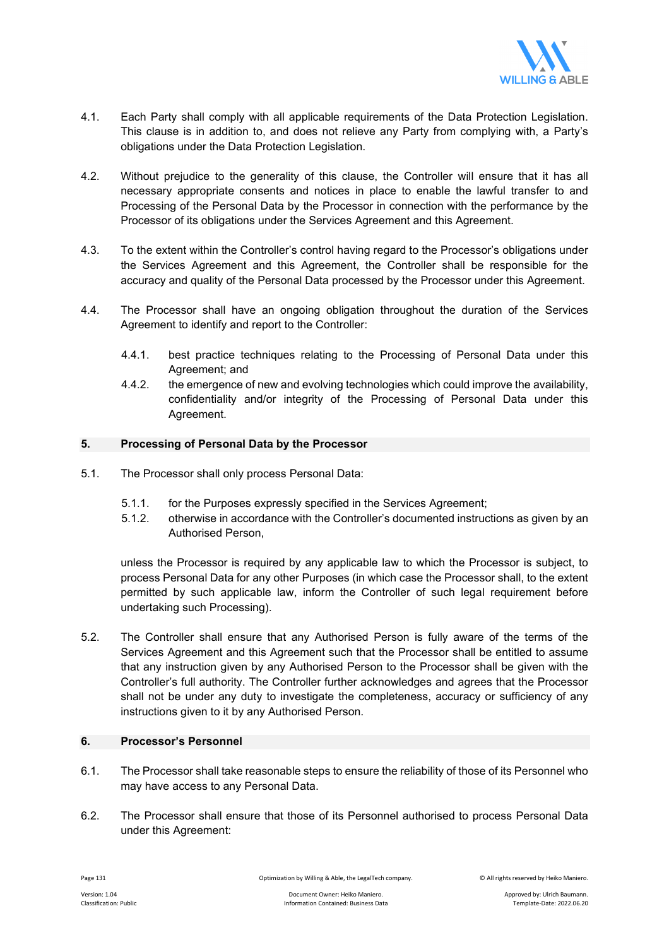

- 4.1. Each Party shall comply with all applicable requirements of the Data Protection Legislation. This clause is in addition to, and does not relieve any Party from complying with, a Party's obligations under the Data Protection Legislation.
- 4.2. Without prejudice to the generality of this clause, the Controller will ensure that it has all necessary appropriate consents and notices in place to enable the lawful transfer to and Processing of the Personal Data by the Processor in connection with the performance by the Processor of its obligations under the Services Agreement and this Agreement.
- 4.3. To the extent within the Controller's control having regard to the Processor's obligations under the Services Agreement and this Agreement, the Controller shall be responsible for the accuracy and quality of the Personal Data processed by the Processor under this Agreement.
- 4.4. The Processor shall have an ongoing obligation throughout the duration of the Services Agreement to identify and report to the Controller:
	- 4.4.1. best practice techniques relating to the Processing of Personal Data under this Agreement; and
	- 4.4.2. the emergence of new and evolving technologies which could improve the availability, confidentiality and/or integrity of the Processing of Personal Data under this Agreement.

#### **5. Processing of Personal Data by the Processor**

- 5.1. The Processor shall only process Personal Data:
	- 5.1.1. for the Purposes expressly specified in the Services Agreement;
	- 5.1.2. otherwise in accordance with the Controller's documented instructions as given by an Authorised Person,

unless the Processor is required by any applicable law to which the Processor is subject, to process Personal Data for any other Purposes (in which case the Processor shall, to the extent permitted by such applicable law, inform the Controller of such legal requirement before undertaking such Processing).

5.2. The Controller shall ensure that any Authorised Person is fully aware of the terms of the Services Agreement and this Agreement such that the Processor shall be entitled to assume that any instruction given by any Authorised Person to the Processor shall be given with the Controller's full authority. The Controller further acknowledges and agrees that the Processor shall not be under any duty to investigate the completeness, accuracy or sufficiency of any instructions given to it by any Authorised Person.

#### **6. Processor's Personnel**

- 6.1. The Processor shall take reasonable steps to ensure the reliability of those of its Personnel who may have access to any Personal Data.
- 6.2. The Processor shall ensure that those of its Personnel authorised to process Personal Data under this Agreement: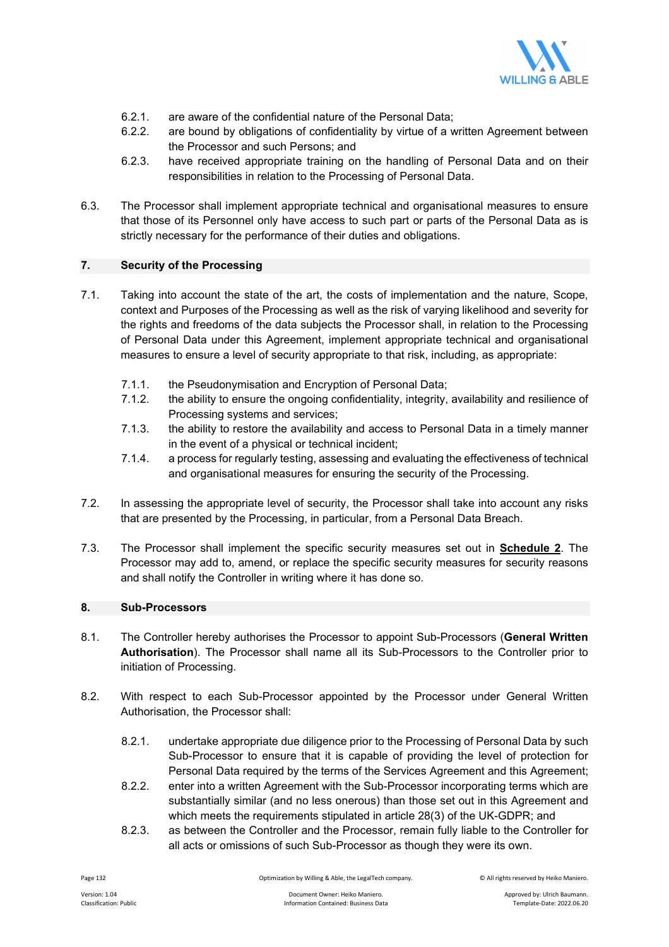

- 6.2.1. are aware of the confidential nature of the Personal Data;
- 6.2.2. are bound by obligations of confidentiality by virtue of a written Agreement between the Processor and such Persons; and
- 6.2.3. have received appropriate training on the handling of Personal Data and on their responsibilities in relation to the Processing of Personal Data.
- 6.3. The Processor shall implement appropriate technical and organisational measures to ensure that those of its Personnel only have access to such part or parts of the Personal Data as is strictly necessary for the performance of their duties and obligations.

#### **7. Security of the Processing**

- 7.1. Taking into account the state of the art, the costs of implementation and the nature, Scope, context and Purposes of the Processing as well as the risk of varying likelihood and severity for the rights and freedoms of the data subjects the Processor shall, in relation to the Processing of Personal Data under this Agreement, implement appropriate technical and organisational measures to ensure a level of security appropriate to that risk, including, as appropriate:
	- 7.1.1. the Pseudonymisation and Encryption of Personal Data;
	- 7.1.2. the ability to ensure the ongoing confidentiality, integrity, availability and resilience of Processing systems and services;
	- 7.1.3. the ability to restore the availability and access to Personal Data in a timely manner in the event of a physical or technical incident;
	- 7.1.4. a process for regularly testing, assessing and evaluating the effectiveness of technical and organisational measures for ensuring the security of the Processing.
- 7.2. In assessing the appropriate level of security, the Processor shall take into account any risks that are presented by the Processing, in particular, from a Personal Data Breach.
- 7.3. The Processor shall implement the specific security measures set out in **Schedule 2**. The Processor may add to, amend, or replace the specific security measures for security reasons and shall notify the Controller in writing where it has done so.

#### **8. Sub-Processors**

- 8.1. The Controller hereby authorises the Processor to appoint Sub-Processors (**General Written Authorisation**). The Processor shall name all its Sub-Processors to the Controller prior to initiation of Processing.
- 8.2. With respect to each Sub-Processor appointed by the Processor under General Written Authorisation, the Processor shall:
	- 8.2.1. undertake appropriate due diligence prior to the Processing of Personal Data by such Sub-Processor to ensure that it is capable of providing the level of protection for Personal Data required by the terms of the Services Agreement and this Agreement;
	- 8.2.2. enter into a written Agreement with the Sub-Processor incorporating terms which are substantially similar (and no less onerous) than those set out in this Agreement and which meets the requirements stipulated in article 28(3) of the UK-GDPR; and
	- 8.2.3. as between the Controller and the Processor, remain fully liable to the Controller for all acts or omissions of such Sub-Processor as though they were its own.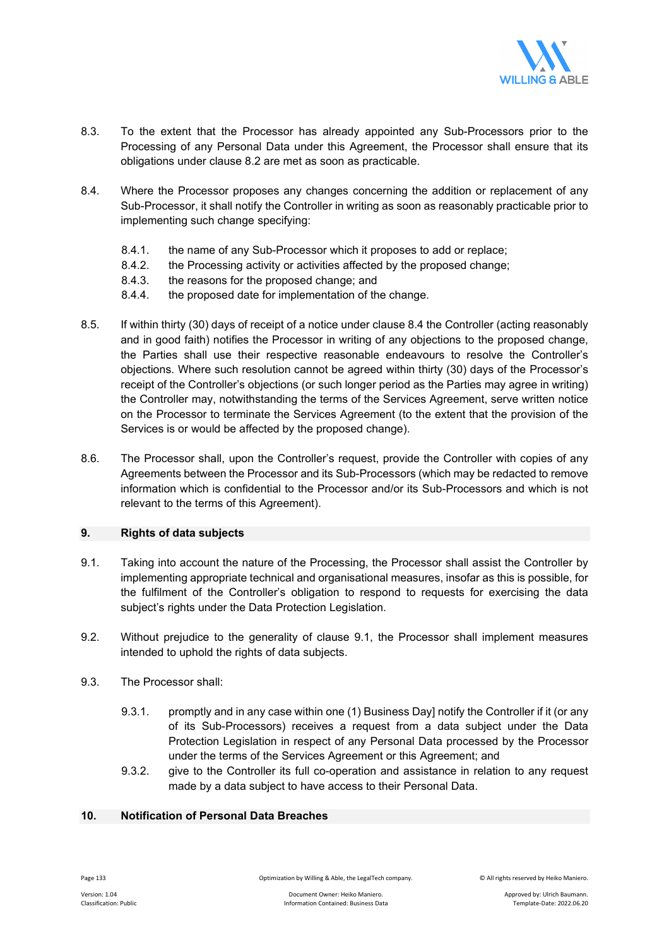

- 8.3. To the extent that the Processor has already appointed any Sub-Processors prior to the Processing of any Personal Data under this Agreement, the Processor shall ensure that its obligations under clause 8.2 are met as soon as practicable.
- 8.4. Where the Processor proposes any changes concerning the addition or replacement of any Sub-Processor, it shall notify the Controller in writing as soon as reasonably practicable prior to implementing such change specifying:
	- 8.4.1. the name of any Sub-Processor which it proposes to add or replace;
	- 8.4.2. the Processing activity or activities affected by the proposed change;
	- 8.4.3. the reasons for the proposed change; and
	- 8.4.4. the proposed date for implementation of the change.
- 8.5. If within thirty (30) days of receipt of a notice under clause 8.4 the Controller (acting reasonably and in good faith) notifies the Processor in writing of any objections to the proposed change, the Parties shall use their respective reasonable endeavours to resolve the Controller's objections. Where such resolution cannot be agreed within thirty (30) days of the Processor's receipt of the Controller's objections (or such longer period as the Parties may agree in writing) the Controller may, notwithstanding the terms of the Services Agreement, serve written notice on the Processor to terminate the Services Agreement (to the extent that the provision of the Services is or would be affected by the proposed change).
- 8.6. The Processor shall, upon the Controller's request, provide the Controller with copies of any Agreements between the Processor and its Sub-Processors (which may be redacted to remove information which is confidential to the Processor and/or its Sub-Processors and which is not relevant to the terms of this Agreement).

#### **9. Rights of data subjects**

- 9.1. Taking into account the nature of the Processing, the Processor shall assist the Controller by implementing appropriate technical and organisational measures, insofar as this is possible, for the fulfilment of the Controller's obligation to respond to requests for exercising the data subject's rights under the Data Protection Legislation.
- 9.2. Without prejudice to the generality of clause 9.1, the Processor shall implement measures intended to uphold the rights of data subjects.
- 9.3. The Processor shall:
	- 9.3.1. promptly and in any case within one (1) Business Day] notify the Controller if it (or any of its Sub-Processors) receives a request from a data subject under the Data Protection Legislation in respect of any Personal Data processed by the Processor under the terms of the Services Agreement or this Agreement; and
	- 9.3.2. give to the Controller its full co-operation and assistance in relation to any request made by a data subject to have access to their Personal Data.

#### **10. Notification of Personal Data Breaches**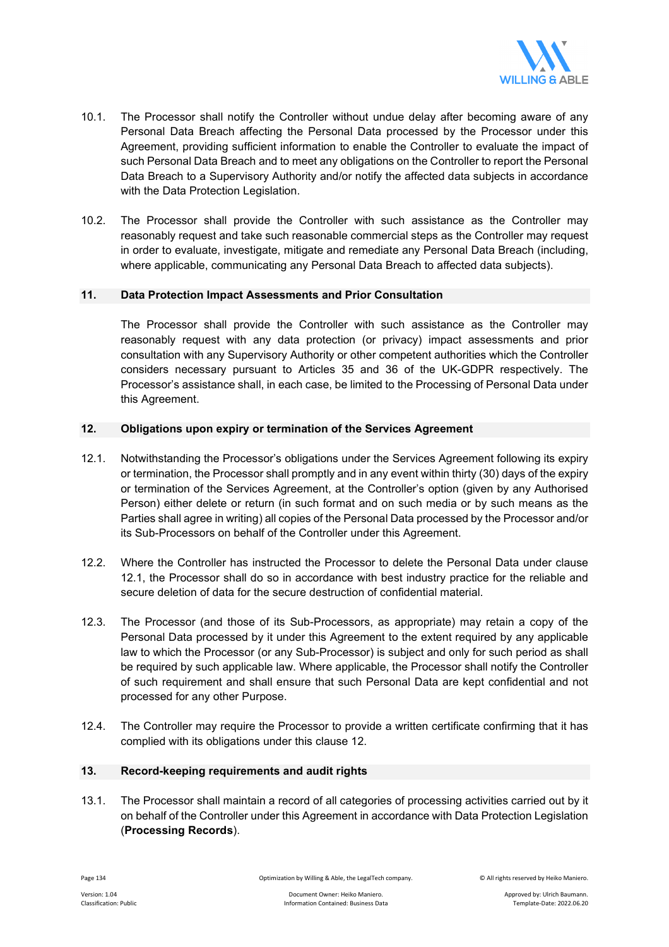

- 10.1. The Processor shall notify the Controller without undue delay after becoming aware of any Personal Data Breach affecting the Personal Data processed by the Processor under this Agreement, providing sufficient information to enable the Controller to evaluate the impact of such Personal Data Breach and to meet any obligations on the Controller to report the Personal Data Breach to a Supervisory Authority and/or notify the affected data subjects in accordance with the Data Protection Legislation.
- 10.2. The Processor shall provide the Controller with such assistance as the Controller may reasonably request and take such reasonable commercial steps as the Controller may request in order to evaluate, investigate, mitigate and remediate any Personal Data Breach (including, where applicable, communicating any Personal Data Breach to affected data subjects).

#### **11. Data Protection Impact Assessments and Prior Consultation**

The Processor shall provide the Controller with such assistance as the Controller may reasonably request with any data protection (or privacy) impact assessments and prior consultation with any Supervisory Authority or other competent authorities which the Controller considers necessary pursuant to Articles 35 and 36 of the UK-GDPR respectively. The Processor's assistance shall, in each case, be limited to the Processing of Personal Data under this Agreement.

#### **12. Obligations upon expiry or termination of the Services Agreement**

- 12.1. Notwithstanding the Processor's obligations under the Services Agreement following its expiry or termination, the Processor shall promptly and in any event within thirty (30) days of the expiry or termination of the Services Agreement, at the Controller's option (given by any Authorised Person) either delete or return (in such format and on such media or by such means as the Parties shall agree in writing) all copies of the Personal Data processed by the Processor and/or its Sub-Processors on behalf of the Controller under this Agreement.
- 12.2. Where the Controller has instructed the Processor to delete the Personal Data under clause 12.1, the Processor shall do so in accordance with best industry practice for the reliable and secure deletion of data for the secure destruction of confidential material.
- 12.3. The Processor (and those of its Sub-Processors, as appropriate) may retain a copy of the Personal Data processed by it under this Agreement to the extent required by any applicable law to which the Processor (or any Sub-Processor) is subject and only for such period as shall be required by such applicable law. Where applicable, the Processor shall notify the Controller of such requirement and shall ensure that such Personal Data are kept confidential and not processed for any other Purpose.
- 12.4. The Controller may require the Processor to provide a written certificate confirming that it has complied with its obligations under this clause 12.

#### **13. Record-keeping requirements and audit rights**

13.1. The Processor shall maintain a record of all categories of processing activities carried out by it on behalf of the Controller under this Agreement in accordance with Data Protection Legislation (**Processing Records**).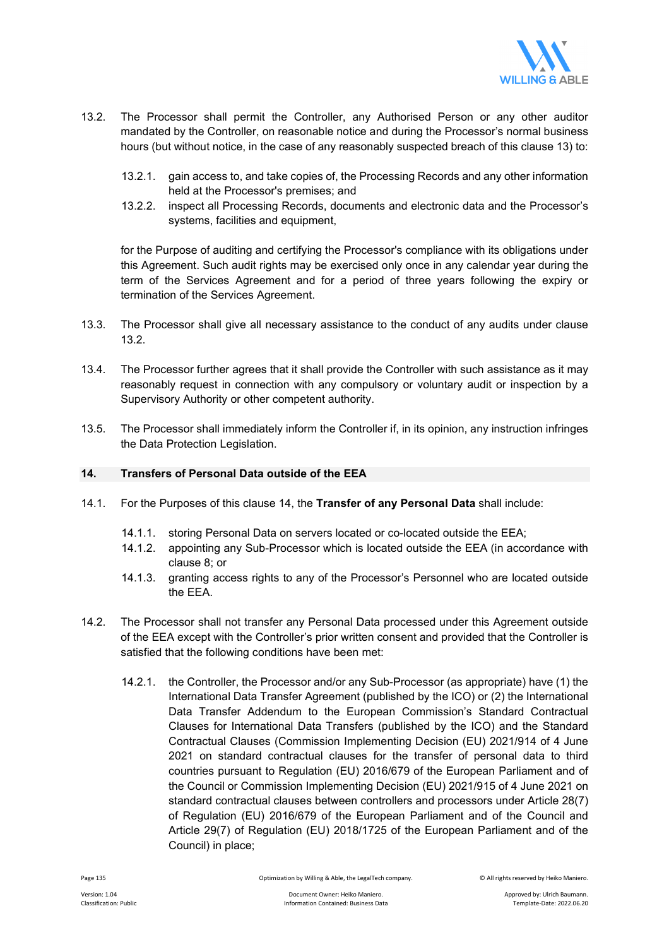

- 13.2. The Processor shall permit the Controller, any Authorised Person or any other auditor mandated by the Controller, on reasonable notice and during the Processor's normal business hours (but without notice, in the case of any reasonably suspected breach of this clause 13) to:
	- 13.2.1. gain access to, and take copies of, the Processing Records and any other information held at the Processor's premises; and
	- 13.2.2. inspect all Processing Records, documents and electronic data and the Processor's systems, facilities and equipment,

for the Purpose of auditing and certifying the Processor's compliance with its obligations under this Agreement. Such audit rights may be exercised only once in any calendar year during the term of the Services Agreement and for a period of three years following the expiry or termination of the Services Agreement.

- 13.3. The Processor shall give all necessary assistance to the conduct of any audits under clause 13.2.
- 13.4. The Processor further agrees that it shall provide the Controller with such assistance as it may reasonably request in connection with any compulsory or voluntary audit or inspection by a Supervisory Authority or other competent authority.
- 13.5. The Processor shall immediately inform the Controller if, in its opinion, any instruction infringes the Data Protection Legislation.

#### **14. Transfers of Personal Data outside of the EEA**

- 14.1. For the Purposes of this clause 14, the **Transfer of any Personal Data** shall include:
	- 14.1.1. storing Personal Data on servers located or co-located outside the EEA;
	- 14.1.2. appointing any Sub-Processor which is located outside the EEA (in accordance with clause 8; or
	- 14.1.3. granting access rights to any of the Processor's Personnel who are located outside the EEA.
- 14.2. The Processor shall not transfer any Personal Data processed under this Agreement outside of the EEA except with the Controller's prior written consent and provided that the Controller is satisfied that the following conditions have been met:
	- 14.2.1. the Controller, the Processor and/or any Sub-Processor (as appropriate) have (1) the International Data Transfer Agreement (published by the ICO) or (2) the International Data Transfer Addendum to the European Commission's Standard Contractual Clauses for International Data Transfers (published by the ICO) and the Standard Contractual Clauses (Commission Implementing Decision (EU) 2021/914 of 4 June 2021 on standard contractual clauses for the transfer of personal data to third countries pursuant to Regulation (EU) 2016/679 of the European Parliament and of the Council or Commission Implementing Decision (EU) 2021/915 of 4 June 2021 on standard contractual clauses between controllers and processors under Article 28(7) of Regulation (EU) 2016/679 of the European Parliament and of the Council and Article 29(7) of Regulation (EU) 2018/1725 of the European Parliament and of the Council) in place;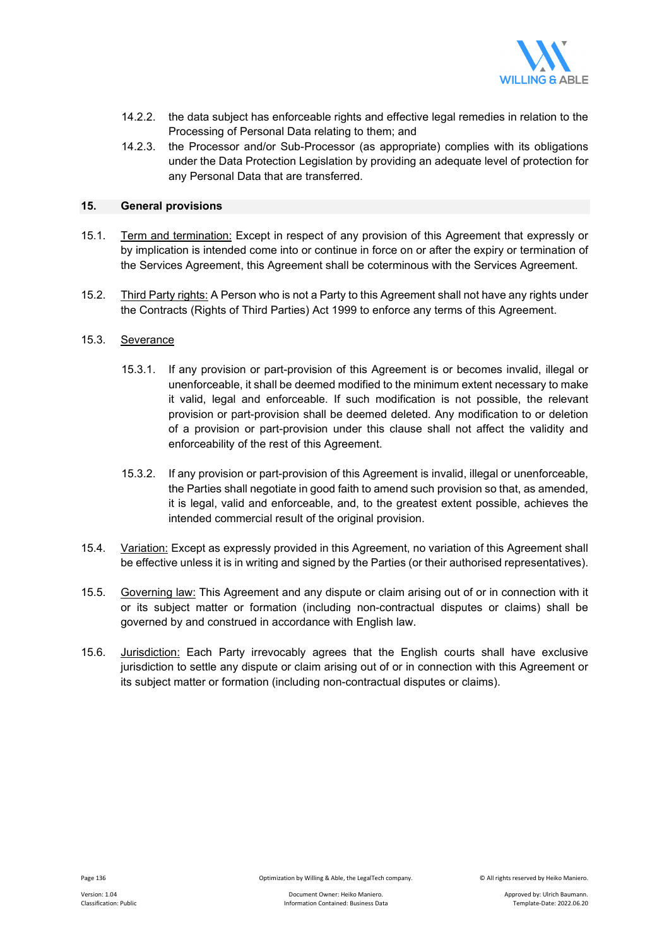

- 14.2.2. the data subject has enforceable rights and effective legal remedies in relation to the Processing of Personal Data relating to them; and
- 14.2.3. the Processor and/or Sub-Processor (as appropriate) complies with its obligations under the Data Protection Legislation by providing an adequate level of protection for any Personal Data that are transferred.

#### **15. General provisions**

- 15.1. Term and termination: Except in respect of any provision of this Agreement that expressly or by implication is intended come into or continue in force on or after the expiry or termination of the Services Agreement, this Agreement shall be coterminous with the Services Agreement.
- 15.2. Third Party rights: A Person who is not a Party to this Agreement shall not have any rights under the Contracts (Rights of Third Parties) Act 1999 to enforce any terms of this Agreement.

#### 15.3. Severance

- 15.3.1. If any provision or part-provision of this Agreement is or becomes invalid, illegal or unenforceable, it shall be deemed modified to the minimum extent necessary to make it valid, legal and enforceable. If such modification is not possible, the relevant provision or part-provision shall be deemed deleted. Any modification to or deletion of a provision or part-provision under this clause shall not affect the validity and enforceability of the rest of this Agreement.
- 15.3.2. If any provision or part-provision of this Agreement is invalid, illegal or unenforceable, the Parties shall negotiate in good faith to amend such provision so that, as amended, it is legal, valid and enforceable, and, to the greatest extent possible, achieves the intended commercial result of the original provision.
- 15.4. Variation: Except as expressly provided in this Agreement, no variation of this Agreement shall be effective unless it is in writing and signed by the Parties (or their authorised representatives).
- 15.5. Governing law: This Agreement and any dispute or claim arising out of or in connection with it or its subject matter or formation (including non-contractual disputes or claims) shall be governed by and construed in accordance with English law.
- 15.6. Jurisdiction: Each Party irrevocably agrees that the English courts shall have exclusive jurisdiction to settle any dispute or claim arising out of or in connection with this Agreement or its subject matter or formation (including non-contractual disputes or claims).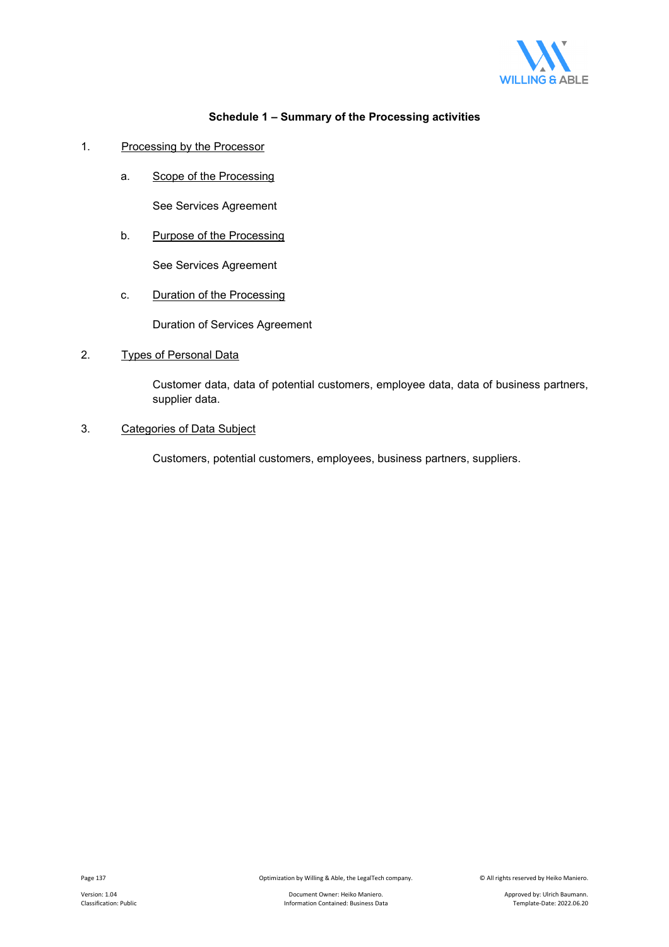

#### **Schedule 1 – Summary of the Processing activities**

- 1. Processing by the Processor
	- a. Scope of the Processing

See Services Agreement

b. Purpose of the Processing

See Services Agreement

c. Duration of the Processing

Duration of Services Agreement

#### 2. Types of Personal Data

Customer data, data of potential customers, employee data, data of business partners, supplier data.

#### 3. Categories of Data Subject

Customers, potential customers, employees, business partners, suppliers.